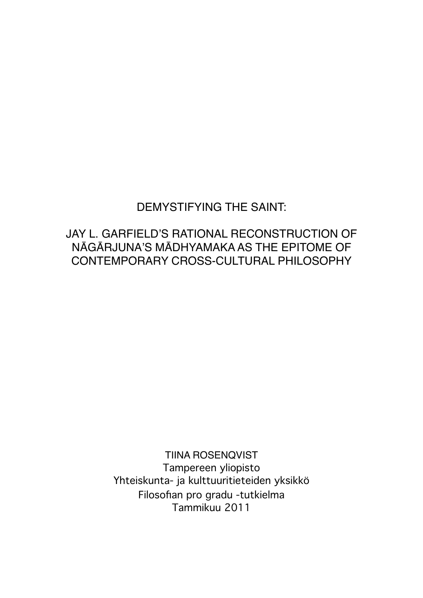# DEMYSTIFYING THE SAINT:

# JAY L. GARFIELD'S RATIONAL RECONSTRUCTION OF NĀGĀRJUNA'S MĀDHYAMAKA AS THE EPITOME OF CONTEMPORARY CROSS-CULTURAL PHILOSOPHY

TIINA ROSENQVIST Tampereen yliopisto Yhteiskunta- ja kulttuuritieteiden yksikkö Filosofian pro gradu -tutkielma Tammikuu 2011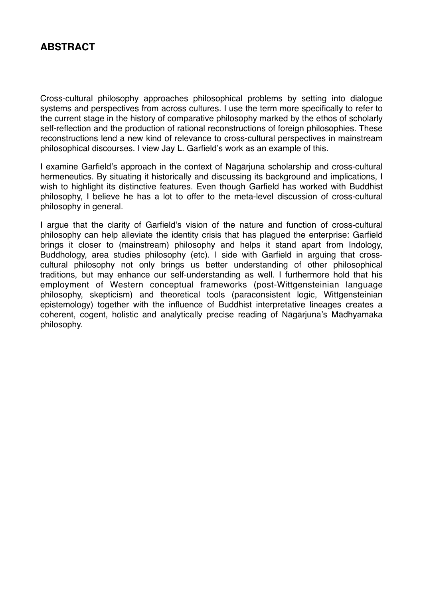# **ABSTRACT**

Cross-cultural philosophy approaches philosophical problems by setting into dialogue systems and perspectives from across cultures. I use the term more specifically to refer to the current stage in the history of comparative philosophy marked by the ethos of scholarly self-reflection and the production of rational reconstructions of foreign philosophies. These reconstructions lend a new kind of relevance to cross-cultural perspectives in mainstream philosophical discourses. I view Jay L. Garfield's work as an example of this.

I examine Garfield's approach in the context of Nāgārjuna scholarship and cross-cultural hermeneutics. By situating it historically and discussing its background and implications, I wish to highlight its distinctive features. Even though Garfield has worked with Buddhist philosophy, I believe he has a lot to offer to the meta-level discussion of cross-cultural philosophy in general.

I argue that the clarity of Garfield's vision of the nature and function of cross-cultural philosophy can help alleviate the identity crisis that has plagued the enterprise: Garfield brings it closer to (mainstream) philosophy and helps it stand apart from Indology, Buddhology, area studies philosophy (etc). I side with Garfield in arguing that crosscultural philosophy not only brings us better understanding of other philosophical traditions, but may enhance our self-understanding as well. I furthermore hold that his employment of Western conceptual frameworks (post-Wittgensteinian language philosophy, skepticism) and theoretical tools (paraconsistent logic, Wittgensteinian epistemology) together with the influence of Buddhist interpretative lineages creates a coherent, cogent, holistic and analytically precise reading of Nāgārjuna's Mādhyamaka philosophy.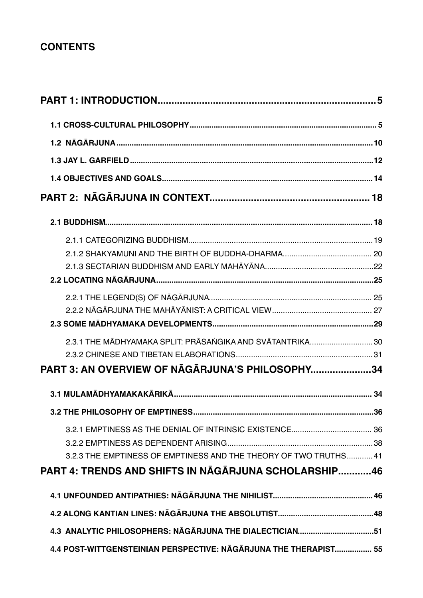# **CONTENTS**

| 2.3.1 THE MĀDHYAMAKA SPLIT: PRĀSANGIKA AND SVĀTANTRIKA 30        |  |
|------------------------------------------------------------------|--|
|                                                                  |  |
| PART 3: AN OVERVIEW OF NĀGĀRJUNA'S PHILOSOPHY34                  |  |
|                                                                  |  |
|                                                                  |  |
|                                                                  |  |
|                                                                  |  |
| 3.2.3 THE EMPTINESS OF EMPTINESS AND THE THEORY OF TWO TRUTHS 41 |  |
| <b>PART 4: TRENDS AND SHIFTS IN NAGARJUNA SCHOLARSHIP46</b>      |  |
|                                                                  |  |
|                                                                  |  |
| 4.3 ANALYTIC PHILOSOPHERS: NĀGĀRJUNA THE DIALECTICIAN51          |  |
| 4.4 POST-WITTGENSTEINIAN PERSPECTIVE: NĀGĀRJUNA THE THERAPIST 55 |  |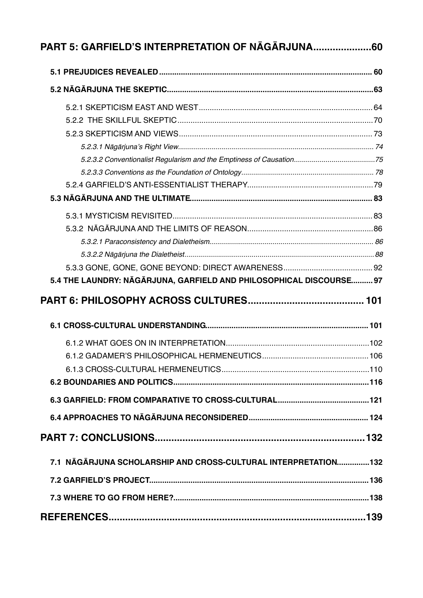| PART 5: GARFIELD'S INTERPRETATION OF NAGARJUNA60                    |  |
|---------------------------------------------------------------------|--|
|                                                                     |  |
|                                                                     |  |
|                                                                     |  |
|                                                                     |  |
|                                                                     |  |
|                                                                     |  |
|                                                                     |  |
|                                                                     |  |
|                                                                     |  |
|                                                                     |  |
|                                                                     |  |
|                                                                     |  |
|                                                                     |  |
|                                                                     |  |
|                                                                     |  |
| 5.4 THE LAUNDRY: NĀGĀRJUNA, GARFIELD AND PHILOSOPHICAL DISCOURSE 97 |  |
|                                                                     |  |
|                                                                     |  |
|                                                                     |  |
|                                                                     |  |
|                                                                     |  |
|                                                                     |  |
|                                                                     |  |
|                                                                     |  |
|                                                                     |  |
|                                                                     |  |
| 7.1 NĀGĀRJUNA SCHOLARSHIP AND CROSS-CULTURAL INTERPRETATION132      |  |
|                                                                     |  |
|                                                                     |  |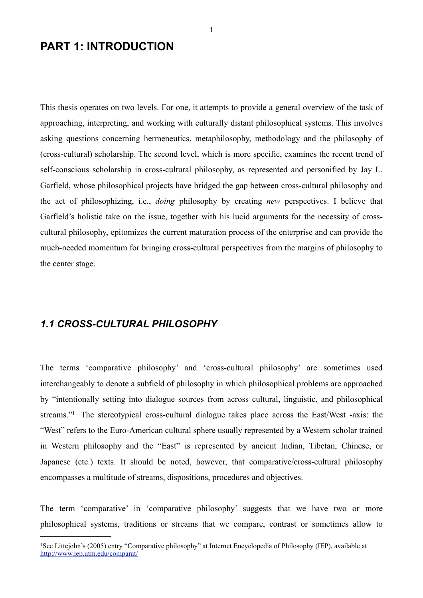# <span id="page-4-0"></span>**PART 1: INTRODUCTION**

This thesis operates on two levels. For one, it attempts to provide a general overview of the task of approaching, interpreting, and working with culturally distant philosophical systems. This involves asking questions concerning hermeneutics, metaphilosophy, methodology and the philosophy of (cross-cultural) scholarship. The second level, which is more specific, examines the recent trend of self-conscious scholarship in cross-cultural philosophy, as represented and personified by Jay L. Garfield, whose philosophical projects have bridged the gap between cross-cultural philosophy and the act of philosophizing, i.e., *doing* philosophy by creating *new* perspectives. I believe that Garfield's holistic take on the issue, together with his lucid arguments for the necessity of crosscultural philosophy, epitomizes the current maturation process of the enterprise and can provide the much-needed momentum for bringing cross-cultural perspectives from the margins of philosophy to the center stage.

## <span id="page-4-1"></span>*1.1 CROSS-CULTURAL PHILOSOPHY*

The terms 'comparative philosophy' and 'cross-cultural philosophy' are sometimes used interchangeably to denote a subfield of philosophy in which philosophical problems are approached by "intentionally setting into dialogue sources from across cultural, linguistic, and philosophical streams."[1](#page-4-2) The stereotypical cross-cultural dialogue takes place across the East/West -axis: the "West" refers to the Euro-American cultural sphere usually represented by a Western scholar trained in Western philosophy and the "East" is represented by ancient Indian, Tibetan, Chinese, or Japanese (etc.) texts. It should be noted, however, that comparative/cross-cultural philosophy encompasses a multitude of streams, dispositions, procedures and objectives.

The term 'comparative' in 'comparative philosophy' suggests that we have two or more philosophical systems, traditions or streams that we compare, contrast or sometimes allow to

<span id="page-4-2"></span><sup>1</sup>See Littejohn's (2005) entry "Comparative philosophy" at Internet Encyclopedia of Philosophy (IEP), available at <http://www.iep.utm.edu/comparat/>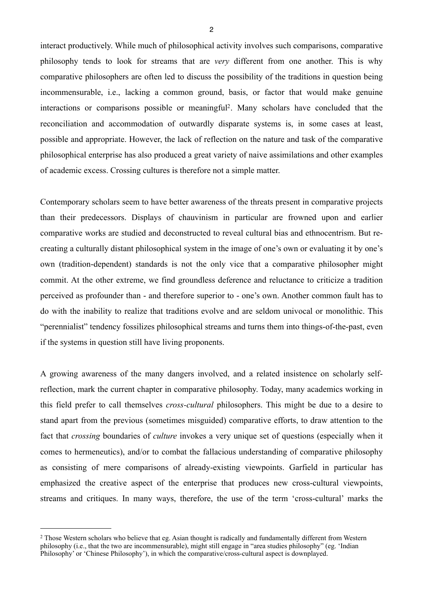interact productively. While much of philosophical activity involves such comparisons, comparative philosophy tends to look for streams that are *very* different from one another. This is why comparative philosophers are often led to discuss the possibility of the traditions in question being incommensurable, i.e., lacking a common ground, basis, or factor that would make genuine interactions or comparisons possible or meaningful[2](#page-5-0). Many scholars have concluded that the reconciliation and accommodation of outwardly disparate systems is, in some cases at least, possible and appropriate. However, the lack of reflection on the nature and task of the comparative philosophical enterprise has also produced a great variety of naive assimilations and other examples of academic excess. Crossing cultures is therefore not a simple matter.

Contemporary scholars seem to have better awareness of the threats present in comparative projects than their predecessors. Displays of chauvinism in particular are frowned upon and earlier comparative works are studied and deconstructed to reveal cultural bias and ethnocentrism. But recreating a culturally distant philosophical system in the image of one's own or evaluating it by one's own (tradition-dependent) standards is not the only vice that a comparative philosopher might commit. At the other extreme, we find groundless deference and reluctance to criticize a tradition perceived as profounder than - and therefore superior to - one's own. Another common fault has to do with the inability to realize that traditions evolve and are seldom univocal or monolithic. This "perennialist" tendency fossilizes philosophical streams and turns them into things-of-the-past, even if the systems in question still have living proponents.

A growing awareness of the many dangers involved, and a related insistence on scholarly selfreflection, mark the current chapter in comparative philosophy. Today, many academics working in this field prefer to call themselves *cross-cultural* philosophers. This might be due to a desire to stand apart from the previous (sometimes misguided) comparative efforts, to draw attention to the fact that *crossing* boundaries of *culture* invokes a very unique set of questions (especially when it comes to hermeneutics), and/or to combat the fallacious understanding of comparative philosophy as consisting of mere comparisons of already-existing viewpoints. Garfield in particular has emphasized the creative aspect of the enterprise that produces new cross-cultural viewpoints, streams and critiques. In many ways, therefore, the use of the term 'cross-cultural' marks the

<span id="page-5-0"></span><sup>&</sup>lt;sup>2</sup> Those Western scholars who believe that eg. Asian thought is radically and fundamentally different from Western philosophy (i.e., that the two are incommensurable), might still engage in "area studies philosophy" (eg. 'Indian Philosophy' or 'Chinese Philosophy'), in which the comparative/cross-cultural aspect is downplayed.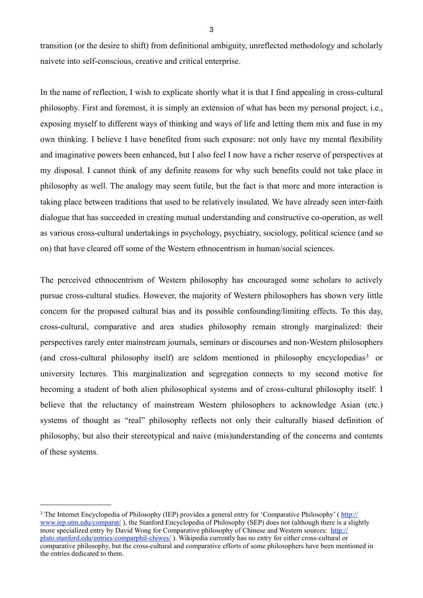transition (or the desire to shift) from definitional ambiguity, unreflected methodology and scholarly naivete into self-conscious, creative and critical enterprise.

In the name of reflection, I wish to explicate shortly what it is that I find appealing in cross-cultural philosophy. First and foremost, it is simply an extension of what has been my personal project, i.e., exposing myself to different ways of thinking and ways of life and letting them mix and fuse in my own thinking. I believe I have benefited from such exposure: not only have my mental flexibility and imaginative powers been enhanced, but I also feel I now have a richer reserve of perspectives at my disposal. I cannot think of any definite reasons for why such benefits could not take place in philosophy as well. The analogy may seem futile, but the fact is that more and more interaction is taking place between traditions that used to be relatively insulated. We have already seen inter-faith dialogue that has succeeded in creating mutual understanding and constructive co-operation, as well as various cross-cultural undertakings in psychology, psychiatry, sociology, political science (and so on) that have cleared off some of the Western ethnocentrism in human/social sciences.

The perceived ethnocentrism of Western philosophy has encouraged some scholars to actively pursue cross-cultural studies. However, the majority of Western philosophers has shown very little concern for the proposed cultural bias and its possible confounding/limiting effects. To this day, cross-cultural, comparative and area studies philosophy remain strongly marginalized: their perspectives rarely enter mainstream journals, seminars or discourses and non-Western philosophers (and cross-cultural philosophy itself) are seldom mentioned in philosophy encyclopedias<sup>3</sup> or university lectures. This marginalization and segregation connects to my second motive for becoming a student of both alien philosophical systems and of cross-cultural philosophy itself: I believe that the reluctancy of mainstream Western philosophers to acknowledge Asian (etc.) systems of thought as "real" philosophy reflects not only their culturally biased definition of philosophy, but also their stereotypical and naive (mis)understanding of the concerns and contents of these systems.

<span id="page-6-0"></span><sup>&</sup>lt;sup>3</sup> The Internet Encyclopedia of Philosophy (IEP) provides a general entry for 'Comparative Philosophy' ( [http://](http://www.iep.utm.edu/comparat/) [www.iep.utm.edu/comparat/](http://www.iep.utm.edu/comparat/) ), the Stanford Encyclopedia of Philosophy (SEP) does not (although there is a slightly more specialized entry by David Wong for Comparative philosophy of Chinese and Western sources: [http://](http://plato.stanford.edu/entries/comparphil-chiwes/) [plato.stanford.edu/entries/comparphil-chiwes/](http://plato.stanford.edu/entries/comparphil-chiwes/) ). Wikipedia currently has no entry for either cross-cultural or comparative philosophy, but the cross-cultural and comparative efforts of some philosophers have been mentioned in the entries dedicated to them.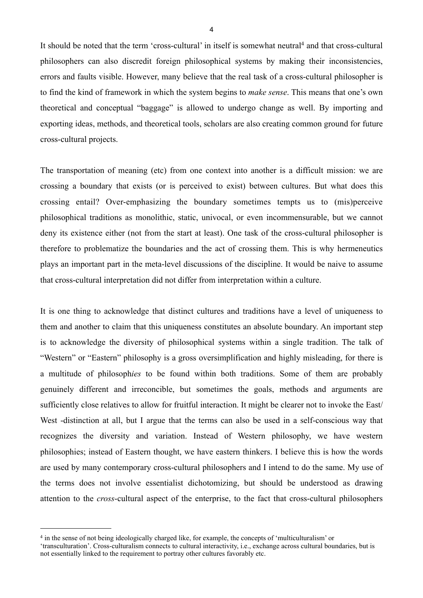It should be noted that the term 'cross-cultural' in itself is somewhat neutral<sup>4</sup> and that cross-cultural philosophers can also discredit foreign philosophical systems by making their inconsistencies, errors and faults visible. However, many believe that the real task of a cross-cultural philosopher is to find the kind of framework in which the system begins to *make sense*. This means that one's own theoretical and conceptual "baggage" is allowed to undergo change as well. By importing and exporting ideas, methods, and theoretical tools, scholars are also creating common ground for future cross-cultural projects.

The transportation of meaning (etc) from one context into another is a difficult mission: we are crossing a boundary that exists (or is perceived to exist) between cultures. But what does this crossing entail? Over-emphasizing the boundary sometimes tempts us to (mis)perceive philosophical traditions as monolithic, static, univocal, or even incommensurable, but we cannot deny its existence either (not from the start at least). One task of the cross-cultural philosopher is therefore to problematize the boundaries and the act of crossing them. This is why hermeneutics plays an important part in the meta-level discussions of the discipline. It would be naive to assume that cross-cultural interpretation did not differ from interpretation within a culture.

It is one thing to acknowledge that distinct cultures and traditions have a level of uniqueness to them and another to claim that this uniqueness constitutes an absolute boundary. An important step is to acknowledge the diversity of philosophical systems within a single tradition. The talk of "Western" or "Eastern" philosophy is a gross oversimplification and highly misleading, for there is a multitude of philosoph*ies* to be found within both traditions. Some of them are probably genuinely different and irreconcible, but sometimes the goals, methods and arguments are sufficiently close relatives to allow for fruitful interaction. It might be clearer not to invoke the East/ West -distinction at all, but I argue that the terms can also be used in a self-conscious way that recognizes the diversity and variation. Instead of Western philosophy, we have western philosophies; instead of Eastern thought, we have eastern thinkers. I believe this is how the words are used by many contemporary cross-cultural philosophers and I intend to do the same. My use of the terms does not involve essentialist dichotomizing, but should be understood as drawing attention to the *cross*-cultural aspect of the enterprise, to the fact that cross-cultural philosophers

<span id="page-7-0"></span><sup>4</sup> in the sense of not being ideologically charged like, for example, the concepts of 'multiculturalism' or

<sup>&#</sup>x27;transculturation'. Cross-culturalism connects to cultural interactivity, i.e., exchange across cultural boundaries, but is not essentially linked to the requirement to portray other cultures favorably etc.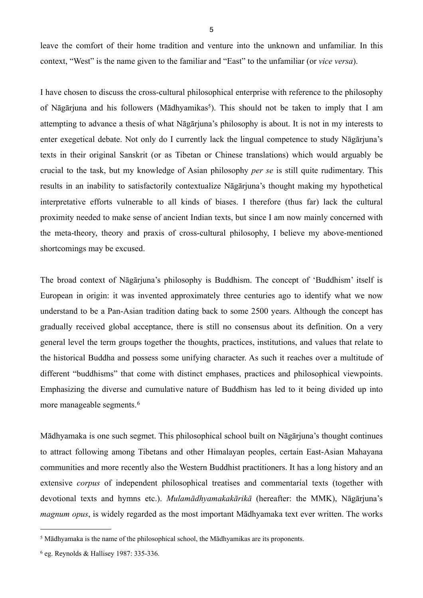leave the comfort of their home tradition and venture into the unknown and unfamiliar. In this context, "West" is the name given to the familiar and "East" to the unfamiliar (or *vice versa*).

I have chosen to discuss the cross-cultural philosophical enterprise with reference to the philosophy of Nāgārjuna and his followers (Mādhyamikas<sup>5</sup>). This should not be taken to imply that I am attempting to advance a thesis of what Nāgārjuna's philosophy is about. It is not in my interests to enter exegetical debate. Not only do I currently lack the lingual competence to study Nāgārjuna's texts in their original Sanskrit (or as Tibetan or Chinese translations) which would arguably be crucial to the task, but my knowledge of Asian philosophy *per se* is still quite rudimentary. This results in an inability to satisfactorily contextualize Nāgārjuna's thought making my hypothetical interpretative efforts vulnerable to all kinds of biases. I therefore (thus far) lack the cultural proximity needed to make sense of ancient Indian texts, but since I am now mainly concerned with the meta-theory, theory and praxis of cross-cultural philosophy, I believe my above-mentioned shortcomings may be excused.

The broad context of Nāgārjuna's philosophy is Buddhism. The concept of 'Buddhism' itself is European in origin: it was invented approximately three centuries ago to identify what we now understand to be a Pan-Asian tradition dating back to some 2500 years. Although the concept has gradually received global acceptance, there is still no consensus about its definition. On a very general level the term groups together the thoughts, practices, institutions, and values that relate to the historical Buddha and possess some unifying character. As such it reaches over a multitude of different "buddhisms" that come with distinct emphases, practices and philosophical viewpoints. Emphasizing the diverse and cumulative nature of Buddhism has led to it being divided up into more manageable segments.<sup>[6](#page-8-1)</sup>

Mādhyamaka is one such segmet. This philosophical school built on Nāgārjuna's thought continues to attract following among Tibetans and other Himalayan peoples, certain East-Asian Mahayana communities and more recently also the Western Buddhist practitioners. It has a long history and an extensive *corpus* of independent philosophical treatises and commentarial texts (together with devotional texts and hymns etc.). *Mulamādhyamakakārikā* (hereafter: the MMK), Nāgārjuna's *magnum opus*, is widely regarded as the most important Mādhyamaka text ever written. The works

<span id="page-8-0"></span><sup>5</sup> Mādhyamaka is the name of the philosophical school, the Mādhyamikas are its proponents.

<span id="page-8-1"></span><sup>6</sup> eg. Reynolds & Hallisey 1987: 335-336.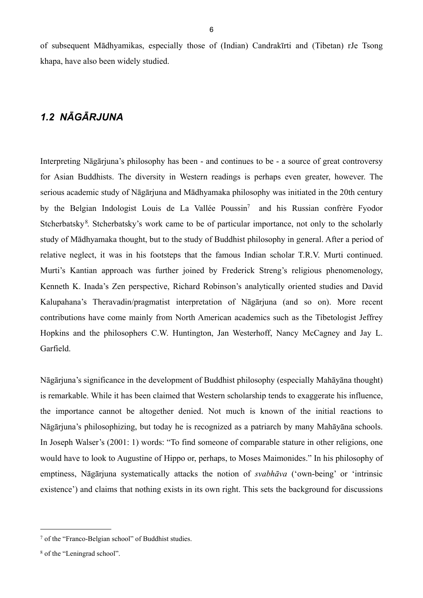of subsequent Mādhyamikas, especially those of (Indian) Candrakīrti and (Tibetan) rJe Tsong khapa, have also been widely studied.

## <span id="page-9-0"></span>*1.2 NĀGĀRJUNA*

Interpreting Nāgārjuna's philosophy has been - and continues to be - a source of great controversy for Asian Buddhists. The diversity in Western readings is perhaps even greater, however. The serious academic study of Nāgārjuna and Mādhyamaka philosophy was initiated in the 20th century by the Belgian Indologist Louis de La Vallée Poussin[7](#page-9-1) and his Russian confrère Fyodor Stcherbatsky<sup>[8](#page-9-2)</sup>. Stcherbatsky's work came to be of particular importance, not only to the scholarly study of Mādhyamaka thought, but to the study of Buddhist philosophy in general. After a period of relative neglect, it was in his footsteps that the famous Indian scholar T.R.V. Murti continued. Murti's Kantian approach was further joined by Frederick Streng's religious phenomenology, Kenneth K. Inada's Zen perspective, Richard Robinson's analytically oriented studies and David Kalupahana's Theravadin/pragmatist interpretation of Nāgārjuna (and so on). More recent contributions have come mainly from North American academics such as the Tibetologist Jeffrey Hopkins and the philosophers C.W. Huntington, Jan Westerhoff, Nancy McCagney and Jay L. Garfield.

Nāgārjuna's significance in the development of Buddhist philosophy (especially Mahāyāna thought) is remarkable. While it has been claimed that Western scholarship tends to exaggerate his influence, the importance cannot be altogether denied. Not much is known of the initial reactions to Nāgārjuna's philosophizing, but today he is recognized as a patriarch by many Mahāyāna schools. In Joseph Walser's (2001: 1) words: "To find someone of comparable stature in other religions, one would have to look to Augustine of Hippo or, perhaps, to Moses Maimonides." In his philosophy of emptiness, Nāgārjuna systematically attacks the notion of *svabhāva* ('own-being' or 'intrinsic existence') and claims that nothing exists in its own right. This sets the background for discussions

<span id="page-9-1"></span><sup>7</sup> of the "Franco-Belgian school" of Buddhist studies.

<span id="page-9-2"></span><sup>8</sup> of the "Leningrad school".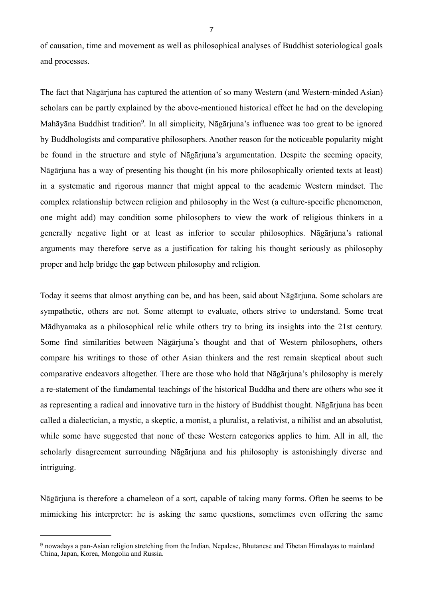of causation, time and movement as well as philosophical analyses of Buddhist soteriological goals and processes.

The fact that Nāgārjuna has captured the attention of so many Western (and Western-minded Asian) scholars can be partly explained by the above-mentioned historical effect he had on the developing Mahāyāna Buddhist tradition<sup>9</sup>. In all simplicity, Nāgārjuna's influence was too great to be ignored by Buddhologists and comparative philosophers. Another reason for the noticeable popularity might be found in the structure and style of Nāgārjuna's argumentation. Despite the seeming opacity, Nāgārjuna has a way of presenting his thought (in his more philosophically oriented texts at least) in a systematic and rigorous manner that might appeal to the academic Western mindset. The complex relationship between religion and philosophy in the West (a culture-specific phenomenon, one might add) may condition some philosophers to view the work of religious thinkers in a generally negative light or at least as inferior to secular philosophies. Nāgārjuna's rational arguments may therefore serve as a justification for taking his thought seriously as philosophy proper and help bridge the gap between philosophy and religion*.*

Today it seems that almost anything can be, and has been, said about Nāgārjuna. Some scholars are sympathetic, others are not. Some attempt to evaluate, others strive to understand. Some treat Mādhyamaka as a philosophical relic while others try to bring its insights into the 21st century. Some find similarities between Nāgārjuna's thought and that of Western philosophers, others compare his writings to those of other Asian thinkers and the rest remain skeptical about such comparative endeavors altogether. There are those who hold that Nāgārjuna's philosophy is merely a re-statement of the fundamental teachings of the historical Buddha and there are others who see it as representing a radical and innovative turn in the history of Buddhist thought. Nāgārjuna has been called a dialectician, a mystic, a skeptic, a monist, a pluralist, a relativist, a nihilist and an absolutist, while some have suggested that none of these Western categories applies to him. All in all, the scholarly disagreement surrounding Nāgārjuna and his philosophy is astonishingly diverse and intriguing.

Nāgārjuna is therefore a chameleon of a sort, capable of taking many forms. Often he seems to be mimicking his interpreter: he is asking the same questions, sometimes even offering the same

<span id="page-10-0"></span><sup>9</sup> nowadays a pan-Asian religion stretching from the Indian, Nepalese, Bhutanese and Tibetan Himalayas to mainland China, Japan, Korea, Mongolia and Russia.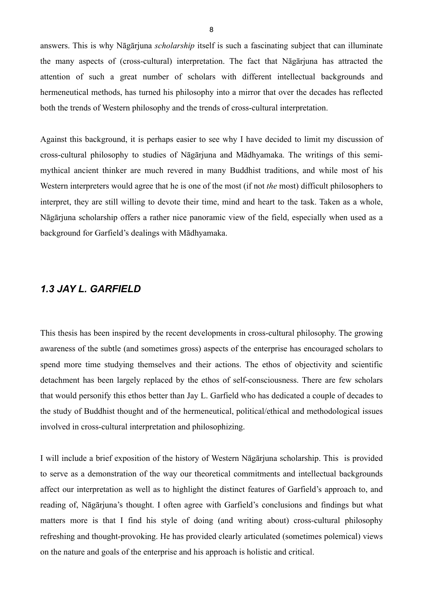answers. This is why Nāgārjuna *scholarship* itself is such a fascinating subject that can illuminate the many aspects of (cross-cultural) interpretation. The fact that Nāgārjuna has attracted the attention of such a great number of scholars with different intellectual backgrounds and hermeneutical methods, has turned his philosophy into a mirror that over the decades has reflected both the trends of Western philosophy and the trends of cross-cultural interpretation.

Against this background, it is perhaps easier to see why I have decided to limit my discussion of cross-cultural philosophy to studies of Nāgārjuna and Mādhyamaka. The writings of this semimythical ancient thinker are much revered in many Buddhist traditions, and while most of his Western interpreters would agree that he is one of the most (if not *the* most) difficult philosophers to interpret, they are still willing to devote their time, mind and heart to the task. Taken as a whole, Nāgārjuna scholarship offers a rather nice panoramic view of the field, especially when used as a background for Garfield's dealings with Mādhyamaka.

## <span id="page-11-0"></span>*1.3 JAY L. GARFIELD*

This thesis has been inspired by the recent developments in cross-cultural philosophy. The growing awareness of the subtle (and sometimes gross) aspects of the enterprise has encouraged scholars to spend more time studying themselves and their actions. The ethos of objectivity and scientific detachment has been largely replaced by the ethos of self-consciousness. There are few scholars that would personify this ethos better than Jay L. Garfield who has dedicated a couple of decades to the study of Buddhist thought and of the hermeneutical, political/ethical and methodological issues involved in cross-cultural interpretation and philosophizing.

I will include a brief exposition of the history of Western Nāgārjuna scholarship. This is provided to serve as a demonstration of the way our theoretical commitments and intellectual backgrounds affect our interpretation as well as to highlight the distinct features of Garfield's approach to, and reading of, Nāgārjuna's thought. I often agree with Garfield's conclusions and findings but what matters more is that I find his style of doing (and writing about) cross-cultural philosophy refreshing and thought-provoking. He has provided clearly articulated (sometimes polemical) views on the nature and goals of the enterprise and his approach is holistic and critical.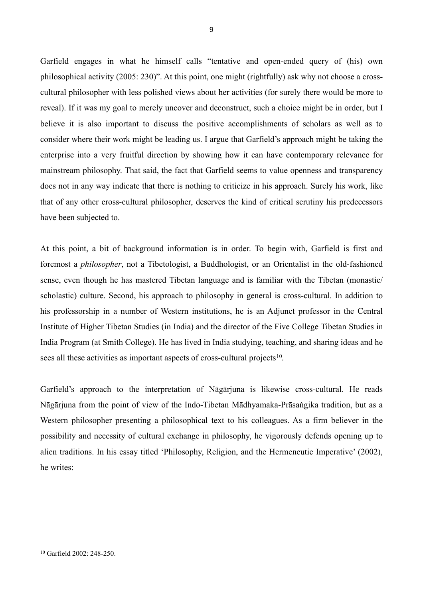Garfield engages in what he himself calls "tentative and open-ended query of (his) own philosophical activity (2005: 230)". At this point, one might (rightfully) ask why not choose a crosscultural philosopher with less polished views about her activities (for surely there would be more to reveal). If it was my goal to merely uncover and deconstruct, such a choice might be in order, but I believe it is also important to discuss the positive accomplishments of scholars as well as to consider where their work might be leading us. I argue that Garfield's approach might be taking the enterprise into a very fruitful direction by showing how it can have contemporary relevance for mainstream philosophy. That said, the fact that Garfield seems to value openness and transparency does not in any way indicate that there is nothing to criticize in his approach. Surely his work, like that of any other cross-cultural philosopher, deserves the kind of critical scrutiny his predecessors have been subjected to.

At this point, a bit of background information is in order. To begin with, Garfield is first and foremost a *philosopher*, not a Tibetologist, a Buddhologist, or an Orientalist in the old-fashioned sense, even though he has mastered Tibetan language and is familiar with the Tibetan (monastic/ scholastic) culture. Second, his approach to philosophy in general is cross-cultural. In addition to his professorship in a number of Western institutions, he is an Adjunct professor in the Central Institute of Higher Tibetan Studies (in India) and the director of the Five College Tibetan Studies in India Program (at Smith College). He has lived in India studying, teaching, and sharing ideas and he sees all these activities as important aspects of cross-cultural projects<sup>[10](#page-12-0)</sup>.

Garfield's approach to the interpretation of Nāgārjuna is likewise cross-cultural. He reads Nāgārjuna from the point of view of the Indo-Tibetan Mādhyamaka-Prāsaṅgika tradition, but as a Western philosopher presenting a philosophical text to his colleagues. As a firm believer in the possibility and necessity of cultural exchange in philosophy, he vigorously defends opening up to alien traditions. In his essay titled 'Philosophy, Religion, and the Hermeneutic Imperative' (2002), he writes:

<span id="page-12-0"></span><sup>10</sup> Garfield 2002: 248-250.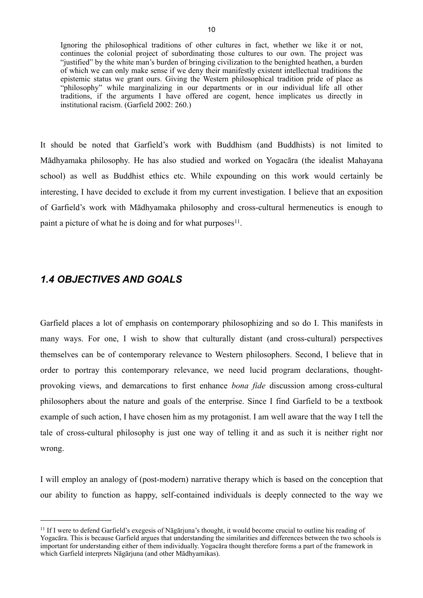Ignoring the philosophical traditions of other cultures in fact, whether we like it or not, continues the colonial project of subordinating those cultures to our own. The project was "justified" by the white man's burden of bringing civilization to the benighted heathen, a burden of which we can only make sense if we deny their manifestly existent intellectual traditions the epistemic status we grant ours. Giving the Western philosophical tradition pride of place as "philosophy" while marginalizing in our departments or in our individual life all other traditions, if the arguments I have offered are cogent, hence implicates us directly in institutional racism. (Garfield 2002: 260.)

It should be noted that Garfield's work with Buddhism (and Buddhists) is not limited to Mādhyamaka philosophy. He has also studied and worked on Yogacāra (the idealist Mahayana school) as well as Buddhist ethics etc. While expounding on this work would certainly be interesting, I have decided to exclude it from my current investigation. I believe that an exposition of Garfield's work with Mādhyamaka philosophy and cross-cultural hermeneutics is enough to paint a picture of what he is doing and for what purposes $11$ .

## <span id="page-13-0"></span>*1.4 OBJECTIVES AND GOALS*

Garfield places a lot of emphasis on contemporary philosophizing and so do I. This manifests in many ways. For one, I wish to show that culturally distant (and cross-cultural) perspectives themselves can be of contemporary relevance to Western philosophers. Second, I believe that in order to portray this contemporary relevance, we need lucid program declarations, thoughtprovoking views, and demarcations to first enhance *bona fide* discussion among cross-cultural philosophers about the nature and goals of the enterprise. Since I find Garfield to be a textbook example of such action, I have chosen him as my protagonist. I am well aware that the way I tell the tale of cross-cultural philosophy is just one way of telling it and as such it is neither right nor wrong.

I will employ an analogy of (post-modern) narrative therapy which is based on the conception that our ability to function as happy, self-contained individuals is deeply connected to the way we

<span id="page-13-1"></span><sup>11</sup> If I were to defend Garfield's exegesis of Nāgārjuna's thought, it would become crucial to outline his reading of Yogacāra. This is because Garfield argues that understanding the similarities and differences between the two schools is important for understanding either of them individually. Yogacāra thought therefore forms a part of the framework in which Garfield interprets Nāgārjuna (and other Mādhyamikas).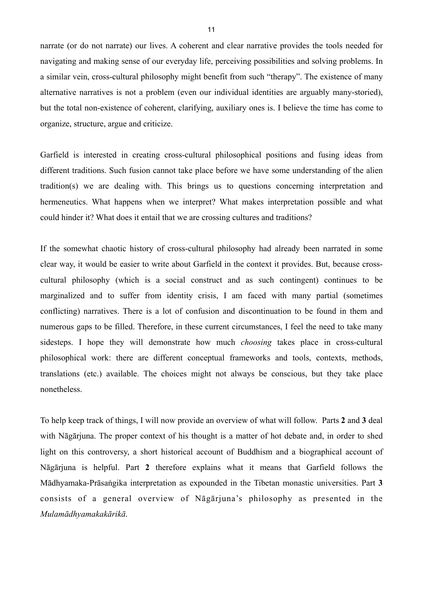narrate (or do not narrate) our lives. A coherent and clear narrative provides the tools needed for navigating and making sense of our everyday life, perceiving possibilities and solving problems. In a similar vein, cross-cultural philosophy might benefit from such "therapy". The existence of many alternative narratives is not a problem (even our individual identities are arguably many-storied), but the total non-existence of coherent, clarifying, auxiliary ones is. I believe the time has come to organize, structure, argue and criticize.

Garfield is interested in creating cross-cultural philosophical positions and fusing ideas from different traditions. Such fusion cannot take place before we have some understanding of the alien tradition(s) we are dealing with. This brings us to questions concerning interpretation and hermeneutics. What happens when we interpret? What makes interpretation possible and what could hinder it? What does it entail that we are crossing cultures and traditions?

If the somewhat chaotic history of cross-cultural philosophy had already been narrated in some clear way, it would be easier to write about Garfield in the context it provides. But, because crosscultural philosophy (which is a social construct and as such contingent) continues to be marginalized and to suffer from identity crisis, I am faced with many partial (sometimes conflicting) narratives. There is a lot of confusion and discontinuation to be found in them and numerous gaps to be filled. Therefore, in these current circumstances, I feel the need to take many sidesteps. I hope they will demonstrate how much *choosing* takes place in cross-cultural philosophical work: there are different conceptual frameworks and tools, contexts, methods, translations (etc.) available. The choices might not always be conscious, but they take place nonetheless.

To help keep track of things, I will now provide an overview of what will follow. Parts **2** and **3** deal with Nāgārjuna. The proper context of his thought is a matter of hot debate and, in order to shed light on this controversy, a short historical account of Buddhism and a biographical account of Nāgārjuna is helpful. Part **2** therefore explains what it means that Garfield follows the Mādhyamaka-Prāsaṅgika interpretation as expounded in the Tibetan monastic universities. Part **3** consists of a general overview of Nāgārjuna's philosophy as presented in the *Mulamādhyamakakārikā*.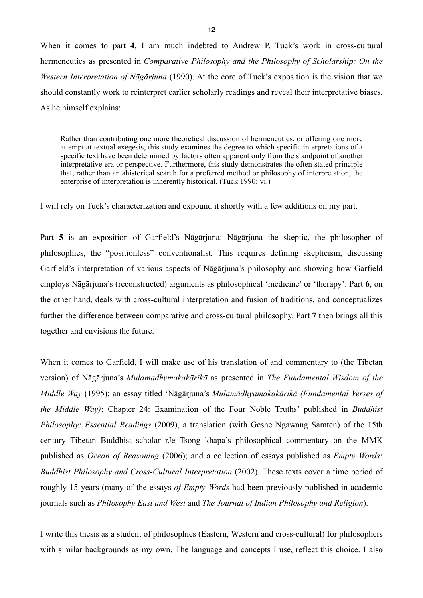When it comes to part **4**, I am much indebted to Andrew P. Tuck's work in cross-cultural hermeneutics as presented in *Comparative Philosophy and the Philosophy of Scholarship: On the Western Interpretation of Nāgārjuna* (1990). At the core of Tuck's exposition is the vision that we should constantly work to reinterpret earlier scholarly readings and reveal their interpretative biases. As he himself explains:

Rather than contributing one more theoretical discussion of hermeneutics, or offering one more attempt at textual exegesis, this study examines the degree to which specific interpretations of a specific text have been determined by factors often apparent only from the standpoint of another interpretative era or perspective. Furthermore, this study demonstrates the often stated principle that, rather than an ahistorical search for a preferred method or philosophy of interpretation, the enterprise of interpretation is inherently historical. (Tuck 1990: vi.)

I will rely on Tuck's characterization and expound it shortly with a few additions on my part.

Part **5** is an exposition of Garfield's Nāgārjuna: Nāgārjuna the skeptic, the philosopher of philosophies, the "positionless" conventionalist. This requires defining skepticism, discussing Garfield's interpretation of various aspects of Nāgārjuna's philosophy and showing how Garfield employs Nāgārjuna's (reconstructed) arguments as philosophical 'medicine' or 'therapy'. Part **6**, on the other hand, deals with cross-cultural interpretation and fusion of traditions, and conceptualizes further the difference between comparative and cross-cultural philosophy. Part **7** then brings all this together and envisions the future.

When it comes to Garfield, I will make use of his translation of and commentary to (the Tibetan version) of Nāgārjuna's *Mulamadhymakakārikā* as presented in *The Fundamental Wisdom of the Middle Way* (1995); an essay titled 'Nāgārjuna's *Mulamādhyamakakārikā (Fundamental Verses of the Middle Way)*: Chapter 24: Examination of the Four Noble Truths' published in *Buddhist Philosophy: Essential Readings* (2009), a translation (with Geshe Ngawang Samten) of the 15th century Tibetan Buddhist scholar rJe Tsong khapa's philosophical commentary on the MMK published as *Ocean of Reasoning* (2006); and a collection of essays published as *Empty Words: Buddhist Philosophy and Cross-Cultural Interpretation* (2002). These texts cover a time period of roughly 15 years (many of the essays *of Empty Words* had been previously published in academic journals such as *Philosophy East and West* and *The Journal of Indian Philosophy and Religion*).

I write this thesis as a student of philosophies (Eastern, Western and cross-cultural) for philosophers with similar backgrounds as my own. The language and concepts I use, reflect this choice. I also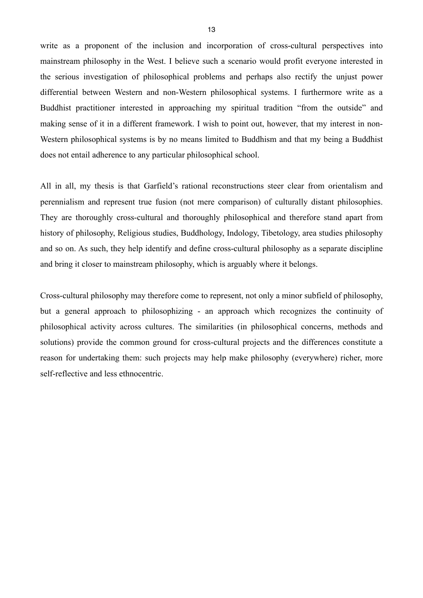write as a proponent of the inclusion and incorporation of cross-cultural perspectives into mainstream philosophy in the West. I believe such a scenario would profit everyone interested in the serious investigation of philosophical problems and perhaps also rectify the unjust power differential between Western and non-Western philosophical systems. I furthermore write as a Buddhist practitioner interested in approaching my spiritual tradition "from the outside" and making sense of it in a different framework. I wish to point out, however, that my interest in non-Western philosophical systems is by no means limited to Buddhism and that my being a Buddhist does not entail adherence to any particular philosophical school.

All in all, my thesis is that Garfield's rational reconstructions steer clear from orientalism and perennialism and represent true fusion (not mere comparison) of culturally distant philosophies. They are thoroughly cross-cultural and thoroughly philosophical and therefore stand apart from history of philosophy, Religious studies, Buddhology, Indology, Tibetology, area studies philosophy and so on. As such, they help identify and define cross-cultural philosophy as a separate discipline and bring it closer to mainstream philosophy, which is arguably where it belongs.

Cross-cultural philosophy may therefore come to represent, not only a minor subfield of philosophy, but a general approach to philosophizing - an approach which recognizes the continuity of philosophical activity across cultures. The similarities (in philosophical concerns, methods and solutions) provide the common ground for cross-cultural projects and the differences constitute a reason for undertaking them: such projects may help make philosophy (everywhere) richer, more self-reflective and less ethnocentric.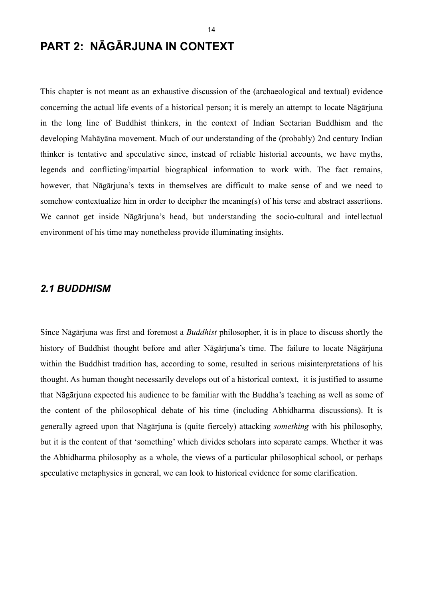# <span id="page-17-0"></span>**PART 2: NĀGĀRJUNA IN CONTEXT**

This chapter is not meant as an exhaustive discussion of the (archaeological and textual) evidence concerning the actual life events of a historical person; it is merely an attempt to locate Nāgārjuna in the long line of Buddhist thinkers, in the context of Indian Sectarian Buddhism and the developing Mahāyāna movement. Much of our understanding of the (probably) 2nd century Indian thinker is tentative and speculative since, instead of reliable historial accounts, we have myths, legends and conflicting/impartial biographical information to work with. The fact remains, however, that Nāgārjuna's texts in themselves are difficult to make sense of and we need to somehow contextualize him in order to decipher the meaning(s) of his terse and abstract assertions. We cannot get inside Nāgārjuna's head, but understanding the socio-cultural and intellectual environment of his time may nonetheless provide illuminating insights.

#### <span id="page-17-1"></span>*2.1 BUDDHISM*

Since Nāgārjuna was first and foremost a *Buddhist* philosopher, it is in place to discuss shortly the history of Buddhist thought before and after Nāgārjuna's time. The failure to locate Nāgārjuna within the Buddhist tradition has, according to some, resulted in serious misinterpretations of his thought. As human thought necessarily develops out of a historical context, it is justified to assume that Nāgārjuna expected his audience to be familiar with the Buddha's teaching as well as some of the content of the philosophical debate of his time (including Abhidharma discussions). It is generally agreed upon that Nāgārjuna is (quite fiercely) attacking *something* with his philosophy, but it is the content of that 'something' which divides scholars into separate camps. Whether it was the Abhidharma philosophy as a whole, the views of a particular philosophical school, or perhaps speculative metaphysics in general, we can look to historical evidence for some clarification.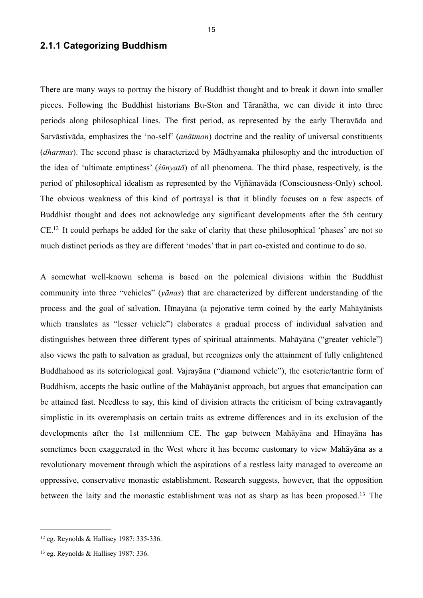#### <span id="page-18-0"></span>**2.1.1 Categorizing Buddhism**

There are many ways to portray the history of Buddhist thought and to break it down into smaller pieces. Following the Buddhist historians Bu-Ston and Tāranātha, we can divide it into three periods along philosophical lines. The first period, as represented by the early Theravāda and Sarvāstivāda, emphasizes the 'no-self' (*anātman*) doctrine and the reality of universal constituents (*dharmas*). The second phase is characterized by Mādhyamaka philosophy and the introduction of the idea of 'ultimate emptiness' (*śūnyatā*) of all phenomena. The third phase, respectively, is the period of philosophical idealism as represented by the Vijñānavāda (Consciousness-Only) school. The obvious weakness of this kind of portrayal is that it blindly focuses on a few aspects of Buddhist thought and does not acknowledge any significant developments after the 5th century CE[.12](#page-18-1) It could perhaps be added for the sake of clarity that these philosophical 'phases' are not so much distinct periods as they are different 'modes' that in part co-existed and continue to do so.

A somewhat well-known schema is based on the polemical divisions within the Buddhist community into three "vehicles" (*yānas*) that are characterized by different understanding of the process and the goal of salvation. Hīnayāna (a pejorative term coined by the early Mahāyānists which translates as "lesser vehicle") elaborates a gradual process of individual salvation and distinguishes between three different types of spiritual attainments. Mahāyāna ("greater vehicle") also views the path to salvation as gradual, but recognizes only the attainment of fully enlightened Buddhahood as its soteriological goal. Vajrayāna ("diamond vehicle"), the esoteric/tantric form of Buddhism, accepts the basic outline of the Mahāyānist approach, but argues that emancipation can be attained fast. Needless to say, this kind of division attracts the criticism of being extravagantly simplistic in its overemphasis on certain traits as extreme differences and in its exclusion of the developments after the 1st millennium CE. The gap between Mahāyāna and Hīnayāna has sometimes been exaggerated in the West where it has become customary to view Mahāyāna as a revolutionary movement through which the aspirations of a restless laity managed to overcome an oppressive, conservative monastic establishment. Research suggests, however, that the opposition between the laity and the monastic establishment was not as sharp as has been proposed.[13](#page-18-2) The

<span id="page-18-1"></span><sup>12</sup> eg. Reynolds & Hallisey 1987: 335-336.

<span id="page-18-2"></span><sup>13</sup> eg. Reynolds & Hallisey 1987: 336.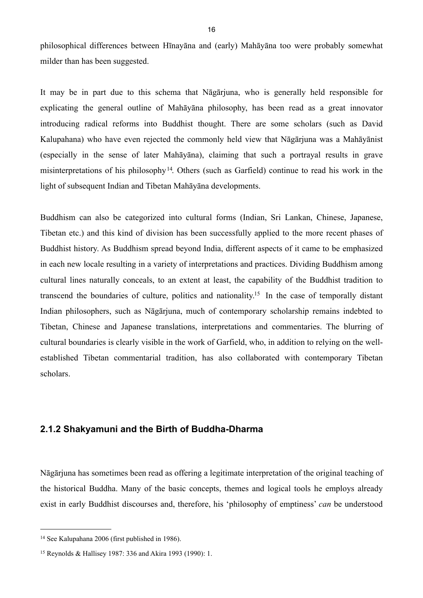philosophical differences between Hīnayāna and (early) Mahāyāna too were probably somewhat milder than has been suggested.

It may be in part due to this schema that Nāgārjuna, who is generally held responsible for explicating the general outline of Mahāyāna philosophy, has been read as a great innovator introducing radical reforms into Buddhist thought. There are some scholars (such as David Kalupahana) who have even rejected the commonly held view that Nāgārjuna was a Mahāyānist (especially in the sense of later Mahāyāna), claiming that such a portrayal results in grave misinterpretations of his philosophy<sup>14</sup>. Others (such as Garfield) continue to read his work in the light of subsequent Indian and Tibetan Mahāyāna developments.

Buddhism can also be categorized into cultural forms (Indian, Sri Lankan, Chinese, Japanese, Tibetan etc.) and this kind of division has been successfully applied to the more recent phases of Buddhist history. As Buddhism spread beyond India, different aspects of it came to be emphasized in each new locale resulting in a variety of interpretations and practices. Dividing Buddhism among cultural lines naturally conceals, to an extent at least, the capability of the Buddhist tradition to transcend the boundaries of culture, politics and nationality[.15](#page-19-2) In the case of temporally distant Indian philosophers, such as Nāgārjuna, much of contemporary scholarship remains indebted to Tibetan, Chinese and Japanese translations, interpretations and commentaries. The blurring of cultural boundaries is clearly visible in the work of Garfield, who, in addition to relying on the wellestablished Tibetan commentarial tradition, has also collaborated with contemporary Tibetan scholars.

#### <span id="page-19-0"></span>**2.1.2 Shakyamuni and the Birth of Buddha-Dharma**

Nāgārjuna has sometimes been read as offering a legitimate interpretation of the original teaching of the historical Buddha. Many of the basic concepts, themes and logical tools he employs already exist in early Buddhist discourses and, therefore, his 'philosophy of emptiness' *can* be understood

<span id="page-19-1"></span><sup>14</sup> See Kalupahana 2006 (first published in 1986).

<span id="page-19-2"></span><sup>15</sup> Reynolds & Hallisey 1987: 336 and Akira 1993 (1990): 1.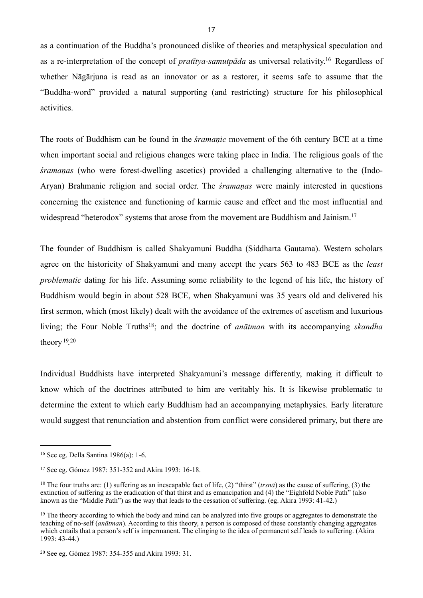as a continuation of the Buddha's pronounced dislike of theories and metaphysical speculation and as a re-interpretation of the concept of *pratītya-samutpāda* as universal relativity[.16](#page-20-0) Regardless of whether Nāgārjuna is read as an innovator or as a restorer, it seems safe to assume that the "Buddha-word" provided a natural supporting (and restricting) structure for his philosophical activities.

The roots of Buddhism can be found in the *śramaṇic* movement of the 6th century BCE at a time when important social and religious changes were taking place in India. The religious goals of the *śramaṇas* (who were forest-dwelling ascetics) provided a challenging alternative to the (Indo-Aryan) Brahmanic religion and social order. The *śramaṇas* were mainly interested in questions concerning the existence and functioning of karmic cause and effect and the most influential and widespread "heterodox" systems that arose from the movement are Buddhism and Jainism.<sup>[17](#page-20-1)</sup>

The founder of Buddhism is called Shakyamuni Buddha (Siddharta Gautama). Western scholars agree on the historicity of Shakyamuni and many accept the years 563 to 483 BCE as the *least problematic* dating for his life. Assuming some reliability to the legend of his life, the history of Buddhism would begin in about 528 BCE, when Shakyamuni was 35 years old and delivered his first sermon, which (most likely) dealt with the avoidance of the extremes of ascetism and luxurious living; the Four Noble Truths<sup>18</sup>; and the doctrine of *an* $\bar{a}$ *tman* with its accompanying *skandha* theory  $19.20$  $19.20$  $19.20$ 

Individual Buddhists have interpreted Shakyamuni's message differently, making it difficult to know which of the doctrines attributed to him are veritably his. It is likewise problematic to determine the extent to which early Buddhism had an accompanying metaphysics. Early literature would suggest that renunciation and abstention from conflict were considered primary, but there are

<span id="page-20-0"></span><sup>16</sup> See eg. Della Santina 1986(a): 1-6.

<span id="page-20-1"></span><sup>17</sup> See eg. Gómez 1987: 351-352 and Akira 1993: 16-18.

<span id="page-20-2"></span><sup>18</sup> The four truths are: (1) suffering as an inescapable fact of life, (2) "thirst" (*trsnā*) as the cause of suffering, (3) the extinction of suffering as the eradication of that thirst and as emancipation and (4) the "Eighfold Noble Path" (also known as the "Middle Path") as the way that leads to the cessation of suffering. (eg. Akira 1993: 41-42.)

<span id="page-20-3"></span><sup>&</sup>lt;sup>19</sup> The theory according to which the body and mind can be analyzed into five groups or aggregates to demonstrate the teaching of no-self (*anātman*). According to this theory, a person is composed of these constantly changing aggregates which entails that a person's self is impermanent. The clinging to the idea of permanent self leads to suffering. (Akira 1993: 43-44.)

<span id="page-20-4"></span><sup>20</sup> See eg. Gómez 1987: 354-355 and Akira 1993: 31.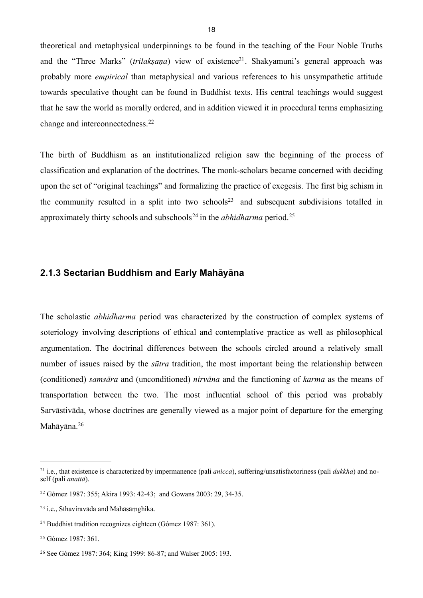theoretical and metaphysical underpinnings to be found in the teaching of the Four Noble Truths and the "Three Marks" *(trilaksana)* view of existence<sup>21</sup>. Shakyamuni's general approach was probably more *empirical* than metaphysical and various references to his unsympathetic attitude towards speculative thought can be found in Buddhist texts. His central teachings would suggest that he saw the world as morally ordered, and in addition viewed it in procedural terms emphasizing change and interconnectedness.[22](#page-21-2)

The birth of Buddhism as an institutionalized religion saw the beginning of the process of classification and explanation of the doctrines. The monk-scholars became concerned with deciding upon the set of "original teachings" and formalizing the practice of exegesis. The first big schism in the community resulted in a split into two schools<sup>23</sup> and subsequent subdivisions totalled in approximately thirty schools and subschools<sup>24</sup> in the *abhidharma* period.<sup>[25](#page-21-5)</sup>

#### <span id="page-21-0"></span>**2.1.3 Sectarian Buddhism and Early Mahāyāna**

The scholastic *abhidharma* period was characterized by the construction of complex systems of soteriology involving descriptions of ethical and contemplative practice as well as philosophical argumentation. The doctrinal differences between the schools circled around a relatively small number of issues raised by the *sūtra* tradition, the most important being the relationship between (conditioned) *samsāra* and (unconditioned) *nirvāna* and the functioning of *karma* as the means of transportation between the two. The most influential school of this period was probably Sarvāstivāda, whose doctrines are generally viewed as a major point of departure for the emerging Mahāyāna.[26](#page-21-6)

<span id="page-21-1"></span><sup>21</sup> i.e., that existence is characterized by impermanence (pali *anicca*), suffering/unsatisfactoriness (pali *dukkha*) and noself (pali *anattā*).

<span id="page-21-2"></span><sup>22</sup> Gómez 1987: 355; Akira 1993: 42-43; and Gowans 2003: 29, 34-35.

<span id="page-21-3"></span><sup>23</sup> i.e., Sthaviravāda and Mahāsāṃghika.

<span id="page-21-4"></span><sup>24</sup> Buddhist tradition recognizes eighteen (Gómez 1987: 361).

<span id="page-21-5"></span> $25$  Gómez 1987: 361

<span id="page-21-6"></span><sup>26</sup> See Gómez 1987: 364; King 1999: 86-87; and Walser 2005: 193.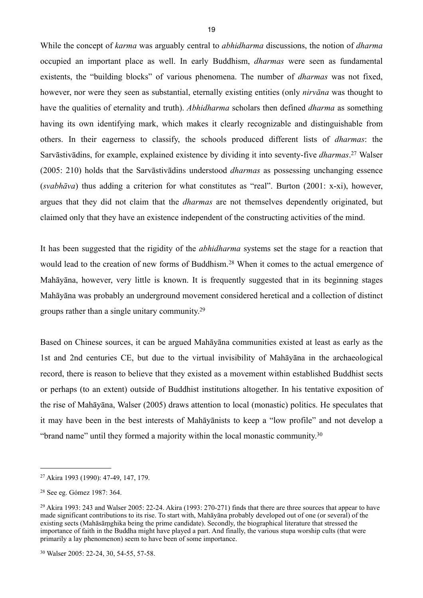While the concept of *karma* was arguably central to *abhidharma* discussions, the notion of *dharma* occupied an important place as well. In early Buddhism, *dharmas* were seen as fundamental existents, the "building blocks" of various phenomena. The number of *dharmas* was not fixed, however, nor were they seen as substantial, eternally existing entities (only *nirvāna* was thought to have the qualities of eternality and truth). *Abhidharma* scholars then defined *dharma* as something having its own identifying mark, which makes it clearly recognizable and distinguishable from others. In their eagerness to classify, the schools produced different lists of *dharmas*: the Sarvāstivādins, for example, explained existence by dividing it into seventy-five *dharmas*. [27](#page-22-0) Walser (2005: 210) holds that the Sarvāstivādins understood *dharmas* as possessing unchanging essence (*svabhāva*) thus adding a criterion for what constitutes as "real". Burton (2001: x-xi), however, argues that they did not claim that the *dharmas* are not themselves dependently originated, but claimed only that they have an existence independent of the constructing activities of the mind.

It has been suggested that the rigidity of the *abhidharma* systems set the stage for a reaction that would lead to the creation of new forms of Buddhism.<sup>28</sup> When it comes to the actual emergence of Mahāyāna, however, very little is known. It is frequently suggested that in its beginning stages Mahāyāna was probably an underground movement considered heretical and a collection of distinct groups rather than a single unitary community.[29](#page-22-2)

Based on Chinese sources, it can be argued Mahāyāna communities existed at least as early as the 1st and 2nd centuries CE, but due to the virtual invisibility of Mahāyāna in the archaeological record, there is reason to believe that they existed as a movement within established Buddhist sects or perhaps (to an extent) outside of Buddhist institutions altogether. In his tentative exposition of the rise of Mahāyāna, Walser (2005) draws attention to local (monastic) politics. He speculates that it may have been in the best interests of Mahāyānists to keep a "low profile" and not develop a "brand name" until they formed a majority within the local monastic community.[30](#page-22-3)

<span id="page-22-0"></span><sup>27</sup> Akira 1993 (1990): 47-49, 147, 179.

<span id="page-22-1"></span><sup>28</sup> See eg. Gómez 1987: 364.

<span id="page-22-2"></span><sup>29</sup> Akira 1993: 243 and Walser 2005: 22-24. Akira (1993: 270-271) finds that there are three sources that appear to have made significant contributions to its rise. To start with, Mahāyāna probably developed out of one (or several) of the existing sects (Mahāsāṃghika being the prime candidate). Secondly, the biographical literature that stressed the importance of faith in the Buddha might have played a part. And finally, the various stupa worship cults (that were primarily a lay phenomenon) seem to have been of some importance.

<span id="page-22-3"></span><sup>30</sup> Walser 2005: 22-24, 30, 54-55, 57-58.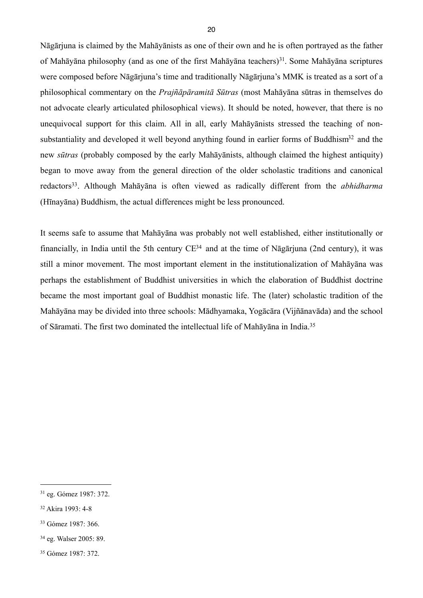Nāgārjuna is claimed by the Mahāyānists as one of their own and he is often portrayed as the father of Mahāyāna philosophy (and as one of the first Mahāyāna teachers)<sup>[31](#page-23-0)</sup>. Some Mahāyāna scriptures were composed before Nāgārjuna's time and traditionally Nāgārjuna's MMK is treated as a sort of a philosophical commentary on the *Prajñāpāramitā Sūtras* (most Mahāyāna sūtras in themselves do not advocate clearly articulated philosophical views). It should be noted, however, that there is no unequivocal support for this claim. All in all, early Mahāyānists stressed the teaching of nonsubstantiality and developed it well beyond anything found in earlier forms of Buddhism<sup>32</sup> and the new *sūtras* (probably composed by the early Mahāyānists, although claimed the highest antiquity) began to move away from the general direction of the older scholastic traditions and canonical redactors[33.](#page-23-2) Although Mahāyāna is often viewed as radically different from the *abhidharma* (Hīnayāna) Buddhism, the actual differences might be less pronounced.

It seems safe to assume that Mahāyāna was probably not well established, either institutionally or financially, in India until the 5th century C[E34](#page-23-3) and at the time of Nāgārjuna (2nd century), it was still a minor movement. The most important element in the institutionalization of Mahāyāna was perhaps the establishment of Buddhist universities in which the elaboration of Buddhist doctrine became the most important goal of Buddhist monastic life. The (later) scholastic tradition of the Mahāyāna may be divided into three schools: Mādhyamaka, Yogācāra (Vijñānavāda) and the school of Sāramati. The first two dominated the intellectual life of Mahāyāna in India.[35](#page-23-4)

<span id="page-23-0"></span><sup>31</sup> eg. Gómez 1987: 372.

<span id="page-23-1"></span><sup>32</sup> Akira 1993: 4-8

<span id="page-23-2"></span><sup>33</sup> Gómez 1987: 366.

<span id="page-23-3"></span><sup>34</sup> eg. Walser 2005: 89.

<span id="page-23-4"></span><sup>35</sup> Gómez 1987: 372.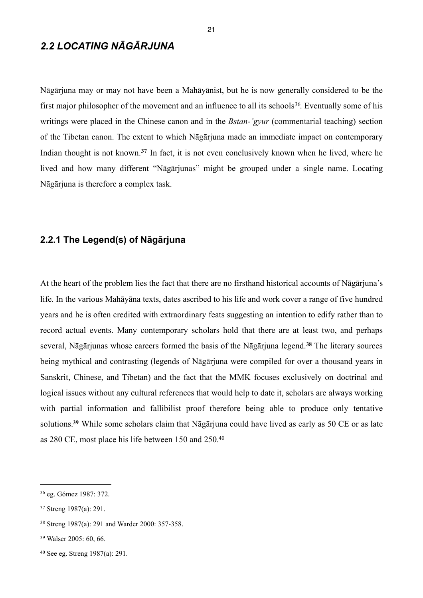# <span id="page-24-0"></span>*2.2 LOCATING NĀGĀRJUNA*

Nāgārjuna may or may not have been a Mahāyānist, but he is now generally considered to be the first major philosopher of the movement and an influence to all its schools<sup>36</sup>. Eventually some of his writings were placed in the Chinese canon and in the *Bstan-'gyur* (commentarial teaching) section of the Tibetan canon. The extent to which Nāgārjuna made an immediate impact on contemporary Indian thought is not known.**[37](#page-24-3)** In fact, it is not even conclusively known when he lived, where he lived and how many different "Nāgārjunas" might be grouped under a single name. Locating Nāgārjuna is therefore a complex task.

#### <span id="page-24-1"></span>**2.2.1 The Legend(s) of Nāgārjuna**

At the heart of the problem lies the fact that there are no firsthand historical accounts of Nāgārjuna's life. In the various Mahāyāna texts, dates ascribed to his life and work cover a range of five hundred years and he is often credited with extraordinary feats suggesting an intention to edify rather than to record actual events. Many contemporary scholars hold that there are at least two, and perhaps several, Nāgārjunas whose careers formed the basis of the Nāgārjuna legend.**[38](#page-24-4)** The literary sources being mythical and contrasting (legends of Nāgārjuna were compiled for over a thousand years in Sanskrit, Chinese, and Tibetan) and the fact that the MMK focuses exclusively on doctrinal and logical issues without any cultural references that would help to date it, scholars are always working with partial information and fallibilist proof therefore being able to produce only tentative solutions.**[39](#page-24-5)** While some scholars claim that Nāgārjuna could have lived as early as 50 CE or as late as 280 CE, most place his life between 150 and 250.[40](#page-24-6)

<span id="page-24-2"></span><sup>36</sup> eg. Gómez 1987: 372.

<span id="page-24-3"></span><sup>37</sup> Streng 1987(a): 291.

<span id="page-24-4"></span><sup>38</sup> Streng 1987(a): 291 and Warder 2000: 357-358.

<span id="page-24-5"></span><sup>39</sup> Walser 2005: 60, 66.

<span id="page-24-6"></span><sup>40</sup> See eg. Streng 1987(a): 291.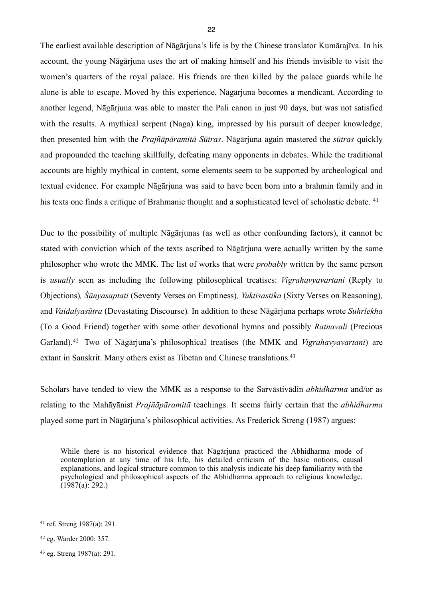The earliest available description of Nāgārjuna's life is by the Chinese translator Kumārajīva. In his account, the young Nāgārjuna uses the art of making himself and his friends invisible to visit the women's quarters of the royal palace. His friends are then killed by the palace guards while he alone is able to escape. Moved by this experience, Nāgārjuna becomes a mendicant. According to another legend, Nāgārjuna was able to master the Pali canon in just 90 days, but was not satisfied with the results. A mythical serpent (Naga) king, impressed by his pursuit of deeper knowledge, then presented him with the *Prajñāpāramitā Sūtras*. Nāgārjuna again mastered the *sūtras* quickly and propounded the teaching skillfully, defeating many opponents in debates. While the traditional accounts are highly mythical in content, some elements seem to be supported by archeological and textual evidence. For example Nāgārjuna was said to have been born into a brahmin family and in his texts one finds a critique of Brahmanic thought and a sophisticated level of scholastic debate. <sup>[41](#page-25-0)</sup>

Due to the possibility of multiple Nāgārjunas (as well as other confounding factors), it cannot be stated with conviction which of the texts ascribed to Nāgārjuna were actually written by the same philosopher who wrote the MMK. The list of works that were *probably* written by the same person is *usually* seen as including the following philosophical treatises: *Vigrahavyavartani* (Reply to Objections)*, Śūnyasaptati* (Seventy Verses on Emptiness)*, Yuktisastika* (Sixty Verses on Reasoning)*,*  and *Vaidalyasūtra* (Devastating Discourse)*.* In addition to these Nāgārjuna perhaps wrote *Suhrlekha*  (To a Good Friend) together with some other devotional hymns and possibly *Ratnavali* (Precious Garland).[42](#page-25-1) Two of Nāgārjuna's philosophical treatises (the MMK and *Vigrahavyavartani*) are extant in Sanskrit. Many others exist as Tibetan and Chinese translations.<sup>43</sup>

Scholars have tended to view the MMK as a response to the Sarvāstivādin *abhidharma* and/or as relating to the Mahāyānist *Prajñāpāramitā* teachings. It seems fairly certain that the *abhidharma* played some part in Nāgārjuna's philosophical activities. As Frederick Streng (1987) argues:

While there is no historical evidence that Nāgārjuna practiced the Abhidharma mode of contemplation at any time of his life, his detailed criticism of the basic notions, causal explanations, and logical structure common to this analysis indicate his deep familiarity with the psychological and philosophical aspects of the Abhidharma approach to religious knowledge.  $(1987(a): 292.)$ 

<span id="page-25-0"></span><sup>41</sup> ref. Streng 1987(a): 291.

<span id="page-25-1"></span><sup>42</sup> eg. Warder 2000: 357.

<span id="page-25-2"></span><sup>43</sup> eg. Streng 1987(a): 291.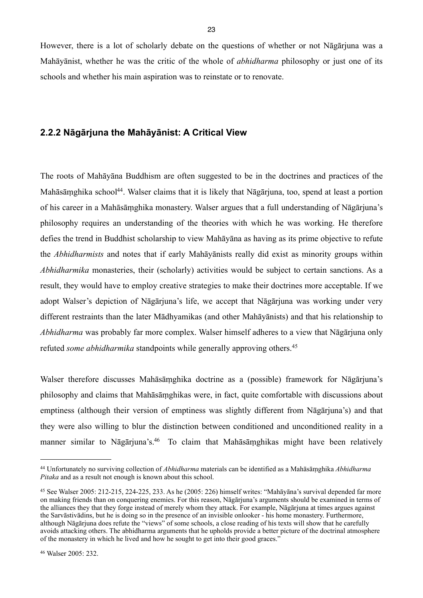However, there is a lot of scholarly debate on the questions of whether or not Nāgārjuna was a Mahāyānist, whether he was the critic of the whole of *abhidharma* philosophy or just one of its schools and whether his main aspiration was to reinstate or to renovate.

#### <span id="page-26-0"></span>**2.2.2 Nāgārjuna the Mahāyānist: A Critical View**

The roots of Mahāyāna Buddhism are often suggested to be in the doctrines and practices of the Mahāsāmghika school<sup>44</sup>. Walser claims that it is likely that Nāgārjuna, too, spend at least a portion of his career in a Mahāsāṃghika monastery. Walser argues that a full understanding of Nāgārjuna's philosophy requires an understanding of the theories with which he was working. He therefore defies the trend in Buddhist scholarship to view Mahāyāna as having as its prime objective to refute the *Abhidharmists* and notes that if early Mahāyānists really did exist as minority groups within *Abhidharmika* monasteries, their (scholarly) activities would be subject to certain sanctions. As a result, they would have to employ creative strategies to make their doctrines more acceptable. If we adopt Walser's depiction of Nāgārjuna's life, we accept that Nāgārjuna was working under very different restraints than the later Mādhyamikas (and other Mahāyānists) and that his relationship to *Abhidharma* was probably far more complex. Walser himself adheres to a view that Nāgārjuna only refuted *some abhidharmika* standpoints while generally approving others.<sup>[45](#page-26-2)</sup>

Walser therefore discusses Mahāsāṃghika doctrine as a (possible) framework for Nāgārjuna's philosophy and claims that Mahāsāṃghikas were, in fact, quite comfortable with discussions about emptiness (although their version of emptiness was slightly different from Nāgārjuna's) and that they were also willing to blur the distinction between conditioned and unconditioned reality in a manner similar to Nāgārjuna's[.46](#page-26-3) To claim that Mahāsāṃghikas might have been relatively

<span id="page-26-1"></span><sup>44</sup> Unfortunately no surviving collection of *Abhidharma* materials can be identified as a Mahāsāṃghika *Abhidharma Pitaka* and as a result not enough is known about this school.

<span id="page-26-2"></span><sup>45</sup> See Walser 2005: 212-215, 224-225, 233. As he (2005: 226) himself writes: "Mahāyāna's survival depended far more on making friends than on conquering enemies. For this reason, Nāgārjuna's arguments should be examined in terms of the alliances they that they forge instead of merely whom they attack. For example, Nāgārjuna at times argues against the Sarvāstivādins, but he is doing so in the presence of an invisible onlooker - his home monastery. Furthermore, although Nāgārjuna does refute the "views" of some schools, a close reading of his texts will show that he carefully avoids attacking others. The abhidharma arguments that he upholds provide a better picture of the doctrinal atmosphere of the monastery in which he lived and how he sought to get into their good graces."

<span id="page-26-3"></span><sup>46</sup> Walser 2005: 232.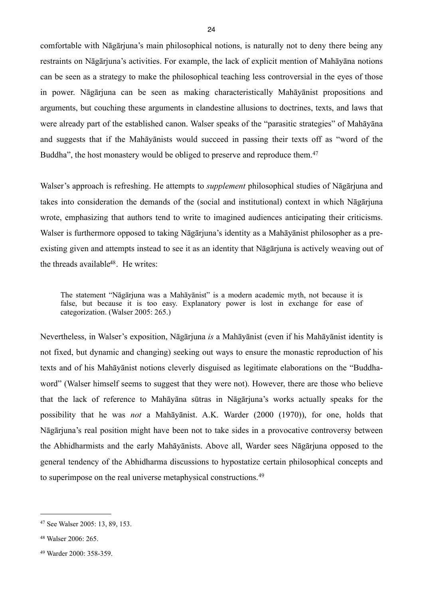comfortable with Nāgārjuna's main philosophical notions, is naturally not to deny there being any restraints on Nāgārjuna's activities. For example, the lack of explicit mention of Mahāyāna notions can be seen as a strategy to make the philosophical teaching less controversial in the eyes of those in power. Nāgārjuna can be seen as making characteristically Mahāyānist propositions and arguments, but couching these arguments in clandestine allusions to doctrines, texts, and laws that were already part of the established canon. Walser speaks of the "parasitic strategies" of Mahāyāna and suggests that if the Mahāyānists would succeed in passing their texts off as "word of the Buddha", the host monastery would be obliged to preserve and reproduce them.<sup>[47](#page-27-0)</sup>

Walser's approach is refreshing. He attempts to *supplement* philosophical studies of Nāgārjuna and takes into consideration the demands of the (social and institutional) context in which Nāgārjuna wrote, emphasizing that authors tend to write to imagined audiences anticipating their criticisms. Walser is furthermore opposed to taking Nāgārjuna's identity as a Mahāyānist philosopher as a preexisting given and attempts instead to see it as an identity that Nāgārjuna is actively weaving out of the threads available<sup>48</sup>. He writes:

The statement "Nāgārjuna was a Mahāyānist" is a modern academic myth, not because it is false, but because it is too easy. Explanatory power is lost in exchange for ease of categorization. (Walser 2005: 265.)

Nevertheless, in Walser's exposition, Nāgārjuna *is* a Mahāyānist (even if his Mahāyānist identity is not fixed, but dynamic and changing) seeking out ways to ensure the monastic reproduction of his texts and of his Mahāyānist notions cleverly disguised as legitimate elaborations on the "Buddhaword" (Walser himself seems to suggest that they were not). However, there are those who believe that the lack of reference to Mahāyāna sūtras in Nāgārjuna's works actually speaks for the possibility that he was *not* a Mahāyānist. A.K. Warder (2000 (1970)), for one, holds that Nāgārjuna's real position might have been not to take sides in a provocative controversy between the Abhidharmists and the early Mahāyānists. Above all, Warder sees Nāgārjuna opposed to the general tendency of the Abhidharma discussions to hypostatize certain philosophical concepts and to superimpose on the real universe metaphysical constructions.[49](#page-27-2)

<span id="page-27-0"></span><sup>47</sup> See Walser 2005: 13, 89, 153.

<span id="page-27-1"></span><sup>48</sup> Walser 2006: 265.

<span id="page-27-2"></span><sup>49</sup> Warder 2000: 358-359.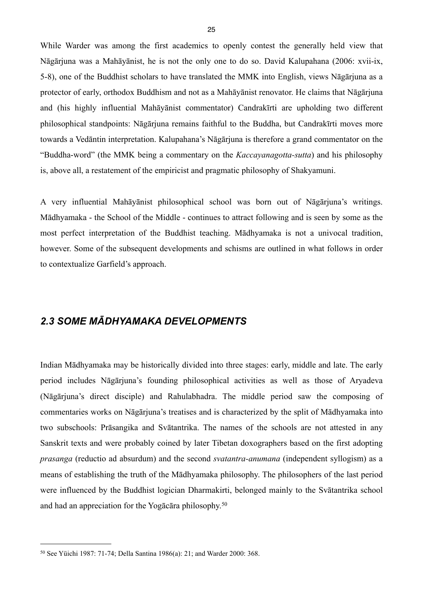While Warder was among the first academics to openly contest the generally held view that Nāgārjuna was a Mahāyānist, he is not the only one to do so. David Kalupahana (2006: xvii-ix, 5-8), one of the Buddhist scholars to have translated the MMK into English, views Nāgārjuna as a protector of early, orthodox Buddhism and not as a Mahāyānist renovator. He claims that Nāgārjuna and (his highly influential Mahāyānist commentator) Candrakīrti are upholding two different philosophical standpoints: Nāgārjuna remains faithful to the Buddha, but Candrakīrti moves more towards a Vedāntin interpretation. Kalupahana's Nāgārjuna is therefore a grand commentator on the "Buddha-word" (the MMK being a commentary on the *Kaccayanagotta-sutta*) and his philosophy is, above all, a restatement of the empiricist and pragmatic philosophy of Shakyamuni.

A very influential Mahāyānist philosophical school was born out of Nāgārjuna's writings. Mādhyamaka - the School of the Middle - continues to attract following and is seen by some as the most perfect interpretation of the Buddhist teaching. Mādhyamaka is not a univocal tradition, however. Some of the subsequent developments and schisms are outlined in what follows in order to contextualize Garfield's approach.

## <span id="page-28-0"></span>*2.3 SOME MĀDHYAMAKA DEVELOPMENTS*

Indian Mādhyamaka may be historically divided into three stages: early, middle and late. The early period includes Nāgārjuna's founding philosophical activities as well as those of Aryadeva (Nāgārjuna's direct disciple) and Rahulabhadra. The middle period saw the composing of commentaries works on Nāgārjuna's treatises and is characterized by the split of Mādhyamaka into two subschools: Prāsangika and Svātantrika. The names of the schools are not attested in any Sanskrit texts and were probably coined by later Tibetan doxographers based on the first adopting *prasanga* (reductio ad absurdum) and the second *svatantra-anumana* (independent syllogism) as a means of establishing the truth of the Mādhyamaka philosophy. The philosophers of the last period were influenced by the Buddhist logician Dharmakirti, belonged mainly to the Svātantrika school and had an appreciation for the Yogācāra philosophy.[50](#page-28-1)

<span id="page-28-1"></span><sup>50</sup> See Yüichi 1987: 71-74; Della Santina 1986(a): 21; and Warder 2000: 368.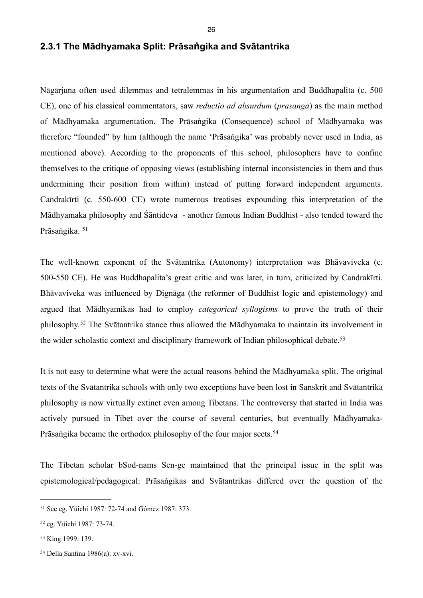## <span id="page-29-0"></span>**2.3.1 The Mādhyamaka Split: Prāsaṅgika and Svātantrika**

Nāgārjuna often used dilemmas and tetralemmas in his argumentation and Buddhapalita (c. 500 CE), one of his classical commentators, saw *reductio ad absurdum* (*prasanga*) as the main method of Mādhyamaka argumentation. The Prāsaṅgika (Consequence) school of Mādhyamaka was therefore "founded" by him (although the name 'Prāsaṅgika' was probably never used in India, as mentioned above). According to the proponents of this school, philosophers have to confine themselves to the critique of opposing views (establishing internal inconsistencies in them and thus undermining their position from within) instead of putting forward independent arguments. Candrakīrti (c. 550-600 CE) wrote numerous treatises expounding this interpretation of the Mādhyamaka philosophy and Śāntideva - another famous Indian Buddhist - also tended toward the Prāsaṅgika. [51](#page-29-1)

The well-known exponent of the Svātantrika (Autonomy) interpretation was Bhāvaviveka (c. 500-550 CE). He was Buddhapalita's great critic and was later, in turn, criticized by Candrakīrti. Bhāvaviveka was influenced by Dignāga (the reformer of Buddhist logic and epistemology) and argued that Mādhyamikas had to employ *categorical syllogisms* to prove the truth of their philosophy.[52](#page-29-2) The Svātantrika stance thus allowed the Mādhyamaka to maintain its involvement in the wider scholastic context and disciplinary framework of Indian philosophical debate.<sup>[53](#page-29-3)</sup>

It is not easy to determine what were the actual reasons behind the Mādhyamaka split. The original texts of the Svātantrika schools with only two exceptions have been lost in Sanskrit and Svātantrika philosophy is now virtually extinct even among Tibetans. The controversy that started in India was actively pursued in Tibet over the course of several centuries, but eventually Mādhyamaka-Prāsaṅgika became the orthodox philosophy of the four major sects.<sup>[54](#page-29-4)</sup>

The Tibetan scholar bSod-nams Sen-ge maintained that the principal issue in the split was epistemological/pedagogical: Prāsaṅgikas and Svātantrikas differed over the question of the

<span id="page-29-1"></span><sup>51</sup> See eg. Yüichi 1987: 72-74 and Gómez 1987: 373.

<span id="page-29-2"></span><sup>52</sup> eg. Yüichi 1987: 73-74.

<span id="page-29-3"></span><sup>53</sup> King 1999: 139.

<span id="page-29-4"></span><sup>54</sup> Della Santina 1986(a): xv-xvi.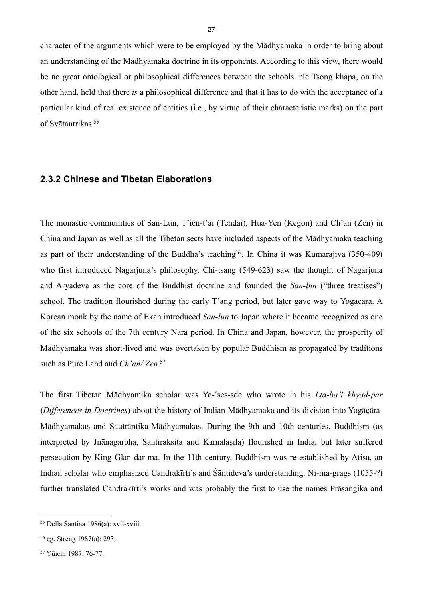character of the arguments which were to be employed by the Mādhyamaka in order to bring about an understanding of the Mādhyamaka doctrine in its opponents. According to this view, there would be no great ontological or philosophical differences between the schools. rJe Tsong khapa, on the other hand, held that there *is* a philosophical difference and that it has to do with the acceptance of a particular kind of real existence of entities (i.e., by virtue of their characteristic marks) on the part of Svātantrikas[.55](#page-30-1)

#### <span id="page-30-0"></span>**2.3.2 Chinese and Tibetan Elaborations**

The monastic communities of San-Lun, T'ien-t'ai (Tendai), Hua-Yen (Kegon) and Ch'an (Zen) in China and Japan as well as all the Tibetan sects have included aspects of the Mādhyamaka teaching as part of their understanding of the Buddha's teaching<sup>56</sup>. In China it was Kumārajīva (350-409) who first introduced Nāgārjuna's philosophy. Chi-tsang (549-623) saw the thought of Nāgārjuna and Aryadeva as the core of the Buddhist doctrine and founded the *San-lun* ("three treatises") school. The tradition flourished during the early T'ang period, but later gave way to Yogācāra. A Korean monk by the name of Ekan introduced *San-lun* to Japan where it became recognized as one of the six schools of the 7th century Nara period. In China and Japan, however, the prosperity of Mādhyamaka was short-lived and was overtaken by popular Buddhism as propagated by traditions such as Pure Land and *Ch'an/ Zen*. [57](#page-30-3)

The first Tibetan Mādhyamika scholar was Ye-´ses-sde who wrote in his *Lta-ba'i khyad-par* (*Differences in Doctrines*) about the history of Indian Mādhyamaka and its division into Yogācāra-Mādhyamakas and Sautrāntika-Mādhyamakas. During the 9th and 10th centuries, Buddhism (as interpreted by Jnānagarbha, Santiraksita and Kamalasila) flourished in India, but later suffered persecution by King Glan-dar-ma. In the 11th century, Buddhism was re-established by Atisa, an Indian scholar who emphasized Candrakīrti's and Śāntideva's understanding. Ni-ma-grags (1055-?) further translated Candrakīrti's works and was probably the first to use the names Prāsaṅgika and

<span id="page-30-1"></span><sup>55</sup> Della Santina 1986(a): xvii-xviii.

<span id="page-30-2"></span><sup>56</sup> eg. Streng 1987(a): 293.

<span id="page-30-3"></span><sup>57</sup> Yüichi 1987: 76-77.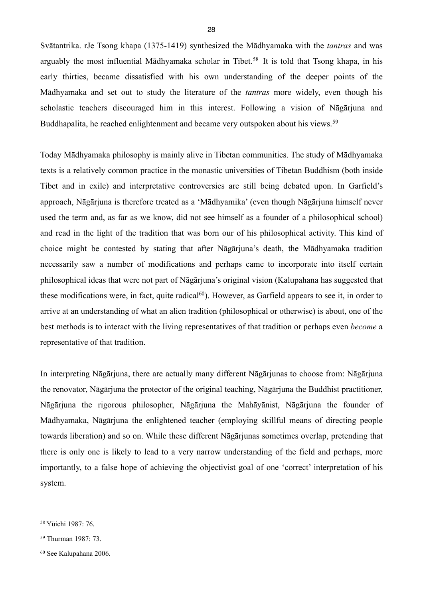Svātantrika. rJe Tsong khapa (1375-1419) synthesized the Mādhyamaka with the *tantras* and was arguably the most influential Mādhyamaka scholar in Tibet.[58](#page-31-0) It is told that Tsong khapa, in his early thirties, became dissatisfied with his own understanding of the deeper points of the Mādhyamaka and set out to study the literature of the *tantras* more widely, even though his scholastic teachers discouraged him in this interest. Following a vision of Nāgārjuna and Buddhapalita, he reached enlightenment and became very outspoken about his views.<sup>[59](#page-31-1)</sup>

Today Mādhyamaka philosophy is mainly alive in Tibetan communities. The study of Mādhyamaka texts is a relatively common practice in the monastic universities of Tibetan Buddhism (both inside Tibet and in exile) and interpretative controversies are still being debated upon. In Garfield's approach, Nāgārjuna is therefore treated as a 'Mādhyamika' (even though Nāgārjuna himself never used the term and, as far as we know, did not see himself as a founder of a philosophical school) and read in the light of the tradition that was born our of his philosophical activity. This kind of choice might be contested by stating that after Nāgārjuna's death, the Mādhyamaka tradition necessarily saw a number of modifications and perhaps came to incorporate into itself certain philosophical ideas that were not part of Nāgārjuna's original vision (Kalupahana has suggested that these modifications were, in fact, quite radical<sup>60</sup>). However, as Garfield appears to see it, in order to arrive at an understanding of what an alien tradition (philosophical or otherwise) is about, one of the best methods is to interact with the living representatives of that tradition or perhaps even *become* a representative of that tradition.

In interpreting Nāgārjuna, there are actually many different Nāgārjunas to choose from: Nāgārjuna the renovator, Nāgārjuna the protector of the original teaching, Nāgārjuna the Buddhist practitioner, Nāgārjuna the rigorous philosopher, Nāgārjuna the Mahāyānist, Nāgārjuna the founder of Mādhyamaka, Nāgārjuna the enlightened teacher (employing skillful means of directing people towards liberation) and so on. While these different Nāgārjunas sometimes overlap, pretending that there is only one is likely to lead to a very narrow understanding of the field and perhaps, more importantly, to a false hope of achieving the objectivist goal of one 'correct' interpretation of his system.

<span id="page-31-0"></span><sup>58</sup> Yüichi 1987: 76.

<span id="page-31-1"></span><sup>59</sup> Thurman 1987: 73.

<span id="page-31-2"></span><sup>60</sup> See Kalupahana 2006.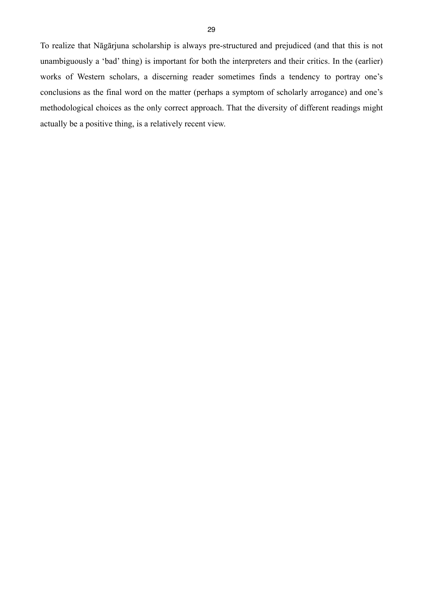To realize that Nāgārjuna scholarship is always pre-structured and prejudiced (and that this is not unambiguously a 'bad' thing) is important for both the interpreters and their critics. In the (earlier) works of Western scholars, a discerning reader sometimes finds a tendency to portray one's conclusions as the final word on the matter (perhaps a symptom of scholarly arrogance) and one's methodological choices as the only correct approach. That the diversity of different readings might actually be a positive thing, is a relatively recent view.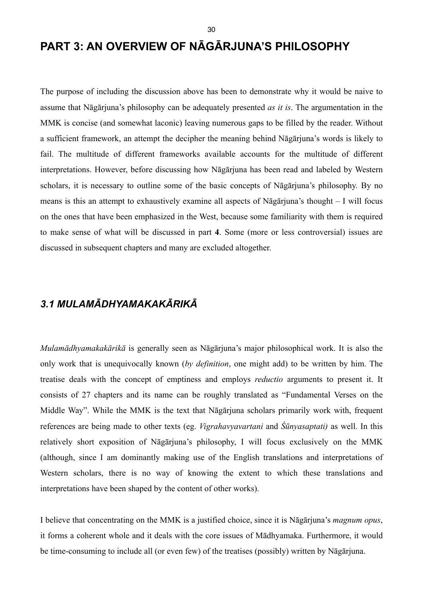# <span id="page-33-0"></span>**PART 3: AN OVERVIEW OF NĀGĀRJUNA'S PHILOSOPHY**

The purpose of including the discussion above has been to demonstrate why it would be naive to assume that Nāgārjuna's philosophy can be adequately presented *as it is*. The argumentation in the MMK is concise (and somewhat laconic) leaving numerous gaps to be filled by the reader. Without a sufficient framework, an attempt the decipher the meaning behind Nāgārjuna's words is likely to fail. The multitude of different frameworks available accounts for the multitude of different interpretations. However, before discussing how Nāgārjuna has been read and labeled by Western scholars, it is necessary to outline some of the basic concepts of Nāgārjuna's philosophy. By no means is this an attempt to exhaustively examine all aspects of Nāgārjuna's thought – I will focus on the ones that have been emphasized in the West, because some familiarity with them is required to make sense of what will be discussed in part **4**. Some (more or less controversial) issues are discussed in subsequent chapters and many are excluded altogether.

## <span id="page-33-1"></span>*3.1 MULAMĀDHYAMAKAKĀRIKĀ*

*Mulamādhyamakakārikā* is generally seen as Nāgārjuna's major philosophical work. It is also the only work that is unequivocally known (*by definition*, one might add) to be written by him. The treatise deals with the concept of emptiness and employs *reductio* arguments to present it. It consists of 27 chapters and its name can be roughly translated as "Fundamental Verses on the Middle Way". While the MMK is the text that Nāgārjuna scholars primarily work with, frequent references are being made to other texts (eg. *Vigrahavyavartani* and *Śūnyasaptati)* as well. In this relatively short exposition of Nāgārjuna's philosophy, I will focus exclusively on the MMK (although, since I am dominantly making use of the English translations and interpretations of Western scholars, there is no way of knowing the extent to which these translations and interpretations have been shaped by the content of other works).

I believe that concentrating on the MMK is a justified choice, since it is Nāgārjuna's *magnum opus*, it forms a coherent whole and it deals with the core issues of Mādhyamaka. Furthermore, it would be time-consuming to include all (or even few) of the treatises (possibly) written by Nāgārjuna.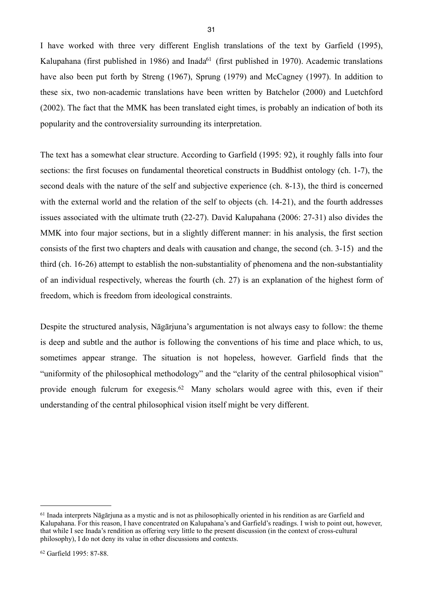I have worked with three very different English translations of the text by Garfield (1995), Kalupahana (first published in 1986) and Inada<sup>61</sup> (first published in 1970). Academic translations have also been put forth by Streng (1967), Sprung (1979) and McCagney (1997). In addition to these six, two non-academic translations have been written by Batchelor (2000) and Luetchford (2002). The fact that the MMK has been translated eight times, is probably an indication of both its popularity and the controversiality surrounding its interpretation.

The text has a somewhat clear structure. According to Garfield (1995: 92), it roughly falls into four sections: the first focuses on fundamental theoretical constructs in Buddhist ontology (ch. 1-7), the second deals with the nature of the self and subjective experience (ch. 8-13), the third is concerned with the external world and the relation of the self to objects (ch. 14-21), and the fourth addresses issues associated with the ultimate truth (22-27). David Kalupahana (2006: 27-31) also divides the MMK into four major sections, but in a slightly different manner: in his analysis, the first section consists of the first two chapters and deals with causation and change, the second (ch. 3-15) and the third (ch. 16-26) attempt to establish the non-substantiality of phenomena and the non-substantiality of an individual respectively, whereas the fourth (ch. 27) is an explanation of the highest form of freedom, which is freedom from ideological constraints.

Despite the structured analysis, Nāgārjuna's argumentation is not always easy to follow: the theme is deep and subtle and the author is following the conventions of his time and place which, to us, sometimes appear strange. The situation is not hopeless, however. Garfield finds that the "uniformity of the philosophical methodology" and the "clarity of the central philosophical vision" provide enough fulcrum for exegesis.[62](#page-34-1) Many scholars would agree with this, even if their understanding of the central philosophical vision itself might be very different.

<span id="page-34-0"></span><sup>&</sup>lt;sup>61</sup> Inada interprets Nāgārjuna as a mystic and is not as philosophically oriented in his rendition as are Garfield and Kalupahana. For this reason, I have concentrated on Kalupahana's and Garfield's readings. I wish to point out, however, that while I see Inada's rendition as offering very little to the present discussion (in the context of cross-cultural philosophy), I do not deny its value in other discussions and contexts.

<span id="page-34-1"></span><sup>62</sup> Garfield 1995: 87-88.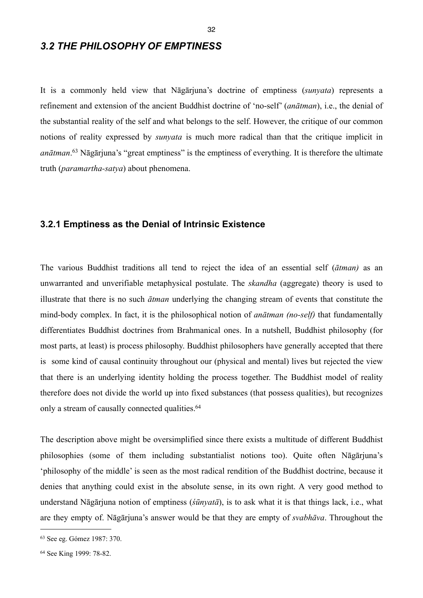## <span id="page-35-0"></span>*3.2 THE PHILOSOPHY OF EMPTINESS*

It is a commonly held view that Nāgārjuna's doctrine of emptiness (*sunyata*) represents a refinement and extension of the ancient Buddhist doctrine of 'no-self' (*anātman*), i.e., the denial of the substantial reality of the self and what belongs to the self. However, the critique of our common notions of reality expressed by *sunyata* is much more radical than that the critique implicit in *anātman*. [63](#page-35-2) Nāgārjuna's "great emptiness" is the emptiness of everything. It is therefore the ultimate truth (*paramartha-satya*) about phenomena.

#### <span id="page-35-1"></span>**3.2.1 Emptiness as the Denial of Intrinsic Existence**

The various Buddhist traditions all tend to reject the idea of an essential self (*ātman)* as an unwarranted and unverifiable metaphysical postulate. The *skandha* (aggregate) theory is used to illustrate that there is no such *ātman* underlying the changing stream of events that constitute the mind-body complex. In fact, it is the philosophical notion of *anātman (no-self)* that fundamentally differentiates Buddhist doctrines from Brahmanical ones. In a nutshell, Buddhist philosophy (for most parts, at least) is process philosophy. Buddhist philosophers have generally accepted that there is some kind of causal continuity throughout our (physical and mental) lives but rejected the view that there is an underlying identity holding the process together. The Buddhist model of reality therefore does not divide the world up into fixed substances (that possess qualities), but recognizes only a stream of causally connected qualities.<sup>[64](#page-35-3)</sup>

The description above might be oversimplified since there exists a multitude of different Buddhist philosophies (some of them including substantialist notions too). Quite often Nāgārjuna's 'philosophy of the middle' is seen as the most radical rendition of the Buddhist doctrine, because it denies that anything could exist in the absolute sense, in its own right. A very good method to understand Nāgārjuna notion of emptiness (*śūnyatā*), is to ask what it is that things lack, i.e., what are they empty of. Nāgārjuna's answer would be that they are empty of *svabhāva*. Throughout the

<span id="page-35-2"></span><sup>63</sup> See eg. Gómez 1987: 370.

<span id="page-35-3"></span><sup>64</sup> See King 1999: 78-82.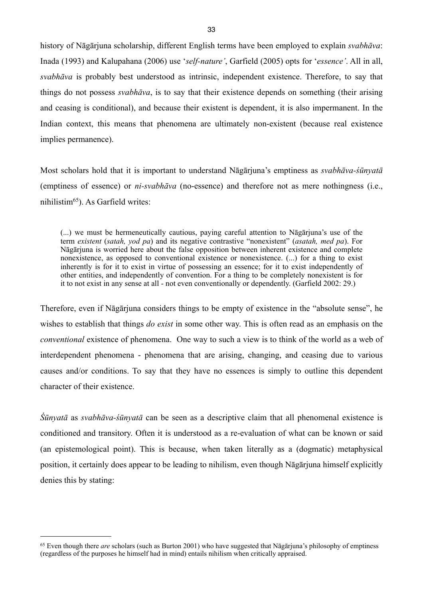history of Nāgārjuna scholarship, different English terms have been employed to explain *svabhāva*: Inada (1993) and Kalupahana (2006) use '*self-nature'*, Garfield (2005) opts for '*essence'*. All in all, *svabhāva* is probably best understood as intrinsic, independent existence. Therefore, to say that things do not possess *svabhāva*, is to say that their existence depends on something (their arising and ceasing is conditional), and because their existent is dependent, it is also impermanent. In the Indian context, this means that phenomena are ultimately non-existent (because real existence implies permanence).

Most scholars hold that it is important to understand Nāgārjuna's emptiness as *svabhāva-śūnyatā* (emptiness of essence) or *ni-svabhāva* (no-essence) and therefore not as mere nothingness (i.e., nihilistim[65\)](#page-36-0). As Garfield writes:

(...) we must be hermeneutically cautious, paying careful attention to Nāgārjuna's use of the term *existent* (*satah, yod pa*) and its negative contrastive "nonexistent" (*asatah, med pa*). For Nāgārjuna is worried here about the false opposition between inherent existence and complete nonexistence, as opposed to conventional existence or nonexistence. (...) for a thing to exist inherently is for it to exist in virtue of possessing an essence; for it to exist independently of other entities, and independently of convention. For a thing to be completely nonexistent is for it to not exist in any sense at all - not even conventionally or dependently. (Garfield 2002: 29.)

Therefore, even if Nāgārjuna considers things to be empty of existence in the "absolute sense", he wishes to establish that things *do exist* in some other way. This is often read as an emphasis on the *conventional* existence of phenomena. One way to such a view is to think of the world as a web of interdependent phenomena - phenomena that are arising, changing, and ceasing due to various causes and/or conditions. To say that they have no essences is simply to outline this dependent character of their existence.

*Śūnyatā* as *svabhāva-śūnyatā* can be seen as a descriptive claim that all phenomenal existence is conditioned and transitory. Often it is understood as a re-evaluation of what can be known or said (an epistemological point). This is because, when taken literally as a (dogmatic) metaphysical position, it certainly does appear to be leading to nihilism, even though Nāgārjuna himself explicitly denies this by stating:

<span id="page-36-0"></span><sup>65</sup> Even though there *are* scholars (such as Burton 2001) who have suggested that Nāgārjuna's philosophy of emptiness (regardless of the purposes he himself had in mind) entails nihilism when critically appraised.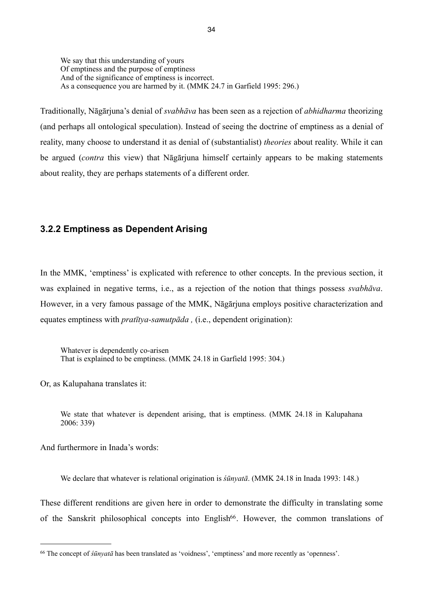We say that this understanding of yours Of emptiness and the purpose of emptiness And of the significance of emptiness is incorrect. As a consequence you are harmed by it. (MMK 24.7 in Garfield 1995: 296.)

Traditionally, Nāgārjuna's denial of *svabhāva* has been seen as a rejection of *abhidharma* theorizing (and perhaps all ontological speculation). Instead of seeing the doctrine of emptiness as a denial of reality, many choose to understand it as denial of (substantialist) *theories* about reality. While it can be argued (*contra* this view) that Nāgārjuna himself certainly appears to be making statements about reality, they are perhaps statements of a different order.

#### **3.2.2 Emptiness as Dependent Arising**

In the MMK, 'emptiness' is explicated with reference to other concepts. In the previous section, it was explained in negative terms, i.e., as a rejection of the notion that things possess *svabhāva*. However, in a very famous passage of the MMK, Nāgārjuna employs positive characterization and equates emptiness with *pratītya-samutpāda ,* (i.e., dependent origination):

Whatever is dependently co-arisen That is explained to be emptiness. (MMK 24.18 in Garfield 1995: 304.)

Or, as Kalupahana translates it:

We state that whatever is dependent arising, that is emptiness. (MMK 24.18 in Kalupahana 2006: 339)

And furthermore in Inada's words:

We declare that whatever is relational origination is *śūnyatā*. (MMK 24.18 in Inada 1993: 148.)

These different renditions are given here in order to demonstrate the difficulty in translating some of the Sanskrit philosophical concepts into English<sup>66</sup>. However, the common translations of

<span id="page-37-0"></span><sup>66</sup> The concept of *śūnyatā* has been translated as 'voidness', 'emptiness' and more recently as 'openness'.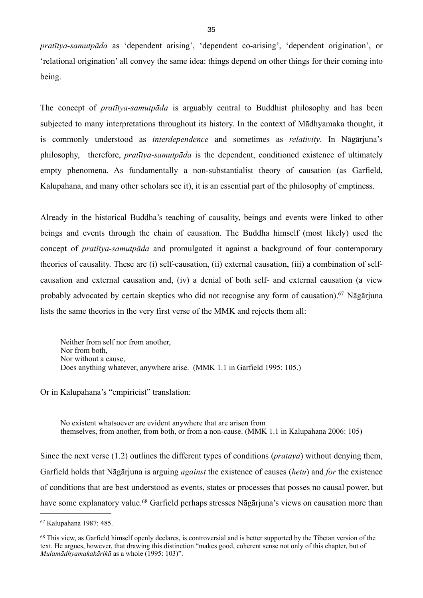*pratītya-samutpāda* as 'dependent arising', 'dependent co-arising', 'dependent origination', or 'relational origination' all convey the same idea: things depend on other things for their coming into being.

The concept of *pratītya-samutpāda* is arguably central to Buddhist philosophy and has been subjected to many interpretations throughout its history. In the context of Mādhyamaka thought, it is commonly understood as *interdependence* and sometimes as *relativity*. In Nāgārjuna's philosophy, therefore, *pratītya-samutpāda* is the dependent, conditioned existence of ultimately empty phenomena. As fundamentally a non-substantialist theory of causation (as Garfield, Kalupahana, and many other scholars see it), it is an essential part of the philosophy of emptiness.

Already in the historical Buddha's teaching of causality, beings and events were linked to other beings and events through the chain of causation. The Buddha himself (most likely) used the concept of *pratītya-samutpāda* and promulgated it against a background of four contemporary theories of causality. These are (i) self-causation, (ii) external causation, (iii) a combination of selfcausation and external causation and, (iv) a denial of both self- and external causation (a view probably advocated by certain skeptics who did not recognise any form of causation).[67](#page-38-0) Nāgārjuna lists the same theories in the very first verse of the MMK and rejects them all:

Neither from self nor from another, Nor from both, Nor without a cause, Does anything whatever, anywhere arise. (MMK 1.1 in Garfield 1995: 105.)

Or in Kalupahana's "empiricist" translation:

No existent whatsoever are evident anywhere that are arisen from themselves, from another, from both, or from a non-cause. (MMK 1.1 in Kalupahana 2006: 105)

Since the next verse (1.2) outlines the different types of conditions (*prataya*) without denying them, Garfield holds that Nāgārjuna is arguing *against* the existence of causes (*hetu*) and *for* the existence of conditions that are best understood as events, states or processes that posses no causal power, but have some explanatory value.<sup>68</sup> Garfield perhaps stresses Nāgārjuna's views on causation more than

<span id="page-38-0"></span><sup>67</sup> Kalupahana 1987: 485.

<span id="page-38-1"></span><sup>&</sup>lt;sup>68</sup> This view, as Garfield himself openly declares, is controversial and is better supported by the Tibetan version of the text. He argues, however, that drawing this distinction "makes good, coherent sense not only of this chapter, but of *Mulamādhyamakakārikā* as a whole (1995: 103)".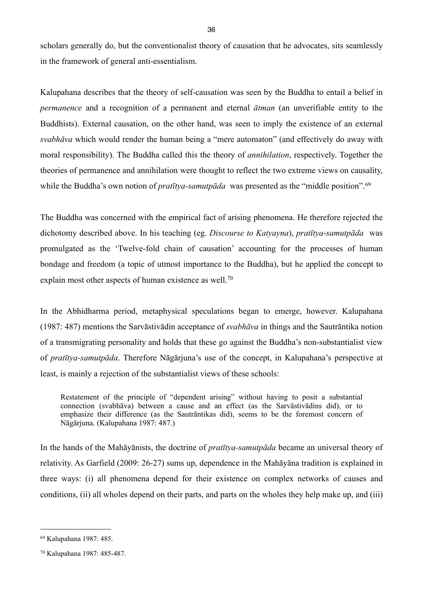scholars generally do, but the conventionalist theory of causation that he advocates, sits seamlessly in the framework of general anti-essentialism.

Kalupahana describes that the theory of self-causation was seen by the Buddha to entail a belief in *permanence* and a recognition of a permanent and eternal *ātman* (an unverifiable entity to the Buddhists). External causation, on the other hand, was seen to imply the existence of an external *svabhāva* which would render the human being a "mere automaton" (and effectively do away with moral responsibility). The Buddha called this the theory of *annihilation*, respectively. Together the theories of permanence and annihilation were thought to reflect the two extreme views on causality, while the Buddha's own notion of *pratītya-samutpāda* was presented as the "middle position".<sup>[69](#page-39-0)</sup>

The Buddha was concerned with the empirical fact of arising phenomena. He therefore rejected the dichotomy described above. In his teaching (eg. *Discourse to Katyayna*), *pratītya-samutpāda* was promulgated as the 'Twelve-fold chain of causation' accounting for the processes of human bondage and freedom (a topic of utmost importance to the Buddha), but he applied the concept to explain most other aspects of human existence as well.<sup>[70](#page-39-1)</sup>

In the Abhidharma period, metaphysical speculations began to emerge, however. Kalupahana (1987: 487) mentions the Sarvāstivādin acceptance of *svabhāva* in things and the Sautrāntika notion of a transmigrating personality and holds that these go against the Buddha's non-substantialist view of *pratītya-samutpāda*. Therefore Nāgārjuna's use of the concept, in Kalupahana's perspective at least, is mainly a rejection of the substantialist views of these schools:

Restatement of the principle of "dependent arising" without having to posit a substantial connection (svabhāva) between a cause and an effect (as the Sarvāstivādins did), or to emphasize their difference (as the Sautrāntikas did), seems to be the foremost concern of Nāgārjuna. (Kalupahana 1987: 487.)

In the hands of the Mahāyānists, the doctrine of *pratītya-samutpāda* became an universal theory of relativity. As Garfield (2009: 26-27) sums up, dependence in the Mahāyāna tradition is explained in three ways: (i) all phenomena depend for their existence on complex networks of causes and conditions, (ii) all wholes depend on their parts, and parts on the wholes they help make up, and (iii)

<span id="page-39-0"></span><sup>69</sup> Kalupahana 1987: 485.

<span id="page-39-1"></span><sup>70</sup> Kalupahana 1987: 485-487.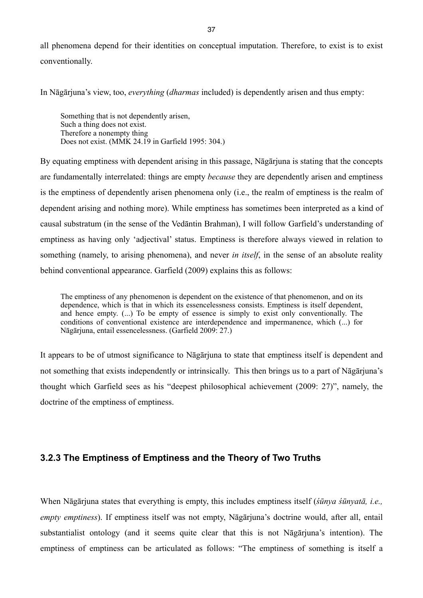all phenomena depend for their identities on conceptual imputation. Therefore, to exist is to exist conventionally.

In Nāgārjuna's view, too, *everything* (*dharmas* included) is dependently arisen and thus empty:

Something that is not dependently arisen, Such a thing does not exist. Therefore a nonempty thing Does not exist. (MMK 24.19 in Garfield 1995: 304.)

By equating emptiness with dependent arising in this passage, Nāgārjuna is stating that the concepts are fundamentally interrelated: things are empty *because* they are dependently arisen and emptiness is the emptiness of dependently arisen phenomena only (i.e., the realm of emptiness is the realm of dependent arising and nothing more). While emptiness has sometimes been interpreted as a kind of causal substratum (in the sense of the Vedāntin Brahman), I will follow Garfield's understanding of emptiness as having only 'adjectival' status. Emptiness is therefore always viewed in relation to something (namely, to arising phenomena), and never *in itself*, in the sense of an absolute reality behind conventional appearance. Garfield (2009) explains this as follows:

The emptiness of any phenomenon is dependent on the existence of that phenomenon, and on its dependence, which is that in which its essencelessness consists. Emptiness is itself dependent, and hence empty. (...) To be empty of essence is simply to exist only conventionally. The conditions of conventional existence are interdependence and impermanence, which (...) for Nāgārjuna, entail essencelessness. (Garfield 2009: 27.)

It appears to be of utmost significance to Nāgārjuna to state that emptiness itself is dependent and not something that exists independently or intrinsically. This then brings us to a part of Nāgārjuna's thought which Garfield sees as his "deepest philosophical achievement (2009: 27)", namely, the doctrine of the emptiness of emptiness.

### **3.2.3 The Emptiness of Emptiness and the Theory of Two Truths**

When Nāgārjuna states that everything is empty, this includes emptiness itself (*śūnya śūnyatā, i.e., empty emptiness*). If emptiness itself was not empty, Nāgārjuna's doctrine would, after all, entail substantialist ontology (and it seems quite clear that this is not Nāgārjuna's intention). The emptiness of emptiness can be articulated as follows: "The emptiness of something is itself a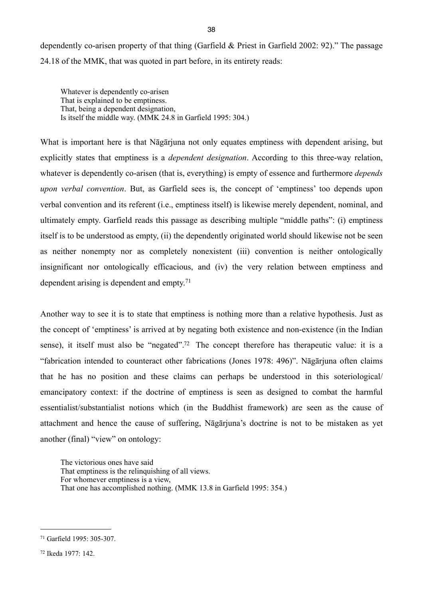dependently co-arisen property of that thing (Garfield & Priest in Garfield 2002: 92)." The passage 24.18 of the MMK, that was quoted in part before, in its entirety reads:

Whatever is dependently co-arisen That is explained to be emptiness. That, being a dependent designation, Is itself the middle way. (MMK 24.8 in Garfield 1995: 304.)

What is important here is that Nāgārjuna not only equates emptiness with dependent arising, but explicitly states that emptiness is a *dependent designation*. According to this three-way relation, whatever is dependently co-arisen (that is, everything) is empty of essence and furthermore *depends upon verbal convention*. But, as Garfield sees is, the concept of 'emptiness' too depends upon verbal convention and its referent (i.e., emptiness itself) is likewise merely dependent, nominal, and ultimately empty. Garfield reads this passage as describing multiple "middle paths": (i) emptiness itself is to be understood as empty, (ii) the dependently originated world should likewise not be seen as neither nonempty nor as completely nonexistent (iii) convention is neither ontologically insignificant nor ontologically efficacious, and (iv) the very relation between emptiness and dependent arising is dependent and empty.[71](#page-41-0)

Another way to see it is to state that emptiness is nothing more than a relative hypothesis. Just as the concept of 'emptiness' is arrived at by negating both existence and non-existence (in the Indian sense), it itself must also be "negated".<sup>72</sup> The concept therefore has therapeutic value: it is a "fabrication intended to counteract other fabrications (Jones 1978: 496)". Nāgārjuna often claims that he has no position and these claims can perhaps be understood in this soteriological/ emancipatory context: if the doctrine of emptiness is seen as designed to combat the harmful essentialist/substantialist notions which (in the Buddhist framework) are seen as the cause of attachment and hence the cause of suffering, Nāgārjuna's doctrine is not to be mistaken as yet another (final) "view" on ontology:

The victorious ones have said That emptiness is the relinquishing of all views. For whomever emptiness is a view, That one has accomplished nothing. (MMK 13.8 in Garfield 1995: 354.)

<span id="page-41-0"></span><sup>71</sup> Garfield 1995: 305-307.

<span id="page-41-1"></span><sup>72</sup> Ikeda 1977: 142.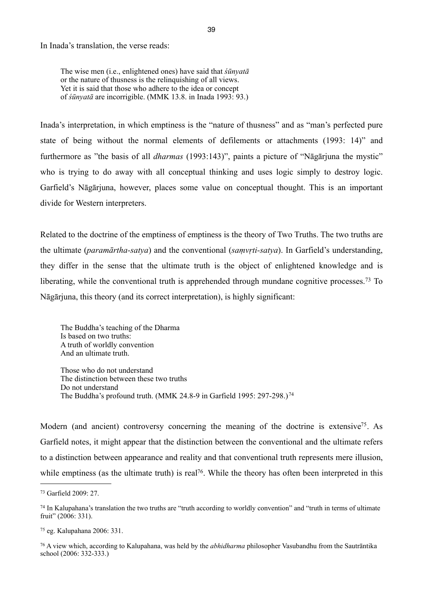In Inada's translation, the verse reads:

The wise men (i.e., enlightened ones) have said that *śūnyatā* or the nature of thusness is the relinquishing of all views. Yet it is said that those who adhere to the idea or concept of *śūnyatā* are incorrigible. (MMK 13.8. in Inada 1993: 93.)

Inada's interpretation, in which emptiness is the "nature of thusness" and as "man's perfected pure state of being without the normal elements of defilements or attachments (1993: 14)" and furthermore as "the basis of all *dharmas* (1993:143)", paints a picture of "Nāgārjuna the mystic" who is trying to do away with all conceptual thinking and uses logic simply to destroy logic. Garfield's Nāgārjuna, however, places some value on conceptual thought. This is an important divide for Western interpreters.

Related to the doctrine of the emptiness of emptiness is the theory of Two Truths. The two truths are the ultimate (*paramārtha-satya*) and the conventional (*saṃvṛti-satya*). In Garfield's understanding, they differ in the sense that the ultimate truth is the object of enlightened knowledge and is liberating, while the conventional truth is apprehended through mundane cognitive processes.<sup>73</sup> To Nāgārjuna, this theory (and its correct interpretation), is highly significant:

The Buddha's teaching of the Dharma Is based on two truths: A truth of worldly convention And an ultimate truth.

Those who do not understand The distinction between these two truths Do not understand The Buddha's profound truth. (MMK 24.8-9 in Garfield 1995: 297-298.)[74](#page-42-1)

Modern (and ancient) controversy concerning the meaning of the doctrine is extensive<sup>75</sup>. As Garfield notes, it might appear that the distinction between the conventional and the ultimate refers to a distinction between appearance and reality and that conventional truth represents mere illusion, while emptiness (as the ultimate truth) is real<sup>76</sup>. While the theory has often been interpreted in this

<span id="page-42-2"></span>75 eg. Kalupahana 2006: 331.

<span id="page-42-3"></span>76 A view which, according to Kalupahana, was held by the *abhidharma* philosopher Vasubandhu from the Sautrāntika school (2006: 332-333.)

<span id="page-42-0"></span><sup>73</sup> Garfield 2009: 27.

<span id="page-42-1"></span><sup>74</sup> In Kalupahana's translation the two truths are "truth according to worldly convention" and "truth in terms of ultimate fruit" (2006: 331).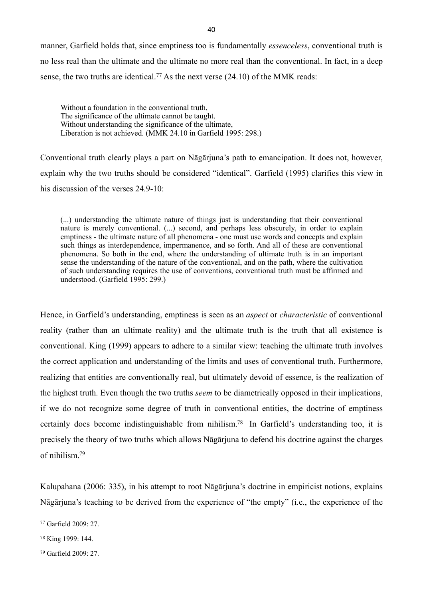manner, Garfield holds that, since emptiness too is fundamentally *essenceless*, conventional truth is no less real than the ultimate and the ultimate no more real than the conventional. In fact, in a deep sense, the two truths are identical.<sup>77</sup> As the next verse  $(24.10)$  of the MMK reads:

Without a foundation in the conventional truth, The significance of the ultimate cannot be taught. Without understanding the significance of the ultimate, Liberation is not achieved. (MMK 24.10 in Garfield 1995: 298.)

Conventional truth clearly plays a part on Nāgārjuna's path to emancipation. It does not, however, explain why the two truths should be considered "identical". Garfield (1995) clarifies this view in his discussion of the verses 24.9-10:

(...) understanding the ultimate nature of things just is understanding that their conventional nature is merely conventional. (...) second, and perhaps less obscurely, in order to explain emptiness - the ultimate nature of all phenomena - one must use words and concepts and explain such things as interdependence, impermanence, and so forth. And all of these are conventional phenomena. So both in the end, where the understanding of ultimate truth is in an important sense the understanding of the nature of the conventional, and on the path, where the cultivation of such understanding requires the use of conventions, conventional truth must be affirmed and understood. (Garfield 1995: 299.)

Hence, in Garfield's understanding, emptiness is seen as an *aspect* or *characteristic* of conventional reality (rather than an ultimate reality) and the ultimate truth is the truth that all existence is conventional. King (1999) appears to adhere to a similar view: teaching the ultimate truth involves the correct application and understanding of the limits and uses of conventional truth. Furthermore, realizing that entities are conventionally real, but ultimately devoid of essence, is the realization of the highest truth. Even though the two truths *seem* to be diametrically opposed in their implications, if we do not recognize some degree of truth in conventional entities, the doctrine of emptiness certainly does become indistinguishable from nihilism[.78](#page-43-1) In Garfield's understanding too, it is precisely the theory of two truths which allows Nāgārjuna to defend his doctrine against the charges of nihilism[.79](#page-43-2)

Kalupahana (2006: 335), in his attempt to root Nāgārjuna's doctrine in empiricist notions, explains Nāgārjuna's teaching to be derived from the experience of "the empty" (i.e., the experience of the

<span id="page-43-0"></span><sup>77</sup> Garfield 2009: 27.

<span id="page-43-1"></span><sup>78</sup> King 1999: 144.

<span id="page-43-2"></span><sup>79</sup> Garfield 2009: 27.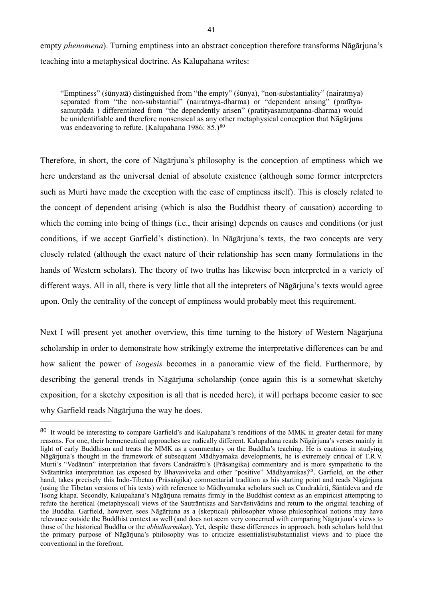empty *phenomena*). Turning emptiness into an abstract conception therefore transforms Nāgārjuna's teaching into a metaphysical doctrine. As Kalupahana writes:

"Emptiness" (śūnyatā) distinguished from "the empty" (śūnya), "non-substantiality" (nairatmya) separated from "the non-substantial" (nairatmya-dharma) or "dependent arising" (pratītyasamutpāda ) differentiated from "the dependently arisen" (pratityasamutpanna-dharma) would be unidentifiable and therefore nonsensical as any other metaphysical conception that Nāgārjuna was endeavoring to refute. (Kalupahana 1986: 85.)<sup>[80](#page-44-0)</sup>

Therefore, in short, the core of Nāgārjuna's philosophy is the conception of emptiness which we here understand as the universal denial of absolute existence (although some former interpreters such as Murti have made the exception with the case of emptiness itself). This is closely related to the concept of dependent arising (which is also the Buddhist theory of causation) according to which the coming into being of things (i.e., their arising) depends on causes and conditions (or just conditions, if we accept Garfield's distinction). In Nāgārjuna's texts, the two concepts are very closely related (although the exact nature of their relationship has seen many formulations in the hands of Western scholars). The theory of two truths has likewise been interpreted in a variety of different ways. All in all, there is very little that all the intepreters of Nāgārjuna's texts would agree upon. Only the centrality of the concept of emptiness would probably meet this requirement.

Next I will present yet another overview, this time turning to the history of Western Nāgārjuna scholarship in order to demonstrate how strikingly extreme the interpretative differences can be and how salient the power of *isogesis* becomes in a panoramic view of the field. Furthermore, by describing the general trends in Nāgārjuna scholarship (once again this is a somewhat sketchy exposition, for a sketchy exposition is all that is needed here), it will perhaps become easier to see why Garfield reads Nāgārjuna the way he does.

<span id="page-44-0"></span><sup>&</sup>lt;sup>80</sup> It would be interesting to compare Garfield's and Kalupahana's renditions of the MMK in greater detail for many reasons. For one, their hermeneutical approaches are radically different. Kalupahana reads Nāgārjuna's verses mainly in light of early Buddhism and treats the MMK as a commentary on the Buddha's teaching. He is cautious in studying Nāgārjuna's thought in the framework of subsequent Mādhyamaka developments, he is extremely critical of T.R.V. Murti's "Vedāntin" interpretation that favors Candrakīrti's (Prāsaṅgika) commentary and is more sympathetic to the Svātantrika interpretation (as exposed by Bhavaviveka and other "positive" Mādhyamikas)<sup>80</sup>. Garfield, on the other hand, takes precisely this Indo-Tibetan (Prāsaṅgika) commentarial tradition as his starting point and reads Nāgārjuna (using the Tibetan versions of his texts) with reference to Mādhyamaka scholars such as Candrakīrti, Śāntideva and rJe Tsong khapa. Secondly, Kalupahana's Nāgārjuna remains firmly in the Buddhist context as an empiricist attempting to refute the heretical (metaphysical) views of the Sautrāntikas and Sarvāstivādins and return to the original teaching of the Buddha. Garfield, however, sees Nāgārjuna as a (skeptical) philosopher whose philosophical notions may have relevance outside the Buddhist context as well (and does not seem very concerned with comparing Nāgārjuna's views to those of the historical Buddha or the *abhidharmikas*). Yet, despite these differences in approach, both scholars hold that the primary purpose of Nāgārjuna's philosophy was to criticize essentialist/substantialist views and to place the conventional in the forefront.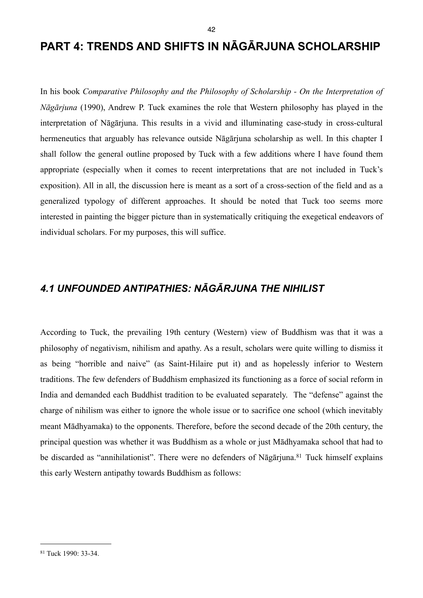In his book *Comparative Philosophy and the Philosophy of Scholarship - On the Interpretation of Nāgārjuna* (1990), Andrew P. Tuck examines the role that Western philosophy has played in the interpretation of Nāgārjuna. This results in a vivid and illuminating case-study in cross-cultural hermeneutics that arguably has relevance outside Nāgārjuna scholarship as well. In this chapter I shall follow the general outline proposed by Tuck with a few additions where I have found them appropriate (especially when it comes to recent interpretations that are not included in Tuck's exposition). All in all, the discussion here is meant as a sort of a cross-section of the field and as a generalized typology of different approaches. It should be noted that Tuck too seems more interested in painting the bigger picture than in systematically critiquing the exegetical endeavors of individual scholars. For my purposes, this will suffice.

# *4.1 UNFOUNDED ANTIPATHIES: NĀGĀRJUNA THE NIHILIST*

According to Tuck, the prevailing 19th century (Western) view of Buddhism was that it was a philosophy of negativism, nihilism and apathy. As a result, scholars were quite willing to dismiss it as being "horrible and naive" (as Saint-Hilaire put it) and as hopelessly inferior to Western traditions. The few defenders of Buddhism emphasized its functioning as a force of social reform in India and demanded each Buddhist tradition to be evaluated separately. The "defense" against the charge of nihilism was either to ignore the whole issue or to sacrifice one school (which inevitably meant Mādhyamaka) to the opponents. Therefore, before the second decade of the 20th century, the principal question was whether it was Buddhism as a whole or just Mādhyamaka school that had to be discarded as "annihilationist". There were no defenders of Nāgārjuna.<sup>81</sup> Tuck himself explains this early Western antipathy towards Buddhism as follows:

<span id="page-45-0"></span><sup>81</sup> Tuck 1990: 33-34.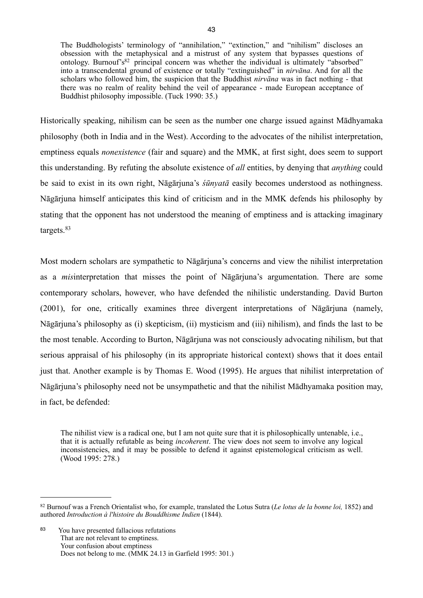The Buddhologists' terminology of "annihilation," "extinction," and "nihilism" discloses an obsession with the metaphysical and a mistrust of any system that bypasses questions of ontology. Burnouf's $82$  principal concern was whether the individual is ultimately "absorbed" into a transcendental ground of existence or totally "extinguished" in *nirvāna*. And for all the scholars who followed him, the suspicion that the Buddhist *nirvāna* was in fact nothing - that there was no realm of reality behind the veil of appearance - made European acceptance of Buddhist philosophy impossible. (Tuck 1990: 35.)

Historically speaking, nihilism can be seen as the number one charge issued against Mādhyamaka philosophy (both in India and in the West). According to the advocates of the nihilist interpretation, emptiness equals *nonexistence* (fair and square) and the MMK, at first sight, does seem to support this understanding. By refuting the absolute existence of *all* entities, by denying that *anything* could be said to exist in its own right, Nāgārjuna's *śūnyatā* easily becomes understood as nothingness. Nāgārjuna himself anticipates this kind of criticism and in the MMK defends his philosophy by stating that the opponent has not understood the meaning of emptiness and is attacking imaginary targets.[83](#page-46-1)

Most modern scholars are sympathetic to Nāgārjuna's concerns and view the nihilist interpretation as a *mis*interpretation that misses the point of Nāgārjuna's argumentation. There are some contemporary scholars, however, who have defended the nihilistic understanding. David Burton (2001), for one, critically examines three divergent interpretations of Nāgārjuna (namely, Nāgārjuna's philosophy as (i) skepticism, (ii) mysticism and (iii) nihilism), and finds the last to be the most tenable. According to Burton, Nāgārjuna was not consciously advocating nihilism, but that serious appraisal of his philosophy (in its appropriate historical context) shows that it does entail just that. Another example is by Thomas E. Wood (1995). He argues that nihilist interpretation of Nāgārjuna's philosophy need not be unsympathetic and that the nihilist Mādhyamaka position may, in fact, be defended:

The nihilist view is a radical one, but I am not quite sure that it is philosophically untenable, i.e., that it is actually refutable as being *incoherent*. The view does not seem to involve any logical inconsistencies, and it may be possible to defend it against epistemological criticism as well. (Wood 1995: 278.)

<span id="page-46-1"></span>83 You have presented fallacious refutations That are not relevant to emptiness. Your confusion about emptiness Does not belong to me. (MMK 24.13 in Garfield 1995: 301.)

<span id="page-46-0"></span><sup>82</sup> Burnouf was a French Orientalist who, for example, translated the Lotus Sutra (*Le lotus de la bonne loi,* 1852) and authored *Introduction à l'histoire du Bouddhisme Indien* (1844).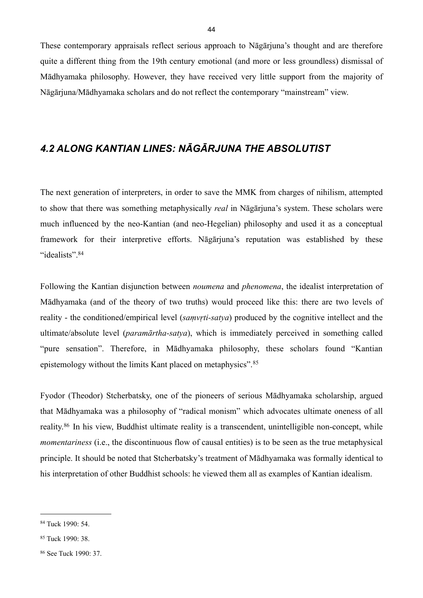These contemporary appraisals reflect serious approach to Nāgārjuna's thought and are therefore quite a different thing from the 19th century emotional (and more or less groundless) dismissal of Mādhyamaka philosophy. However, they have received very little support from the majority of Nāgārjuna/Mādhyamaka scholars and do not reflect the contemporary "mainstream" view.

## *4.2 ALONG KANTIAN LINES: NĀGĀRJUNA THE ABSOLUTIST*

The next generation of interpreters, in order to save the MMK from charges of nihilism, attempted to show that there was something metaphysically *real* in Nāgārjuna's system. These scholars were much influenced by the neo-Kantian (and neo-Hegelian) philosophy and used it as a conceptual framework for their interpretive efforts. Nāgārjuna's reputation was established by these "idealists".[84](#page-47-0)

Following the Kantian disjunction between *noumena* and *phenomena*, the idealist interpretation of Mādhyamaka (and of the theory of two truths) would proceed like this: there are two levels of reality - the conditioned/empirical level (*saṃvṛti-satya*) produced by the cognitive intellect and the ultimate/absolute level (*paramārtha-satya*), which is immediately perceived in something called "pure sensation". Therefore, in Mādhyamaka philosophy, these scholars found "Kantian epistemology without the limits Kant placed on metaphysics".[85](#page-47-1)

Fyodor (Theodor) Stcherbatsky, one of the pioneers of serious Mādhyamaka scholarship, argued that Mādhyamaka was a philosophy of "radical monism" which advocates ultimate oneness of all reality.[86](#page-47-2) In his view, Buddhist ultimate reality is a transcendent, unintelligible non-concept, while *momentariness* (i.e., the discontinuous flow of causal entities) is to be seen as the true metaphysical principle. It should be noted that Stcherbatsky's treatment of Mādhyamaka was formally identical to his interpretation of other Buddhist schools: he viewed them all as examples of Kantian idealism.

<span id="page-47-0"></span><sup>84</sup> Tuck 1990: 54.

<span id="page-47-1"></span><sup>85</sup> Tuck 1990: 38.

<span id="page-47-2"></span><sup>86</sup> See Tuck 1990: 37.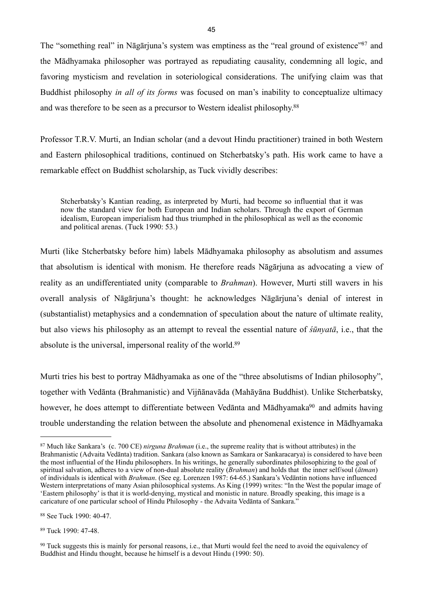The "something real" in Nāgārjuna's system was emptiness as the "real ground of existence["87](#page-48-0) and the Mādhyamaka philosopher was portrayed as repudiating causality, condemning all logic, and favoring mysticism and revelation in soteriological considerations. The unifying claim was that Buddhist philosophy *in all of its forms* was focused on man's inability to conceptualize ultimacy and was therefore to be seen as a precursor to Western idealist philosophy[.88](#page-48-1)

Professor T.R.V. Murti, an Indian scholar (and a devout Hindu practitioner) trained in both Western and Eastern philosophical traditions, continued on Stcherbatsky's path. His work came to have a remarkable effect on Buddhist scholarship, as Tuck vividly describes:

Stcherbatsky's Kantian reading, as interpreted by Murti, had become so influential that it was now the standard view for both European and Indian scholars. Through the export of German idealism, European imperialism had thus triumphed in the philosophical as well as the economic and political arenas. (Tuck 1990: 53.)

Murti (like Stcherbatsky before him) labels Mādhyamaka philosophy as absolutism and assumes that absolutism is identical with monism. He therefore reads Nāgārjuna as advocating a view of reality as an undifferentiated unity (comparable to *Brahman*). However, Murti still wavers in his overall analysis of Nāgārjuna's thought: he acknowledges Nāgārjuna's denial of interest in (substantialist) metaphysics and a condemnation of speculation about the nature of ultimate reality, but also views his philosophy as an attempt to reveal the essential nature of *śūnyatā*, i.e., that the absolute is the universal, impersonal reality of the world.[89](#page-48-2)

Murti tries his best to portray Mādhyamaka as one of the "three absolutisms of Indian philosophy", together with Vedānta (Brahmanistic) and Vijñānavāda (Mahāyāna Buddhist). Unlike Stcherbatsky, however, he does attempt to differentiate between Vedānta and Mādhyamaka<sup>90</sup> and admits having trouble understanding the relation between the absolute and phenomenal existence in Mādhyamaka

<span id="page-48-2"></span>89 Tuck 1990: 47-48.

<span id="page-48-0"></span><sup>87</sup> Much like Sankara's (c. 700 CE) *nirguna Brahman* (i.e., the supreme reality that is without attributes) in the Brahmanistic (Advaita Vedānta) tradition. Sankara (also known as Samkara or Sankaracarya) is considered to have been the most influential of the Hindu philosophers. In his writings, he generally subordinates philosophizing to the goal of spiritual salvation, adheres to a view of non-dual absolute reality (*Brahman*) and holds that the inner self/soul (*ātman*) of individuals is identical with *Brahman*. (See eg. Lorenzen 1987: 64-65.) Sankara's Vedāntin notions have influenced Western interpretations of many Asian philosophical systems. As King (1999) writes: "In the West the popular image of 'Eastern philosophy' is that it is world-denying, mystical and monistic in nature. Broadly speaking, this image is a caricature of one particular school of Hindu Philosophy - the Advaita Vedānta of Sankara."

<span id="page-48-1"></span><sup>88</sup> See Tuck 1990: 40-47.

<span id="page-48-3"></span><sup>&</sup>lt;sup>90</sup> Tuck suggests this is mainly for personal reasons, i.e., that Murti would feel the need to avoid the equivalency of Buddhist and Hindu thought, because he himself is a devout Hindu (1990: 50).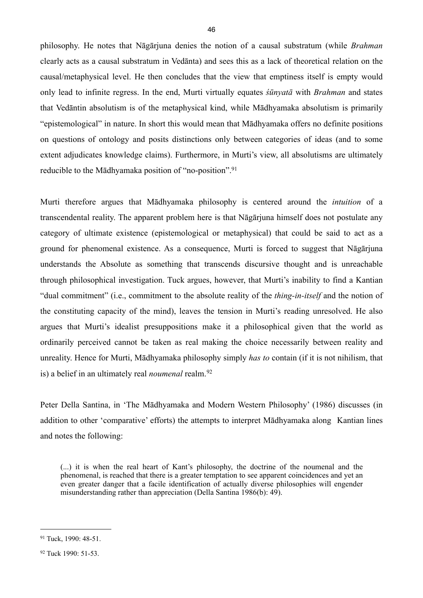philosophy. He notes that Nāgārjuna denies the notion of a causal substratum (while *Brahman* clearly acts as a causal substratum in Vedānta) and sees this as a lack of theoretical relation on the causal/metaphysical level. He then concludes that the view that emptiness itself is empty would only lead to infinite regress. In the end, Murti virtually equates *śūnyatā* with *Brahman* and states that Vedāntin absolutism is of the metaphysical kind, while Mādhyamaka absolutism is primarily "epistemological" in nature. In short this would mean that Mādhyamaka offers no definite positions on questions of ontology and posits distinctions only between categories of ideas (and to some extent adjudicates knowledge claims). Furthermore, in Murti's view, all absolutisms are ultimately reducible to the Mādhyamaka position of "no-position".<sup>[91](#page-49-0)</sup>

Murti therefore argues that Mādhyamaka philosophy is centered around the *intuition* of a transcendental reality. The apparent problem here is that Nāgārjuna himself does not postulate any category of ultimate existence (epistemological or metaphysical) that could be said to act as a ground for phenomenal existence. As a consequence, Murti is forced to suggest that Nāgārjuna understands the Absolute as something that transcends discursive thought and is unreachable through philosophical investigation. Tuck argues, however, that Murti's inability to find a Kantian "dual commitment" (i.e., commitment to the absolute reality of the *thing-in-itself* and the notion of the constituting capacity of the mind), leaves the tension in Murti's reading unresolved. He also argues that Murti's idealist presuppositions make it a philosophical given that the world as ordinarily perceived cannot be taken as real making the choice necessarily between reality and unreality. Hence for Murti, Mādhyamaka philosophy simply *has to* contain (if it is not nihilism, that is) a belief in an ultimately real *noumenal* realm.[92](#page-49-1)

Peter Della Santina, in 'The Mādhyamaka and Modern Western Philosophy' (1986) discusses (in addition to other 'comparative' efforts) the attempts to interpret Mādhyamaka along Kantian lines and notes the following:

(...) it is when the real heart of Kant's philosophy, the doctrine of the noumenal and the phenomenal, is reached that there is a greater temptation to see apparent coincidences and yet an even greater danger that a facile identification of actually diverse philosophies will engender misunderstanding rather than appreciation (Della Santina 1986(b): 49).

<span id="page-49-0"></span><sup>91</sup> Tuck, 1990: 48-51.

<span id="page-49-1"></span><sup>92</sup> Tuck 1990: 51-53.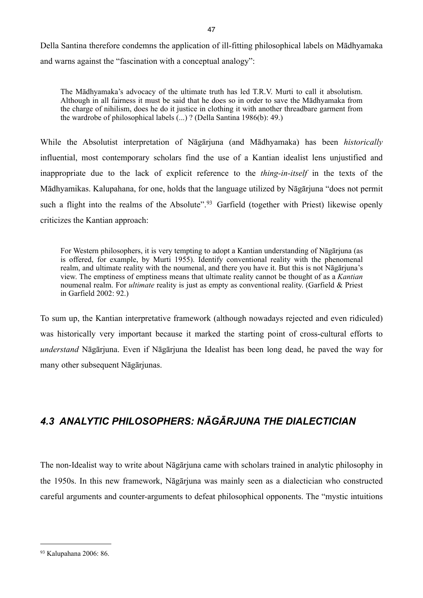Della Santina therefore condemns the application of ill-fitting philosophical labels on Mādhyamaka and warns against the "fascination with a conceptual analogy":

The Mādhyamaka's advocacy of the ultimate truth has led T.R.V. Murti to call it absolutism. Although in all fairness it must be said that he does so in order to save the Mādhyamaka from the charge of nihilism, does he do it justice in clothing it with another threadbare garment from the wardrobe of philosophical labels (...) ? (Della Santina 1986(b): 49.)

While the Absolutist interpretation of Nāgārjuna (and Mādhyamaka) has been *historically* influential, most contemporary scholars find the use of a Kantian idealist lens unjustified and inappropriate due to the lack of explicit reference to the *thing-in-itself* in the texts of the Mādhyamikas. Kalupahana, for one, holds that the language utilized by Nāgārjuna "does not permit such a flight into the realms of the Absolute".<sup>93</sup> Garfield (together with Priest) likewise openly criticizes the Kantian approach:

For Western philosophers, it is very tempting to adopt a Kantian understanding of Nāgārjuna (as is offered, for example, by Murti 1955). Identify conventional reality with the phenomenal realm, and ultimate reality with the noumenal, and there you have it. But this is not Nāgārjuna's view. The emptiness of emptiness means that ultimate reality cannot be thought of as a *Kantian* noumenal realm. For *ultimate* reality is just as empty as conventional reality. (Garfield & Priest in Garfield 2002: 92.)

To sum up, the Kantian interpretative framework (although nowadays rejected and even ridiculed) was historically very important because it marked the starting point of cross-cultural efforts to *understand* Nāgārjuna. Even if Nāgārjuna the Idealist has been long dead, he paved the way for many other subsequent Nāgārjunas.

# *4.3 ANALYTIC PHILOSOPHERS: NĀGĀRJUNA THE DIALECTICIAN*

The non-Idealist way to write about Nāgārjuna came with scholars trained in analytic philosophy in the 1950s. In this new framework, Nāgārjuna was mainly seen as a dialectician who constructed careful arguments and counter-arguments to defeat philosophical opponents. The "mystic intuitions

<span id="page-50-0"></span><sup>93</sup> Kalupahana 2006: 86.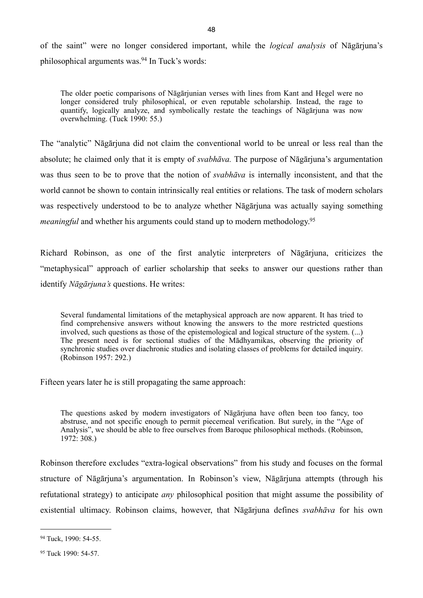of the saint" were no longer considered important, while the *logical analysis* of Nāgārjuna's philosophical arguments was.[94](#page-51-0) In Tuck's words:

The older poetic comparisons of Nāgārjunian verses with lines from Kant and Hegel were no longer considered truly philosophical, or even reputable scholarship. Instead, the rage to quantify, logically analyze, and symbolically restate the teachings of Nāgārjuna was now overwhelming. (Tuck 1990: 55.)

The "analytic" Nāgārjuna did not claim the conventional world to be unreal or less real than the absolute; he claimed only that it is empty of *svabhāva.* The purpose of Nāgārjuna's argumentation was thus seen to be to prove that the notion of *svabhāva* is internally inconsistent, and that the world cannot be shown to contain intrinsically real entities or relations. The task of modern scholars was respectively understood to be to analyze whether Nāgārjuna was actually saying something *meaningful* and whether his arguments could stand up to modern methodology.<sup>95</sup>

Richard Robinson, as one of the first analytic interpreters of Nāgārjuna, criticizes the "metaphysical" approach of earlier scholarship that seeks to answer our questions rather than identify *Nāgārjuna's* questions. He writes:

Several fundamental limitations of the metaphysical approach are now apparent. It has tried to find comprehensive answers without knowing the answers to the more restricted questions involved, such questions as those of the epistemological and logical structure of the system. (...) The present need is for sectional studies of the Mādhyamikas, observing the priority of synchronic studies over diachronic studies and isolating classes of problems for detailed inquiry. (Robinson 1957: 292.)

Fifteen years later he is still propagating the same approach:

The questions asked by modern investigators of Nāgārjuna have often been too fancy, too abstruse, and not specific enough to permit piecemeal verification. But surely, in the "Age of Analysis", we should be able to free ourselves from Baroque philosophical methods. (Robinson, 1972: 308.)

Robinson therefore excludes "extra-logical observations" from his study and focuses on the formal structure of Nāgārjuna's argumentation. In Robinson's view, Nāgārjuna attempts (through his refutational strategy) to anticipate *any* philosophical position that might assume the possibility of existential ultimacy. Robinson claims, however, that Nāgārjuna defines *svabhāva* for his own

<span id="page-51-0"></span><sup>94</sup> Tuck, 1990: 54-55.

<span id="page-51-1"></span><sup>95</sup> Tuck 1990: 54-57.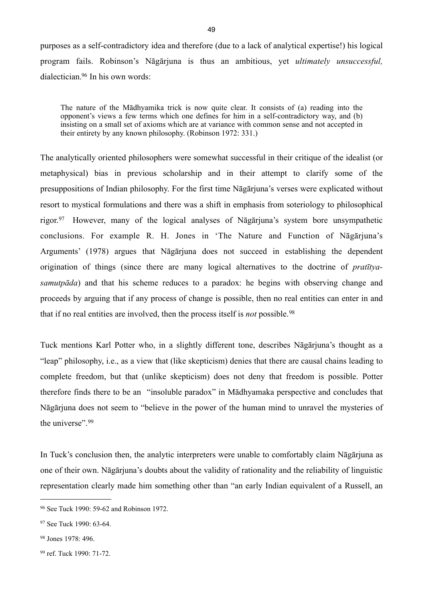purposes as a self-contradictory idea and therefore (due to a lack of analytical expertise!) his logical program fails. Robinson's Nāgārjuna is thus an ambitious, yet *ultimately unsuccessful,* dialectician[.96](#page-52-0) In his own words:

The nature of the Mādhyamika trick is now quite clear. It consists of (a) reading into the opponent's views a few terms which one defines for him in a self-contradictory way, and (b) insisting on a small set of axioms which are at variance with common sense and not accepted in their entirety by any known philosophy. (Robinson 1972: 331.)

The analytically oriented philosophers were somewhat successful in their critique of the idealist (or metaphysical) bias in previous scholarship and in their attempt to clarify some of the presuppositions of Indian philosophy. For the first time Nāgārjuna's verses were explicated without resort to mystical formulations and there was a shift in emphasis from soteriology to philosophical rigor.[97](#page-52-1) However, many of the logical analyses of Nāgārjuna's system bore unsympathetic conclusions. For example R. H. Jones in 'The Nature and Function of Nāgārjuna's Arguments' (1978) argues that Nāgārjuna does not succeed in establishing the dependent origination of things (since there are many logical alternatives to the doctrine of *pratītyasamutpāda*) and that his scheme reduces to a paradox: he begins with observing change and proceeds by arguing that if any process of change is possible, then no real entities can enter in and that if no real entities are involved, then the process itself is *not* possible.[98](#page-52-2)

Tuck mentions Karl Potter who, in a slightly different tone, describes Nāgārjuna's thought as a "leap" philosophy, i.e., as a view that (like skepticism) denies that there are causal chains leading to complete freedom, but that (unlike skepticism) does not deny that freedom is possible. Potter therefore finds there to be an "insoluble paradox" in Mādhyamaka perspective and concludes that Nāgārjuna does not seem to "believe in the power of the human mind to unravel the mysteries of the universe".<sup>[99](#page-52-3)</sup>

In Tuck's conclusion then, the analytic interpreters were unable to comfortably claim Nāgārjuna as one of their own. Nāgārjuna's doubts about the validity of rationality and the reliability of linguistic representation clearly made him something other than "an early Indian equivalent of a Russell, an

<span id="page-52-0"></span><sup>96</sup> See Tuck 1990: 59-62 and Robinson 1972.

<span id="page-52-1"></span><sup>97</sup> See Tuck 1990: 63-64.

<span id="page-52-2"></span><sup>98</sup> Jones 1978: 496.

<span id="page-52-3"></span><sup>99</sup> ref. Tuck 1990: 71-72.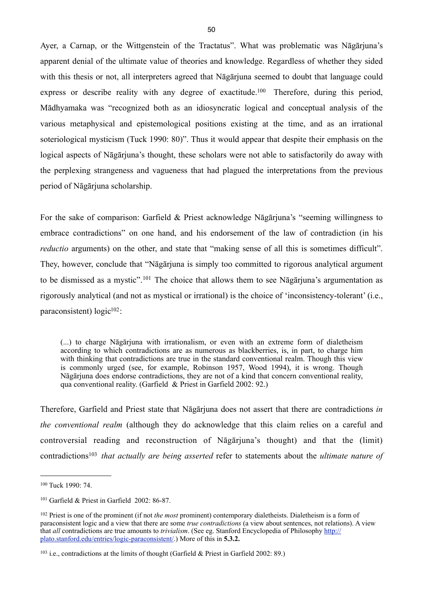Ayer, a Carnap, or the Wittgenstein of the Tractatus". What was problematic was Nāgārjuna's apparent denial of the ultimate value of theories and knowledge. Regardless of whether they sided with this thesis or not, all interpreters agreed that Nāgārjuna seemed to doubt that language could express or describe reality with any degree of exactitude.<sup>100</sup> Therefore, during this period, Mādhyamaka was "recognized both as an idiosyncratic logical and conceptual analysis of the various metaphysical and epistemological positions existing at the time, and as an irrational soteriological mysticism (Tuck 1990: 80)". Thus it would appear that despite their emphasis on the logical aspects of Nāgārjuna's thought, these scholars were not able to satisfactorily do away with the perplexing strangeness and vagueness that had plagued the interpretations from the previous period of Nāgārjuna scholarship.

For the sake of comparison: Garfield & Priest acknowledge Nāgārjuna's "seeming willingness to embrace contradictions" on one hand, and his endorsement of the law of contradiction (in his *reductio* arguments) on the other, and state that "making sense of all this is sometimes difficult". They, however, conclude that "Nāgārjuna is simply too committed to rigorous analytical argument to be dismissed as a mystic".[101](#page-53-1) The choice that allows them to see Nāgārjuna's argumentation as rigorously analytical (and not as mystical or irrational) is the choice of 'inconsistency-tolerant' (i.e., paraconsistent)  $logic<sup>102</sup>$ :

(...) to charge Nāgārjuna with irrationalism, or even with an extreme form of dialetheism according to which contradictions are as numerous as blackberries, is, in part, to charge him with thinking that contradictions are true in the standard conventional realm. Though this view is commonly urged (see, for example, Robinson 1957, Wood 1994), it is wrong. Though Nāgārjuna does endorse contradictions, they are not of a kind that concern conventional reality, qua conventional reality. (Garfield & Priest in Garfield 2002: 92.)

Therefore, Garfield and Priest state that Nāgārjuna does not assert that there are contradictions *in the conventional realm* (although they do acknowledge that this claim relies on a careful and controversial reading and reconstruction of Nāgārjuna's thought) and that the (limit) contradictions[103](#page-53-3) *that actually are being asserted* refer to statements about the *ultimate nature of* 

<span id="page-53-0"></span><sup>100</sup> Tuck 1990: 74.

<span id="page-53-1"></span><sup>101</sup> Garfield & Priest in Garfield 2002: 86-87.

<span id="page-53-2"></span><sup>102</sup> Priest is one of the prominent (if not *the most* prominent) contemporary dialetheists. Dialetheism is a form of paraconsistent logic and a view that there are some *true contradictions* (a view about sentences, not relations). A view that *all* contradictions are true amounts to *trivialism*. (See eg. Stanford Encyclopedia of Philosophy [http://](http://plato.stanford.edu/entries/logic-paraconsistent/) [plato.stanford.edu/entries/logic-paraconsistent/](http://plato.stanford.edu/entries/logic-paraconsistent/).) More of this in **5.3.2.**

<span id="page-53-3"></span><sup>&</sup>lt;sup>103</sup> i.e., contradictions at the limits of thought (Garfield  $\&$  Priest in Garfield 2002: 89.)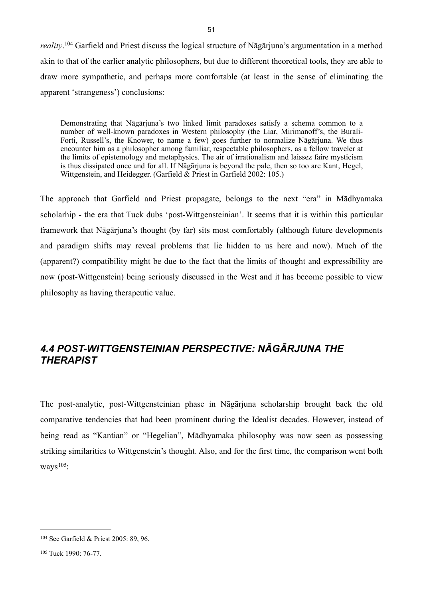*reality*. [104](#page-54-0) Garfield and Priest discuss the logical structure of Nāgārjuna's argumentation in a method akin to that of the earlier analytic philosophers, but due to different theoretical tools, they are able to draw more sympathetic, and perhaps more comfortable (at least in the sense of eliminating the apparent 'strangeness') conclusions:

Demonstrating that Nāgārjuna's two linked limit paradoxes satisfy a schema common to a number of well-known paradoxes in Western philosophy (the Liar, Mirimanoff's, the Burali-Forti, Russell's, the Knower, to name a few) goes further to normalize Nāgārjuna. We thus encounter him as a philosopher among familiar, respectable philosophers, as a fellow traveler at the limits of epistemology and metaphysics. The air of irrationalism and laissez faire mysticism is thus dissipated once and for all. If Nāgārjuna is beyond the pale, then so too are Kant, Hegel, Wittgenstein, and Heidegger. (Garfield & Priest in Garfield 2002: 105.)

The approach that Garfield and Priest propagate, belongs to the next "era" in Mādhyamaka scholarhip - the era that Tuck dubs 'post-Wittgensteinian'. It seems that it is within this particular framework that Nāgārjuna's thought (by far) sits most comfortably (although future developments and paradigm shifts may reveal problems that lie hidden to us here and now). Much of the (apparent?) compatibility might be due to the fact that the limits of thought and expressibility are now (post-Wittgenstein) being seriously discussed in the West and it has become possible to view philosophy as having therapeutic value.

# *4.4 POST-WITTGENSTEINIAN PERSPECTIVE: NĀGĀRJUNA THE THERAPIST*

The post-analytic, post-Wittgensteinian phase in Nāgārjuna scholarship brought back the old comparative tendencies that had been prominent during the Idealist decades. However, instead of being read as "Kantian" or "Hegelian", Mādhyamaka philosophy was now seen as possessing striking similarities to Wittgenstein's thought. Also, and for the first time, the comparison went both ways $105$ :

<span id="page-54-0"></span><sup>104</sup> See Garfield & Priest 2005: 89, 96.

<span id="page-54-1"></span><sup>105</sup> Tuck 1990: 76-77.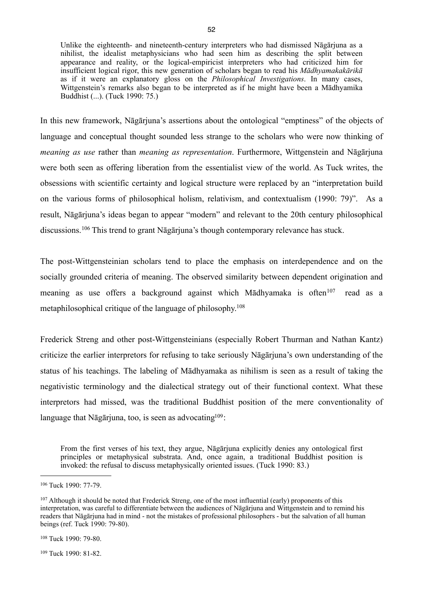Unlike the eighteenth- and nineteenth-century interpreters who had dismissed Nāgārjuna as a nihilist, the idealist metaphysicians who had seen him as describing the split between appearance and reality, or the logical-empiricist interpreters who had criticized him for insufficient logical rigor, this new generation of scholars began to read his *Mādhyamakakārikā* as if it were an explanatory gloss on the *Philosophical Investigations*. In many cases, Wittgenstein's remarks also began to be interpreted as if he might have been a Mādhyamika Buddhist (...). (Tuck 1990: 75.)

In this new framework, Nāgārjuna's assertions about the ontological "emptiness" of the objects of language and conceptual thought sounded less strange to the scholars who were now thinking of *meaning as use* rather than *meaning as representation*. Furthermore, Wittgenstein and Nāgārjuna were both seen as offering liberation from the essentialist view of the world. As Tuck writes, the obsessions with scientific certainty and logical structure were replaced by an "interpretation build on the various forms of philosophical holism, relativism, and contextualism (1990: 79)". As a result, Nāgārjuna's ideas began to appear "modern" and relevant to the 20th century philosophical discussions.[106](#page-55-0) This trend to grant Nāgārjuna's though contemporary relevance has stuck.

The post-Wittgensteinian scholars tend to place the emphasis on interdependence and on the socially grounded criteria of meaning. The observed similarity between dependent origination and meaning as use offers a background against which Mādhyamaka is often<sup>107</sup> read as a metaphilosophical critique of the language of philosophy.[108](#page-55-2)

Frederick Streng and other post-Wittgensteinians (especially Robert Thurman and Nathan Kantz) criticize the earlier interpretors for refusing to take seriously Nāgārjuna's own understanding of the status of his teachings. The labeling of Mādhyamaka as nihilism is seen as a result of taking the negativistic terminology and the dialectical strategy out of their functional context. What these interpretors had missed, was the traditional Buddhist position of the mere conventionality of language that Nāgārjuna, too, is seen as advocating<sup>109</sup>:

From the first verses of his text, they argue, Nāgārjuna explicitly denies any ontological first principles or metaphysical substrata. And, once again, a traditional Buddhist position is invoked: the refusal to discuss metaphysically oriented issues. (Tuck 1990: 83.)

<span id="page-55-2"></span>108 Tuck 1990: 79-80.

<span id="page-55-0"></span><sup>106</sup> Tuck 1990: 77-79.

<span id="page-55-1"></span><sup>&</sup>lt;sup>107</sup> Although it should be noted that Frederick Streng, one of the most influential (early) proponents of this interpretation, was careful to differentiate between the audiences of Nāgārjuna and Wittgenstein and to remind his readers that Nāgārjuna had in mind - not the mistakes of professional philosophers - but the salvation of all human beings (ref. Tuck 1990: 79-80).

<span id="page-55-3"></span><sup>109</sup> Tuck 1990: 81-82.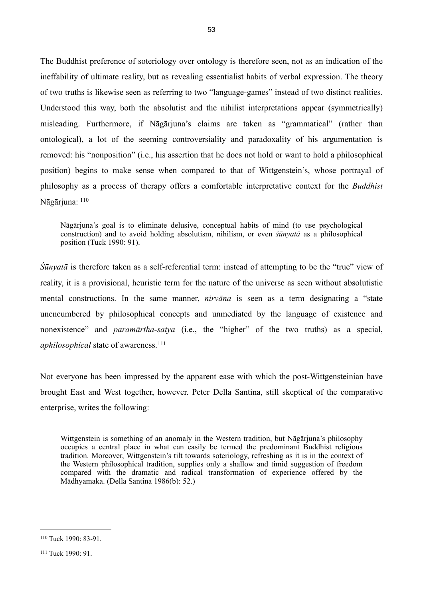The Buddhist preference of soteriology over ontology is therefore seen, not as an indication of the ineffability of ultimate reality, but as revealing essentialist habits of verbal expression. The theory of two truths is likewise seen as referring to two "language-games" instead of two distinct realities. Understood this way, both the absolutist and the nihilist interpretations appear (symmetrically) misleading. Furthermore, if Nāgārjuna's claims are taken as "grammatical" (rather than ontological), a lot of the seeming controversiality and paradoxality of his argumentation is removed: his "nonposition" (i.e., his assertion that he does not hold or want to hold a philosophical position) begins to make sense when compared to that of Wittgenstein's, whose portrayal of philosophy as a process of therapy offers a comfortable interpretative context for the *Buddhist*  Nāgārjuna: [110](#page-56-0)

Nāgārjuna's goal is to eliminate delusive, conceptual habits of mind (to use psychological construction) and to avoid holding absolutism, nihilism, or even *śūnyatā* as a philosophical position (Tuck 1990: 91).

*Śūnyatā* is therefore taken as a self-referential term: instead of attempting to be the "true" view of reality, it is a provisional, heuristic term for the nature of the universe as seen without absolutistic mental constructions. In the same manner, *nirvāna* is seen as a term designating a "state unencumbered by philosophical concepts and unmediated by the language of existence and nonexistence" and *paramārtha-satya* (i.e., the "higher" of the two truths) as a special, *aphilosophical* state of awareness.<sup>[111](#page-56-1)</sup>

Not everyone has been impressed by the apparent ease with which the post-Wittgensteinian have brought East and West together, however. Peter Della Santina, still skeptical of the comparative enterprise, writes the following:

Wittgenstein is something of an anomaly in the Western tradition, but Nāgārjuna's philosophy occupies a central place in what can easily be termed the predominant Buddhist religious tradition. Moreover, Wittgenstein's tilt towards soteriology, refreshing as it is in the context of the Western philosophical tradition, supplies only a shallow and timid suggestion of freedom compared with the dramatic and radical transformation of experience offered by the Mādhyamaka. (Della Santina 1986(b): 52.)

<span id="page-56-0"></span><sup>110</sup> Tuck 1990: 83-91.

<span id="page-56-1"></span><sup>111</sup> Tuck 1990: 91.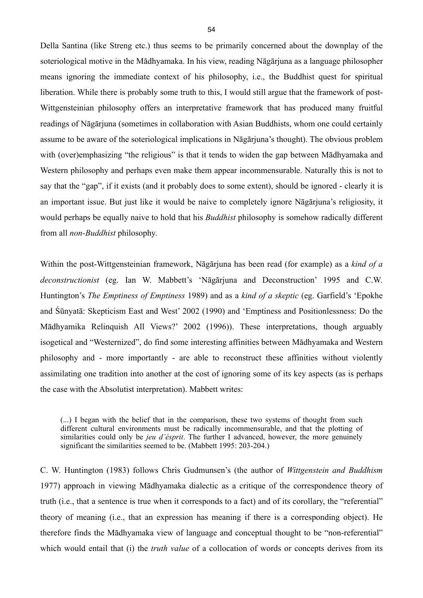Della Santina (like Streng etc.) thus seems to be primarily concerned about the downplay of the soteriological motive in the Mādhyamaka. In his view, reading Nāgārjuna as a language philosopher means ignoring the immediate context of his philosophy, i.e., the Buddhist quest for spiritual liberation. While there is probably some truth to this, I would still argue that the framework of post-Wittgensteinian philosophy offers an interpretative framework that has produced many fruitful readings of Nāgārjuna (sometimes in collaboration with Asian Buddhists, whom one could certainly assume to be aware of the soteriological implications in Nāgārjuna's thought). The obvious problem with (over)emphasizing "the religious" is that it tends to widen the gap between Mādhyamaka and Western philosophy and perhaps even make them appear incommensurable. Naturally this is not to say that the "gap", if it exists (and it probably does to some extent), should be ignored - clearly it is an important issue. But just like it would be naive to completely ignore Nāgārjuna's religiosity, it would perhaps be equally naive to hold that his *Buddhist* philosophy is somehow radically different from all *non-Buddhist* philosophy.

Within the post-Wittgensteinian framework, Nāgārjuna has been read (for example) as a *kind of a deconstructionist* (eg. Ian W. Mabbett's 'Nāgārjuna and Deconstruction' 1995 and C.W. Huntington's *The Emptiness of Emptiness* 1989) and as a *kind of a skeptic* (eg. Garfield's 'Epokhe and Śūnyatā: Skepticism East and West' 2002 (1990) and 'Emptiness and Positionlessness: Do the Mādhyamika Relinquish All Views?' 2002 (1996)). These interpretations, though arguably isogetical and "Westernized", do find some interesting affinities between Mādhyamaka and Western philosophy and - more importantly - are able to reconstruct these affinities without violently assimilating one tradition into another at the cost of ignoring some of its key aspects (as is perhaps the case with the Absolutist interpretation). Mabbett writes:

(...) I began with the belief that in the comparison, these two systems of thought from such different cultural environments must be radically incommensurable, and that the plotting of similarities could only be *jeu d'ésprit*. The further I advanced, however, the more genuinely significant the similarities seemed to be. (Mabbett 1995: 203-204.)

C. W. Huntington (1983) follows Chris Gudmunsen's (the author of *Wittgenstein and Buddhism*  1977) approach in viewing Mādhyamaka dialectic as a critique of the correspondence theory of truth (i.e., that a sentence is true when it corresponds to a fact) and of its corollary, the "referential" theory of meaning (i.e., that an expression has meaning if there is a corresponding object). He therefore finds the Mādhyamaka view of language and conceptual thought to be "non-referential" which would entail that (i) the *truth value* of a collocation of words or concepts derives from its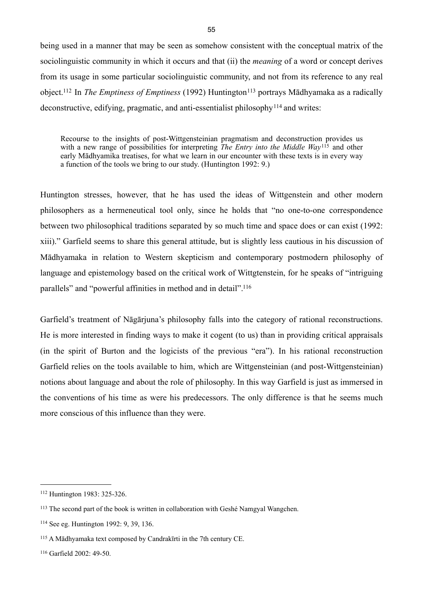being used in a manner that may be seen as somehow consistent with the conceptual matrix of the sociolinguistic community in which it occurs and that (ii) the *meaning* of a word or concept derives from its usage in some particular sociolinguistic community, and not from its reference to any real object.<sup>112</sup> In *The Emptiness of Emptiness* (1992) Huntington<sup>113</sup> portrays Mādhyamaka as a radically deconstructive, edifying, pragmatic, and anti-essentialist philosophy[114](#page-58-2) and writes:

Recourse to the insights of post-Wittgensteinian pragmatism and deconstruction provides us with a new range of possibilities for interpreting *The Entry into the Middle Way*<sup>[115](#page-58-3)</sup> and other early Mādhyamika treatises, for what we learn in our encounter with these texts is in every way a function of the tools we bring to our study. (Huntington 1992: 9.)

Huntington stresses, however, that he has used the ideas of Wittgenstein and other modern philosophers as a hermeneutical tool only, since he holds that "no one-to-one correspondence between two philosophical traditions separated by so much time and space does or can exist (1992: xiii)." Garfield seems to share this general attitude, but is slightly less cautious in his discussion of Mādhyamaka in relation to Western skepticism and contemporary postmodern philosophy of language and epistemology based on the critical work of Wittgtenstein, for he speaks of "intriguing parallels" and "powerful affinities in method and in detail"[.116](#page-58-4)

Garfield's treatment of Nāgārjuna's philosophy falls into the category of rational reconstructions. He is more interested in finding ways to make it cogent (to us) than in providing critical appraisals (in the spirit of Burton and the logicists of the previous "era"). In his rational reconstruction Garfield relies on the tools available to him, which are Wittgensteinian (and post-Wittgensteinian) notions about language and about the role of philosophy. In this way Garfield is just as immersed in the conventions of his time as were his predecessors. The only difference is that he seems much more conscious of this influence than they were.

<span id="page-58-0"></span><sup>112</sup> Huntington 1983: 325-326.

<span id="page-58-1"></span><sup>113</sup> The second part of the book is written in collaboration with Geshé Namgyal Wangchen.

<span id="page-58-2"></span><sup>114</sup> See eg. Huntington 1992: 9, 39, 136.

<span id="page-58-3"></span><sup>115</sup> A Mādhyamaka text composed by Candrakīrti in the 7th century CE.

<span id="page-58-4"></span><sup>116</sup> Garfield 2002: 49-50.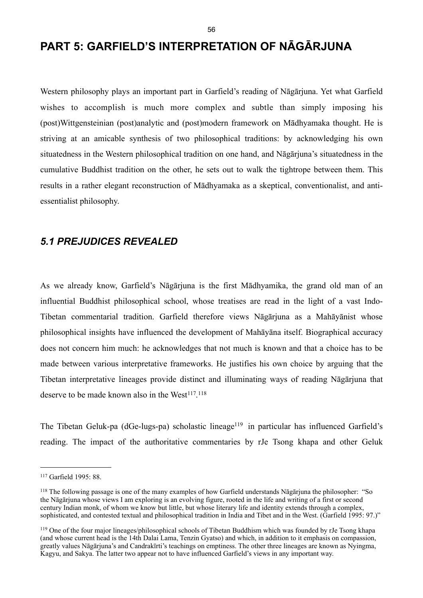# **PART 5: GARFIELD'S INTERPRETATION OF NĀGĀRJUNA**

Western philosophy plays an important part in Garfield's reading of Nāgārjuna. Yet what Garfield wishes to accomplish is much more complex and subtle than simply imposing his (post)Wittgensteinian (post)analytic and (post)modern framework on Mādhyamaka thought. He is striving at an amicable synthesis of two philosophical traditions: by acknowledging his own situatedness in the Western philosophical tradition on one hand, and Nāgārjuna's situatedness in the cumulative Buddhist tradition on the other, he sets out to walk the tightrope between them. This results in a rather elegant reconstruction of Mādhyamaka as a skeptical, conventionalist, and antiessentialist philosophy.

## *5.1 PREJUDICES REVEALED*

As we already know, Garfield's Nāgārjuna is the first Mādhyamika, the grand old man of an influential Buddhist philosophical school, whose treatises are read in the light of a vast Indo-Tibetan commentarial tradition. Garfield therefore views Nāgārjuna as a Mahāyānist whose philosophical insights have influenced the development of Mahāyāna itself. Biographical accuracy does not concern him much: he acknowledges that not much is known and that a choice has to be made between various interpretative frameworks. He justifies his own choice by arguing that the Tibetan interpretative lineages provide distinct and illuminating ways of reading Nāgārjuna that deserve to be made known also in the West<sup>[117](#page-59-0)</sup>.<sup>[118](#page-59-1)</sup>

The Tibetan Geluk-pa (dGe-lugs-pa) scholastic lineage<sup>119</sup> in particular has influenced Garfield's reading. The impact of the authoritative commentaries by rJe Tsong khapa and other Geluk

<span id="page-59-0"></span><sup>117</sup> Garfield 1995: 88.

<span id="page-59-1"></span><sup>118</sup> The following passage is one of the many examples of how Garfield understands Nāgārjuna the philosopher: "So the Nāgārjuna whose views I am exploring is an evolving figure, rooted in the life and writing of a first or second century Indian monk, of whom we know but little, but whose literary life and identity extends through a complex, sophisticated, and contested textual and philosophical tradition in India and Tibet and in the West. (Garfield 1995: 97.)"

<span id="page-59-2"></span><sup>119</sup> One of the four major lineages/philosophical schools of Tibetan Buddhism which was founded by rJe Tsong khapa (and whose current head is the 14th Dalai Lama, Tenzin Gyatso) and which, in addition to it emphasis on compassion, greatly values Nāgārjuna's and Candrakīrti's teachings on emptiness. The other three lineages are known as Nyingma, Kagyu, and Sakya. The latter two appear not to have influenced Garfield's views in any important way.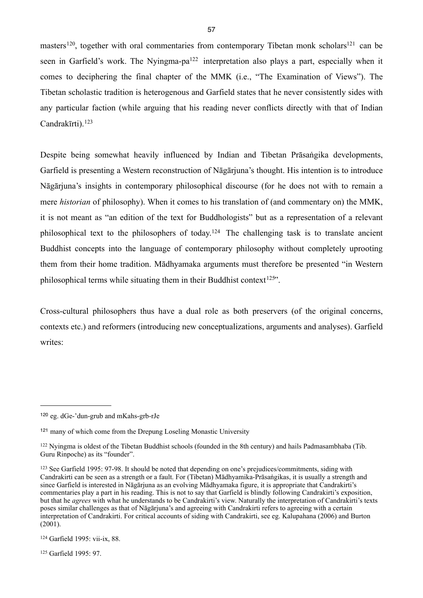masters<sup>[120](#page-60-0)</sup>, together with oral commentaries from contemporary Tibetan monk scholars<sup>121</sup> can be seen in Garfield's work. The Nyingma-pa<sup>122</sup> interpretation also plays a part, especially when it comes to deciphering the final chapter of the MMK (i.e., "The Examination of Views"). The Tibetan scholastic tradition is heterogenous and Garfield states that he never consistently sides with any particular faction (while arguing that his reading never conflicts directly with that of Indian Candrakīrti)<sup>[123](#page-60-3)</sup>

Despite being somewhat heavily influenced by Indian and Tibetan Prāsaṅgika developments, Garfield is presenting a Western reconstruction of Nāgārjuna's thought. His intention is to introduce Nāgārjuna's insights in contemporary philosophical discourse (for he does not with to remain a mere *historian* of philosophy). When it comes to his translation of (and commentary on) the MMK, it is not meant as "an edition of the text for Buddhologists" but as a representation of a relevant philosophical text to the philosophers of today.[124](#page-60-4) The challenging task is to translate ancient Buddhist concepts into the language of contemporary philosophy without completely uprooting them from their home tradition. Mādhyamaka arguments must therefore be presented "in Western philosophical terms while situating them in their Buddhist context<sup>[125"](#page-60-5)</sup>.

Cross-cultural philosophers thus have a dual role as both preservers (of the original concerns, contexts etc.) and reformers (introducing new conceptualizations, arguments and analyses). Garfield writes:

<span id="page-60-0"></span><sup>120</sup> eg. dGe-'dun-grub and mKahs-grb-rJe

<span id="page-60-1"></span><sup>121</sup> many of which come from the Drepung Loseling Monastic University

<span id="page-60-2"></span><sup>122</sup> Nyingma is oldest of the Tibetan Buddhist schools (founded in the 8th century) and hails Padmasambhaba (Tib. Guru Rinpoche) as its "founder".

<span id="page-60-3"></span><sup>123</sup> See Garfield 1995: 97-98. It should be noted that depending on one's prejudices/commitments, siding with Candrakirti can be seen as a strength or a fault. For (Tibetan) Mādhyamika-Prāsaṅgikas, it is usually a strength and since Garfield is interested in Nāgārjuna as an evolving Mādhyamaka figure, it is appropriate that Candrakirti's commentaries play a part in his reading. This is not to say that Garfield is blindly following Candrakirti's exposition, but that he *agrees* with what he understands to be Candrakirti's view. Naturally the interpretation of Candrakirti's texts poses similar challenges as that of Nāgārjuna's and agreeing with Candrakirti refers to agreeing with a certain interpretation of Candrakirti. For critical accounts of siding with Candrakirti, see eg. Kalupahana (2006) and Burton (2001).

<span id="page-60-4"></span><sup>124</sup> Garfield 1995: vii-ix, 88.

<span id="page-60-5"></span><sup>125</sup> Garfield 1995: 97.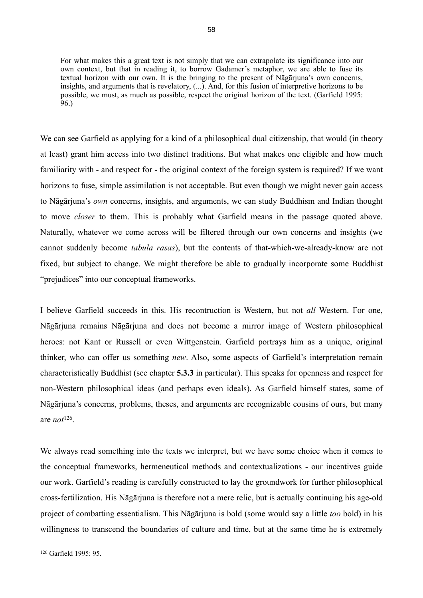For what makes this a great text is not simply that we can extrapolate its significance into our own context, but that in reading it, to borrow Gadamer's metaphor, we are able to fuse its textual horizon with our own. It is the bringing to the present of Nāgārjuna's own concerns, insights, and arguments that is revelatory, (...). And, for this fusion of interpretive horizons to be possible, we must, as much as possible, respect the original horizon of the text. (Garfield 1995: 96.)

We can see Garfield as applying for a kind of a philosophical dual citizenship, that would (in theory at least) grant him access into two distinct traditions. But what makes one eligible and how much familiarity with - and respect for - the original context of the foreign system is required? If we want horizons to fuse, simple assimilation is not acceptable. But even though we might never gain access to Nāgārjuna's *own* concerns, insights, and arguments, we can study Buddhism and Indian thought to move *closer* to them. This is probably what Garfield means in the passage quoted above. Naturally, whatever we come across will be filtered through our own concerns and insights (we cannot suddenly become *tabula rasas*), but the contents of that-which-we-already-know are not fixed, but subject to change. We might therefore be able to gradually incorporate some Buddhist "prejudices" into our conceptual frameworks.

I believe Garfield succeeds in this. His recontruction is Western, but not *all* Western. For one, Nāgārjuna remains Nāgārjuna and does not become a mirror image of Western philosophical heroes: not Kant or Russell or even Wittgenstein. Garfield portrays him as a unique, original thinker, who can offer us something *new*. Also, some aspects of Garfield's interpretation remain characteristically Buddhist (see chapter **5.3.3** in particular). This speaks for openness and respect for non-Western philosophical ideas (and perhaps even ideals). As Garfield himself states, some of Nāgārjuna's concerns, problems, theses, and arguments are recognizable cousins of ours, but many are *not*[126.](#page-61-0)

We always read something into the texts we interpret, but we have some choice when it comes to the conceptual frameworks, hermeneutical methods and contextualizations - our incentives guide our work. Garfield's reading is carefully constructed to lay the groundwork for further philosophical cross-fertilization. His Nāgārjuna is therefore not a mere relic, but is actually continuing his age-old project of combatting essentialism. This Nāgārjuna is bold (some would say a little *too* bold) in his willingness to transcend the boundaries of culture and time, but at the same time he is extremely

<span id="page-61-0"></span><sup>126</sup> Garfield 1995: 95.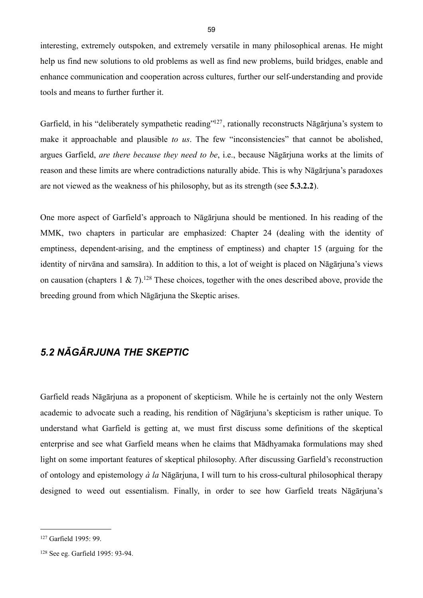interesting, extremely outspoken, and extremely versatile in many philosophical arenas. He might help us find new solutions to old problems as well as find new problems, build bridges, enable and enhance communication and cooperation across cultures, further our self-understanding and provide tools and means to further further it.

Garfield, in his "deliberately sympathetic reading"<sup>127</sup>, rationally reconstructs Nāgārjuna's system to make it approachable and plausible *to us*. The few "inconsistencies" that cannot be abolished, argues Garfield, *are there because they need to be*, i.e., because Nāgārjuna works at the limits of reason and these limits are where contradictions naturally abide. This is why Nāgārjuna's paradoxes are not viewed as the weakness of his philosophy, but as its strength (see **5.3.2.2**).

One more aspect of Garfield's approach to Nāgārjuna should be mentioned. In his reading of the MMK, two chapters in particular are emphasized: Chapter 24 (dealing with the identity of emptiness, dependent-arising, and the emptiness of emptiness) and chapter 15 (arguing for the identity of nirvāna and samsāra). In addition to this, a lot of weight is placed on Nāgārjuna's views on causation (chapters 1  $\&$  7).<sup>128</sup> These choices, together with the ones described above, provide the breeding ground from which Nāgārjuna the Skeptic arises.

## *5.2 NĀGĀRJUNA THE SKEPTIC*

Garfield reads Nāgārjuna as a proponent of skepticism. While he is certainly not the only Western academic to advocate such a reading, his rendition of Nāgārjuna's skepticism is rather unique. To understand what Garfield is getting at, we must first discuss some definitions of the skeptical enterprise and see what Garfield means when he claims that Mādhyamaka formulations may shed light on some important features of skeptical philosophy. After discussing Garfield's reconstruction of ontology and epistemology *à la* Nāgārjuna, I will turn to his cross-cultural philosophical therapy designed to weed out essentialism. Finally, in order to see how Garfield treats Nāgārjuna's

<span id="page-62-0"></span><sup>127</sup> Garfield 1995: 99.

<span id="page-62-1"></span><sup>128</sup> See eg. Garfield 1995: 93-94.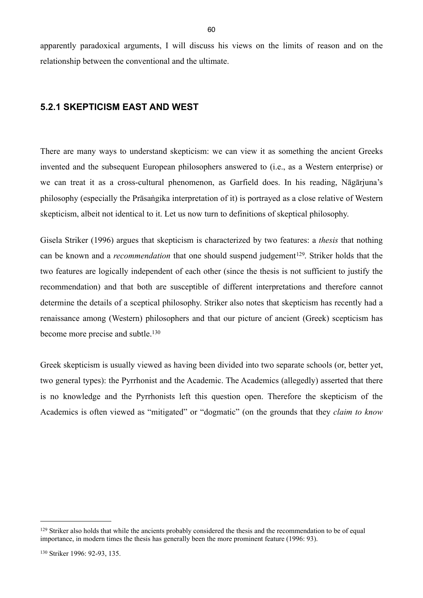apparently paradoxical arguments, I will discuss his views on the limits of reason and on the relationship between the conventional and the ultimate.

### **5.2.1 SKEPTICISM EAST AND WEST**

There are many ways to understand skepticism: we can view it as something the ancient Greeks invented and the subsequent European philosophers answered to (i.e., as a Western enterprise) or we can treat it as a cross-cultural phenomenon, as Garfield does. In his reading, Nāgārjuna's philosophy (especially the Prāsaṅgika interpretation of it) is portrayed as a close relative of Western skepticism, albeit not identical to it. Let us now turn to definitions of skeptical philosophy.

Gisela Striker (1996) argues that skepticism is characterized by two features: a *thesis* that nothing can be known and a *recommendation* that one should suspend judgement<sup>[129](#page-63-0)</sup>. Striker holds that the two features are logically independent of each other (since the thesis is not sufficient to justify the recommendation) and that both are susceptible of different interpretations and therefore cannot determine the details of a sceptical philosophy. Striker also notes that skepticism has recently had a renaissance among (Western) philosophers and that our picture of ancient (Greek) scepticism has become more precise and subtle.<sup>[130](#page-63-1)</sup>

Greek skepticism is usually viewed as having been divided into two separate schools (or, better yet, two general types): the Pyrrhonist and the Academic. The Academics (allegedly) asserted that there is no knowledge and the Pyrrhonists left this question open. Therefore the skepticism of the Academics is often viewed as "mitigated" or "dogmatic" (on the grounds that they *claim to know* 

<span id="page-63-1"></span><span id="page-63-0"></span><sup>&</sup>lt;sup>129</sup> Striker also holds that while the ancients probably considered the thesis and the recommendation to be of equal importance, in modern times the thesis has generally been the more prominent feature (1996: 93).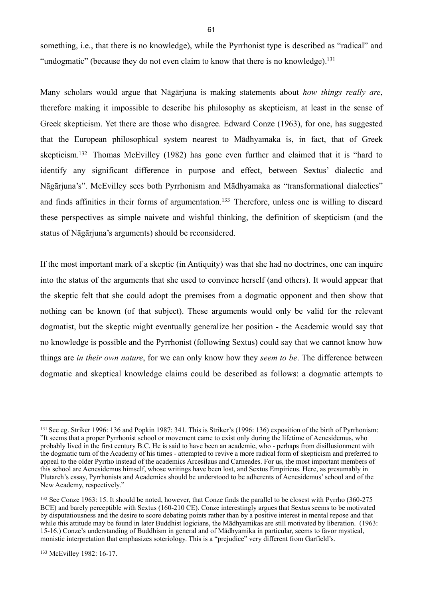something, i.e., that there is no knowledge), while the Pyrrhonist type is described as "radical" and "undogmatic" (because they do not even claim to know that there is no knowledge).<sup>[131](#page-64-0)</sup>

Many scholars would argue that Nāgārjuna is making statements about *how things really are*, therefore making it impossible to describe his philosophy as skepticism, at least in the sense of Greek skepticism. Yet there are those who disagree. Edward Conze (1963), for one, has suggested that the European philosophical system nearest to Mādhyamaka is, in fact, that of Greek skepticism[.132](#page-64-1) Thomas McEvilley (1982) has gone even further and claimed that it is "hard to identify any significant difference in purpose and effect, between Sextus' dialectic and Nāgārjuna's". McEvilley sees both Pyrrhonism and Mādhyamaka as "transformational dialectics" and finds affinities in their forms of argumentation.<sup>133</sup> Therefore, unless one is willing to discard these perspectives as simple naivete and wishful thinking, the definition of skepticism (and the status of Nāgārjuna's arguments) should be reconsidered.

If the most important mark of a skeptic (in Antiquity) was that she had no doctrines, one can inquire into the status of the arguments that she used to convince herself (and others). It would appear that the skeptic felt that she could adopt the premises from a dogmatic opponent and then show that nothing can be known (of that subject). These arguments would only be valid for the relevant dogmatist, but the skeptic might eventually generalize her position - the Academic would say that no knowledge is possible and the Pyrrhonist (following Sextus) could say that we cannot know how things are *in their own nature*, for we can only know how they *seem to be*. The difference between dogmatic and skeptical knowledge claims could be described as follows: a dogmatic attempts to

<span id="page-64-0"></span><sup>131</sup> See eg. Striker 1996: 136 and Popkin 1987: 341. This is Striker's (1996: 136) exposition of the birth of Pyrrhonism: "It seems that a proper Pyrrhonist school or movement came to exist only during the lifetime of Aenesidemus, who probably lived in the first century B.C. He is said to have been an academic, who - perhaps from disillusionment with the dogmatic turn of the Academy of his times - attempted to revive a more radical form of skepticism and preferred to appeal to the older Pyrrho instead of the academics Arcesilaus and Carneades. For us, the most important members of this school are Aenesidemus himself, whose writings have been lost, and Sextus Empiricus. Here, as presumably in Plutarch's essay, Pyrrhonists and Academics should be understood to be adherents of Aenesidemus' school and of the New Academy, respectively."

<span id="page-64-2"></span><span id="page-64-1"></span><sup>132</sup> See Conze 1963: 15. It should be noted, however, that Conze finds the parallel to be closest with Pyrrho (360-275 BCE) and barely perceptible with Sextus (160-210 CE). Conze interestingly argues that Sextus seems to be motivated by disputatiousness and the desire to score debating points rather than by a positive interest in mental repose and that while this attitude may be found in later Buddhist logicians, the Mādhyamikas are still motivated by liberation. (1963: 15-16.) Conze's understanding of Buddhism in general and of Mādhyamika in particular, seems to favor mystical, monistic interpretation that emphasizes soteriology. This is a "prejudice" very different from Garfield's.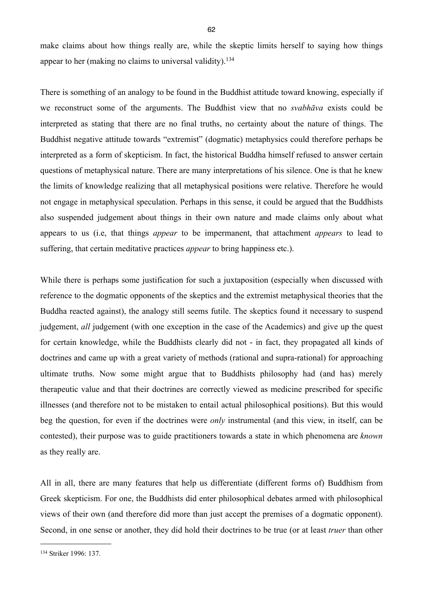make claims about how things really are, while the skeptic limits herself to saying how things appear to her (making no claims to universal validity).[134](#page-65-0)

There is something of an analogy to be found in the Buddhist attitude toward knowing, especially if we reconstruct some of the arguments. The Buddhist view that no *svabhāva* exists could be interpreted as stating that there are no final truths, no certainty about the nature of things. The Buddhist negative attitude towards "extremist" (dogmatic) metaphysics could therefore perhaps be interpreted as a form of skepticism. In fact, the historical Buddha himself refused to answer certain questions of metaphysical nature. There are many interpretations of his silence. One is that he knew the limits of knowledge realizing that all metaphysical positions were relative. Therefore he would not engage in metaphysical speculation. Perhaps in this sense, it could be argued that the Buddhists also suspended judgement about things in their own nature and made claims only about what appears to us (i.e, that things *appear* to be impermanent, that attachment *appears* to lead to suffering, that certain meditative practices *appear* to bring happiness etc.).

While there is perhaps some justification for such a juxtaposition (especially when discussed with reference to the dogmatic opponents of the skeptics and the extremist metaphysical theories that the Buddha reacted against), the analogy still seems futile. The skeptics found it necessary to suspend judgement, *all* judgement (with one exception in the case of the Academics) and give up the quest for certain knowledge, while the Buddhists clearly did not - in fact, they propagated all kinds of doctrines and came up with a great variety of methods (rational and supra-rational) for approaching ultimate truths. Now some might argue that to Buddhists philosophy had (and has) merely therapeutic value and that their doctrines are correctly viewed as medicine prescribed for specific illnesses (and therefore not to be mistaken to entail actual philosophical positions). But this would beg the question, for even if the doctrines were *only* instrumental (and this view, in itself, can be contested), their purpose was to guide practitioners towards a state in which phenomena are *known* as they really are.

All in all, there are many features that help us differentiate (different forms of) Buddhism from Greek skepticism. For one, the Buddhists did enter philosophical debates armed with philosophical views of their own (and therefore did more than just accept the premises of a dogmatic opponent). Second, in one sense or another, they did hold their doctrines to be true (or at least *truer* than other

<span id="page-65-0"></span><sup>134</sup> Striker 1996: 137.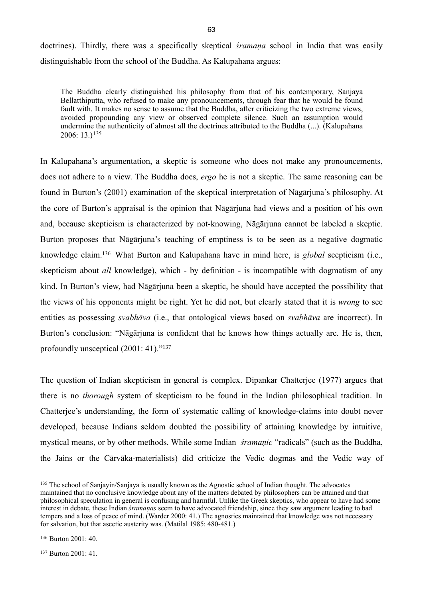doctrines). Thirdly, there was a specifically skeptical *śramaṇa* school in India that was easily distinguishable from the school of the Buddha. As Kalupahana argues:

The Buddha clearly distinguished his philosophy from that of his contemporary, Sanjaya Bellatthiputta, who refused to make any pronouncements, through fear that he would be found fault with. It makes no sense to assume that the Buddha, after criticizing the two extreme views, avoided propounding any view or observed complete silence. Such an assumption would undermine the authenticity of almost all the doctrines attributed to the Buddha (...). (Kalupahana 2006: 13.)[135](#page-66-0)

In Kalupahana's argumentation, a skeptic is someone who does not make any pronouncements, does not adhere to a view. The Buddha does, *ergo* he is not a skeptic. The same reasoning can be found in Burton's (2001) examination of the skeptical interpretation of Nāgārjuna's philosophy. At the core of Burton's appraisal is the opinion that Nāgārjuna had views and a position of his own and, because skepticism is characterized by not-knowing, Nāgārjuna cannot be labeled a skeptic. Burton proposes that Nāgārjuna's teaching of emptiness is to be seen as a negative dogmatic knowledge claim.[136](#page-66-1) What Burton and Kalupahana have in mind here, is *global* scepticism (i.e., skepticism about *all* knowledge), which - by definition - is incompatible with dogmatism of any kind. In Burton's view, had Nāgārjuna been a skeptic, he should have accepted the possibility that the views of his opponents might be right. Yet he did not, but clearly stated that it is *wrong* to see entities as possessing *svabhāva* (i.e., that ontological views based on *svabhāva* are incorrect). In Burton's conclusion: "Nāgārjuna is confident that he knows how things actually are. He is, then, profoundly unsceptical (2001: 41)."[137](#page-66-2)

The question of Indian skepticism in general is complex. Dipankar Chatterjee (1977) argues that there is no *thorough* system of skepticism to be found in the Indian philosophical tradition. In Chatterjee's understanding, the form of systematic calling of knowledge-claims into doubt never developed, because Indians seldom doubted the possibility of attaining knowledge by intuitive, mystical means, or by other methods. While some Indian *śramaṇic* "radicals" (such as the Buddha, the Jains or the Cārvāka-materialists) did criticize the Vedic dogmas and the Vedic way of

<span id="page-66-0"></span><sup>&</sup>lt;sup>135</sup> The school of Sanjayin/Sanjaya is usually known as the Agnostic school of Indian thought. The advocates maintained that no conclusive knowledge about any of the matters debated by philosophers can be attained and that philosophical speculation in general is confusing and harmful. Unlike the Greek skeptics, who appear to have had some interest in debate, these Indian *śramaṇas* seem to have advocated friendship, since they saw argument leading to bad tempers and a loss of peace of mind. (Warder 2000: 41.) The agnostics maintained that knowledge was not necessary for salvation, but that ascetic austerity was. (Matilal 1985: 480-481.)

<span id="page-66-2"></span><span id="page-66-1"></span><sup>137</sup> Burton 2001: 41.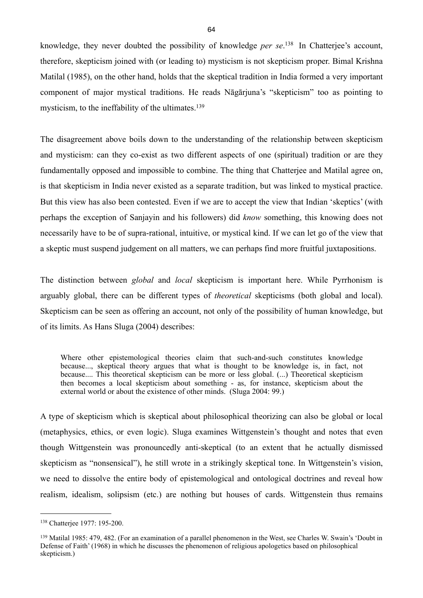knowledge, they never doubted the possibility of knowledge *per se*. [138](#page-67-0) In Chatterjee's account, therefore, skepticism joined with (or leading to) mysticism is not skepticism proper. Bimal Krishna Matilal (1985), on the other hand, holds that the skeptical tradition in India formed a very important component of major mystical traditions. He reads Nāgārjuna's "skepticism" too as pointing to mysticism, to the ineffability of the ultimates.<sup>[139](#page-67-1)</sup>

The disagreement above boils down to the understanding of the relationship between skepticism and mysticism: can they co-exist as two different aspects of one (spiritual) tradition or are they fundamentally opposed and impossible to combine. The thing that Chatterjee and Matilal agree on, is that skepticism in India never existed as a separate tradition, but was linked to mystical practice. But this view has also been contested. Even if we are to accept the view that Indian 'skeptics' (with perhaps the exception of Sanjayin and his followers) did *know* something, this knowing does not necessarily have to be of supra-rational, intuitive, or mystical kind. If we can let go of the view that a skeptic must suspend judgement on all matters, we can perhaps find more fruitful juxtapositions.

The distinction between *global* and *local* skepticism is important here. While Pyrrhonism is arguably global, there can be different types of *theoretical* skepticisms (both global and local). Skepticism can be seen as offering an account, not only of the possibility of human knowledge, but of its limits. As Hans Sluga (2004) describes:

Where other epistemological theories claim that such-and-such constitutes knowledge because..., skeptical theory argues that what is thought to be knowledge is, in fact, not because.... This theoretical skepticism can be more or less global. (...) Theoretical skepticism then becomes a local skepticism about something - as, for instance, skepticism about the external world or about the existence of other minds. (Sluga 2004: 99.)

A type of skepticism which is skeptical about philosophical theorizing can also be global or local (metaphysics, ethics, or even logic). Sluga examines Wittgenstein's thought and notes that even though Wittgenstein was pronouncedly anti-skeptical (to an extent that he actually dismissed skepticism as "nonsensical"), he still wrote in a strikingly skeptical tone. In Wittgenstein's vision, we need to dissolve the entire body of epistemological and ontological doctrines and reveal how realism, idealism, solipsism (etc.) are nothing but houses of cards. Wittgenstein thus remains

<span id="page-67-0"></span><sup>138</sup> Chatterjee 1977: 195-200.

<span id="page-67-1"></span><sup>139</sup> Matilal 1985: 479, 482. (For an examination of a parallel phenomenon in the West, see Charles W. Swain's 'Doubt in Defense of Faith' (1968) in which he discusses the phenomenon of religious apologetics based on philosophical skepticism.)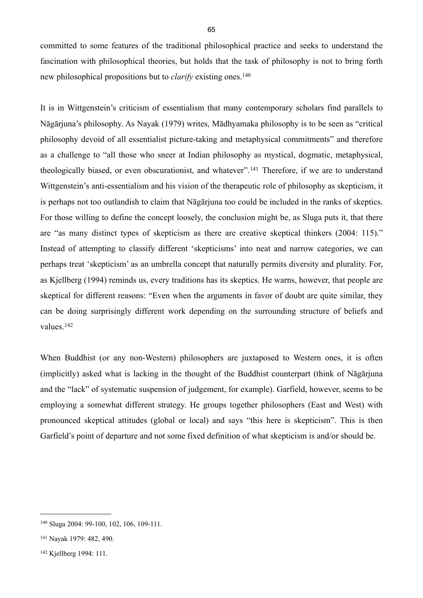committed to some features of the traditional philosophical practice and seeks to understand the fascination with philosophical theories, but holds that the task of philosophy is not to bring forth new philosophical propositions but to *clarify* existing ones.<sup>[140](#page-68-0)</sup>

It is in Wittgenstein's criticism of essentialism that many contemporary scholars find parallels to Nāgārjuna's philosophy. As Nayak (1979) writes, Mādhyamaka philosophy is to be seen as "critical philosophy devoid of all essentialist picture-taking and metaphysical commitments" and therefore as a challenge to "all those who sneer at Indian philosophy as mystical, dogmatic, metaphysical, theologically biased, or even obscurationist, and whatever".[141](#page-68-1) Therefore, if we are to understand Wittgenstein's anti-essentialism and his vision of the therapeutic role of philosophy as skepticism, it is perhaps not too outlandish to claim that Nāgārjuna too could be included in the ranks of skeptics. For those willing to define the concept loosely, the conclusion might be, as Sluga puts it, that there are "as many distinct types of skepticism as there are creative skeptical thinkers (2004: 115)." Instead of attempting to classify different 'skepticisms' into neat and narrow categories, we can perhaps treat 'skepticism' as an umbrella concept that naturally permits diversity and plurality. For, as Kjellberg (1994) reminds us, every traditions has its skeptics. He warns, however, that people are skeptical for different reasons: "Even when the arguments in favor of doubt are quite similar, they can be doing surprisingly different work depending on the surrounding structure of beliefs and values.[142](#page-68-2)

When Buddhist (or any non-Western) philosophers are juxtaposed to Western ones, it is often (implicitly) asked what is lacking in the thought of the Buddhist counterpart (think of Nāgārjuna and the "lack" of systematic suspension of judgement, for example). Garfield, however, seems to be employing a somewhat different strategy. He groups together philosophers (East and West) with pronounced skeptical attitudes (global or local) and says "this here is skepticism". This is then Garfield's point of departure and not some fixed definition of what skepticism is and/or should be.

<span id="page-68-0"></span><sup>140</sup> Sluga 2004: 99-100, 102, 106, 109-111.

<span id="page-68-1"></span><sup>141</sup> Nayak 1979: 482, 490.

<span id="page-68-2"></span><sup>142</sup> Kjellberg 1994: 111.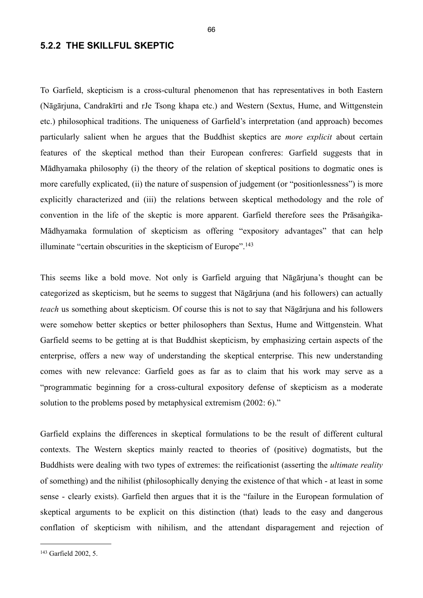### **5.2.2 THE SKILLFUL SKEPTIC**

To Garfield, skepticism is a cross-cultural phenomenon that has representatives in both Eastern (Nāgārjuna, Candrakīrti and rJe Tsong khapa etc.) and Western (Sextus, Hume, and Wittgenstein etc.) philosophical traditions. The uniqueness of Garfield's interpretation (and approach) becomes particularly salient when he argues that the Buddhist skeptics are *more explicit* about certain features of the skeptical method than their European confreres: Garfield suggests that in Mādhyamaka philosophy (i) the theory of the relation of skeptical positions to dogmatic ones is more carefully explicated, (ii) the nature of suspension of judgement (or "positionlessness") is more explicitly characterized and (iii) the relations between skeptical methodology and the role of convention in the life of the skeptic is more apparent. Garfield therefore sees the Prāsaṅgika-Mādhyamaka formulation of skepticism as offering "expository advantages" that can help illuminate "certain obscurities in the skepticism of Europe".<sup>[143](#page-69-0)</sup>

This seems like a bold move. Not only is Garfield arguing that Nāgārjuna's thought can be categorized as skepticism, but he seems to suggest that Nāgārjuna (and his followers) can actually *teach* us something about skepticism. Of course this is not to say that Nāgārjuna and his followers were somehow better skeptics or better philosophers than Sextus, Hume and Wittgenstein. What Garfield seems to be getting at is that Buddhist skepticism, by emphasizing certain aspects of the enterprise, offers a new way of understanding the skeptical enterprise. This new understanding comes with new relevance: Garfield goes as far as to claim that his work may serve as a "programmatic beginning for a cross-cultural expository defense of skepticism as a moderate solution to the problems posed by metaphysical extremism (2002: 6)."

Garfield explains the differences in skeptical formulations to be the result of different cultural contexts. The Western skeptics mainly reacted to theories of (positive) dogmatists, but the Buddhists were dealing with two types of extremes: the reificationist (asserting the *ultimate reality* of something) and the nihilist (philosophically denying the existence of that which - at least in some sense - clearly exists). Garfield then argues that it is the "failure in the European formulation of skeptical arguments to be explicit on this distinction (that) leads to the easy and dangerous conflation of skepticism with nihilism, and the attendant disparagement and rejection of

<span id="page-69-0"></span><sup>143</sup> Garfield 2002, 5.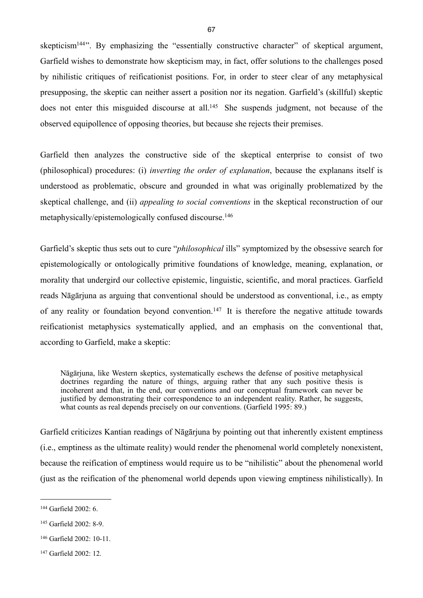skepticism<sup>144"</sup>. By emphasizing the "essentially constructive character" of skeptical argument, Garfield wishes to demonstrate how skepticism may, in fact, offer solutions to the challenges posed by nihilistic critiques of reificationist positions. For, in order to steer clear of any metaphysical presupposing, the skeptic can neither assert a position nor its negation. Garfield's (skillful) skeptic does not enter this misguided discourse at all.<sup>145</sup> She suspends judgment, not because of the observed equipollence of opposing theories, but because she rejects their premises.

Garfield then analyzes the constructive side of the skeptical enterprise to consist of two (philosophical) procedures: (i) *inverting the order of explanation*, because the explanans itself is understood as problematic, obscure and grounded in what was originally problematized by the skeptical challenge, and (ii) *appealing to social conventions* in the skeptical reconstruction of our metaphysically/epistemologically confused discourse.[146](#page-70-2)

Garfield's skeptic thus sets out to cure "*philosophical* ills" symptomized by the obsessive search for epistemologically or ontologically primitive foundations of knowledge, meaning, explanation, or morality that undergird our collective epistemic, linguistic, scientific, and moral practices. Garfield reads Nāgārjuna as arguing that conventional should be understood as conventional, i.e., as empty of any reality or foundation beyond convention.[147](#page-70-3) It is therefore the negative attitude towards reificationist metaphysics systematically applied, and an emphasis on the conventional that, according to Garfield, make a skeptic:

Nāgārjuna, like Western skeptics, systematically eschews the defense of positive metaphysical doctrines regarding the nature of things, arguing rather that any such positive thesis is incoherent and that, in the end, our conventions and our conceptual framework can never be justified by demonstrating their correspondence to an independent reality. Rather, he suggests, what counts as real depends precisely on our conventions. (Garfield 1995: 89.)

Garfield criticizes Kantian readings of Nāgārjuna by pointing out that inherently existent emptiness (i.e., emptiness as the ultimate reality) would render the phenomenal world completely nonexistent, because the reification of emptiness would require us to be "nihilistic" about the phenomenal world (just as the reification of the phenomenal world depends upon viewing emptiness nihilistically). In

<span id="page-70-0"></span><sup>144</sup> Garfield 2002: 6.

<span id="page-70-1"></span><sup>145</sup> Garfield 2002: 8-9.

<span id="page-70-2"></span> $146$  Garfield  $2002 \cdot 10 - 11$ .

<span id="page-70-3"></span><sup>147</sup> Garfield 2002: 12.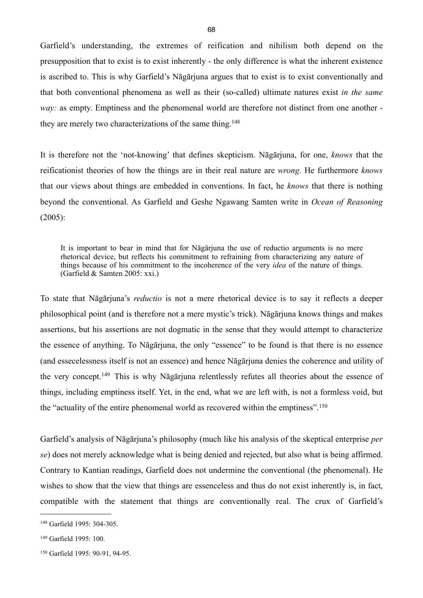Garfield's understanding, the extremes of reification and nihilism both depend on the presupposition that to exist is to exist inherently - the only difference is what the inherent existence is ascribed to. This is why Garfield's Nāgārjuna argues that to exist is to exist conventionally and that both conventional phenomena as well as their (so-called) ultimate natures exist *in the same way:* as empty. Emptiness and the phenomenal world are therefore not distinct from one another they are merely two characterizations of the same thing.<sup>148</sup>

It is therefore not the 'not-knowing' that defines skepticism. Nāgārjuna, for one, *knows* that the reificationist theories of how the things are in their real nature are *wrong*. He furthermore *knows* that our views about things are embedded in conventions. In fact, he *knows* that there is nothing beyond the conventional. As Garfield and Geshe Ngawang Samten write in *Ocean of Reasoning* (2005):

It is important to bear in mind that for Nāgārjuna the use of reductio arguments is no mere rhetorical device, but reflects his commitment to refraining from characterizing any nature of things because of his commitment to the incoherence of the very *idea* of the nature of things. (Garfield & Samten 2005: xxi.)

To state that Nāgārjuna's *reductio* is not a mere rhetorical device is to say it reflects a deeper philosophical point (and is therefore not a mere mystic's trick). Nāgārjuna knows things and makes assertions, but his assertions are not dogmatic in the sense that they would attempt to characterize the essence of anything. To Nāgārjuna, the only "essence" to be found is that there is no essence (and essecelessness itself is not an essence) and hence Nāgārjuna denies the coherence and utility of the very concept.[149](#page-71-1) This is why Nāgārjuna relentlessly refutes all theories about the essence of things, including emptiness itself. Yet, in the end, what we are left with, is not a formless void, but the "actuality of the entire phenomenal world as recovered within the emptiness".[150](#page-71-2)

Garfield's analysis of Nāgārjuna's philosophy (much like his analysis of the skeptical enterprise *per se*) does not merely acknowledge what is being denied and rejected, but also what is being affirmed. Contrary to Kantian readings, Garfield does not undermine the conventional (the phenomenal). He wishes to show that the view that things are essenceless and thus do not exist inherently is, in fact, compatible with the statement that things are conventionally real. The crux of Garfield's

<span id="page-71-0"></span><sup>148</sup> Garfield 1995: 304-305.

<span id="page-71-1"></span><sup>149</sup> Garfield 1995: 100.

<span id="page-71-2"></span><sup>150</sup> Garfield 1995: 90-91, 94-95.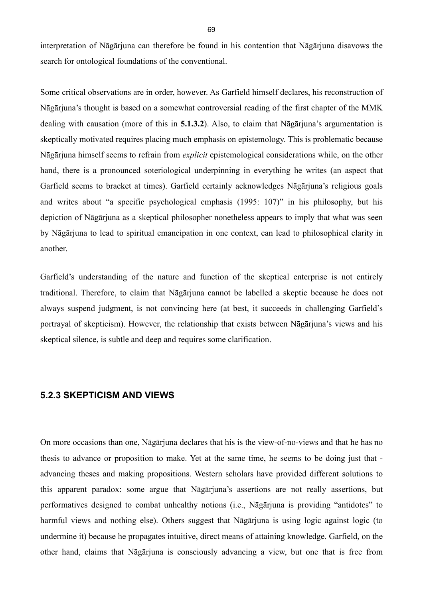interpretation of Nāgārjuna can therefore be found in his contention that Nāgārjuna disavows the search for ontological foundations of the conventional.

Some critical observations are in order, however. As Garfield himself declares, his reconstruction of Nāgārjuna's thought is based on a somewhat controversial reading of the first chapter of the MMK dealing with causation (more of this in **5.1.3.2**). Also, to claim that Nāgārjuna's argumentation is skeptically motivated requires placing much emphasis on epistemology. This is problematic because Nāgārjuna himself seems to refrain from *explicit* epistemological considerations while, on the other hand, there is a pronounced soteriological underpinning in everything he writes (an aspect that Garfield seems to bracket at times). Garfield certainly acknowledges Nāgārjuna's religious goals and writes about "a specific psychological emphasis (1995: 107)" in his philosophy, but his depiction of Nāgārjuna as a skeptical philosopher nonetheless appears to imply that what was seen by Nāgārjuna to lead to spiritual emancipation in one context, can lead to philosophical clarity in another.

Garfield's understanding of the nature and function of the skeptical enterprise is not entirely traditional. Therefore, to claim that Nāgārjuna cannot be labelled a skeptic because he does not always suspend judgment, is not convincing here (at best, it succeeds in challenging Garfield's portrayal of skepticism). However, the relationship that exists between Nāgārjuna's views and his skeptical silence, is subtle and deep and requires some clarification.

#### **5.2.3 SKEPTICISM AND VIEWS**

On more occasions than one, Nāgārjuna declares that his is the view-of-no-views and that he has no thesis to advance or proposition to make. Yet at the same time, he seems to be doing just that advancing theses and making propositions. Western scholars have provided different solutions to this apparent paradox: some argue that Nāgārjuna's assertions are not really assertions, but performatives designed to combat unhealthy notions (i.e., Nāgārjuna is providing "antidotes" to harmful views and nothing else). Others suggest that Nāgārjuna is using logic against logic (to undermine it) because he propagates intuitive, direct means of attaining knowledge. Garfield, on the other hand, claims that Nāgārjuna is consciously advancing a view, but one that is free from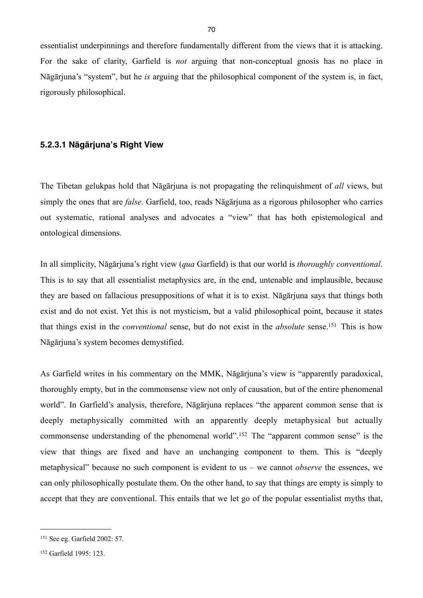essentialist underpinnings and therefore fundamentally different from the views that it is attacking. For the sake of clarity, Garfield is *not* arguing that non-conceptual gnosis has no place in Nāgārjuna's "system", but he *is* arguing that the philosophical component of the system is, in fact, rigorously philosophical.

#### **5.2.3.1 Nāgārjuna's Right View**

The Tibetan gelukpas hold that Nāgārjuna is not propagating the relinquishment of *all* views, but simply the ones that are *false*. Garfield, too, reads Nāgārjuna as a rigorous philosopher who carries out systematic, rational analyses and advocates a "view" that has both epistemological and ontological dimensions.

In all simplicity, Nāgārjuna's right view (*qua* Garfield) is that our world is *thoroughly conventional*. This is to say that all essentialist metaphysics are, in the end, untenable and implausible, because they are based on fallacious presuppositions of what it is to exist. Nāgārjuna says that things both exist and do not exist. Yet this is not mysticism, but a valid philosophical point, because it states that things exist in the *conventional* sense, but do not exist in the *absolute* sense.[151](#page-73-0) This is how Nāgārjuna's system becomes demystified.

As Garfield writes in his commentary on the MMK, Nāgārjuna's view is "apparently paradoxical, thoroughly empty, but in the commonsense view not only of causation, but of the entire phenomenal world". In Garfield's analysis, therefore, Nāgārjuna replaces "the apparent common sense that is deeply metaphysically committed with an apparently deeply metaphysical but actually commonsense understanding of the phenomenal world".[152](#page-73-1) The "apparent common sense" is the view that things are fixed and have an unchanging component to them. This is "deeply metaphysical" because no such component is evident to us – we cannot *observe* the essences, we can only philosophically postulate them. On the other hand, to say that things are empty is simply to accept that they are conventional. This entails that we let go of the popular essentialist myths that,

<span id="page-73-0"></span><sup>151</sup> See eg. Garfield 2002: 57.

<span id="page-73-1"></span><sup>152</sup> Garfield 1995: 123.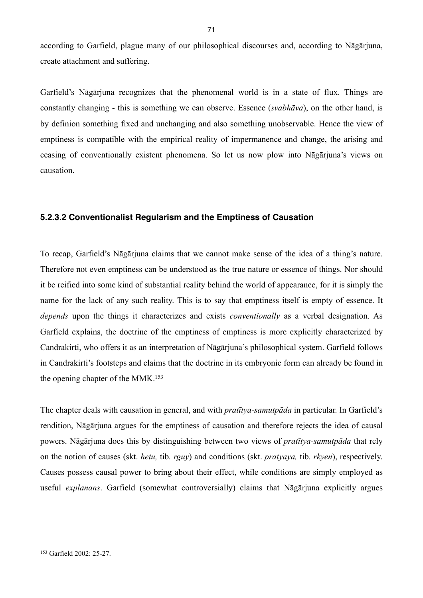according to Garfield, plague many of our philosophical discourses and, according to Nāgārjuna, create attachment and suffering.

Garfield's Nāgārjuna recognizes that the phenomenal world is in a state of flux. Things are constantly changing - this is something we can observe. Essence (*svabhāva*), on the other hand, is by definion something fixed and unchanging and also something unobservable. Hence the view of emptiness is compatible with the empirical reality of impermanence and change, the arising and ceasing of conventionally existent phenomena. So let us now plow into Nāgārjuna's views on causation.

#### **5.2.3.2 Conventionalist Regularism and the Emptiness of Causation**

To recap, Garfield's Nāgārjuna claims that we cannot make sense of the idea of a thing's nature. Therefore not even emptiness can be understood as the true nature or essence of things. Nor should it be reified into some kind of substantial reality behind the world of appearance, for it is simply the name for the lack of any such reality. This is to say that emptiness itself is empty of essence. It *depends* upon the things it characterizes and exists *conventionally* as a verbal designation. As Garfield explains, the doctrine of the emptiness of emptiness is more explicitly characterized by Candrakirti, who offers it as an interpretation of Nāgārjuna's philosophical system. Garfield follows in Candrakirti's footsteps and claims that the doctrine in its embryonic form can already be found in the opening chapter of the MMK.<sup>[153](#page-74-0)</sup>

The chapter deals with causation in general, and with *pratītya-samutpāda* in particular. In Garfield's rendition, Nāgārjuna argues for the emptiness of causation and therefore rejects the idea of causal powers. Nāgārjuna does this by distinguishing between two views of *pratītya-samutpāda* that rely on the notion of causes (skt. *hetu,* tib*. rguy*) and conditions (skt. *pratyaya,* tib*. rkyen*), respectively. Causes possess causal power to bring about their effect, while conditions are simply employed as useful *explanans*. Garfield (somewhat controversially) claims that Nāgārjuna explicitly argues

<span id="page-74-0"></span><sup>153</sup> Garfield 2002: 25-27.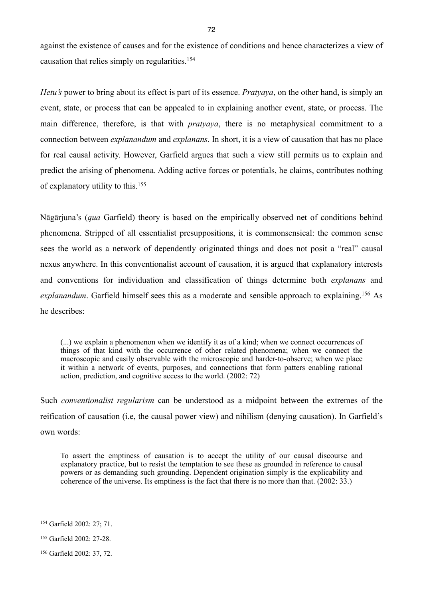against the existence of causes and for the existence of conditions and hence characterizes a view of causation that relies simply on regularities.[154](#page-75-0)

*Hetu's* power to bring about its effect is part of its essence. *Pratyaya*, on the other hand, is simply an event, state, or process that can be appealed to in explaining another event, state, or process. The main difference, therefore, is that with *pratyaya*, there is no metaphysical commitment to a connection between *explanandum* and *explanans*. In short, it is a view of causation that has no place for real causal activity. However, Garfield argues that such a view still permits us to explain and predict the arising of phenomena. Adding active forces or potentials, he claims, contributes nothing of explanatory utility to this.[155](#page-75-1)

Nāgārjuna's (*qua* Garfield) theory is based on the empirically observed net of conditions behind phenomena. Stripped of all essentialist presuppositions, it is commonsensical: the common sense sees the world as a network of dependently originated things and does not posit a "real" causal nexus anywhere. In this conventionalist account of causation, it is argued that explanatory interests and conventions for individuation and classification of things determine both *explanans* and *explanandum*. Garfield himself sees this as a moderate and sensible approach to explaining.[156](#page-75-2) As he describes:

(...) we explain a phenomenon when we identify it as of a kind; when we connect occurrences of things of that kind with the occurrence of other related phenomena; when we connect the macroscopic and easily observable with the microscopic and harder-to-observe; when we place it within a network of events, purposes, and connections that form patters enabling rational action, prediction, and cognitive access to the world. (2002: 72)

Such *conventionalist regularism* can be understood as a midpoint between the extremes of the reification of causation (i.e, the causal power view) and nihilism (denying causation). In Garfield's own words:

To assert the emptiness of causation is to accept the utility of our causal discourse and explanatory practice, but to resist the temptation to see these as grounded in reference to causal powers or as demanding such grounding. Dependent origination simply is the explicability and coherence of the universe. Its emptiness is the fact that there is no more than that. (2002: 33.)

<span id="page-75-0"></span><sup>154</sup> Garfield 2002: 27; 71.

<span id="page-75-1"></span><sup>155</sup> Garfield 2002: 27-28.

<span id="page-75-2"></span><sup>156</sup> Garfield 2002: 37, 72.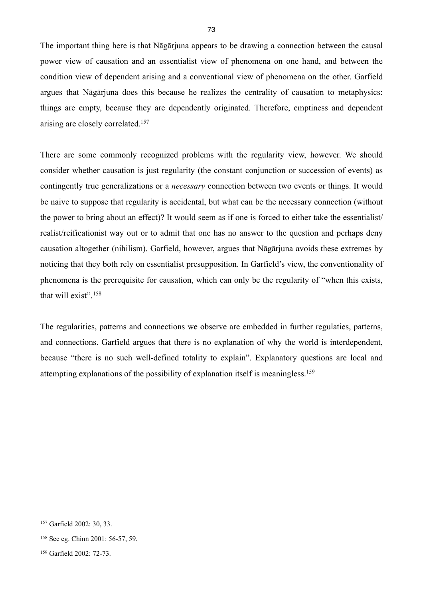The important thing here is that Nāgārjuna appears to be drawing a connection between the causal power view of causation and an essentialist view of phenomena on one hand, and between the condition view of dependent arising and a conventional view of phenomena on the other. Garfield argues that Nāgārjuna does this because he realizes the centrality of causation to metaphysics: things are empty, because they are dependently originated. Therefore, emptiness and dependent arising are closely correlated.[157](#page-76-0)

There are some commonly recognized problems with the regularity view, however. We should consider whether causation is just regularity (the constant conjunction or succession of events) as contingently true generalizations or a *necessary* connection between two events or things. It would be naive to suppose that regularity is accidental, but what can be the necessary connection (without the power to bring about an effect)? It would seem as if one is forced to either take the essentialist/ realist/reificationist way out or to admit that one has no answer to the question and perhaps deny causation altogether (nihilism). Garfield, however, argues that Nāgārjuna avoids these extremes by noticing that they both rely on essentialist presupposition. In Garfield's view, the conventionality of phenomena is the prerequisite for causation, which can only be the regularity of "when this exists, that will exist".[158](#page-76-1)

The regularities, patterns and connections we observe are embedded in further regulaties, patterns, and connections. Garfield argues that there is no explanation of why the world is interdependent, because "there is no such well-defined totality to explain". Explanatory questions are local and attempting explanations of the possibility of explanation itself is meaningless.[159](#page-76-2)

<span id="page-76-0"></span><sup>157</sup> Garfield 2002: 30, 33.

<span id="page-76-1"></span><sup>158</sup> See eg. Chinn 2001: 56-57, 59.

<span id="page-76-2"></span><sup>159</sup> Garfield 2002: 72-73.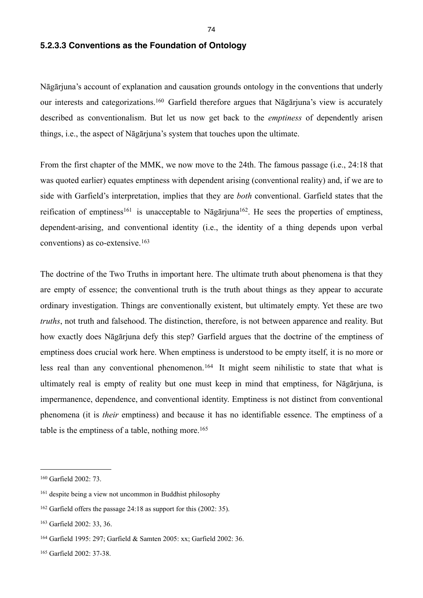#### **5.2.3.3 Conventions as the Foundation of Ontology**

Nāgārjuna's account of explanation and causation grounds ontology in the conventions that underly our interests and categorizations.[160](#page-77-0) Garfield therefore argues that Nāgārjuna's view is accurately described as conventionalism. But let us now get back to the *emptiness* of dependently arisen things, i.e., the aspect of Nāgārjuna's system that touches upon the ultimate.

From the first chapter of the MMK, we now move to the 24th. The famous passage (i.e., 24:18 that was quoted earlier) equates emptiness with dependent arising (conventional reality) and, if we are to side with Garfield's interpretation, implies that they are *both* conventional. Garfield states that the reification of emptiness<sup>161</sup> is unacceptable to Nāgārjuna<sup>162</sup>. He sees the properties of emptiness, dependent-arising, and conventional identity (i.e., the identity of a thing depends upon verbal conventions) as co-extensive.[163](#page-77-3)

The doctrine of the Two Truths in important here. The ultimate truth about phenomena is that they are empty of essence; the conventional truth is the truth about things as they appear to accurate ordinary investigation. Things are conventionally existent, but ultimately empty. Yet these are two *truths*, not truth and falsehood. The distinction, therefore, is not between apparence and reality. But how exactly does Nāgārjuna defy this step? Garfield argues that the doctrine of the emptiness of emptiness does crucial work here. When emptiness is understood to be empty itself, it is no more or less real than any conventional phenomenon.[164](#page-77-4) It might seem nihilistic to state that what is ultimately real is empty of reality but one must keep in mind that emptiness, for Nāgārjuna, is impermanence, dependence, and conventional identity. Emptiness is not distinct from conventional phenomena (it is *their* emptiness) and because it has no identifiable essence. The emptiness of a table is the emptiness of a table, nothing more.<sup>[165](#page-77-5)</sup>

<span id="page-77-0"></span><sup>160</sup> Garfield 2002: 73.

<span id="page-77-1"></span><sup>161</sup> despite being a view not uncommon in Buddhist philosophy

<span id="page-77-2"></span><sup>162</sup> Garfield offers the passage 24:18 as support for this (2002: 35).

<span id="page-77-3"></span><sup>163</sup> Garfield 2002: 33, 36.

<span id="page-77-4"></span><sup>164</sup> Garfield 1995: 297; Garfield & Samten 2005: xx; Garfield 2002: 36.

<span id="page-77-5"></span><sup>165</sup> Garfield 2002: 37-38.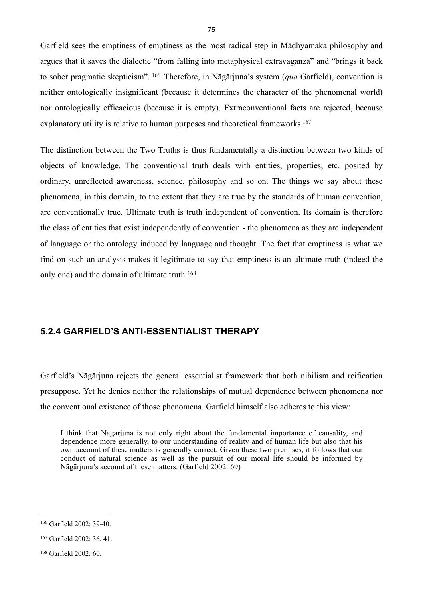Garfield sees the emptiness of emptiness as the most radical step in Mādhyamaka philosophy and argues that it saves the dialectic "from falling into metaphysical extravaganza" and "brings it back to sober pragmatic skepticism". [166](#page-78-0) Therefore, in Nāgārjuna's system (*qua* Garfield), convention is neither ontologically insignificant (because it determines the character of the phenomenal world) nor ontologically efficacious (because it is empty). Extraconventional facts are rejected, because explanatory utility is relative to human purposes and theoretical frameworks.<sup>[167](#page-78-1)</sup>

The distinction between the Two Truths is thus fundamentally a distinction between two kinds of objects of knowledge. The conventional truth deals with entities, properties, etc. posited by ordinary, unreflected awareness, science, philosophy and so on. The things we say about these phenomena, in this domain, to the extent that they are true by the standards of human convention, are conventionally true. Ultimate truth is truth independent of convention. Its domain is therefore the class of entities that exist independently of convention - the phenomena as they are independent of language or the ontology induced by language and thought. The fact that emptiness is what we find on such an analysis makes it legitimate to say that emptiness is an ultimate truth (indeed the only one) and the domain of ultimate truth.[168](#page-78-2)

## **5.2.4 GARFIELD'S ANTI-ESSENTIALIST THERAPY**

Garfield's Nāgārjuna rejects the general essentialist framework that both nihilism and reification presuppose. Yet he denies neither the relationships of mutual dependence between phenomena nor the conventional existence of those phenomena. Garfield himself also adheres to this view:

I think that Nāgārjuna is not only right about the fundamental importance of causality, and dependence more generally, to our understanding of reality and of human life but also that his own account of these matters is generally correct. Given these two premises, it follows that our conduct of natural science as well as the pursuit of our moral life should be informed by Nāgārjuna's account of these matters. (Garfield 2002: 69)

<span id="page-78-0"></span><sup>166</sup> Garfield 2002: 39-40.

<span id="page-78-1"></span><sup>167</sup> Garfield 2002: 36, 41.

<span id="page-78-2"></span><sup>168</sup> Garfield 2002: 60.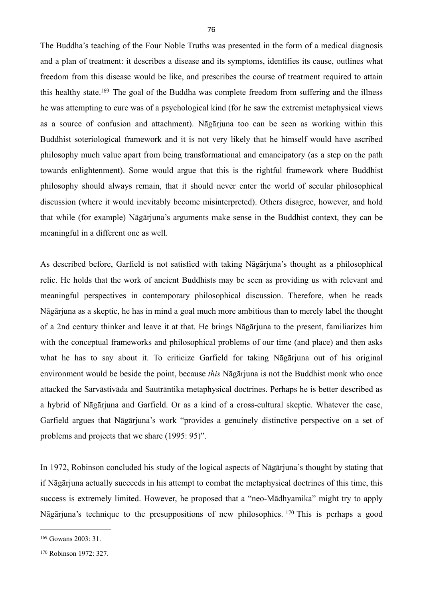The Buddha's teaching of the Four Noble Truths was presented in the form of a medical diagnosis and a plan of treatment: it describes a disease and its symptoms, identifies its cause, outlines what freedom from this disease would be like, and prescribes the course of treatment required to attain this healthy state[.169](#page-79-0) The goal of the Buddha was complete freedom from suffering and the illness he was attempting to cure was of a psychological kind (for he saw the extremist metaphysical views as a source of confusion and attachment). Nāgārjuna too can be seen as working within this Buddhist soteriological framework and it is not very likely that he himself would have ascribed philosophy much value apart from being transformational and emancipatory (as a step on the path towards enlightenment). Some would argue that this is the rightful framework where Buddhist philosophy should always remain, that it should never enter the world of secular philosophical discussion (where it would inevitably become misinterpreted). Others disagree, however, and hold that while (for example) Nāgārjuna's arguments make sense in the Buddhist context, they can be meaningful in a different one as well.

As described before, Garfield is not satisfied with taking Nāgārjuna's thought as a philosophical relic. He holds that the work of ancient Buddhists may be seen as providing us with relevant and meaningful perspectives in contemporary philosophical discussion. Therefore, when he reads Nāgārjuna as a skeptic, he has in mind a goal much more ambitious than to merely label the thought of a 2nd century thinker and leave it at that. He brings Nāgārjuna to the present, familiarizes him with the conceptual frameworks and philosophical problems of our time (and place) and then asks what he has to say about it. To criticize Garfield for taking Nāgārjuna out of his original environment would be beside the point, because *this* Nāgārjuna is not the Buddhist monk who once attacked the Sarvāstivāda and Sautrāntika metaphysical doctrines. Perhaps he is better described as a hybrid of Nāgārjuna and Garfield. Or as a kind of a cross-cultural skeptic. Whatever the case, Garfield argues that Nāgārjuna's work "provides a genuinely distinctive perspective on a set of problems and projects that we share (1995: 95)".

In 1972, Robinson concluded his study of the logical aspects of Nāgārjuna's thought by stating that if Nāgārjuna actually succeeds in his attempt to combat the metaphysical doctrines of this time, this success is extremely limited. However, he proposed that a "neo-Mādhyamika" might try to apply Nāgārjuna's technique to the presuppositions of new philosophies. [170](#page-79-1) This is perhaps a good

<span id="page-79-0"></span><sup>169</sup> Gowans 2003: 31.

<span id="page-79-1"></span><sup>170</sup> Robinson 1972: 327.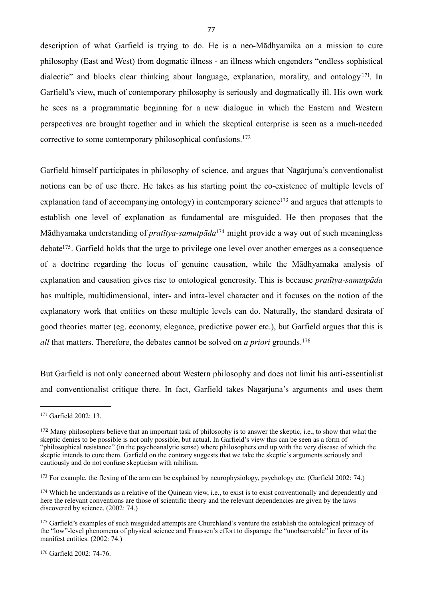description of what Garfield is trying to do. He is a neo-Mādhyamika on a mission to cure philosophy (East and West) from dogmatic illness - an illness which engenders "endless sophistical dialectic" and blocks clear thinking about language, explanation, morality, and ontology<sup>171</sup>. In Garfield's view, much of contemporary philosophy is seriously and dogmatically ill. His own work he sees as a programmatic beginning for a new dialogue in which the Eastern and Western perspectives are brought together and in which the skeptical enterprise is seen as a much-needed corrective to some contemporary philosophical confusions.[172](#page-80-1)

Garfield himself participates in philosophy of science, and argues that Nāgārjuna's conventionalist notions can be of use there. He takes as his starting point the co-existence of multiple levels of explanation (and of accompanying ontology) in contemporary science<sup>173</sup> and argues that attempts to establish one level of explanation as fundamental are misguided. He then proposes that the Mādhyamaka understanding of *pratītya-samutpāda*[174](#page-80-3) might provide a way out of such meaningless debat[e175](#page-80-4). Garfield holds that the urge to privilege one level over another emerges as a consequence of a doctrine regarding the locus of genuine causation, while the Mādhyamaka analysis of explanation and causation gives rise to ontological generosity. This is because *pratītya-samutpāda*  has multiple, multidimensional, inter- and intra-level character and it focuses on the notion of the explanatory work that entities on these multiple levels can do. Naturally, the standard desirata of good theories matter (eg. economy, elegance, predictive power etc.), but Garfield argues that this is *all* that matters. Therefore, the debates cannot be solved on *a priori* grounds.[176](#page-80-5)

But Garfield is not only concerned about Western philosophy and does not limit his anti-essentialist and conventionalist critique there. In fact, Garfield takes Nāgārjuna's arguments and uses them

<span id="page-80-5"></span>176 Garfield 2002: 74-76.

<span id="page-80-0"></span><sup>171</sup> Garfield 2002: 13.

<span id="page-80-1"></span><sup>172</sup> Many philosophers believe that an important task of philosophy is to answer the skeptic, i.e., to show that what the skeptic denies to be possible is not only possible, but actual. In Garfield's view this can be seen as a form of "philosophical resistance" (in the psychoanalytic sense) where philosophers end up with the very disease of which the skeptic intends to cure them. Garfield on the contrary suggests that we take the skeptic's arguments seriously and cautiously and do not confuse skepticism with nihilism.

<span id="page-80-2"></span><sup>&</sup>lt;sup>173</sup> For example, the flexing of the arm can be explained by neurophysiology, psychology etc. (Garfield 2002: 74.)

<span id="page-80-3"></span><sup>&</sup>lt;sup>174</sup> Which he understands as a relative of the Quinean view, i.e., to exist is to exist conventionally and dependently and here the relevant conventions are those of scientific theory and the relevant dependencies are given by the laws discovered by science. (2002: 74.)

<span id="page-80-4"></span><sup>&</sup>lt;sup>175</sup> Garfield's examples of such misguided attempts are Churchland's venture the establish the ontological primacy of the "low"-level phenomena of physical science and Fraassen's effort to disparage the "unobservable" in favor of its manifest entities. (2002: 74.)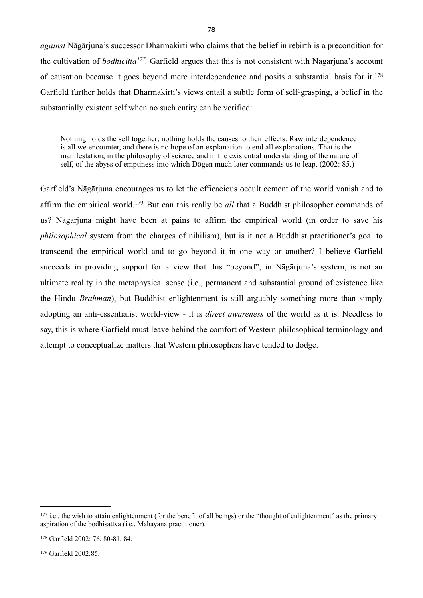*against* Nāgārjuna's successor Dharmakirti who claims that the belief in rebirth is a precondition for the cultivation of *bodhicitta[177](#page-81-0).* Garfield argues that this is not consistent with Nāgārjuna's account of causation because it goes beyond mere interdependence and posits a substantial basis for it.[178](#page-81-1) Garfield further holds that Dharmakirti's views entail a subtle form of self-grasping, a belief in the substantially existent self when no such entity can be verified:

Nothing holds the self together; nothing holds the causes to their effects. Raw interdependence is all we encounter, and there is no hope of an explanation to end all explanations. That is the manifestation, in the philosophy of science and in the existential understanding of the nature of self, of the abyss of emptiness into which Dōgen much later commands us to leap. (2002: 85.)

Garfield's Nāgārjuna encourages us to let the efficacious occult cement of the world vanish and to affirm the empirical world.[179](#page-81-2) But can this really be *all* that a Buddhist philosopher commands of us? Nāgārjuna might have been at pains to affirm the empirical world (in order to save his *philosophical* system from the charges of nihilism), but is it not a Buddhist practitioner's goal to transcend the empirical world and to go beyond it in one way or another? I believe Garfield succeeds in providing support for a view that this "beyond", in Nāgārjuna's system, is not an ultimate reality in the metaphysical sense (i.e., permanent and substantial ground of existence like the Hindu *Brahman*), but Buddhist enlightenment is still arguably something more than simply adopting an anti-essentialist world-view - it is *direct awareness* of the world as it is. Needless to say, this is where Garfield must leave behind the comfort of Western philosophical terminology and attempt to conceptualize matters that Western philosophers have tended to dodge.

<span id="page-81-0"></span><sup>&</sup>lt;sup>177</sup> i.e., the wish to attain enlightenment (for the benefit of all beings) or the "thought of enlightenment" as the primary aspiration of the bodhisattva (i.e., Mahayana practitioner).

<span id="page-81-1"></span><sup>178</sup> Garfield 2002: 76, 80-81, 84.

<span id="page-81-2"></span><sup>179</sup> Garfield 2002:85.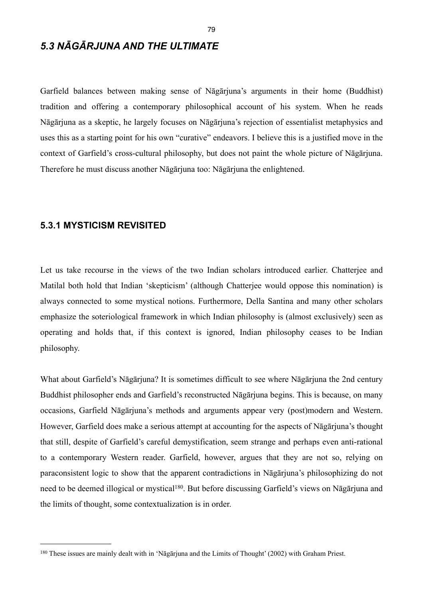## *5.3 NĀGĀRJUNA AND THE ULTIMATE*

Garfield balances between making sense of Nāgārjuna's arguments in their home (Buddhist) tradition and offering a contemporary philosophical account of his system. When he reads Nāgārjuna as a skeptic, he largely focuses on Nāgārjuna's rejection of essentialist metaphysics and uses this as a starting point for his own "curative" endeavors. I believe this is a justified move in the context of Garfield's cross-cultural philosophy, but does not paint the whole picture of Nāgārjuna. Therefore he must discuss another Nāgārjuna too: Nāgārjuna the enlightened.

## **5.3.1 MYSTICISM REVISITED**

Let us take recourse in the views of the two Indian scholars introduced earlier. Chatterjee and Matilal both hold that Indian 'skepticism' (although Chatterjee would oppose this nomination) is always connected to some mystical notions. Furthermore, Della Santina and many other scholars emphasize the soteriological framework in which Indian philosophy is (almost exclusively) seen as operating and holds that, if this context is ignored, Indian philosophy ceases to be Indian philosophy.

What about Garfield's Nāgārjuna? It is sometimes difficult to see where Nāgārjuna the 2nd century Buddhist philosopher ends and Garfield's reconstructed Nāgārjuna begins. This is because, on many occasions, Garfield Nāgārjuna's methods and arguments appear very (post)modern and Western. However, Garfield does make a serious attempt at accounting for the aspects of Nāgārjuna's thought that still, despite of Garfield's careful demystification, seem strange and perhaps even anti-rational to a contemporary Western reader. Garfield, however, argues that they are not so, relying on paraconsistent logic to show that the apparent contradictions in Nāgārjuna's philosophizing do not need to be deemed illogical or mystical<sup>180</sup>. But before discussing Garfield's views on Nāgārjuna and the limits of thought, some contextualization is in order.

<span id="page-82-0"></span><sup>180</sup> These issues are mainly dealt with in 'Nāgārjuna and the Limits of Thought' (2002) with Graham Priest.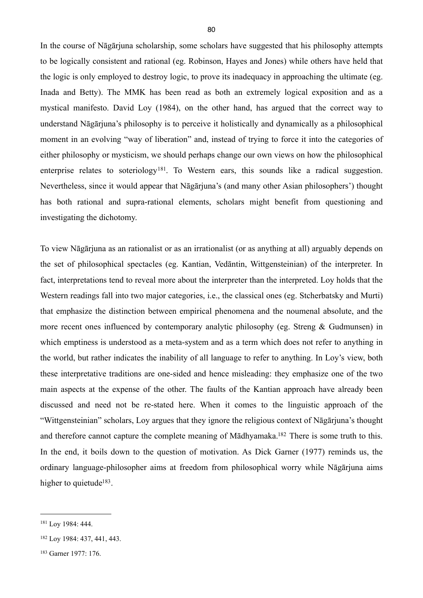In the course of Nāgārjuna scholarship, some scholars have suggested that his philosophy attempts to be logically consistent and rational (eg. Robinson, Hayes and Jones) while others have held that the logic is only employed to destroy logic, to prove its inadequacy in approaching the ultimate (eg. Inada and Betty). The MMK has been read as both an extremely logical exposition and as a mystical manifesto. David Loy (1984), on the other hand, has argued that the correct way to understand Nāgārjuna's philosophy is to perceive it holistically and dynamically as a philosophical moment in an evolving "way of liberation" and, instead of trying to force it into the categories of either philosophy or mysticism, we should perhaps change our own views on how the philosophical enterprise relates to soteriology<sup>[181](#page-83-0)</sup>. To Western ears, this sounds like a radical suggestion. Nevertheless, since it would appear that Nāgārjuna's (and many other Asian philosophers') thought has both rational and supra-rational elements, scholars might benefit from questioning and investigating the dichotomy.

To view Nāgārjuna as an rationalist or as an irrationalist (or as anything at all) arguably depends on the set of philosophical spectacles (eg. Kantian, Vedāntin, Wittgensteinian) of the interpreter. In fact, interpretations tend to reveal more about the interpreter than the interpreted. Loy holds that the Western readings fall into two major categories, i.e., the classical ones (eg. Stcherbatsky and Murti) that emphasize the distinction between empirical phenomena and the noumenal absolute, and the more recent ones influenced by contemporary analytic philosophy (eg. Streng & Gudmunsen) in which emptiness is understood as a meta-system and as a term which does not refer to anything in the world, but rather indicates the inability of all language to refer to anything. In Loy's view, both these interpretative traditions are one-sided and hence misleading: they emphasize one of the two main aspects at the expense of the other. The faults of the Kantian approach have already been discussed and need not be re-stated here. When it comes to the linguistic approach of the "Wittgensteinian" scholars, Loy argues that they ignore the religious context of Nāgārjuna's thought and therefore cannot capture the complete meaning of Mādhyamaka[.182](#page-83-1) There is some truth to this. In the end, it boils down to the question of motivation. As Dick Garner (1977) reminds us, the ordinary language-philosopher aims at freedom from philosophical worry while Nāgārjuna aims higher to quietude<sup>183</sup>.

<span id="page-83-0"></span><sup>181</sup> Loy 1984: 444.

<span id="page-83-1"></span><sup>182</sup> Loy 1984: 437, 441, 443.

<span id="page-83-2"></span><sup>183</sup> Garner 1977: 176.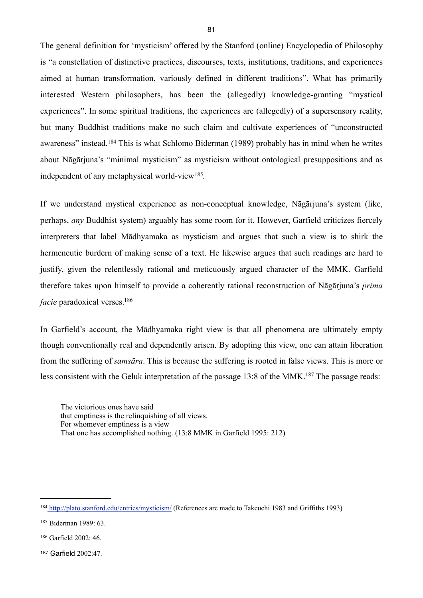The general definition for 'mysticism' offered by the Stanford (online) Encyclopedia of Philosophy is "a constellation of distinctive practices, discourses, texts, institutions, traditions, and experiences aimed at human transformation, variously defined in different traditions". What has primarily interested Western philosophers, has been the (allegedly) knowledge-granting "mystical experiences". In some spiritual traditions, the experiences are (allegedly) of a supersensory reality, but many Buddhist traditions make no such claim and cultivate experiences of "unconstructed awareness" instead.[184](#page-84-0) This is what Schlomo Biderman (1989) probably has in mind when he writes about Nāgārjuna's "minimal mysticism" as mysticism without ontological presuppositions and as independent of any metaphysical world-view[185](#page-84-1).

If we understand mystical experience as non-conceptual knowledge, Nāgārjuna's system (like, perhaps, *any* Buddhist system) arguably has some room for it. However, Garfield criticizes fiercely interpreters that label Mādhyamaka as mysticism and argues that such a view is to shirk the hermeneutic burdern of making sense of a text. He likewise argues that such readings are hard to justify, given the relentlessly rational and meticuously argued character of the MMK. Garfield therefore takes upon himself to provide a coherently rational reconstruction of Nāgārjuna's *prima facie* paradoxical verses.<sup>[186](#page-84-2)</sup>

In Garfield's account, the Mādhyamaka right view is that all phenomena are ultimately empty though conventionally real and dependently arisen. By adopting this view, one can attain liberation from the suffering of *samsāra*. This is because the suffering is rooted in false views. This is more or less consistent with the Geluk interpretation of the passage 13:8 of the MMK.<sup>187</sup> The passage reads:

The victorious ones have said that emptiness is the relinquishing of all views. For whomever emptiness is a view That one has accomplished nothing. (13:8 MMK in Garfield 1995: 212)

<span id="page-84-0"></span><sup>184</sup> [http://plato.stanford.edu/entries/mysticism/ \(References are made to Takeuchi 1983 and Griffiths 1993\)](http://plato.stanford.edu/entries/mysticism/)

<span id="page-84-1"></span><sup>185</sup> Biderman 1989: 63.

<span id="page-84-2"></span><sup>186</sup> Garfield 2002: 46.

<span id="page-84-3"></span><sup>187</sup> Garfield 2002:47.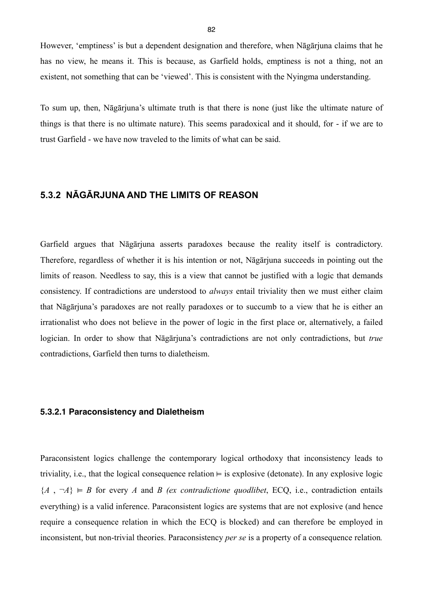However, 'emptiness' is but a dependent designation and therefore, when Nāgārjuna claims that he has no view, he means it. This is because, as Garfield holds, emptiness is not a thing, not an existent, not something that can be 'viewed'. This is consistent with the Nyingma understanding.

To sum up, then, Nāgārjuna's ultimate truth is that there is none (just like the ultimate nature of things is that there is no ultimate nature). This seems paradoxical and it should, for - if we are to trust Garfield - we have now traveled to the limits of what can be said.

## **5.3.2 NĀGĀRJUNA AND THE LIMITS OF REASON**

Garfield argues that Nāgārjuna asserts paradoxes because the reality itself is contradictory. Therefore, regardless of whether it is his intention or not, Nāgārjuna succeeds in pointing out the limits of reason. Needless to say, this is a view that cannot be justified with a logic that demands consistency. If contradictions are understood to *always* entail triviality then we must either claim that Nāgārjuna's paradoxes are not really paradoxes or to succumb to a view that he is either an irrationalist who does not believe in the power of logic in the first place or, alternatively, a failed logician. In order to show that Nāgārjuna's contradictions are not only contradictions, but *true* contradictions, Garfield then turns to dialetheism.

#### **5.3.2.1 Paraconsistency and Dialetheism**

Paraconsistent logics challenge the contemporary logical orthodoxy that inconsistency leads to triviality, i.e., that the logical consequence relation  $\models$  is explosive (detonate). In any explosive logic  ${A, \neg A} \models B$  for every *A* and *B* (ex contradictione quodlibet, ECQ, i.e., contradiction entails everything) is a valid inference. Paraconsistent logics are systems that are not explosive (and hence require a consequence relation in which the ECQ is blocked) and can therefore be employed in inconsistent, but non-trivial theories. Paraconsistency *per se* is a property of a consequence relation*.*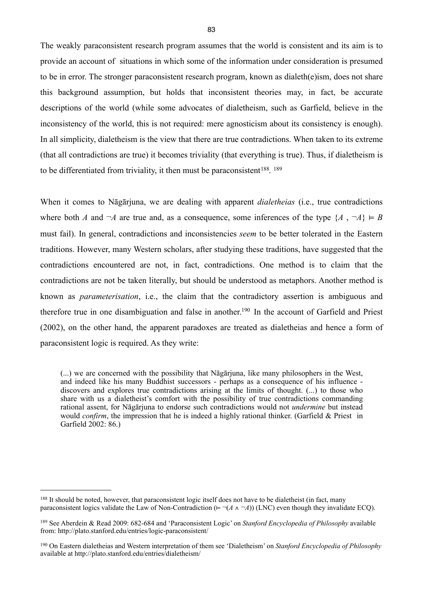The weakly paraconsistent research program assumes that the world is consistent and its aim is to provide an account of situations in which some of the information under consideration is presumed to be in error. The stronger paraconsistent research program, known as dialeth(e)ism, does not share this background assumption, but holds that inconsistent theories may, in fact, be accurate descriptions of the world (while some advocates of dialetheism, such as Garfield, believe in the inconsistency of the world, this is not required: mere agnosticism about its consistency is enough). In all simplicity, dialetheism is the view that there are true contradictions. When taken to its extreme (that all contradictions are true) it becomes triviality (that everything is true). Thus, if dialetheism is to be differentiated from triviality, it then must be paraconsistent<sup>[188](#page-86-0)</sup>. <sup>[189](#page-86-1)</sup>

When it comes to Nāgārjuna, we are dealing with apparent *dialetheias* (i.e., true contradictions where both *A* and  $\neg A$  are true and, as a consequence, some inferences of the type  $\{A, \neg A\} \vDash B$ must fail). In general, contradictions and inconsistencies *seem* to be better tolerated in the Eastern traditions. However, many Western scholars, after studying these traditions, have suggested that the contradictions encountered are not, in fact, contradictions. One method is to claim that the contradictions are not be taken literally, but should be understood as metaphors. Another method is known as *parameterisation*, i.e., the claim that the contradictory assertion is ambiguous and therefore true in one disambiguation and false in another.[190](#page-86-2) In the account of Garfield and Priest (2002), on the other hand, the apparent paradoxes are treated as dialetheias and hence a form of paraconsistent logic is required. As they write:

(...) we are concerned with the possibility that Nāgārjuna, like many philosophers in the West, and indeed like his many Buddhist successors - perhaps as a consequence of his influence discovers and explores true contradictions arising at the limits of thought. (...) to those who share with us a dialetheist's comfort with the possibility of true contradictions commanding rational assent, for Nāgārjuna to endorse such contradictions would not *undermine* but instead would *confirm*, the impression that he is indeed a highly rational thinker. (Garfield & Priest in Garfield 2002: 86.)

<span id="page-86-0"></span><sup>&</sup>lt;sup>188</sup> It should be noted, however, that paraconsistent logic itself does not have to be dialetheist (in fact, many paraconsistent logics validate the Law of Non-Contradiction ( $\models \neg (A \land \neg A)$ ) (LNC) even though they invalidate ECQ).

<span id="page-86-1"></span><sup>189</sup> See Aberdein & Read 2009: 682-684 and 'Paraconsistent Logic' on *Stanford Encyclopedia of Philosophy* available from: http://plato.stanford.edu/entries/logic-paraconsistent/

<span id="page-86-2"></span><sup>190</sup> On Eastern dialetheias and Western interpretation of them see 'Dialetheism' on *Stanford Encyclopedia of Philosophy* available at http://plato.stanford.edu/entries/dialetheism/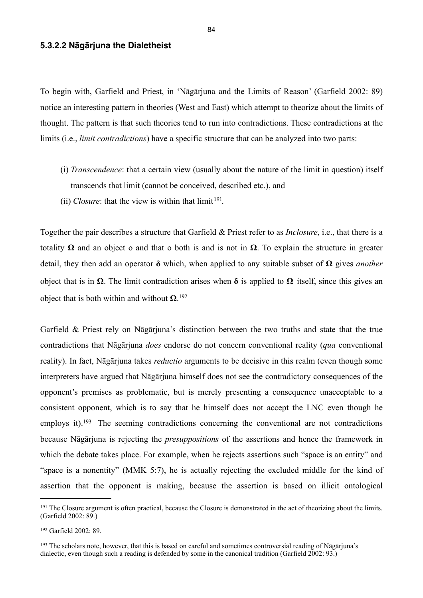#### **5.3.2.2 Nāgārjuna the Dialetheist**

To begin with, Garfield and Priest, in 'Nāgārjuna and the Limits of Reason' (Garfield 2002: 89) notice an interesting pattern in theories (West and East) which attempt to theorize about the limits of thought. The pattern is that such theories tend to run into contradictions. These contradictions at the limits (i.e., *limit contradictions*) have a specific structure that can be analyzed into two parts:

- (i) *Transcendence*: that a certain view (usually about the nature of the limit in question) itself transcends that limit (cannot be conceived, described etc.), and
- (ii) *Closure*: that the view is within that  $\lim_{t \to 0} t^{191}$ .

Together the pair describes a structure that Garfield & Priest refer to as *Inclosure*, i.e., that there is a totality **Ω** and an object o and that o both is and is not in **Ω**. To explain the structure in greater detail, they then add an operator **δ** which, when applied to any suitable subset of **Ω** gives *another*  object that is in **Ω**. The limit contradiction arises when **δ** is applied to **Ω** itself, since this gives an object that is both within and without **Ω**. [192](#page-87-1)

Garfield & Priest rely on Nāgārjuna's distinction between the two truths and state that the true contradictions that Nāgārjuna *does* endorse do not concern conventional reality (*qua* conventional reality). In fact, Nāgārjuna takes *reductio* arguments to be decisive in this realm (even though some interpreters have argued that Nāgārjuna himself does not see the contradictory consequences of the opponent's premises as problematic, but is merely presenting a consequence unacceptable to a consistent opponent, which is to say that he himself does not accept the LNC even though he employs it).<sup>193</sup> The seeming contradictions concerning the conventional are not contradictions because Nāgārjuna is rejecting the *presuppositions* of the assertions and hence the framework in which the debate takes place. For example, when he rejects assertions such "space is an entity" and "space is a nonentity" (MMK 5:7), he is actually rejecting the excluded middle for the kind of assertion that the opponent is making, because the assertion is based on illicit ontological

<span id="page-87-0"></span><sup>&</sup>lt;sup>191</sup> The Closure argument is often practical, because the Closure is demonstrated in the act of theorizing about the limits. (Garfield 2002: 89.)

<span id="page-87-1"></span><sup>192</sup> Garfield 2002: 89.

<span id="page-87-2"></span><sup>193</sup> The scholars note, however, that this is based on careful and sometimes controversial reading of Nāgārjuna's dialectic, even though such a reading is defended by some in the canonical tradition (Garfield 2002: 93.)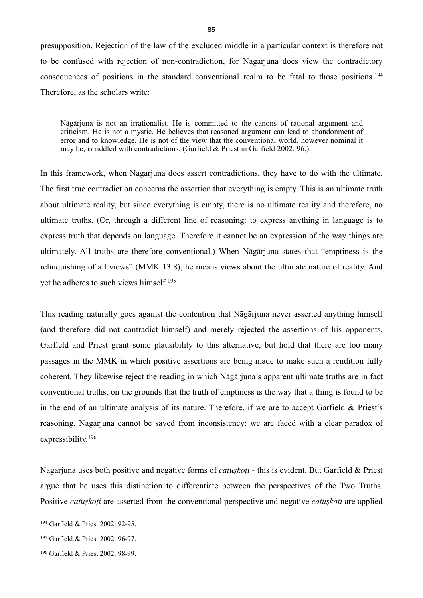presupposition. Rejection of the law of the excluded middle in a particular context is therefore not to be confused with rejection of non-contradiction, for Nāgārjuna does view the contradictory consequences of positions in the standard conventional realm to be fatal to those positions.[194](#page-88-0) Therefore, as the scholars write:

Nāgārjuna is not an irrationalist. He is committed to the canons of rational argument and criticism. He is not a mystic. He believes that reasoned argument can lead to abandonment of error and to knowledge. He is not of the view that the conventional world, however nominal it may be, is riddled with contradictions. (Garfield  $&$  Priest in Garfield 2002: 96.)

In this framework, when Nāgārjuna does assert contradictions, they have to do with the ultimate. The first true contradiction concerns the assertion that everything is empty. This is an ultimate truth about ultimate reality, but since everything is empty, there is no ultimate reality and therefore, no ultimate truths. (Or, through a different line of reasoning: to express anything in language is to express truth that depends on language. Therefore it cannot be an expression of the way things are ultimately. All truths are therefore conventional.) When Nāgārjuna states that "emptiness is the relinquishing of all views" (MMK 13.8), he means views about the ultimate nature of reality. And yet he adheres to such views himself.[195](#page-88-1)

This reading naturally goes against the contention that Nāgārjuna never asserted anything himself (and therefore did not contradict himself) and merely rejected the assertions of his opponents. Garfield and Priest grant some plausibility to this alternative, but hold that there are too many passages in the MMK in which positive assertions are being made to make such a rendition fully coherent. They likewise reject the reading in which Nāgārjuna's apparent ultimate truths are in fact conventional truths, on the grounds that the truth of emptiness is the way that a thing is found to be in the end of an ultimate analysis of its nature. Therefore, if we are to accept Garfield & Priest's reasoning, Nāgārjuna cannot be saved from inconsistency: we are faced with a clear paradox of expressibility.[196](#page-88-2)

Nāgārjuna uses both positive and negative forms of *catuṣkoṭi* - this is evident. But Garfield & Priest argue that he uses this distinction to differentiate between the perspectives of the Two Truths. Positive *catuṣkoṭi* are asserted from the conventional perspective and negative *catuṣkoṭi* are applied

<span id="page-88-0"></span><sup>194</sup> Garfield & Priest 2002: 92-95.

<span id="page-88-1"></span><sup>195</sup> Garfield & Priest 2002: 96-97.

<span id="page-88-2"></span><sup>196</sup> Garfield & Priest 2002: 98-99.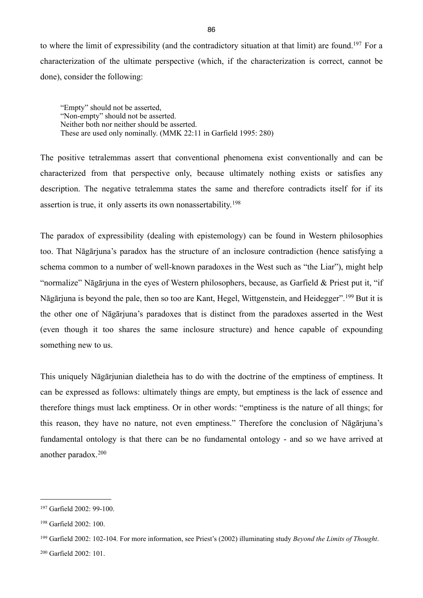to where the limit of expressibility (and the contradictory situation at that limit) are found.[197](#page-89-0) For a characterization of the ultimate perspective (which, if the characterization is correct, cannot be done), consider the following:

"Empty" should not be asserted, "Non-empty" should not be asserted. Neither both nor neither should be asserted. These are used only nominally. (MMK 22:11 in Garfield 1995: 280)

The positive tetralemmas assert that conventional phenomena exist conventionally and can be characterized from that perspective only, because ultimately nothing exists or satisfies any description. The negative tetralemma states the same and therefore contradicts itself for if its assertion is true, it only asserts its own nonassertability.[198](#page-89-1)

The paradox of expressibility (dealing with epistemology) can be found in Western philosophies too. That Nāgārjuna's paradox has the structure of an inclosure contradiction (hence satisfying a schema common to a number of well-known paradoxes in the West such as "the Liar"), might help "normalize" Nāgārjuna in the eyes of Western philosophers, because, as Garfield & Priest put it, "if Nāgārjuna is beyond the pale, then so too are Kant, Hegel, Wittgenstein, and Heidegger".[199](#page-89-2) But it is the other one of Nāgārjuna's paradoxes that is distinct from the paradoxes asserted in the West (even though it too shares the same inclosure structure) and hence capable of expounding something new to us.

This uniquely Nāgārjunian dialetheia has to do with the doctrine of the emptiness of emptiness. It can be expressed as follows: ultimately things are empty, but emptiness is the lack of essence and therefore things must lack emptiness. Or in other words: "emptiness is the nature of all things; for this reason, they have no nature, not even emptiness." Therefore the conclusion of Nāgārjuna's fundamental ontology is that there can be no fundamental ontology - and so we have arrived at another paradox.[200](#page-89-3)

<span id="page-89-0"></span><sup>197</sup> Garfield 2002: 99-100.

<span id="page-89-1"></span><sup>198</sup> Garfield 2002: 100.

<span id="page-89-2"></span><sup>199</sup> Garfield 2002: 102-104. For more information, see Priest's (2002) illuminating study *Beyond the Limits of Thought*.

<span id="page-89-3"></span><sup>200</sup> Garfield 2002: 101.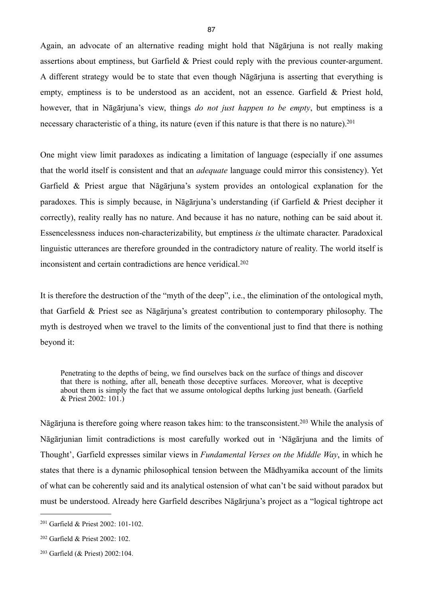Again, an advocate of an alternative reading might hold that Nāgārjuna is not really making assertions about emptiness, but Garfield & Priest could reply with the previous counter-argument. A different strategy would be to state that even though Nāgārjuna is asserting that everything is empty, emptiness is to be understood as an accident, not an essence. Garfield & Priest hold, however, that in Nāgārjuna's view, things *do not just happen to be empty*, but emptiness is a necessary characteristic of a thing, its nature (even if this nature is that there is no nature).<sup>[201](#page-90-0)</sup>

One might view limit paradoxes as indicating a limitation of language (especially if one assumes that the world itself is consistent and that an *adequate* language could mirror this consistency). Yet Garfield & Priest argue that Nāgārjuna's system provides an ontological explanation for the paradoxes. This is simply because, in Nāgārjuna's understanding (if Garfield & Priest decipher it correctly), reality really has no nature. And because it has no nature, nothing can be said about it. Essencelessness induces non-characterizability, but emptiness *is* the ultimate character. Paradoxical linguistic utterances are therefore grounded in the contradictory nature of reality. The world itself is inconsistent and certain contradictions are hence veridical.[202](#page-90-1)

It is therefore the destruction of the "myth of the deep", i.e., the elimination of the ontological myth, that Garfield & Priest see as Nāgārjuna's greatest contribution to contemporary philosophy. The myth is destroyed when we travel to the limits of the conventional just to find that there is nothing beyond it:

Penetrating to the depths of being, we find ourselves back on the surface of things and discover that there is nothing, after all, beneath those deceptive surfaces. Moreover, what is deceptive about them is simply the fact that we assume ontological depths lurking just beneath. (Garfield & Priest 2002: 101.)

Nāgārjuna is therefore going where reason takes him: to the transconsistent.[203](#page-90-2) While the analysis of Nāgārjunian limit contradictions is most carefully worked out in 'Nāgārjuna and the limits of Thought', Garfield expresses similar views in *Fundamental Verses on the Middle Way*, in which he states that there is a dynamic philosophical tension between the Mādhyamika account of the limits of what can be coherently said and its analytical ostension of what can't be said without paradox but must be understood. Already here Garfield describes Nāgārjuna's project as a "logical tightrope act

<span id="page-90-0"></span><sup>201</sup> Garfield & Priest 2002: 101-102.

<span id="page-90-1"></span><sup>202</sup> Garfield & Priest 2002: 102.

<span id="page-90-2"></span><sup>203</sup> Garfield (& Priest) 2002:104.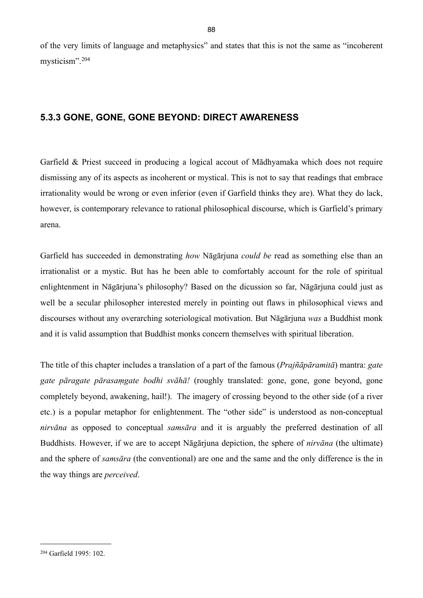of the very limits of language and metaphysics" and states that this is not the same as "incoherent mysticism".[204](#page-91-0)

## **5.3.3 GONE, GONE, GONE BEYOND: DIRECT AWARENESS**

Garfield & Priest succeed in producing a logical accout of Mādhyamaka which does not require dismissing any of its aspects as incoherent or mystical. This is not to say that readings that embrace irrationality would be wrong or even inferior (even if Garfield thinks they are). What they do lack, however, is contemporary relevance to rational philosophical discourse, which is Garfield's primary arena.

Garfield has succeeded in demonstrating *how* Nāgārjuna *could be* read as something else than an irrationalist or a mystic. But has he been able to comfortably account for the role of spiritual enlightenment in Nāgārjuna's philosophy? Based on the dicussion so far, Nāgārjuna could just as well be a secular philosopher interested merely in pointing out flaws in philosophical views and discourses without any overarching soteriological motivation. But Nāgārjuna *was* a Buddhist monk and it is valid assumption that Buddhist monks concern themselves with spiritual liberation.

The title of this chapter includes a translation of a part of the famous (*Prajñāpāramitā*) mantra: *gate gate pāragate pārasaṃgate bodhi svāhā!* (roughly translated: gone, gone, gone beyond, gone completely beyond, awakening, hail!). The imagery of crossing beyond to the other side (of a river etc.) is a popular metaphor for enlightenment. The "other side" is understood as non-conceptual *nirvāna* as opposed to conceptual *samsāra* and it is arguably the preferred destination of all Buddhists. However, if we are to accept Nāgārjuna depiction, the sphere of *nirvāna* (the ultimate) and the sphere of *samsāra* (the conventional) are one and the same and the only difference is the in the way things are *perceived*.

<span id="page-91-0"></span><sup>204</sup> Garfield 1995: 102.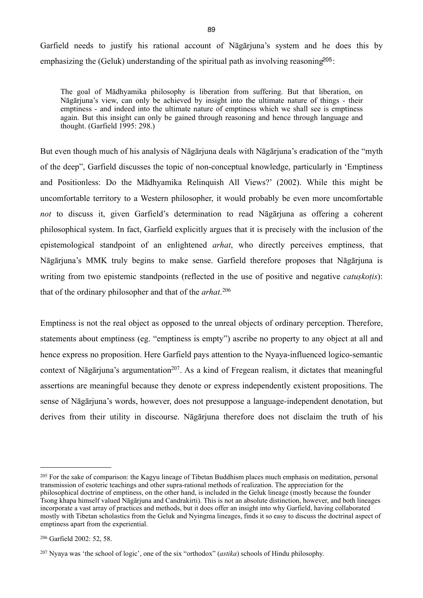Garfield needs to justify his rational account of Nāgārjuna's system and he does this by emphasizing the (Geluk) understanding of the spiritual path as involving reasoning<sup>[205](#page-92-0)</sup>:

The goal of Mādhyamika philosophy is liberation from suffering. But that liberation, on Nāgārjuna's view, can only be achieved by insight into the ultimate nature of things - their emptiness - and indeed into the ultimate nature of emptiness which we shall see is emptiness again. But this insight can only be gained through reasoning and hence through language and thought. (Garfield 1995: 298.)

But even though much of his analysis of Nāgārjuna deals with Nāgārjuna's eradication of the "myth of the deep", Garfield discusses the topic of non-conceptual knowledge, particularly in 'Emptiness and Positionless: Do the Mādhyamika Relinquish All Views?' (2002). While this might be uncomfortable territory to a Western philosopher, it would probably be even more uncomfortable *not* to discuss it, given Garfield's determination to read Nāgārjuna as offering a coherent philosophical system. In fact, Garfield explicitly argues that it is precisely with the inclusion of the epistemological standpoint of an enlightened *arhat*, who directly perceives emptiness, that Nāgārjuna's MMK truly begins to make sense. Garfield therefore proposes that Nāgārjuna is writing from two epistemic standpoints (reflected in the use of positive and negative *catuskotis*): that of the ordinary philosopher and that of the *arhat*. [206](#page-92-1)

Emptiness is not the real object as opposed to the unreal objects of ordinary perception. Therefore, statements about emptiness (eg. "emptiness is empty") ascribe no property to any object at all and hence express no proposition. Here Garfield pays attention to the Nyaya-influenced logico-semantic context of Nāgārjuna's argumentation<sup>207</sup>. As a kind of Fregean realism, it dictates that meaningful assertions are meaningful because they denote or express independently existent propositions. The sense of Nāgārjuna's words, however, does not presuppose a language-independent denotation, but derives from their utility in discourse. Nāgārjuna therefore does not disclaim the truth of his

<span id="page-92-0"></span><sup>&</sup>lt;sup>205</sup> For the sake of comparison: the Kagyu lineage of Tibetan Buddhism places much emphasis on meditation, personal transmission of esoteric teachings and other supra-rational methods of realization. The appreciation for the philosophical doctrine of emptiness, on the other hand, is included in the Geluk lineage (mostly because the founder Tsong khapa himself valued Nāgārjuna and Candrakirti). This is not an absolute distinction, however, and both lineages incorporate a vast array of practices and methods, but it does offer an insight into why Garfield, having collaborated mostly with Tibetan scholastics from the Geluk and Nyingma lineages, finds it so easy to discuss the doctrinal aspect of emptiness apart from the experiential.

<span id="page-92-1"></span><sup>206</sup> Garfield 2002: 52, 58.

<span id="page-92-2"></span><sup>207</sup> Nyaya was 'the school of logic', one of the six "orthodox" (*astika*) schools of Hindu philosophy.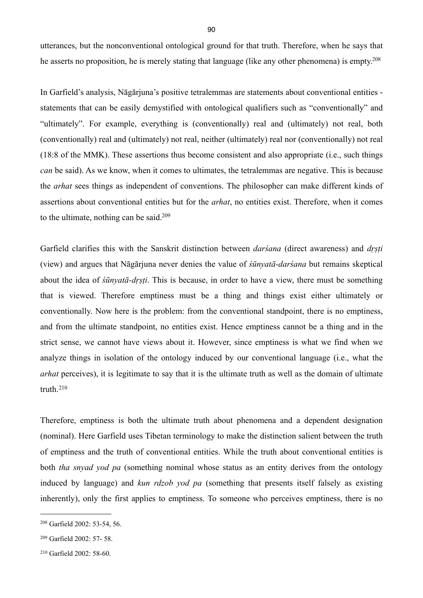utterances, but the nonconventional ontological ground for that truth. Therefore, when he says that he asserts no proposition, he is merely stating that language (like any other phenomena) is empty[.208](#page-93-0)

In Garfield's analysis, Nāgārjuna's positive tetralemmas are statements about conventional entities statements that can be easily demystified with ontological qualifiers such as "conventionally" and "ultimately". For example, everything is (conventionally) real and (ultimately) not real, both (conventionally) real and (ultimately) not real, neither (ultimately) real nor (conventionally) not real (18:8 of the MMK). These assertions thus become consistent and also appropriate (i.e., such things *can* be said). As we know, when it comes to ultimates, the tetralemmas are negative. This is because the *arhat* sees things as independent of conventions. The philosopher can make different kinds of assertions about conventional entities but for the *arhat*, no entities exist. Therefore, when it comes to the ultimate, nothing can be said[.209](#page-93-1)

Garfield clarifies this with the Sanskrit distinction between *darśana* (direct awareness) and *dṛṣṭi* (view) and argues that Nāgārjuna never denies the value of *śūnyatā-darśana* but remains skeptical about the idea of *śūnyatā-dṛṣṭi*. This is because, in order to have a view, there must be something that is viewed. Therefore emptiness must be a thing and things exist either ultimately or conventionally. Now here is the problem: from the conventional standpoint, there is no emptiness, and from the ultimate standpoint, no entities exist. Hence emptiness cannot be a thing and in the strict sense, we cannot have views about it. However, since emptiness is what we find when we analyze things in isolation of the ontology induced by our conventional language (i.e., what the *arhat* perceives), it is legitimate to say that it is the ultimate truth as well as the domain of ultimate truth.[210](#page-93-2)

Therefore, emptiness is both the ultimate truth about phenomena and a dependent designation (nominal). Here Garfield uses Tibetan terminology to make the distinction salient between the truth of emptiness and the truth of conventional entities. While the truth about conventional entities is both *tha snyad yod pa* (something nominal whose status as an entity derives from the ontology induced by language) and *kun rdzob yod pa* (something that presents itself falsely as existing inherently), only the first applies to emptiness. To someone who perceives emptiness, there is no

<span id="page-93-0"></span><sup>208</sup> Garfield 2002: 53-54, 56.

<span id="page-93-1"></span><sup>209</sup> Garfield 2002: 57- 58.

<span id="page-93-2"></span><sup>210</sup> Garfield 2002: 58-60.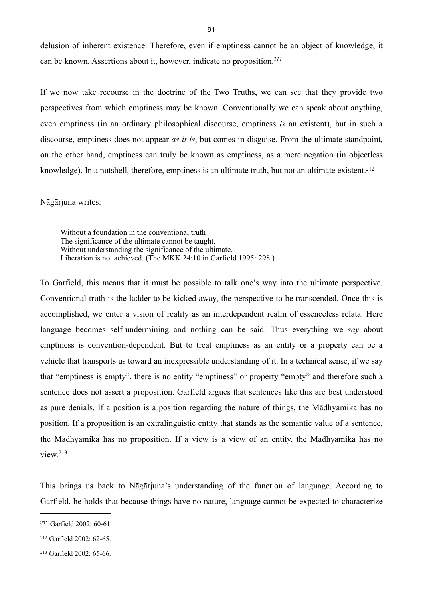delusion of inherent existence. Therefore, even if emptiness cannot be an object of knowledge, it can be known. Assertions about it, however, indicate no proposition.*[211](#page-94-0)*

If we now take recourse in the doctrine of the Two Truths, we can see that they provide two perspectives from which emptiness may be known. Conventionally we can speak about anything, even emptiness (in an ordinary philosophical discourse, emptiness *is* an existent), but in such a discourse, emptiness does not appear *as it is*, but comes in disguise. From the ultimate standpoint, on the other hand, emptiness can truly be known as emptiness, as a mere negation (in objectless knowledge). In a nutshell, therefore, emptiness is an ultimate truth, but not an ultimate existent.<sup>[212](#page-94-1)</sup>

Nāgārjuna writes:

Without a foundation in the conventional truth The significance of the ultimate cannot be taught. Without understanding the significance of the ultimate, Liberation is not achieved. (The MKK 24:10 in Garfield 1995: 298.)

To Garfield, this means that it must be possible to talk one's way into the ultimate perspective. Conventional truth is the ladder to be kicked away, the perspective to be transcended. Once this is accomplished, we enter a vision of reality as an interdependent realm of essenceless relata. Here language becomes self-undermining and nothing can be said. Thus everything we *say* about emptiness is convention-dependent. But to treat emptiness as an entity or a property can be a vehicle that transports us toward an inexpressible understanding of it. In a technical sense, if we say that "emptiness is empty", there is no entity "emptiness" or property "empty" and therefore such a sentence does not assert a proposition. Garfield argues that sentences like this are best understood as pure denials. If a position is a position regarding the nature of things, the Mādhyamika has no position. If a proposition is an extralinguistic entity that stands as the semantic value of a sentence, the Mādhyamika has no proposition. If a view is a view of an entity, the Mādhyamika has no view.[213](#page-94-2)

This brings us back to Nāgārjuna's understanding of the function of language. According to Garfield, he holds that because things have no nature, language cannot be expected to characterize

<span id="page-94-0"></span><sup>211</sup> Garfield 2002: 60-61.

<span id="page-94-1"></span><sup>212</sup> Garfield 2002: 62-65.

<span id="page-94-2"></span><sup>213</sup> Garfield 2002: 65-66.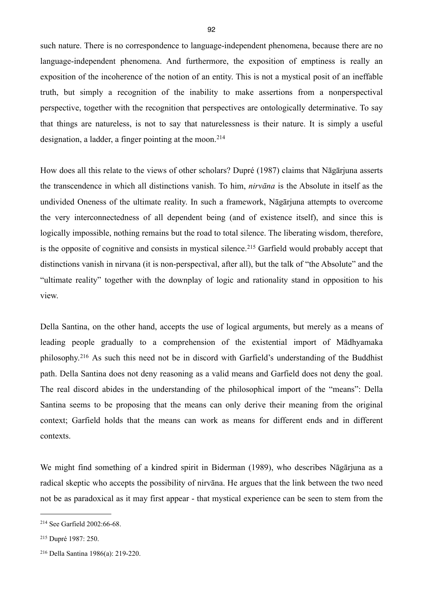such nature. There is no correspondence to language-independent phenomena, because there are no language-independent phenomena. And furthermore, the exposition of emptiness is really an exposition of the incoherence of the notion of an entity. This is not a mystical posit of an ineffable truth, but simply a recognition of the inability to make assertions from a nonperspectival perspective, together with the recognition that perspectives are ontologically determinative. To say that things are natureless, is not to say that naturelessness is their nature. It is simply a useful designation, a ladder, a finger pointing at the moon.<sup>[214](#page-95-0)</sup>

How does all this relate to the views of other scholars? Dupré (1987) claims that Nāgārjuna asserts the transcendence in which all distinctions vanish. To him, *nirvāna* is the Absolute in itself as the undivided Oneness of the ultimate reality. In such a framework, Nāgārjuna attempts to overcome the very interconnectedness of all dependent being (and of existence itself), and since this is logically impossible, nothing remains but the road to total silence. The liberating wisdom, therefore, is the opposite of cognitive and consists in mystical silence.<sup>215</sup> Garfield would probably accept that distinctions vanish in nirvana (it is non-perspectival, after all), but the talk of "the Absolute" and the "ultimate reality" together with the downplay of logic and rationality stand in opposition to his view.

Della Santina, on the other hand, accepts the use of logical arguments, but merely as a means of leading people gradually to a comprehension of the existential import of Mādhyamaka philosophy.[216](#page-95-2) As such this need not be in discord with Garfield's understanding of the Buddhist path. Della Santina does not deny reasoning as a valid means and Garfield does not deny the goal. The real discord abides in the understanding of the philosophical import of the "means": Della Santina seems to be proposing that the means can only derive their meaning from the original context; Garfield holds that the means can work as means for different ends and in different contexts.

We might find something of a kindred spirit in Biderman (1989), who describes Nāgārjuna as a radical skeptic who accepts the possibility of nirvāna. He argues that the link between the two need not be as paradoxical as it may first appear - that mystical experience can be seen to stem from the

<span id="page-95-0"></span><sup>214</sup> See Garfield 2002:66-68.

<span id="page-95-1"></span><sup>215</sup> Dupré 1987: 250.

<span id="page-95-2"></span><sup>216</sup> Della Santina 1986(a): 219-220.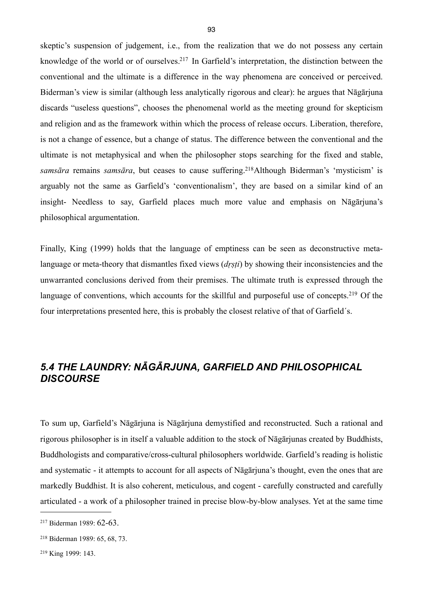skeptic's suspension of judgement, i.e., from the realization that we do not possess any certain knowledge of the world or of ourselves[.217](#page-96-0) In Garfield's interpretation, the distinction between the conventional and the ultimate is a difference in the way phenomena are conceived or perceived. Biderman's view is similar (although less analytically rigorous and clear): he argues that Nāgārjuna discards "useless questions", chooses the phenomenal world as the meeting ground for skepticism and religion and as the framework within which the process of release occurs. Liberation, therefore, is not a change of essence, but a change of status. The difference between the conventional and the ultimate is not metaphysical and when the philosopher stops searching for the fixed and stable, *samsāra* remains *samsāra*, but ceases to cause suffering.[218](#page-96-1)Although Biderman's 'mysticism' is arguably not the same as Garfield's 'conventionalism', they are based on a similar kind of an insight- Needless to say, Garfield places much more value and emphasis on Nāgārjuna's philosophical argumentation.

Finally, King (1999) holds that the language of emptiness can be seen as deconstructive metalanguage or meta-theory that dismantles fixed views (*drsti*) by showing their inconsistencies and the unwarranted conclusions derived from their premises. The ultimate truth is expressed through the language of conventions, which accounts for the skillful and purposeful use of concepts.<sup>219</sup> Of the four interpretations presented here, this is probably the closest relative of that of Garfield´s.

# *5.4 THE LAUNDRY: NĀGĀRJUNA, GARFIELD AND PHILOSOPHICAL DISCOURSE*

To sum up, Garfield's Nāgārjuna is Nāgārjuna demystified and reconstructed. Such a rational and rigorous philosopher is in itself a valuable addition to the stock of Nāgārjunas created by Buddhists, Buddhologists and comparative/cross-cultural philosophers worldwide. Garfield's reading is holistic and systematic - it attempts to account for all aspects of Nāgārjuna's thought, even the ones that are markedly Buddhist. It is also coherent, meticulous, and cogent - carefully constructed and carefully articulated - a work of a philosopher trained in precise blow-by-blow analyses. Yet at the same time

<span id="page-96-0"></span><sup>217</sup> Biderman 1989: 62-63.

<span id="page-96-1"></span><sup>218</sup> Biderman 1989: 65, 68, 73.

<span id="page-96-2"></span><sup>219</sup> King 1999: 143.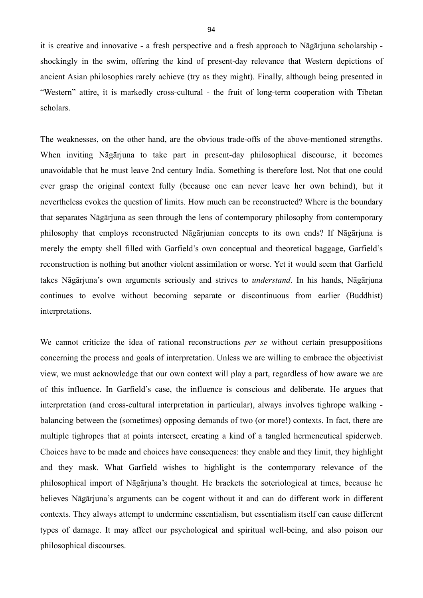it is creative and innovative - a fresh perspective and a fresh approach to Nāgārjuna scholarship shockingly in the swim, offering the kind of present-day relevance that Western depictions of ancient Asian philosophies rarely achieve (try as they might). Finally, although being presented in "Western" attire, it is markedly cross-cultural - the fruit of long-term cooperation with Tibetan scholars.

The weaknesses, on the other hand, are the obvious trade-offs of the above-mentioned strengths. When inviting Nāgārjuna to take part in present-day philosophical discourse, it becomes unavoidable that he must leave 2nd century India. Something is therefore lost. Not that one could ever grasp the original context fully (because one can never leave her own behind), but it nevertheless evokes the question of limits. How much can be reconstructed? Where is the boundary that separates Nāgārjuna as seen through the lens of contemporary philosophy from contemporary philosophy that employs reconstructed Nāgārjunian concepts to its own ends? If Nāgārjuna is merely the empty shell filled with Garfield's own conceptual and theoretical baggage, Garfield's reconstruction is nothing but another violent assimilation or worse. Yet it would seem that Garfield takes Nāgārjuna's own arguments seriously and strives to *understand*. In his hands, Nāgārjuna continues to evolve without becoming separate or discontinuous from earlier (Buddhist) interpretations.

We cannot criticize the idea of rational reconstructions *per se* without certain presuppositions concerning the process and goals of interpretation. Unless we are willing to embrace the objectivist view, we must acknowledge that our own context will play a part, regardless of how aware we are of this influence. In Garfield's case, the influence is conscious and deliberate. He argues that interpretation (and cross-cultural interpretation in particular), always involves tighrope walking balancing between the (sometimes) opposing demands of two (or more!) contexts. In fact, there are multiple tighropes that at points intersect, creating a kind of a tangled hermeneutical spiderweb. Choices have to be made and choices have consequences: they enable and they limit, they highlight and they mask. What Garfield wishes to highlight is the contemporary relevance of the philosophical import of Nāgārjuna's thought. He brackets the soteriological at times, because he believes Nāgārjuna's arguments can be cogent without it and can do different work in different contexts. They always attempt to undermine essentialism, but essentialism itself can cause different types of damage. It may affect our psychological and spiritual well-being, and also poison our philosophical discourses.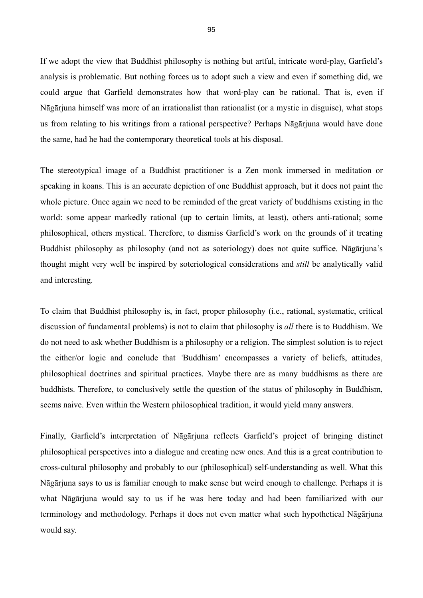If we adopt the view that Buddhist philosophy is nothing but artful, intricate word-play, Garfield's analysis is problematic. But nothing forces us to adopt such a view and even if something did, we could argue that Garfield demonstrates how that word-play can be rational. That is, even if Nāgārjuna himself was more of an irrationalist than rationalist (or a mystic in disguise), what stops us from relating to his writings from a rational perspective? Perhaps Nāgārjuna would have done the same, had he had the contemporary theoretical tools at his disposal.

The stereotypical image of a Buddhist practitioner is a Zen monk immersed in meditation or speaking in koans. This is an accurate depiction of one Buddhist approach, but it does not paint the whole picture. Once again we need to be reminded of the great variety of buddhisms existing in the world: some appear markedly rational (up to certain limits, at least), others anti-rational; some philosophical, others mystical. Therefore, to dismiss Garfield's work on the grounds of it treating Buddhist philosophy as philosophy (and not as soteriology) does not quite suffice. Nāgārjuna's thought might very well be inspired by soteriological considerations and *still* be analytically valid and interesting.

To claim that Buddhist philosophy is, in fact, proper philosophy (i.e., rational, systematic, critical discussion of fundamental problems) is not to claim that philosophy is *all* there is to Buddhism. We do not need to ask whether Buddhism is a philosophy or a religion. The simplest solution is to reject the either/or logic and conclude that *'*Buddhism' encompasses a variety of beliefs, attitudes, philosophical doctrines and spiritual practices. Maybe there are as many buddhisms as there are buddhists. Therefore, to conclusively settle the question of the status of philosophy in Buddhism, seems naive. Even within the Western philosophical tradition, it would yield many answers.

Finally, Garfield's interpretation of Nāgārjuna reflects Garfield's project of bringing distinct philosophical perspectives into a dialogue and creating new ones. And this is a great contribution to cross-cultural philosophy and probably to our (philosophical) self-understanding as well. What this Nāgārjuna says to us is familiar enough to make sense but weird enough to challenge. Perhaps it is what Nāgārjuna would say to us if he was here today and had been familiarized with our terminology and methodology. Perhaps it does not even matter what such hypothetical Nāgārjuna would say.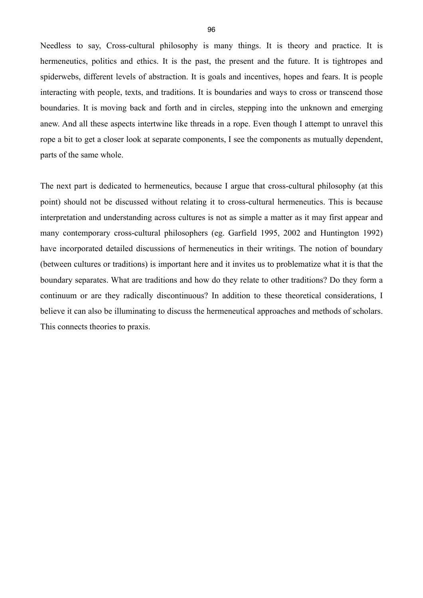Needless to say, Cross-cultural philosophy is many things. It is theory and practice. It is hermeneutics, politics and ethics. It is the past, the present and the future. It is tightropes and spiderwebs, different levels of abstraction. It is goals and incentives, hopes and fears. It is people interacting with people, texts, and traditions. It is boundaries and ways to cross or transcend those boundaries. It is moving back and forth and in circles, stepping into the unknown and emerging anew. And all these aspects intertwine like threads in a rope. Even though I attempt to unravel this rope a bit to get a closer look at separate components, I see the components as mutually dependent, parts of the same whole.

The next part is dedicated to hermeneutics, because I argue that cross-cultural philosophy (at this point) should not be discussed without relating it to cross-cultural hermeneutics. This is because interpretation and understanding across cultures is not as simple a matter as it may first appear and many contemporary cross-cultural philosophers (eg. Garfield 1995, 2002 and Huntington 1992) have incorporated detailed discussions of hermeneutics in their writings. The notion of boundary (between cultures or traditions) is important here and it invites us to problematize what it is that the boundary separates. What are traditions and how do they relate to other traditions? Do they form a continuum or are they radically discontinuous? In addition to these theoretical considerations, I believe it can also be illuminating to discuss the hermeneutical approaches and methods of scholars. This connects theories to praxis.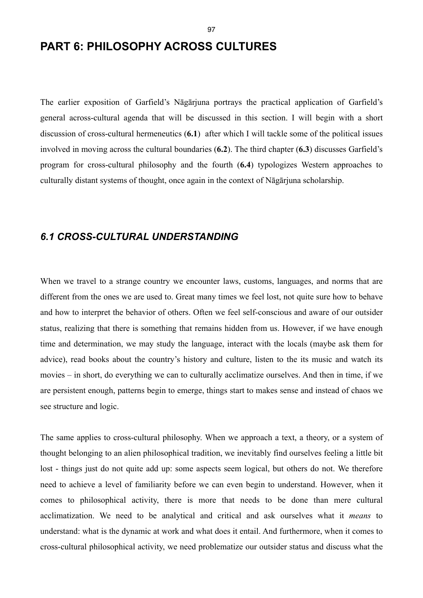# **PART 6: PHILOSOPHY ACROSS CULTURES**

The earlier exposition of Garfield's Nāgārjuna portrays the practical application of Garfield's general across-cultural agenda that will be discussed in this section. I will begin with a short discussion of cross-cultural hermeneutics (**6.1**) after which I will tackle some of the political issues involved in moving across the cultural boundaries (**6.2**). The third chapter (**6.3**) discusses Garfield's program for cross-cultural philosophy and the fourth (**6.4**) typologizes Western approaches to culturally distant systems of thought, once again in the context of Nāgārjuna scholarship.

## *6.1 CROSS-CULTURAL UNDERSTANDING*

When we travel to a strange country we encounter laws, customs, languages, and norms that are different from the ones we are used to. Great many times we feel lost, not quite sure how to behave and how to interpret the behavior of others. Often we feel self-conscious and aware of our outsider status, realizing that there is something that remains hidden from us. However, if we have enough time and determination, we may study the language, interact with the locals (maybe ask them for advice), read books about the country's history and culture, listen to the its music and watch its movies – in short, do everything we can to culturally acclimatize ourselves. And then in time, if we are persistent enough, patterns begin to emerge, things start to makes sense and instead of chaos we see structure and logic.

The same applies to cross-cultural philosophy. When we approach a text, a theory, or a system of thought belonging to an alien philosophical tradition, we inevitably find ourselves feeling a little bit lost - things just do not quite add up: some aspects seem logical, but others do not. We therefore need to achieve a level of familiarity before we can even begin to understand. However, when it comes to philosophical activity, there is more that needs to be done than mere cultural acclimatization. We need to be analytical and critical and ask ourselves what it *means* to understand: what is the dynamic at work and what does it entail. And furthermore, when it comes to cross-cultural philosophical activity, we need problematize our outsider status and discuss what the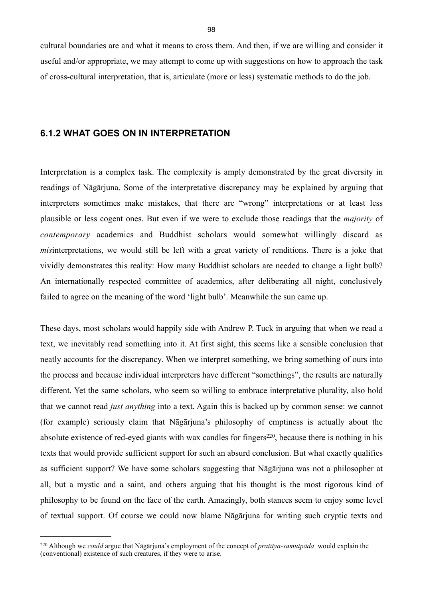cultural boundaries are and what it means to cross them. And then, if we are willing and consider it useful and/or appropriate, we may attempt to come up with suggestions on how to approach the task of cross-cultural interpretation, that is, articulate (more or less) systematic methods to do the job.

#### **6.1.2 WHAT GOES ON IN INTERPRETATION**

Interpretation is a complex task. The complexity is amply demonstrated by the great diversity in readings of Nāgārjuna. Some of the interpretative discrepancy may be explained by arguing that interpreters sometimes make mistakes, that there are "wrong" interpretations or at least less plausible or less cogent ones. But even if we were to exclude those readings that the *majority* of *contemporary* academics and Buddhist scholars would somewhat willingly discard as *misinterpretations*, we would still be left with a great variety of renditions. There is a joke that vividly demonstrates this reality: How many Buddhist scholars are needed to change a light bulb? An internationally respected committee of academics, after deliberating all night, conclusively failed to agree on the meaning of the word 'light bulb'. Meanwhile the sun came up.

These days, most scholars would happily side with Andrew P. Tuck in arguing that when we read a text, we inevitably read something into it. At first sight, this seems like a sensible conclusion that neatly accounts for the discrepancy. When we interpret something, we bring something of ours into the process and because individual interpreters have different "somethings", the results are naturally different. Yet the same scholars, who seem so willing to embrace interpretative plurality, also hold that we cannot read *just anything* into a text. Again this is backed up by common sense: we cannot (for example) seriously claim that Nāgārjuna's philosophy of emptiness is actually about the absolute existence of red-eyed giants with wax candles for fingers<sup>220</sup>, because there is nothing in his texts that would provide sufficient support for such an absurd conclusion. But what exactly qualifies as sufficient support? We have some scholars suggesting that Nāgārjuna was not a philosopher at all, but a mystic and a saint, and others arguing that his thought is the most rigorous kind of philosophy to be found on the face of the earth. Amazingly, both stances seem to enjoy some level of textual support. Of course we could now blame Nāgārjuna for writing such cryptic texts and

<span id="page-101-0"></span><sup>220</sup> Although we *could* argue that Nāgārjuna's employment of the concept of *pratītya-samutpāda* would explain the (conventional) existence of such creatures, if they were to arise.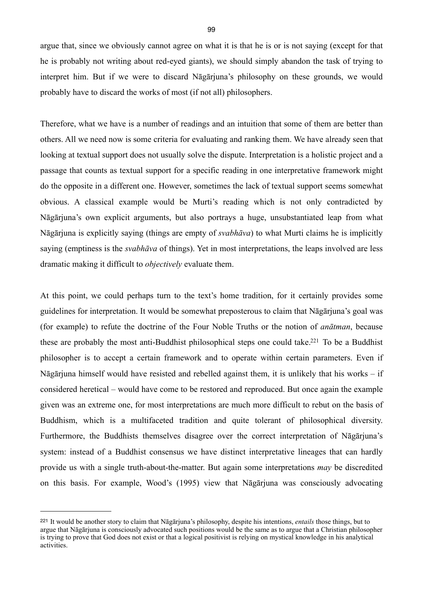argue that, since we obviously cannot agree on what it is that he is or is not saying (except for that he is probably not writing about red-eyed giants), we should simply abandon the task of trying to interpret him. But if we were to discard Nāgārjuna's philosophy on these grounds, we would probably have to discard the works of most (if not all) philosophers.

Therefore, what we have is a number of readings and an intuition that some of them are better than others. All we need now is some criteria for evaluating and ranking them. We have already seen that looking at textual support does not usually solve the dispute. Interpretation is a holistic project and a passage that counts as textual support for a specific reading in one interpretative framework might do the opposite in a different one. However, sometimes the lack of textual support seems somewhat obvious. A classical example would be Murti's reading which is not only contradicted by Nāgārjuna's own explicit arguments, but also portrays a huge, unsubstantiated leap from what Nāgārjuna is explicitly saying (things are empty of *svabhāva*) to what Murti claims he is implicitly saying (emptiness is the *svabhāva* of things). Yet in most interpretations, the leaps involved are less dramatic making it difficult to *objectively* evaluate them.

At this point, we could perhaps turn to the text's home tradition, for it certainly provides some guidelines for interpretation. It would be somewhat preposterous to claim that Nāgārjuna's goal was (for example) to refute the doctrine of the Four Noble Truths or the notion of *anātman*, because these are probably the most anti-Buddhist philosophical steps one could take[.221](#page-102-0) To be a Buddhist philosopher is to accept a certain framework and to operate within certain parameters. Even if Nāgārjuna himself would have resisted and rebelled against them, it is unlikely that his works – if considered heretical – would have come to be restored and reproduced. But once again the example given was an extreme one, for most interpretations are much more difficult to rebut on the basis of Buddhism, which is a multifaceted tradition and quite tolerant of philosophical diversity. Furthermore, the Buddhists themselves disagree over the correct interpretation of Nāgārjuna's system: instead of a Buddhist consensus we have distinct interpretative lineages that can hardly provide us with a single truth-about-the-matter. But again some interpretations *may* be discredited on this basis. For example, Wood's (1995) view that Nāgārjuna was consciously advocating

<span id="page-102-0"></span><sup>221</sup> It would be another story to claim that Nāgārjuna's philosophy, despite his intentions, *entails* those things, but to argue that Nāgārjuna is consciously advocated such positions would be the same as to argue that a Christian philosopher is trying to prove that God does not exist or that a logical positivist is relying on mystical knowledge in his analytical activities.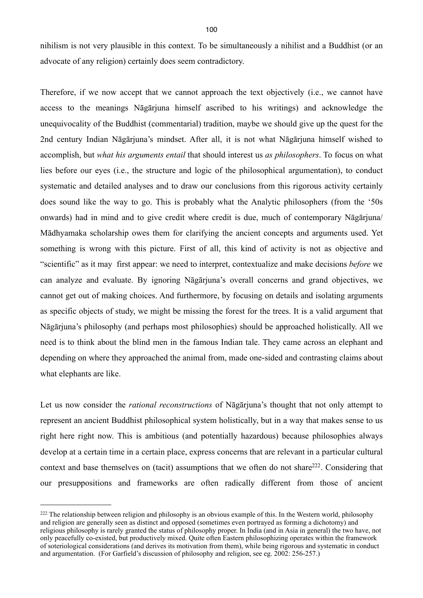nihilism is not very plausible in this context. To be simultaneously a nihilist and a Buddhist (or an advocate of any religion) certainly does seem contradictory.

Therefore, if we now accept that we cannot approach the text objectively (i.e., we cannot have access to the meanings Nāgārjuna himself ascribed to his writings) and acknowledge the unequivocality of the Buddhist (commentarial) tradition, maybe we should give up the quest for the 2nd century Indian Nāgārjuna's mindset. After all, it is not what Nāgārjuna himself wished to accomplish, but *what his arguments entail* that should interest us *as philosophers*. To focus on what lies before our eyes (i.e., the structure and logic of the philosophical argumentation), to conduct systematic and detailed analyses and to draw our conclusions from this rigorous activity certainly does sound like the way to go. This is probably what the Analytic philosophers (from the '50s onwards) had in mind and to give credit where credit is due, much of contemporary Nāgārjuna/ Mādhyamaka scholarship owes them for clarifying the ancient concepts and arguments used. Yet something is wrong with this picture. First of all, this kind of activity is not as objective and "scientific" as it may first appear: we need to interpret, contextualize and make decisions *before* we can analyze and evaluate. By ignoring Nāgārjuna's overall concerns and grand objectives, we cannot get out of making choices. And furthermore, by focusing on details and isolating arguments as specific objects of study, we might be missing the forest for the trees. It is a valid argument that Nāgārjuna's philosophy (and perhaps most philosophies) should be approached holistically. All we need is to think about the blind men in the famous Indian tale. They came across an elephant and depending on where they approached the animal from, made one-sided and contrasting claims about what elephants are like.

Let us now consider the *rational reconstructions* of Nāgārjuna's thought that not only attempt to represent an ancient Buddhist philosophical system holistically, but in a way that makes sense to us right here right now. This is ambitious (and potentially hazardous) because philosophies always develop at a certain time in a certain place, express concerns that are relevant in a particular cultural context and base themselves on (tacit) assumptions that we often do not share<sup>222</sup>. Considering that our presuppositions and frameworks are often radically different from those of ancient

<span id="page-103-0"></span><sup>&</sup>lt;sup>222</sup> The relationship between religion and philosophy is an obvious example of this. In the Western world, philosophy and religion are generally seen as distinct and opposed (sometimes even portrayed as forming a dichotomy) and religious philosophy is rarely granted the status of philosophy proper. In India (and in Asia in general) the two have, not only peacefully co-existed, but productively mixed. Quite often Eastern philosophizing operates within the framework of soteriological considerations (and derives its motivation from them), while being rigorous and systematic in conduct and argumentation. (For Garfield's discussion of philosophy and religion, see eg. 2002: 256-257.)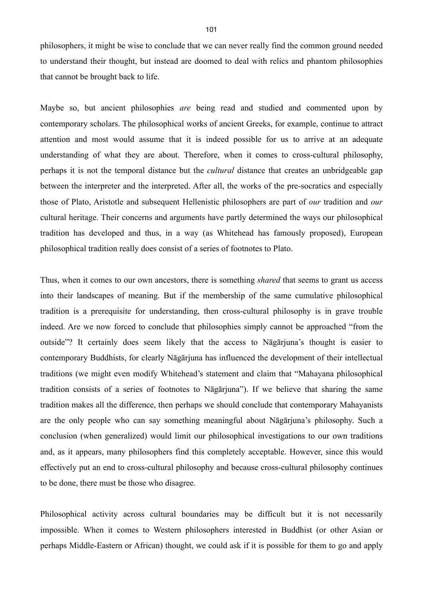philosophers, it might be wise to conclude that we can never really find the common ground needed to understand their thought, but instead are doomed to deal with relics and phantom philosophies that cannot be brought back to life.

Maybe so, but ancient philosophies *are* being read and studied and commented upon by contemporary scholars. The philosophical works of ancient Greeks, for example, continue to attract attention and most would assume that it is indeed possible for us to arrive at an adequate understanding of what they are about. Therefore, when it comes to cross-cultural philosophy, perhaps it is not the temporal distance but the *cultural* distance that creates an unbridgeable gap between the interpreter and the interpreted. After all, the works of the pre-socratics and especially those of Plato, Aristotle and subsequent Hellenistic philosophers are part of *our* tradition and *our* cultural heritage. Their concerns and arguments have partly determined the ways our philosophical tradition has developed and thus, in a way (as Whitehead has famously proposed), European philosophical tradition really does consist of a series of footnotes to Plato.

Thus, when it comes to our own ancestors, there is something *shared* that seems to grant us access into their landscapes of meaning. But if the membership of the same cumulative philosophical tradition is a prerequisite for understanding, then cross-cultural philosophy is in grave trouble indeed. Are we now forced to conclude that philosophies simply cannot be approached "from the outside"? It certainly does seem likely that the access to Nāgārjuna's thought is easier to contemporary Buddhists, for clearly Nāgārjuna has influenced the development of their intellectual traditions (we might even modify Whitehead's statement and claim that "Mahayana philosophical tradition consists of a series of footnotes to Nāgārjuna"). If we believe that sharing the same tradition makes all the difference, then perhaps we should conclude that contemporary Mahayanists are the only people who can say something meaningful about Nāgārjuna's philosophy. Such a conclusion (when generalized) would limit our philosophical investigations to our own traditions and, as it appears, many philosophers find this completely acceptable. However, since this would effectively put an end to cross-cultural philosophy and because cross-cultural philosophy continues to be done, there must be those who disagree.

Philosophical activity across cultural boundaries may be difficult but it is not necessarily impossible. When it comes to Western philosophers interested in Buddhist (or other Asian or perhaps Middle-Eastern or African) thought, we could ask if it is possible for them to go and apply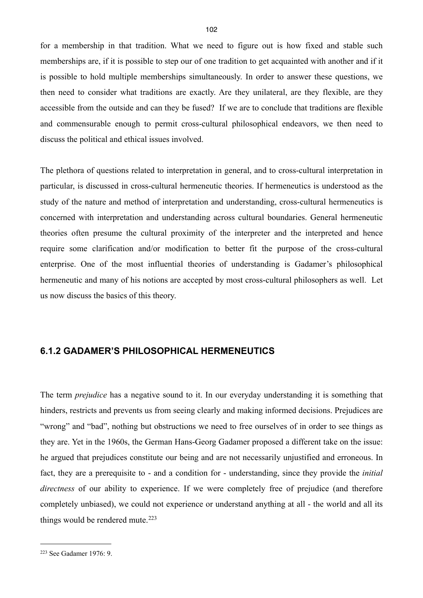for a membership in that tradition. What we need to figure out is how fixed and stable such memberships are, if it is possible to step our of one tradition to get acquainted with another and if it is possible to hold multiple memberships simultaneously. In order to answer these questions, we then need to consider what traditions are exactly. Are they unilateral, are they flexible, are they accessible from the outside and can they be fused? If we are to conclude that traditions are flexible and commensurable enough to permit cross-cultural philosophical endeavors, we then need to discuss the political and ethical issues involved.

The plethora of questions related to interpretation in general, and to cross-cultural interpretation in particular, is discussed in cross-cultural hermeneutic theories. If hermeneutics is understood as the study of the nature and method of interpretation and understanding, cross-cultural hermeneutics is concerned with interpretation and understanding across cultural boundaries. General hermeneutic theories often presume the cultural proximity of the interpreter and the interpreted and hence require some clarification and/or modification to better fit the purpose of the cross-cultural enterprise. One of the most influential theories of understanding is Gadamer's philosophical hermeneutic and many of his notions are accepted by most cross-cultural philosophers as well. Let us now discuss the basics of this theory.

## **6.1.2 GADAMER'S PHILOSOPHICAL HERMENEUTICS**

The term *prejudice* has a negative sound to it. In our everyday understanding it is something that hinders, restricts and prevents us from seeing clearly and making informed decisions. Prejudices are "wrong" and "bad", nothing but obstructions we need to free ourselves of in order to see things as they are. Yet in the 1960s, the German Hans-Georg Gadamer proposed a different take on the issue: he argued that prejudices constitute our being and are not necessarily unjustified and erroneous. In fact, they are a prerequisite to - and a condition for - understanding, since they provide the *initial directness* of our ability to experience. If we were completely free of prejudice (and therefore completely unbiased), we could not experience or understand anything at all - the world and all its things would be rendered mute.<sup>[223](#page-105-0)</sup>

<span id="page-105-0"></span><sup>223</sup> See Gadamer 1976: 9.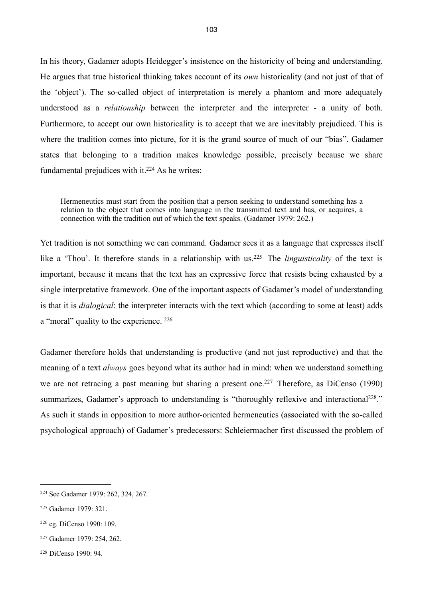In his theory, Gadamer adopts Heidegger's insistence on the historicity of being and understanding. He argues that true historical thinking takes account of its *own* historicality (and not just of that of the 'object'). The so-called object of interpretation is merely a phantom and more adequately understood as a *relationship* between the interpreter and the interpreter - a unity of both. Furthermore, to accept our own historicality is to accept that we are inevitably prejudiced. This is where the tradition comes into picture, for it is the grand source of much of our "bias". Gadamer states that belonging to a tradition makes knowledge possible, precisely because we share fundamental prejudices with it. $224$  As he writes:

Hermeneutics must start from the position that a person seeking to understand something has a relation to the object that comes into language in the transmitted text and has, or acquires, a connection with the tradition out of which the text speaks. (Gadamer 1979: 262.)

Yet tradition is not something we can command. Gadamer sees it as a language that expresses itself like a 'Thou'. It therefore stands in a relationship with us.<sup>225</sup> The *linguisticality* of the text is important, because it means that the text has an expressive force that resists being exhausted by a single interpretative framework. One of the important aspects of Gadamer's model of understanding is that it is *dialogical*: the interpreter interacts with the text which (according to some at least) adds a "moral" quality to the experience. [226](#page-106-2)

Gadamer therefore holds that understanding is productive (and not just reproductive) and that the meaning of a text *always* goes beyond what its author had in mind: when we understand something we are not retracing a past meaning but sharing a present one.<sup>227</sup> Therefore, as DiCenso (1990) summarizes, Gadamer's approach to understanding is "thoroughly reflexive and interactional<sup>228</sup>." As such it stands in opposition to more author-oriented hermeneutics (associated with the so-called psychological approach) of Gadamer's predecessors: Schleiermacher first discussed the problem of

<span id="page-106-0"></span><sup>224</sup> See Gadamer 1979: 262, 324, 267.

<span id="page-106-1"></span><sup>225</sup> Gadamer 1979: 321.

<span id="page-106-2"></span><sup>226</sup> eg. DiCenso 1990: 109.

<span id="page-106-3"></span><sup>227</sup> Gadamer 1979: 254, 262.

<span id="page-106-4"></span><sup>228</sup> DiCenso 1990: 94.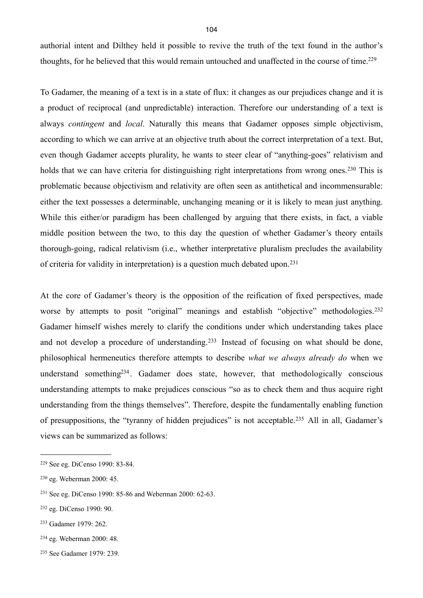authorial intent and Dilthey held it possible to revive the truth of the text found in the author's thoughts, for he believed that this would remain untouched and unaffected in the course of time[.229](#page-107-0)

To Gadamer, the meaning of a text is in a state of flux: it changes as our prejudices change and it is a product of reciprocal (and unpredictable) interaction. Therefore our understanding of a text is always *contingent* and *local*. Naturally this means that Gadamer opposes simple objectivism, according to which we can arrive at an objective truth about the correct interpretation of a text. But, even though Gadamer accepts plurality, he wants to steer clear of "anything-goes" relativism and holds that we can have criteria for distinguishing right interpretations from wrong ones.<sup>230</sup> This is problematic because objectivism and relativity are often seen as antithetical and incommensurable: either the text possesses a determinable, unchanging meaning or it is likely to mean just anything. While this either/or paradigm has been challenged by arguing that there exists, in fact, a viable middle position between the two, to this day the question of whether Gadamer's theory entails thorough-going, radical relativism (i.e., whether interpretative pluralism precludes the availability of criteria for validity in interpretation) is a question much debated upon.[231](#page-107-2)

At the core of Gadamer's theory is the opposition of the reification of fixed perspectives, made worse by attempts to posit "original" meanings and establish "objective" methodologies.<sup>[232](#page-107-3)</sup> Gadamer himself wishes merely to clarify the conditions under which understanding takes place and not develop a procedure of understanding.[233](#page-107-4) Instead of focusing on what should be done, philosophical hermeneutics therefore attempts to describe *what we always already do* when we understand something<sup>234</sup>. Gadamer does state, however, that methodologically conscious understanding attempts to make prejudices conscious "so as to check them and thus acquire right understanding from the things themselves". Therefore, despite the fundamentally enabling function of presuppositions, the "tyranny of hidden prejudices" is not acceptable.[235](#page-107-6) All in all, Gadamer's views can be summarized as follows:

<span id="page-107-0"></span><sup>229</sup> See eg. DiCenso 1990: 83-84.

<span id="page-107-1"></span><sup>230</sup> eg. Weberman 2000: 45.

<span id="page-107-2"></span><sup>231</sup> See eg. DiCenso 1990: 85-86 and Weberman 2000: 62-63.

<span id="page-107-3"></span><sup>232</sup> eg. DiCenso 1990: 90.

<span id="page-107-4"></span><sup>233</sup> Gadamer 1979: 262.

<span id="page-107-5"></span><sup>234</sup> eg. Weberman 2000: 48.

<span id="page-107-6"></span><sup>235</sup> See Gadamer 1979: 239.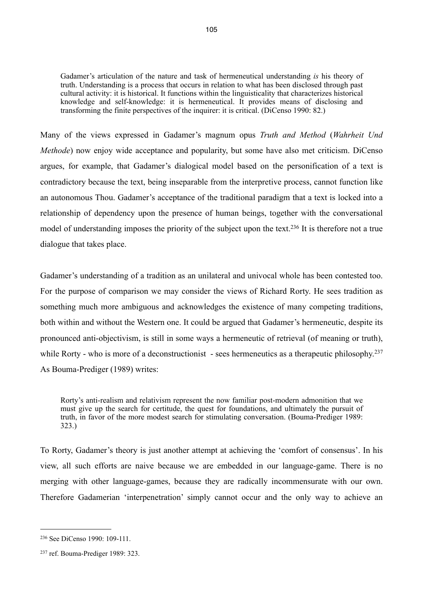Gadamer's articulation of the nature and task of hermeneutical understanding *is* his theory of truth. Understanding is a process that occurs in relation to what has been disclosed through past cultural activity: it is historical. It functions within the linguisticality that characterizes historical knowledge and self-knowledge: it is hermeneutical. It provides means of disclosing and transforming the finite perspectives of the inquirer: it is critical. (DiCenso 1990: 82.)

Many of the views expressed in Gadamer's magnum opus *Truth and Method* (*Wahrheit Und Methode*) now enjoy wide acceptance and popularity, but some have also met criticism. DiCenso argues, for example, that Gadamer's dialogical model based on the personification of a text is contradictory because the text, being inseparable from the interpretive process, cannot function like an autonomous Thou. Gadamer's acceptance of the traditional paradigm that a text is locked into a relationship of dependency upon the presence of human beings, together with the conversational model of understanding imposes the priority of the subject upon the text.<sup>236</sup> It is therefore not a true dialogue that takes place.

Gadamer's understanding of a tradition as an unilateral and univocal whole has been contested too. For the purpose of comparison we may consider the views of Richard Rorty. He sees tradition as something much more ambiguous and acknowledges the existence of many competing traditions, both within and without the Western one. It could be argued that Gadamer's hermeneutic, despite its pronounced anti-objectivism, is still in some ways a hermeneutic of retrieval (of meaning or truth), while Rorty - who is more of a deconstructionist - sees hermeneutics as a therapeutic philosophy.<sup>[237](#page-108-1)</sup> As Bouma-Prediger (1989) writes:

Rorty's anti-realism and relativism represent the now familiar post-modern admonition that we must give up the search for certitude, the quest for foundations, and ultimately the pursuit of truth, in favor of the more modest search for stimulating conversation. (Bouma-Prediger 1989: 323.)

To Rorty, Gadamer's theory is just another attempt at achieving the 'comfort of consensus'. In his view, all such efforts are naive because we are embedded in our language-game. There is no merging with other language-games, because they are radically incommensurate with our own. Therefore Gadamerian 'interpenetration' simply cannot occur and the only way to achieve an

<span id="page-108-0"></span><sup>236</sup> See DiCenso 1990: 109-111.

<span id="page-108-1"></span><sup>237</sup> ref. Bouma-Prediger 1989: 323.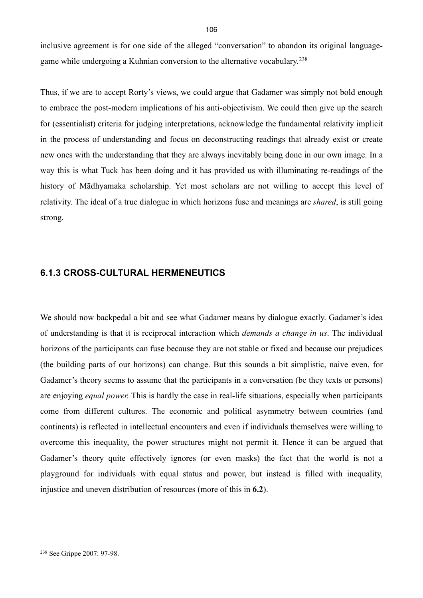inclusive agreement is for one side of the alleged "conversation" to abandon its original languagegame while undergoing a Kuhnian conversion to the alternative vocabulary.[238](#page-109-0)

Thus, if we are to accept Rorty's views, we could argue that Gadamer was simply not bold enough to embrace the post-modern implications of his anti-objectivism. We could then give up the search for (essentialist) criteria for judging interpretations, acknowledge the fundamental relativity implicit in the process of understanding and focus on deconstructing readings that already exist or create new ones with the understanding that they are always inevitably being done in our own image. In a way this is what Tuck has been doing and it has provided us with illuminating re-readings of the history of Mādhyamaka scholarship. Yet most scholars are not willing to accept this level of relativity. The ideal of a true dialogue in which horizons fuse and meanings are *shared*, is still going strong.

#### **6.1.3 CROSS-CULTURAL HERMENEUTICS**

We should now backpedal a bit and see what Gadamer means by dialogue exactly. Gadamer's idea of understanding is that it is reciprocal interaction which *demands a change in us*. The individual horizons of the participants can fuse because they are not stable or fixed and because our prejudices (the building parts of our horizons) can change. But this sounds a bit simplistic, naive even, for Gadamer's theory seems to assume that the participants in a conversation (be they texts or persons) are enjoying *equal power.* This is hardly the case in real-life situations, especially when participants come from different cultures. The economic and political asymmetry between countries (and continents) is reflected in intellectual encounters and even if individuals themselves were willing to overcome this inequality, the power structures might not permit it. Hence it can be argued that Gadamer's theory quite effectively ignores (or even masks) the fact that the world is not a playground for individuals with equal status and power, but instead is filled with inequality, injustice and uneven distribution of resources (more of this in **6.2**).

<span id="page-109-0"></span><sup>238</sup> See Grippe 2007: 97-98.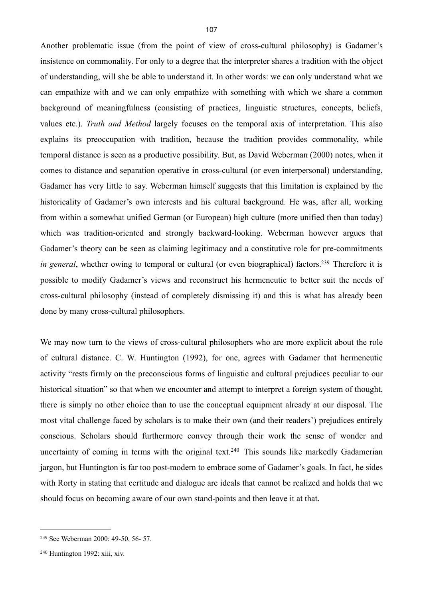Another problematic issue (from the point of view of cross-cultural philosophy) is Gadamer's insistence on commonality. For only to a degree that the interpreter shares a tradition with the object of understanding, will she be able to understand it. In other words: we can only understand what we can empathize with and we can only empathize with something with which we share a common background of meaningfulness (consisting of practices, linguistic structures, concepts, beliefs, values etc.). *Truth and Method* largely focuses on the temporal axis of interpretation. This also explains its preoccupation with tradition, because the tradition provides commonality, while temporal distance is seen as a productive possibility. But, as David Weberman (2000) notes, when it comes to distance and separation operative in cross-cultural (or even interpersonal) understanding, Gadamer has very little to say. Weberman himself suggests that this limitation is explained by the historicality of Gadamer's own interests and his cultural background. He was, after all, working from within a somewhat unified German (or European) high culture (more unified then than today) which was tradition-oriented and strongly backward-looking. Weberman however argues that Gadamer's theory can be seen as claiming legitimacy and a constitutive role for pre-commitments *in general*, whether owing to temporal or cultural (or even biographical) factors.<sup>239</sup> Therefore it is possible to modify Gadamer's views and reconstruct his hermeneutic to better suit the needs of cross-cultural philosophy (instead of completely dismissing it) and this is what has already been done by many cross-cultural philosophers.

We may now turn to the views of cross-cultural philosophers who are more explicit about the role of cultural distance. C. W. Huntington (1992), for one, agrees with Gadamer that hermeneutic activity "rests firmly on the preconscious forms of linguistic and cultural prejudices peculiar to our historical situation" so that when we encounter and attempt to interpret a foreign system of thought, there is simply no other choice than to use the conceptual equipment already at our disposal. The most vital challenge faced by scholars is to make their own (and their readers') prejudices entirely conscious. Scholars should furthermore convey through their work the sense of wonder and uncertainty of coming in terms with the original text.<sup>240</sup> This sounds like markedly Gadamerian jargon, but Huntington is far too post-modern to embrace some of Gadamer's goals. In fact, he sides with Rorty in stating that certitude and dialogue are ideals that cannot be realized and holds that we should focus on becoming aware of our own stand-points and then leave it at that.

<span id="page-110-0"></span><sup>239</sup> See Weberman 2000: 49-50, 56- 57.

<span id="page-110-1"></span> $240$  Huntington 1992: xiii, xiv.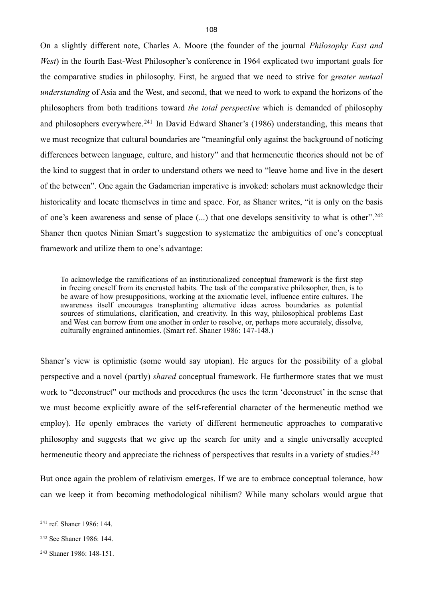On a slightly different note, Charles A. Moore (the founder of the journal *Philosophy East and West*) in the fourth East-West Philosopher's conference in 1964 explicated two important goals for the comparative studies in philosophy. First, he argued that we need to strive for *greater mutual understanding* of Asia and the West, and second, that we need to work to expand the horizons of the philosophers from both traditions toward *the total perspective* which is demanded of philosophy and philosophers everywhere.<sup>241</sup> In David Edward Shaner's (1986) understanding, this means that we must recognize that cultural boundaries are "meaningful only against the background of noticing differences between language, culture, and history" and that hermeneutic theories should not be of the kind to suggest that in order to understand others we need to "leave home and live in the desert of the between". One again the Gadamerian imperative is invoked: scholars must acknowledge their historicality and locate themselves in time and space. For, as Shaner writes, "it is only on the basis of one's keen awareness and sense of place (...) that one develops sensitivity to what is other".[242](#page-111-1) Shaner then quotes Ninian Smart's suggestion to systematize the ambiguities of one's conceptual framework and utilize them to one's advantage:

To acknowledge the ramifications of an institutionalized conceptual framework is the first step in freeing oneself from its encrusted habits. The task of the comparative philosopher, then, is to be aware of how presuppositions, working at the axiomatic level, influence entire cultures. The awareness itself encourages transplanting alternative ideas across boundaries as potential sources of stimulations, clarification, and creativity. In this way, philosophical problems East and West can borrow from one another in order to resolve, or, perhaps more accurately, dissolve, culturally engrained antinomies. (Smart ref. Shaner 1986: 147-148.)

Shaner's view is optimistic (some would say utopian). He argues for the possibility of a global perspective and a novel (partly) *shared* conceptual framework. He furthermore states that we must work to "deconstruct" our methods and procedures (he uses the term 'deconstruct' in the sense that we must become explicitly aware of the self-referential character of the hermeneutic method we employ). He openly embraces the variety of different hermeneutic approaches to comparative philosophy and suggests that we give up the search for unity and a single universally accepted hermeneutic theory and appreciate the richness of perspectives that results in a variety of studies.<sup>243</sup>

But once again the problem of relativism emerges. If we are to embrace conceptual tolerance, how can we keep it from becoming methodological nihilism? While many scholars would argue that

<span id="page-111-0"></span><sup>241</sup> ref. Shaner 1986: 144.

<span id="page-111-1"></span><sup>242</sup> See Shaner 1986: 144.

<span id="page-111-2"></span><sup>243</sup> Shaner 1986: 148-151.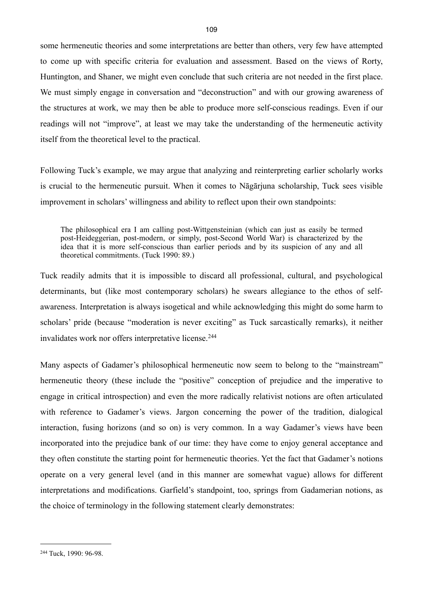some hermeneutic theories and some interpretations are better than others, very few have attempted to come up with specific criteria for evaluation and assessment. Based on the views of Rorty, Huntington, and Shaner, we might even conclude that such criteria are not needed in the first place. We must simply engage in conversation and "deconstruction" and with our growing awareness of the structures at work, we may then be able to produce more self-conscious readings. Even if our readings will not "improve", at least we may take the understanding of the hermeneutic activity itself from the theoretical level to the practical.

Following Tuck's example, we may argue that analyzing and reinterpreting earlier scholarly works is crucial to the hermeneutic pursuit. When it comes to Nāgārjuna scholarship, Tuck sees visible improvement in scholars' willingness and ability to reflect upon their own standpoints:

The philosophical era I am calling post-Wittgensteinian (which can just as easily be termed post-Heideggerian, post-modern, or simply, post-Second World War) is characterized by the idea that it is more self-conscious than earlier periods and by its suspicion of any and all theoretical commitments. (Tuck 1990: 89.)

Tuck readily admits that it is impossible to discard all professional, cultural, and psychological determinants, but (like most contemporary scholars) he swears allegiance to the ethos of selfawareness. Interpretation is always isogetical and while acknowledging this might do some harm to scholars' pride (because "moderation is never exciting" as Tuck sarcastically remarks), it neither invalidates work nor offers interpretative license.<sup>[244](#page-112-0)</sup>

Many aspects of Gadamer's philosophical hermeneutic now seem to belong to the "mainstream" hermeneutic theory (these include the "positive" conception of prejudice and the imperative to engage in critical introspection) and even the more radically relativist notions are often articulated with reference to Gadamer's views. Jargon concerning the power of the tradition, dialogical interaction, fusing horizons (and so on) is very common. In a way Gadamer's views have been incorporated into the prejudice bank of our time: they have come to enjoy general acceptance and they often constitute the starting point for hermeneutic theories. Yet the fact that Gadamer's notions operate on a very general level (and in this manner are somewhat vague) allows for different interpretations and modifications. Garfield's standpoint, too, springs from Gadamerian notions, as the choice of terminology in the following statement clearly demonstrates:

<span id="page-112-0"></span><sup>244</sup> Tuck, 1990: 96-98.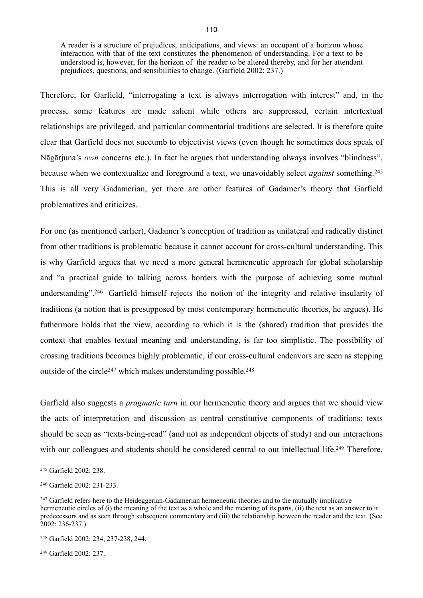A reader is a structure of prejudices, anticipations, and views: an occupant of a horizon whose interaction with that of the text constitutes the phenomenon of understanding. For a text to be understood is, however, for the horizon of the reader to be altered thereby, and for her attendant prejudices, questions, and sensibilities to change. (Garfield 2002: 237.)

Therefore, for Garfield, "interrogating a text is always interrogation with interest" and, in the process, some features are made salient while others are suppressed, certain intertextual relationships are privileged, and particular commentarial traditions are selected. It is therefore quite clear that Garfield does not succumb to objectivist views (even though he sometimes does speak of Nāgārjuna's *own* concerns etc.). In fact he argues that understanding always involves "blindness", because when we contextualize and foreground a text, we unavoidably select *against* something. [245](#page-113-0) This is all very Gadamerian, yet there are other features of Gadamer's theory that Garfield problematizes and criticizes.

For one (as mentioned earlier), Gadamer's conception of tradition as unilateral and radically distinct from other traditions is problematic because it cannot account for cross-cultural understanding. This is why Garfield argues that we need a more general hermeneutic approach for global scholarship and "a practical guide to talking across borders with the purpose of achieving some mutual understanding"[.246](#page-113-1) Garfield himself rejects the notion of the integrity and relative insularity of traditions (a notion that is presupposed by most contemporary hermeneutic theories, he argues). He futhermore holds that the view, according to which it is the (shared) tradition that provides the context that enables textual meaning and understanding, is far too simplistic. The possibility of crossing traditions becomes highly problematic, if our cross-cultural endeavors are seen as stepping outside of the circle<sup>247</sup> which makes understanding possible.<sup>[248](#page-113-3)</sup>

Garfield also suggests a *pragmatic turn* in our hermeneutic theory and argues that we should view the acts of interpretation and discussion as central constitutive components of traditions: texts should be seen as "texts-being-read" (and not as independent objects of study) and our interactions with our colleagues and students should be considered central to out intellectual life.<sup>[249](#page-113-4)</sup> Therefore,

<span id="page-113-0"></span><sup>245</sup> Garfield 2002: 238.

<span id="page-113-1"></span><sup>246</sup> Garfield 2002: 231-233.

<span id="page-113-2"></span><sup>&</sup>lt;sup>247</sup> Garfield refers here to the Heideggerian-Gadamerian hermeneutic theories and to the mutually implicative hermeneutic circles of (i) the meaning of the text as a whole and the meaning of its parts, (ii) the text as an answer to it predecessors and as seen through subsequent commentary and (iii) the relationship between the reader and the text. (See 2002: 236-237.)

<span id="page-113-3"></span><sup>248</sup> Garfield 2002: 234, 237-238, 244.

<span id="page-113-4"></span><sup>249</sup> Garfield 2002: 237.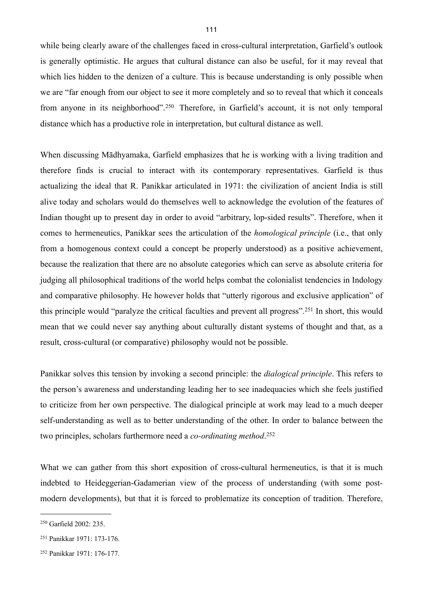while being clearly aware of the challenges faced in cross-cultural interpretation, Garfield's outlook is generally optimistic. He argues that cultural distance can also be useful, for it may reveal that which lies hidden to the denizen of a culture. This is because understanding is only possible when we are "far enough from our object to see it more completely and so to reveal that which it conceals from anyone in its neighborhood".[250](#page-114-0) Therefore, in Garfield's account, it is not only temporal distance which has a productive role in interpretation, but cultural distance as well.

When discussing Mādhyamaka, Garfield emphasizes that he is working with a living tradition and therefore finds is crucial to interact with its contemporary representatives. Garfield is thus actualizing the ideal that R. Panikkar articulated in 1971: the civilization of ancient India is still alive today and scholars would do themselves well to acknowledge the evolution of the features of Indian thought up to present day in order to avoid "arbitrary, lop-sided results". Therefore, when it comes to hermeneutics, Panikkar sees the articulation of the *homological principle* (i.e., that only from a homogenous context could a concept be properly understood) as a positive achievement, because the realization that there are no absolute categories which can serve as absolute criteria for judging all philosophical traditions of the world helps combat the colonialist tendencies in Indology and comparative philosophy. He however holds that "utterly rigorous and exclusive application" of this principle would "paralyze the critical faculties and prevent all progress".[251](#page-114-1) In short, this would mean that we could never say anything about culturally distant systems of thought and that, as a result, cross-cultural (or comparative) philosophy would not be possible.

Panikkar solves this tension by invoking a second principle: the *dialogical principle*. This refers to the person's awareness and understanding leading her to see inadequacies which she feels justified to criticize from her own perspective. The dialogical principle at work may lead to a much deeper self-understanding as well as to better understanding of the other. In order to balance between the two principles, scholars furthermore need a *co-ordinating method*. [252](#page-114-2)

What we can gather from this short exposition of cross-cultural hermeneutics, is that it is much indebted to Heideggerian-Gadamerian view of the process of understanding (with some postmodern developments), but that it is forced to problematize its conception of tradition. Therefore,

<span id="page-114-0"></span><sup>250</sup> Garfield 2002: 235.

<span id="page-114-1"></span><sup>251</sup> Panikkar 1971: 173-176.

<span id="page-114-2"></span><sup>252</sup> Panikkar 1971: 176-177.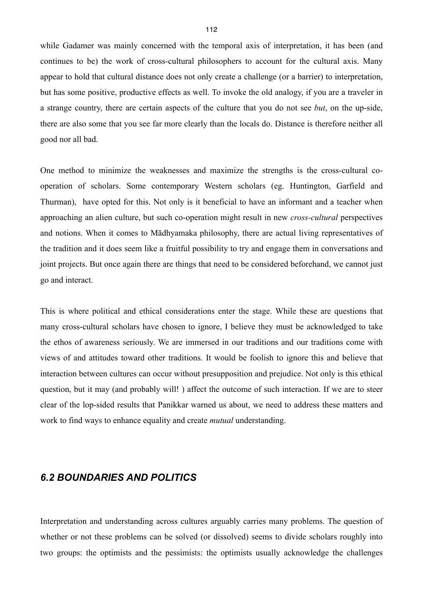while Gadamer was mainly concerned with the temporal axis of interpretation, it has been (and continues to be) the work of cross-cultural philosophers to account for the cultural axis. Many appear to hold that cultural distance does not only create a challenge (or a barrier) to interpretation, but has some positive, productive effects as well. To invoke the old analogy, if you are a traveler in a strange country, there are certain aspects of the culture that you do not see *but*, on the up-side, there are also some that you see far more clearly than the locals do. Distance is therefore neither all good nor all bad.

One method to minimize the weaknesses and maximize the strengths is the cross-cultural cooperation of scholars. Some contemporary Western scholars (eg. Huntington, Garfield and Thurman), have opted for this. Not only is it beneficial to have an informant and a teacher when approaching an alien culture, but such co-operation might result in new *cross-cultural* perspectives and notions. When it comes to Mādhyamaka philosophy, there are actual living representatives of the tradition and it does seem like a fruitful possibility to try and engage them in conversations and joint projects. But once again there are things that need to be considered beforehand, we cannot just go and interact.

This is where political and ethical considerations enter the stage. While these are questions that many cross-cultural scholars have chosen to ignore, I believe they must be acknowledged to take the ethos of awareness seriously. We are immersed in our traditions and our traditions come with views of and attitudes toward other traditions. It would be foolish to ignore this and believe that interaction between cultures can occur without presupposition and prejudice. Not only is this ethical question, but it may (and probably will! ) affect the outcome of such interaction. If we are to steer clear of the lop-sided results that Panikkar warned us about, we need to address these matters and work to find ways to enhance equality and create *mutual* understanding.

#### *6.2 BOUNDARIES AND POLITICS*

Interpretation and understanding across cultures arguably carries many problems. The question of whether or not these problems can be solved (or dissolved) seems to divide scholars roughly into two groups: the optimists and the pessimists: the optimists usually acknowledge the challenges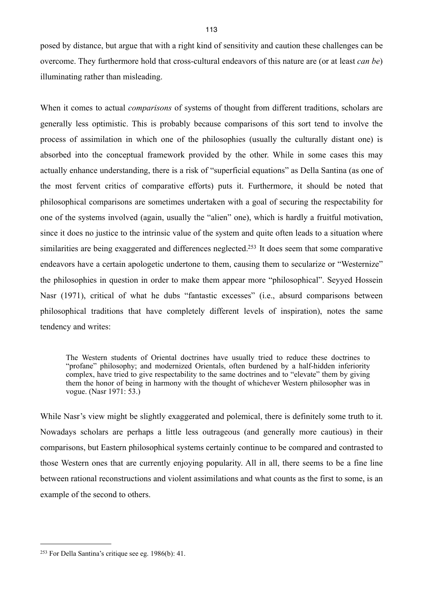posed by distance, but argue that with a right kind of sensitivity and caution these challenges can be overcome. They furthermore hold that cross-cultural endeavors of this nature are (or at least *can be*) illuminating rather than misleading.

When it comes to actual *comparisons* of systems of thought from different traditions, scholars are generally less optimistic. This is probably because comparisons of this sort tend to involve the process of assimilation in which one of the philosophies (usually the culturally distant one) is absorbed into the conceptual framework provided by the other. While in some cases this may actually enhance understanding, there is a risk of "superficial equations" as Della Santina (as one of the most fervent critics of comparative efforts) puts it. Furthermore, it should be noted that philosophical comparisons are sometimes undertaken with a goal of securing the respectability for one of the systems involved (again, usually the "alien" one), which is hardly a fruitful motivation, since it does no justice to the intrinsic value of the system and quite often leads to a situation where similarities are being exaggerated and differences neglected.<sup>253</sup> It does seem that some comparative endeavors have a certain apologetic undertone to them, causing them to secularize or "Westernize" the philosophies in question in order to make them appear more "philosophical". Seyyed Hossein Nasr (1971), critical of what he dubs "fantastic excesses" (i.e., absurd comparisons between philosophical traditions that have completely different levels of inspiration), notes the same tendency and writes:

The Western students of Oriental doctrines have usually tried to reduce these doctrines to "profane" philosophy; and modernized Orientals, often burdened by a half-hidden inferiority complex, have tried to give respectability to the same doctrines and to "elevate" them by giving them the honor of being in harmony with the thought of whichever Western philosopher was in vogue. (Nasr 1971: 53.)

While Nasr's view might be slightly exaggerated and polemical, there is definitely some truth to it. Nowadays scholars are perhaps a little less outrageous (and generally more cautious) in their comparisons, but Eastern philosophical systems certainly continue to be compared and contrasted to those Western ones that are currently enjoying popularity. All in all, there seems to be a fine line between rational reconstructions and violent assimilations and what counts as the first to some, is an example of the second to others.

<span id="page-116-0"></span><sup>253</sup> For Della Santina's critique see eg. 1986(b): 41.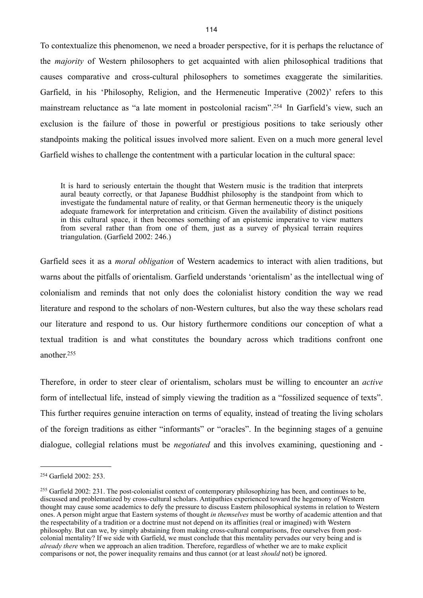To contextualize this phenomenon, we need a broader perspective, for it is perhaps the reluctance of the *majority* of Western philosophers to get acquainted with alien philosophical traditions that causes comparative and cross-cultural philosophers to sometimes exaggerate the similarities. Garfield, in his 'Philosophy, Religion, and the Hermeneutic Imperative (2002)' refers to this mainstream reluctance as "a late moment in postcolonial racism".[254](#page-117-0) In Garfield's view, such an exclusion is the failure of those in powerful or prestigious positions to take seriously other standpoints making the political issues involved more salient. Even on a much more general level Garfield wishes to challenge the contentment with a particular location in the cultural space:

It is hard to seriously entertain the thought that Western music is the tradition that interprets aural beauty correctly, or that Japanese Buddhist philosophy is the standpoint from which to investigate the fundamental nature of reality, or that German hermeneutic theory is the uniquely adequate framework for interpretation and criticism. Given the availability of distinct positions in this cultural space, it then becomes something of an epistemic imperative to view matters from several rather than from one of them, just as a survey of physical terrain requires triangulation. (Garfield 2002: 246.)

Garfield sees it as a *moral obligation* of Western academics to interact with alien traditions, but warns about the pitfalls of orientalism. Garfield understands 'orientalism' as the intellectual wing of colonialism and reminds that not only does the colonialist history condition the way we read literature and respond to the scholars of non-Western cultures, but also the way these scholars read our literature and respond to us. Our history furthermore conditions our conception of what a textual tradition is and what constitutes the boundary across which traditions confront one another[.255](#page-117-1)

Therefore, in order to steer clear of orientalism, scholars must be willing to encounter an *active* form of intellectual life, instead of simply viewing the tradition as a "fossilized sequence of texts". This further requires genuine interaction on terms of equality, instead of treating the living scholars of the foreign traditions as either "informants" or "oracles". In the beginning stages of a genuine dialogue, collegial relations must be *negotiated* and this involves examining, questioning and -

<span id="page-117-0"></span><sup>254</sup> Garfield 2002: 253.

<span id="page-117-1"></span><sup>255</sup> Garfield 2002: 231. The post-colonialist context of contemporary philosophizing has been, and continues to be, discussed and problematized by cross-cultural scholars. Antipathies experienced toward the hegemony of Western thought may cause some academics to defy the pressure to discuss Eastern philosophical systems in relation to Western ones. A person might argue that Eastern systems of thought *in themselves* must be worthy of academic attention and that the respectability of a tradition or a doctrine must not depend on its affinities (real or imagined) with Western philosophy. But can we, by simply abstaining from making cross-cultural comparisons, free ourselves from postcolonial mentality? If we side with Garfield, we must conclude that this mentality pervades our very being and is *already there* when we approach an alien tradition. Therefore, regardless of whether we are to make explicit comparisons or not, the power inequality remains and thus cannot (or at least *should* not) be ignored.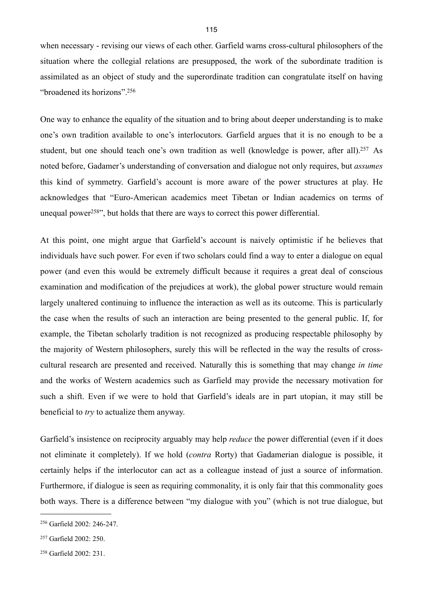when necessary - revising our views of each other. Garfield warns cross-cultural philosophers of the situation where the collegial relations are presupposed, the work of the subordinate tradition is assimilated as an object of study and the superordinate tradition can congratulate itself on having "broadened its horizons".[256](#page-118-0)

One way to enhance the equality of the situation and to bring about deeper understanding is to make one's own tradition available to one's interlocutors. Garfield argues that it is no enough to be a student, but one should teach one's own tradition as well (knowledge is power, after all).<sup>257</sup> As noted before, Gadamer's understanding of conversation and dialogue not only requires, but *assumes* this kind of symmetry. Garfield's account is more aware of the power structures at play. He acknowledges that "Euro-American academics meet Tibetan or Indian academics on terms of unequal power<sup>[258"](#page-118-2)</sup>, but holds that there are ways to correct this power differential.

At this point, one might argue that Garfield's account is naively optimistic if he believes that individuals have such power. For even if two scholars could find a way to enter a dialogue on equal power (and even this would be extremely difficult because it requires a great deal of conscious examination and modification of the prejudices at work), the global power structure would remain largely unaltered continuing to influence the interaction as well as its outcome. This is particularly the case when the results of such an interaction are being presented to the general public. If, for example, the Tibetan scholarly tradition is not recognized as producing respectable philosophy by the majority of Western philosophers, surely this will be reflected in the way the results of crosscultural research are presented and received. Naturally this is something that may change *in time* and the works of Western academics such as Garfield may provide the necessary motivation for such a shift. Even if we were to hold that Garfield's ideals are in part utopian, it may still be beneficial to *try* to actualize them anyway.

Garfield's insistence on reciprocity arguably may help *reduce* the power differential (even if it does not eliminate it completely). If we hold (*contra* Rorty) that Gadamerian dialogue is possible, it certainly helps if the interlocutor can act as a colleague instead of just a source of information. Furthermore, if dialogue is seen as requiring commonality, it is only fair that this commonality goes both ways. There is a difference between "my dialogue with you" (which is not true dialogue, but

<span id="page-118-0"></span><sup>256</sup> Garfield 2002: 246-247.

<span id="page-118-1"></span><sup>257</sup> Garfield 2002: 250.

<span id="page-118-2"></span><sup>258</sup> Garfield 2002: 231.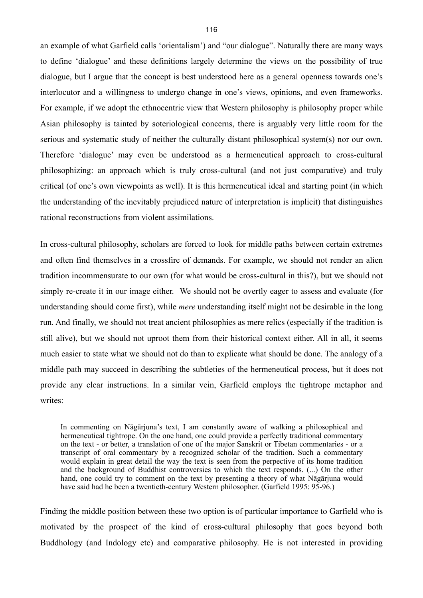an example of what Garfield calls 'orientalism') and "our dialogue". Naturally there are many ways to define 'dialogue' and these definitions largely determine the views on the possibility of true dialogue, but I argue that the concept is best understood here as a general openness towards one's interlocutor and a willingness to undergo change in one's views, opinions, and even frameworks. For example, if we adopt the ethnocentric view that Western philosophy is philosophy proper while Asian philosophy is tainted by soteriological concerns, there is arguably very little room for the serious and systematic study of neither the culturally distant philosophical system(s) nor our own. Therefore 'dialogue' may even be understood as a hermeneutical approach to cross-cultural philosophizing: an approach which is truly cross-cultural (and not just comparative) and truly critical (of one's own viewpoints as well). It is this hermeneutical ideal and starting point (in which the understanding of the inevitably prejudiced nature of interpretation is implicit) that distinguishes rational reconstructions from violent assimilations.

In cross-cultural philosophy, scholars are forced to look for middle paths between certain extremes and often find themselves in a crossfire of demands. For example, we should not render an alien tradition incommensurate to our own (for what would be cross-cultural in this?), but we should not simply re-create it in our image either. We should not be overtly eager to assess and evaluate (for understanding should come first), while *mere* understanding itself might not be desirable in the long run. And finally, we should not treat ancient philosophies as mere relics (especially if the tradition is still alive), but we should not uproot them from their historical context either. All in all, it seems much easier to state what we should not do than to explicate what should be done. The analogy of a middle path may succeed in describing the subtleties of the hermeneutical process, but it does not provide any clear instructions. In a similar vein, Garfield employs the tightrope metaphor and writes:

In commenting on Nāgārjuna's text, I am constantly aware of walking a philosophical and hermeneutical tightrope. On the one hand, one could provide a perfectly traditional commentary on the text - or better, a translation of one of the major Sanskrit or Tibetan commentaries - or a transcript of oral commentary by a recognized scholar of the tradition. Such a commentary would explain in great detail the way the text is seen from the perpective of its home tradition and the background of Buddhist controversies to which the text responds. (...) On the other hand, one could try to comment on the text by presenting a theory of what Nāgārjuna would have said had he been a twentieth-century Western philosopher. (Garfield 1995: 95-96.)

Finding the middle position between these two option is of particular importance to Garfield who is motivated by the prospect of the kind of cross-cultural philosophy that goes beyond both Buddhology (and Indology etc) and comparative philosophy. He is not interested in providing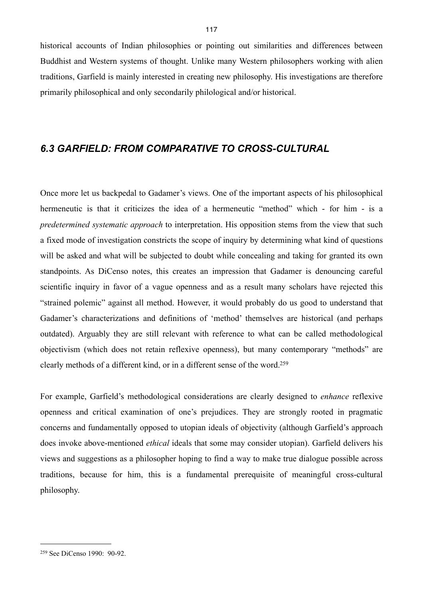historical accounts of Indian philosophies or pointing out similarities and differences between Buddhist and Western systems of thought. Unlike many Western philosophers working with alien traditions, Garfield is mainly interested in creating new philosophy. His investigations are therefore primarily philosophical and only secondarily philological and/or historical.

## *6.3 GARFIELD: FROM COMPARATIVE TO CROSS-CULTURAL*

Once more let us backpedal to Gadamer's views. One of the important aspects of his philosophical hermeneutic is that it criticizes the idea of a hermeneutic "method" which - for him - is a *predetermined systematic approach* to interpretation. His opposition stems from the view that such a fixed mode of investigation constricts the scope of inquiry by determining what kind of questions will be asked and what will be subjected to doubt while concealing and taking for granted its own standpoints. As DiCenso notes, this creates an impression that Gadamer is denouncing careful scientific inquiry in favor of a vague openness and as a result many scholars have rejected this "strained polemic" against all method. However, it would probably do us good to understand that Gadamer's characterizations and definitions of 'method' themselves are historical (and perhaps outdated). Arguably they are still relevant with reference to what can be called methodological objectivism (which does not retain reflexive openness), but many contemporary "methods" are clearly methods of a different kind, or in a different sense of the word.[259](#page-120-0)

For example, Garfield's methodological considerations are clearly designed to *enhance* reflexive openness and critical examination of one's prejudices. They are strongly rooted in pragmatic concerns and fundamentally opposed to utopian ideals of objectivity (although Garfield's approach does invoke above-mentioned *ethical* ideals that some may consider utopian). Garfield delivers his views and suggestions as a philosopher hoping to find a way to make true dialogue possible across traditions, because for him, this is a fundamental prerequisite of meaningful cross-cultural philosophy.

<span id="page-120-0"></span><sup>259</sup> See DiCenso 1990: 90-92.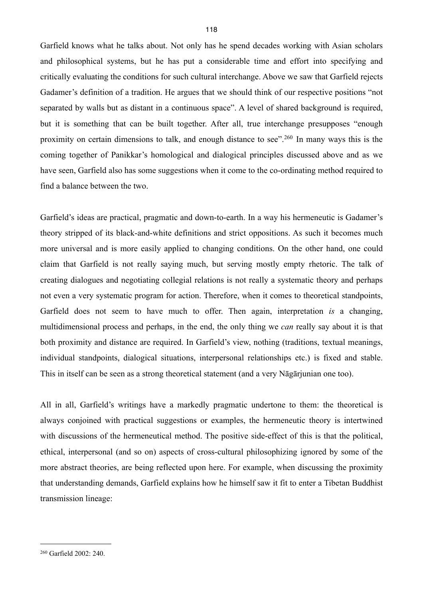Garfield knows what he talks about. Not only has he spend decades working with Asian scholars and philosophical systems, but he has put a considerable time and effort into specifying and critically evaluating the conditions for such cultural interchange. Above we saw that Garfield rejects Gadamer's definition of a tradition. He argues that we should think of our respective positions "not separated by walls but as distant in a continuous space". A level of shared background is required, but it is something that can be built together. After all, true interchange presupposes "enough proximity on certain dimensions to talk, and enough distance to see".[260](#page-121-0) In many ways this is the coming together of Panikkar's homological and dialogical principles discussed above and as we have seen, Garfield also has some suggestions when it come to the co-ordinating method required to find a balance between the two.

Garfield's ideas are practical, pragmatic and down-to-earth. In a way his hermeneutic is Gadamer's theory stripped of its black-and-white definitions and strict oppositions. As such it becomes much more universal and is more easily applied to changing conditions. On the other hand, one could claim that Garfield is not really saying much, but serving mostly empty rhetoric. The talk of creating dialogues and negotiating collegial relations is not really a systematic theory and perhaps not even a very systematic program for action. Therefore, when it comes to theoretical standpoints, Garfield does not seem to have much to offer. Then again, interpretation *is* a changing, multidimensional process and perhaps, in the end, the only thing we *can* really say about it is that both proximity and distance are required. In Garfield's view, nothing (traditions, textual meanings, individual standpoints, dialogical situations, interpersonal relationships etc.) is fixed and stable. This in itself can be seen as a strong theoretical statement (and a very Nāgārjunian one too).

All in all, Garfield's writings have a markedly pragmatic undertone to them: the theoretical is always conjoined with practical suggestions or examples, the hermeneutic theory is intertwined with discussions of the hermeneutical method. The positive side-effect of this is that the political, ethical, interpersonal (and so on) aspects of cross-cultural philosophizing ignored by some of the more abstract theories, are being reflected upon here. For example, when discussing the proximity that understanding demands, Garfield explains how he himself saw it fit to enter a Tibetan Buddhist transmission lineage:

<span id="page-121-0"></span><sup>260</sup> Garfield 2002: 240.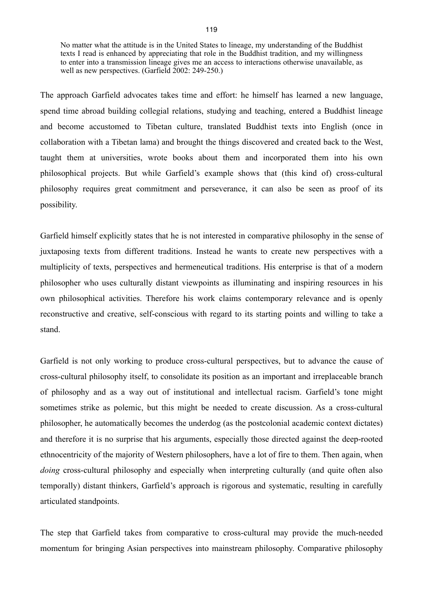No matter what the attitude is in the United States to lineage, my understanding of the Buddhist texts I read is enhanced by appreciating that role in the Buddhist tradition, and my willingness to enter into a transmission lineage gives me an access to interactions otherwise unavailable, as well as new perspectives. (Garfield 2002: 249-250.)

The approach Garfield advocates takes time and effort: he himself has learned a new language, spend time abroad building collegial relations, studying and teaching, entered a Buddhist lineage and become accustomed to Tibetan culture, translated Buddhist texts into English (once in collaboration with a Tibetan lama) and brought the things discovered and created back to the West, taught them at universities, wrote books about them and incorporated them into his own philosophical projects. But while Garfield's example shows that (this kind of) cross-cultural philosophy requires great commitment and perseverance, it can also be seen as proof of its possibility.

Garfield himself explicitly states that he is not interested in comparative philosophy in the sense of juxtaposing texts from different traditions. Instead he wants to create new perspectives with a multiplicity of texts, perspectives and hermeneutical traditions. His enterprise is that of a modern philosopher who uses culturally distant viewpoints as illuminating and inspiring resources in his own philosophical activities. Therefore his work claims contemporary relevance and is openly reconstructive and creative, self-conscious with regard to its starting points and willing to take a stand.

Garfield is not only working to produce cross-cultural perspectives, but to advance the cause of cross-cultural philosophy itself, to consolidate its position as an important and irreplaceable branch of philosophy and as a way out of institutional and intellectual racism. Garfield's tone might sometimes strike as polemic, but this might be needed to create discussion. As a cross-cultural philosopher, he automatically becomes the underdog (as the postcolonial academic context dictates) and therefore it is no surprise that his arguments, especially those directed against the deep-rooted ethnocentricity of the majority of Western philosophers, have a lot of fire to them. Then again, when *doing* cross-cultural philosophy and especially when interpreting culturally (and quite often also temporally) distant thinkers, Garfield's approach is rigorous and systematic, resulting in carefully articulated standpoints.

The step that Garfield takes from comparative to cross-cultural may provide the much-needed momentum for bringing Asian perspectives into mainstream philosophy. Comparative philosophy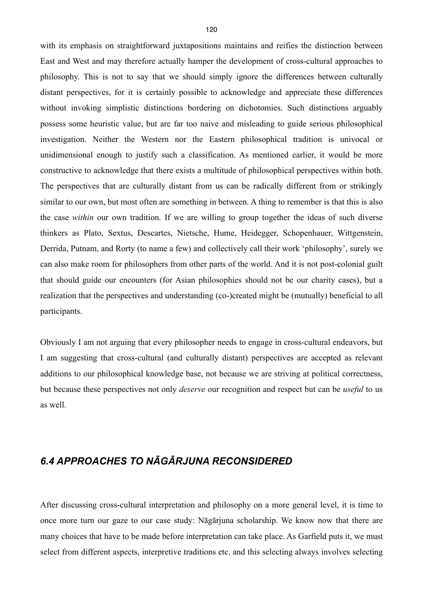with its emphasis on straightforward juxtapositions maintains and reifies the distinction between East and West and may therefore actually hamper the development of cross-cultural approaches to philosophy. This is not to say that we should simply ignore the differences between culturally distant perspectives, for it is certainly possible to acknowledge and appreciate these differences without invoking simplistic distinctions bordering on dichotomies. Such distinctions arguably possess some heuristic value, but are far too naive and misleading to guide serious philosophical investigation. Neither the Western nor the Eastern philosophical tradition is univocal or unidimensional enough to justify such a classification. As mentioned earlier, it would be more constructive to acknowledge that there exists a multitude of philosophical perspectives within both. The perspectives that are culturally distant from us can be radically different from or strikingly similar to our own, but most often are something in between. A thing to remember is that this is also the case *within* our own tradition. If we are willing to group together the ideas of such diverse thinkers as Plato, Sextus, Descartes, Nietsche, Hume, Heidegger, Schopenhauer, Wittgenstein, Derrida, Putnam, and Rorty (to name a few) and collectively call their work 'philosophy', surely we can also make room for philosophers from other parts of the world. And it is not post-colonial guilt that should guide our encounters (for Asian philosophies should not be our charity cases), but a realization that the perspectives and understanding (co-)created might be (mutually) beneficial to all participants.

Obviously I am not arguing that every philosopher needs to engage in cross-cultural endeavors, but I am suggesting that cross-cultural (and culturally distant) perspectives are accepted as relevant additions to our philosophical knowledge base, not because we are striving at political correctness, but because these perspectives not only *deserve* our recognition and respect but can be *useful* to us as well.

## *6.4 APPROACHES TO NĀGĀRJUNA RECONSIDERED*

After discussing cross-cultural interpretation and philosophy on a more general level, it is time to once more turn our gaze to our case study: Nāgārjuna scholarship. We know now that there are many choices that have to be made before interpretation can take place. As Garfield puts it, we must select from different aspects, interpretive traditions etc. and this selecting always involves selecting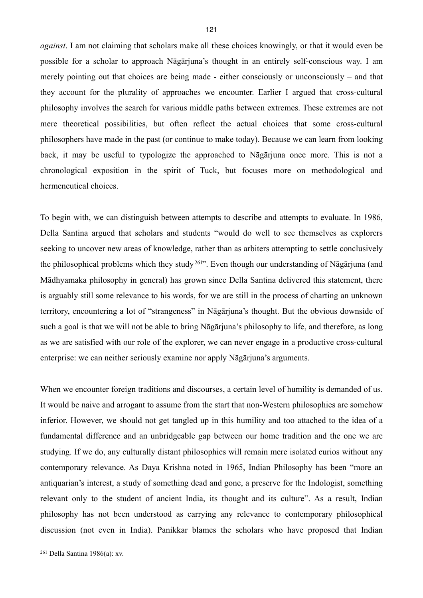*against*. I am not claiming that scholars make all these choices knowingly, or that it would even be possible for a scholar to approach Nāgārjuna's thought in an entirely self-conscious way. I am merely pointing out that choices are being made - either consciously or unconsciously – and that they account for the plurality of approaches we encounter. Earlier I argued that cross-cultural philosophy involves the search for various middle paths between extremes. These extremes are not mere theoretical possibilities, but often reflect the actual choices that some cross-cultural philosophers have made in the past (or continue to make today). Because we can learn from looking back, it may be useful to typologize the approached to Nāgārjuna once more. This is not a chronological exposition in the spirit of Tuck, but focuses more on methodological and hermeneutical choices.

To begin with, we can distinguish between attempts to describe and attempts to evaluate. In 1986, Della Santina argued that scholars and students "would do well to see themselves as explorers seeking to uncover new areas of knowledge, rather than as arbiters attempting to settle conclusively the philosophical problems which they study<sup>261</sup>. Even though our understanding of Nāgārjuna (and Mādhyamaka philosophy in general) has grown since Della Santina delivered this statement, there is arguably still some relevance to his words, for we are still in the process of charting an unknown territory, encountering a lot of "strangeness" in Nāgārjuna's thought. But the obvious downside of such a goal is that we will not be able to bring Nāgārjuna's philosophy to life, and therefore, as long as we are satisfied with our role of the explorer, we can never engage in a productive cross-cultural enterprise: we can neither seriously examine nor apply Nāgārjuna's arguments.

When we encounter foreign traditions and discourses, a certain level of humility is demanded of us. It would be naive and arrogant to assume from the start that non-Western philosophies are somehow inferior. However, we should not get tangled up in this humility and too attached to the idea of a fundamental difference and an unbridgeable gap between our home tradition and the one we are studying. If we do, any culturally distant philosophies will remain mere isolated curios without any contemporary relevance. As Daya Krishna noted in 1965, Indian Philosophy has been "more an antiquarian's interest, a study of something dead and gone, a preserve for the Indologist, something relevant only to the student of ancient India, its thought and its culture". As a result, Indian philosophy has not been understood as carrying any relevance to contemporary philosophical discussion (not even in India). Panikkar blames the scholars who have proposed that Indian

<span id="page-124-0"></span><sup>261</sup> Della Santina 1986(a): xv.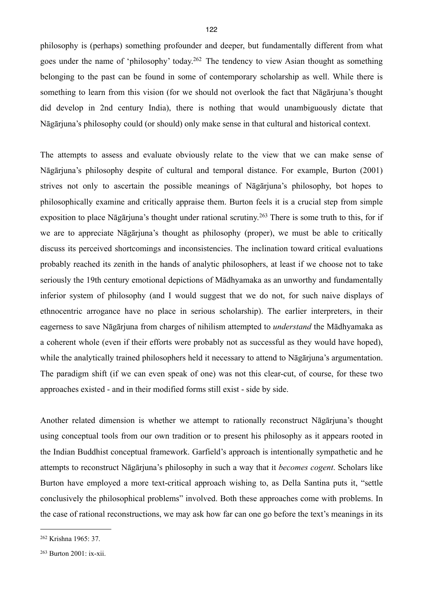philosophy is (perhaps) something profounder and deeper, but fundamentally different from what goes under the name of 'philosophy' today.[262](#page-125-0) The tendency to view Asian thought as something belonging to the past can be found in some of contemporary scholarship as well. While there is something to learn from this vision (for we should not overlook the fact that Nāgārjuna's thought did develop in 2nd century India), there is nothing that would unambiguously dictate that Nāgārjuna's philosophy could (or should) only make sense in that cultural and historical context.

The attempts to assess and evaluate obviously relate to the view that we can make sense of Nāgārjuna's philosophy despite of cultural and temporal distance. For example, Burton (2001) strives not only to ascertain the possible meanings of Nāgārjuna's philosophy, bot hopes to philosophically examine and critically appraise them. Burton feels it is a crucial step from simple exposition to place Nāgārjuna's thought under rational scrutiny.<sup>263</sup> There is some truth to this, for if we are to appreciate Nāgārjuna's thought as philosophy (proper), we must be able to critically discuss its perceived shortcomings and inconsistencies. The inclination toward critical evaluations probably reached its zenith in the hands of analytic philosophers, at least if we choose not to take seriously the 19th century emotional depictions of Mādhyamaka as an unworthy and fundamentally inferior system of philosophy (and I would suggest that we do not, for such naive displays of ethnocentric arrogance have no place in serious scholarship). The earlier interpreters, in their eagerness to save Nāgārjuna from charges of nihilism attempted to *understand* the Mādhyamaka as a coherent whole (even if their efforts were probably not as successful as they would have hoped), while the analytically trained philosophers held it necessary to attend to Nāgārjuna's argumentation. The paradigm shift (if we can even speak of one) was not this clear-cut, of course, for these two approaches existed - and in their modified forms still exist - side by side.

Another related dimension is whether we attempt to rationally reconstruct Nāgārjuna's thought using conceptual tools from our own tradition or to present his philosophy as it appears rooted in the Indian Buddhist conceptual framework. Garfield's approach is intentionally sympathetic and he attempts to reconstruct Nāgārjuna's philosophy in such a way that it *becomes cogent*. Scholars like Burton have employed a more text-critical approach wishing to, as Della Santina puts it, "settle conclusively the philosophical problems" involved. Both these approaches come with problems. In the case of rational reconstructions, we may ask how far can one go before the text's meanings in its

<span id="page-125-0"></span><sup>262</sup> Krishna 1965: 37.

<span id="page-125-1"></span><sup>263</sup> Burton 2001: ix-xii.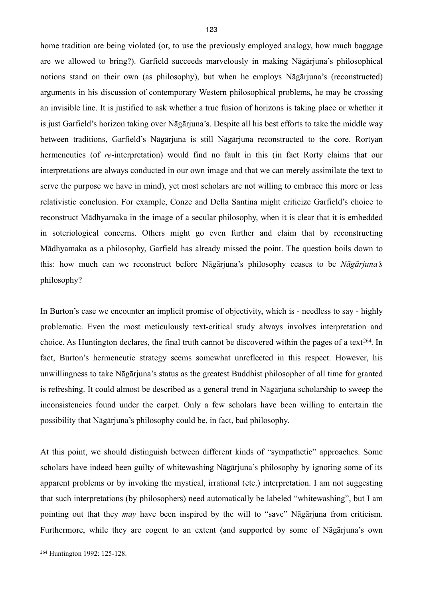home tradition are being violated (or, to use the previously employed analogy, how much baggage are we allowed to bring?). Garfield succeeds marvelously in making Nāgārjuna's philosophical notions stand on their own (as philosophy), but when he employs Nāgārjuna's (reconstructed) arguments in his discussion of contemporary Western philosophical problems, he may be crossing an invisible line. It is justified to ask whether a true fusion of horizons is taking place or whether it is just Garfield's horizon taking over Nāgārjuna's. Despite all his best efforts to take the middle way between traditions, Garfield's Nāgārjuna is still Nāgārjuna reconstructed to the core. Rortyan hermeneutics (of *re*-interpretation) would find no fault in this (in fact Rorty claims that our interpretations are always conducted in our own image and that we can merely assimilate the text to serve the purpose we have in mind), yet most scholars are not willing to embrace this more or less relativistic conclusion. For example, Conze and Della Santina might criticize Garfield's choice to reconstruct Mādhyamaka in the image of a secular philosophy, when it is clear that it is embedded in soteriological concerns. Others might go even further and claim that by reconstructing Mādhyamaka as a philosophy, Garfield has already missed the point. The question boils down to this: how much can we reconstruct before Nāgārjuna's philosophy ceases to be *Nāgārjuna's*  philosophy?

In Burton's case we encounter an implicit promise of objectivity, which is - needless to say - highly problematic. Even the most meticulously text-critical study always involves interpretation and choice. As Huntington declares, the final truth cannot be discovered within the pages of a text<sup>[264](#page-126-0)</sup>. In fact, Burton's hermeneutic strategy seems somewhat unreflected in this respect. However, his unwillingness to take Nāgārjuna's status as the greatest Buddhist philosopher of all time for granted is refreshing. It could almost be described as a general trend in Nāgārjuna scholarship to sweep the inconsistencies found under the carpet. Only a few scholars have been willing to entertain the possibility that Nāgārjuna's philosophy could be, in fact, bad philosophy.

At this point, we should distinguish between different kinds of "sympathetic" approaches. Some scholars have indeed been guilty of whitewashing Nāgārjuna's philosophy by ignoring some of its apparent problems or by invoking the mystical, irrational (etc.) interpretation. I am not suggesting that such interpretations (by philosophers) need automatically be labeled "whitewashing", but I am pointing out that they *may* have been inspired by the will to "save" Nāgārjuna from criticism. Furthermore, while they are cogent to an extent (and supported by some of Nāgārjuna's own

<span id="page-126-0"></span><sup>264</sup> Huntington 1992: 125-128.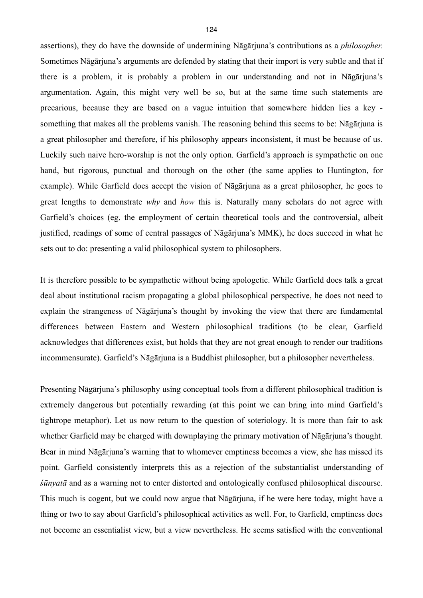assertions), they do have the downside of undermining Nāgārjuna's contributions as a *philosopher.*  Sometimes Nāgārjuna's arguments are defended by stating that their import is very subtle and that if there is a problem, it is probably a problem in our understanding and not in Nāgārjuna's argumentation. Again, this might very well be so, but at the same time such statements are precarious, because they are based on a vague intuition that somewhere hidden lies a key something that makes all the problems vanish. The reasoning behind this seems to be: Nāgārjuna is a great philosopher and therefore, if his philosophy appears inconsistent, it must be because of us. Luckily such naive hero-worship is not the only option. Garfield's approach is sympathetic on one hand, but rigorous, punctual and thorough on the other (the same applies to Huntington, for example). While Garfield does accept the vision of Nāgārjuna as a great philosopher, he goes to great lengths to demonstrate *why* and *how* this is. Naturally many scholars do not agree with Garfield's choices (eg. the employment of certain theoretical tools and the controversial, albeit justified, readings of some of central passages of Nāgārjuna's MMK), he does succeed in what he sets out to do: presenting a valid philosophical system to philosophers.

It is therefore possible to be sympathetic without being apologetic. While Garfield does talk a great deal about institutional racism propagating a global philosophical perspective, he does not need to explain the strangeness of Nāgārjuna's thought by invoking the view that there are fundamental differences between Eastern and Western philosophical traditions (to be clear, Garfield acknowledges that differences exist, but holds that they are not great enough to render our traditions incommensurate). Garfield's Nāgārjuna is a Buddhist philosopher, but a philosopher nevertheless.

Presenting Nāgārjuna's philosophy using conceptual tools from a different philosophical tradition is extremely dangerous but potentially rewarding (at this point we can bring into mind Garfield's tightrope metaphor). Let us now return to the question of soteriology. It is more than fair to ask whether Garfield may be charged with downplaying the primary motivation of Nāgārjuna's thought. Bear in mind Nāgārjuna's warning that to whomever emptiness becomes a view, she has missed its point. Garfield consistently interprets this as a rejection of the substantialist understanding of *śūnyatā* and as a warning not to enter distorted and ontologically confused philosophical discourse. This much is cogent, but we could now argue that Nāgārjuna, if he were here today, might have a thing or two to say about Garfield's philosophical activities as well. For, to Garfield, emptiness does not become an essentialist view, but a view nevertheless. He seems satisfied with the conventional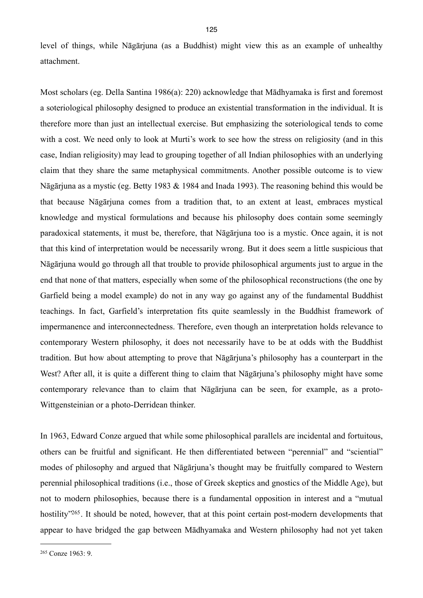level of things, while Nāgārjuna (as a Buddhist) might view this as an example of unhealthy attachment.

Most scholars (eg. Della Santina 1986(a): 220) acknowledge that Mādhyamaka is first and foremost a soteriological philosophy designed to produce an existential transformation in the individual. It is therefore more than just an intellectual exercise. But emphasizing the soteriological tends to come with a cost. We need only to look at Murti's work to see how the stress on religiosity (and in this case, Indian religiosity) may lead to grouping together of all Indian philosophies with an underlying claim that they share the same metaphysical commitments. Another possible outcome is to view Nāgārjuna as a mystic (eg. Betty 1983 & 1984 and Inada 1993). The reasoning behind this would be that because Nāgārjuna comes from a tradition that, to an extent at least, embraces mystical knowledge and mystical formulations and because his philosophy does contain some seemingly paradoxical statements, it must be, therefore, that Nāgārjuna too is a mystic. Once again, it is not that this kind of interpretation would be necessarily wrong. But it does seem a little suspicious that Nāgārjuna would go through all that trouble to provide philosophical arguments just to argue in the end that none of that matters, especially when some of the philosophical reconstructions (the one by Garfield being a model example) do not in any way go against any of the fundamental Buddhist teachings. In fact, Garfield's interpretation fits quite seamlessly in the Buddhist framework of impermanence and interconnectedness. Therefore, even though an interpretation holds relevance to contemporary Western philosophy, it does not necessarily have to be at odds with the Buddhist tradition. But how about attempting to prove that Nāgārjuna's philosophy has a counterpart in the West? After all, it is quite a different thing to claim that Nāgārjuna's philosophy might have some contemporary relevance than to claim that Nāgārjuna can be seen, for example, as a proto-Wittgensteinian or a photo-Derridean thinker.

In 1963, Edward Conze argued that while some philosophical parallels are incidental and fortuitous, others can be fruitful and significant. He then differentiated between "perennial" and "sciential" modes of philosophy and argued that Nāgārjuna's thought may be fruitfully compared to Western perennial philosophical traditions (i.e., those of Greek skeptics and gnostics of the Middle Age), but not to modern philosophies, because there is a fundamental opposition in interest and a "mutual hostility<sup>["265](#page-128-0)</sup>. It should be noted, however, that at this point certain post-modern developments that appear to have bridged the gap between Mādhyamaka and Western philosophy had not yet taken

<span id="page-128-0"></span><sup>265</sup> Conze 1963: 9.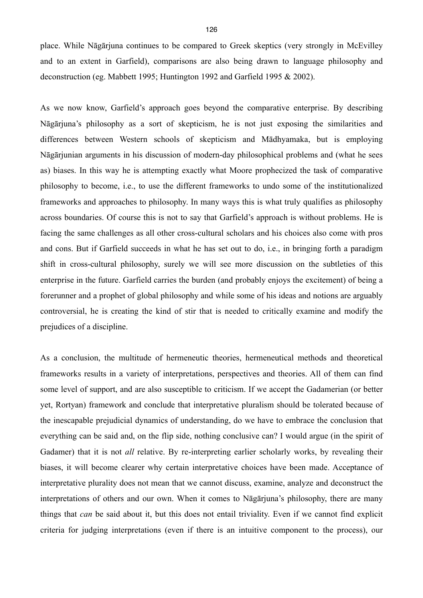place. While Nāgārjuna continues to be compared to Greek skeptics (very strongly in McEvilley and to an extent in Garfield), comparisons are also being drawn to language philosophy and deconstruction (eg. Mabbett 1995; Huntington 1992 and Garfield 1995 & 2002).

As we now know, Garfield's approach goes beyond the comparative enterprise. By describing Nāgārjuna's philosophy as a sort of skepticism, he is not just exposing the similarities and differences between Western schools of skepticism and Mādhyamaka, but is employing Nāgārjunian arguments in his discussion of modern-day philosophical problems and (what he sees as) biases. In this way he is attempting exactly what Moore prophecized the task of comparative philosophy to become, i.e., to use the different frameworks to undo some of the institutionalized frameworks and approaches to philosophy. In many ways this is what truly qualifies as philosophy across boundaries. Of course this is not to say that Garfield's approach is without problems. He is facing the same challenges as all other cross-cultural scholars and his choices also come with pros and cons. But if Garfield succeeds in what he has set out to do, i.e., in bringing forth a paradigm shift in cross-cultural philosophy, surely we will see more discussion on the subtleties of this enterprise in the future. Garfield carries the burden (and probably enjoys the excitement) of being a forerunner and a prophet of global philosophy and while some of his ideas and notions are arguably controversial, he is creating the kind of stir that is needed to critically examine and modify the prejudices of a discipline.

As a conclusion, the multitude of hermeneutic theories, hermeneutical methods and theoretical frameworks results in a variety of interpretations, perspectives and theories. All of them can find some level of support, and are also susceptible to criticism. If we accept the Gadamerian (or better yet, Rortyan) framework and conclude that interpretative pluralism should be tolerated because of the inescapable prejudicial dynamics of understanding, do we have to embrace the conclusion that everything can be said and, on the flip side, nothing conclusive can? I would argue (in the spirit of Gadamer) that it is not *all* relative. By re-interpreting earlier scholarly works, by revealing their biases, it will become clearer why certain interpretative choices have been made. Acceptance of interpretative plurality does not mean that we cannot discuss, examine, analyze and deconstruct the interpretations of others and our own. When it comes to Nāgārjuna's philosophy, there are many things that *can* be said about it, but this does not entail triviality. Even if we cannot find explicit criteria for judging interpretations (even if there is an intuitive component to the process), our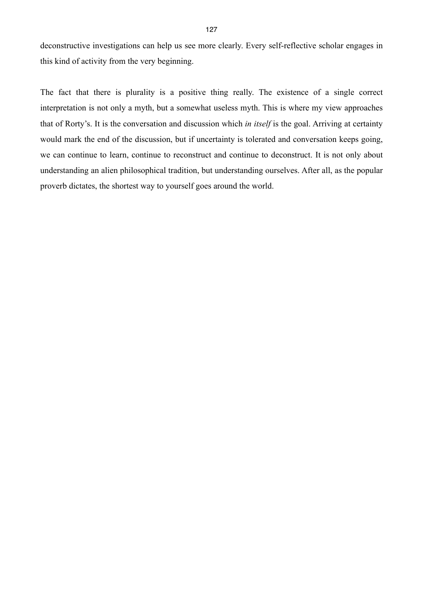deconstructive investigations can help us see more clearly. Every self-reflective scholar engages in this kind of activity from the very beginning.

The fact that there is plurality is a positive thing really. The existence of a single correct interpretation is not only a myth, but a somewhat useless myth. This is where my view approaches that of Rorty's. It is the conversation and discussion which *in itself* is the goal. Arriving at certainty would mark the end of the discussion, but if uncertainty is tolerated and conversation keeps going, we can continue to learn, continue to reconstruct and continue to deconstruct. It is not only about understanding an alien philosophical tradition, but understanding ourselves. After all, as the popular proverb dictates, the shortest way to yourself goes around the world.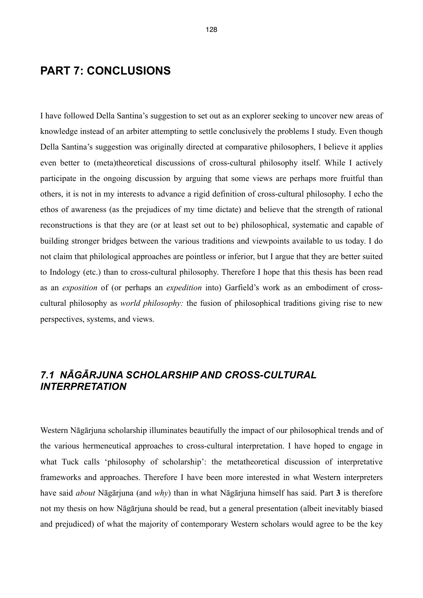## **PART 7: CONCLUSIONS**

I have followed Della Santina's suggestion to set out as an explorer seeking to uncover new areas of knowledge instead of an arbiter attempting to settle conclusively the problems I study. Even though Della Santina's suggestion was originally directed at comparative philosophers, I believe it applies even better to (meta)theoretical discussions of cross-cultural philosophy itself. While I actively participate in the ongoing discussion by arguing that some views are perhaps more fruitful than others, it is not in my interests to advance a rigid definition of cross-cultural philosophy. I echo the ethos of awareness (as the prejudices of my time dictate) and believe that the strength of rational reconstructions is that they are (or at least set out to be) philosophical, systematic and capable of building stronger bridges between the various traditions and viewpoints available to us today. I do not claim that philological approaches are pointless or inferior, but I argue that they are better suited to Indology (etc.) than to cross-cultural philosophy. Therefore I hope that this thesis has been read as an *exposition* of (or perhaps an *expedition* into) Garfield's work as an embodiment of crosscultural philosophy as *world philosophy:* the fusion of philosophical traditions giving rise to new perspectives, systems, and views.

### *7.1 NĀGĀRJUNA SCHOLARSHIP AND CROSS-CULTURAL INTERPRETATION*

Western Nāgārjuna scholarship illuminates beautifully the impact of our philosophical trends and of the various hermeneutical approaches to cross-cultural interpretation. I have hoped to engage in what Tuck calls 'philosophy of scholarship': the metatheoretical discussion of interpretative frameworks and approaches. Therefore I have been more interested in what Western interpreters have said *about* Nāgārjuna (and *why*) than in what Nāgārjuna himself has said. Part **3** is therefore not my thesis on how Nāgārjuna should be read, but a general presentation (albeit inevitably biased and prejudiced) of what the majority of contemporary Western scholars would agree to be the key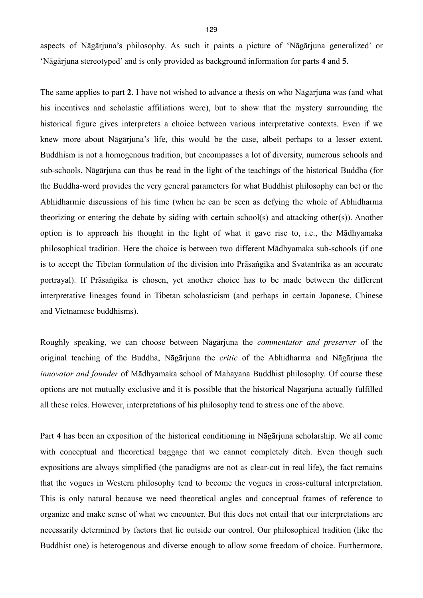aspects of Nāgārjuna's philosophy. As such it paints a picture of 'Nāgārjuna generalized' or 'Nāgārjuna stereotyped' and is only provided as background information for parts **4** and **5**.

The same applies to part **2**. I have not wished to advance a thesis on who Nāgārjuna was (and what his incentives and scholastic affiliations were), but to show that the mystery surrounding the historical figure gives interpreters a choice between various interpretative contexts. Even if we knew more about Nāgārjuna's life, this would be the case, albeit perhaps to a lesser extent. Buddhism is not a homogenous tradition, but encompasses a lot of diversity, numerous schools and sub-schools. Nāgārjuna can thus be read in the light of the teachings of the historical Buddha (for the Buddha-word provides the very general parameters for what Buddhist philosophy can be) or the Abhidharmic discussions of his time (when he can be seen as defying the whole of Abhidharma theorizing or entering the debate by siding with certain school(s) and attacking other(s)). Another option is to approach his thought in the light of what it gave rise to, i.e., the Mādhyamaka philosophical tradition. Here the choice is between two different Mādhyamaka sub-schools (if one is to accept the Tibetan formulation of the division into Prāsaṅgika and Svatantrika as an accurate portrayal). If Prāsaṅgika is chosen, yet another choice has to be made between the different interpretative lineages found in Tibetan scholasticism (and perhaps in certain Japanese, Chinese and Vietnamese buddhisms).

Roughly speaking, we can choose between Nāgārjuna the *commentator and preserver* of the original teaching of the Buddha, Nāgārjuna the *critic* of the Abhidharma and Nāgārjuna the *innovator and founder* of Mādhyamaka school of Mahayana Buddhist philosophy. Of course these options are not mutually exclusive and it is possible that the historical Nāgārjuna actually fulfilled all these roles. However, interpretations of his philosophy tend to stress one of the above.

Part **4** has been an exposition of the historical conditioning in Nāgārjuna scholarship. We all come with conceptual and theoretical baggage that we cannot completely ditch. Even though such expositions are always simplified (the paradigms are not as clear-cut in real life), the fact remains that the vogues in Western philosophy tend to become the vogues in cross-cultural interpretation. This is only natural because we need theoretical angles and conceptual frames of reference to organize and make sense of what we encounter. But this does not entail that our interpretations are necessarily determined by factors that lie outside our control. Our philosophical tradition (like the Buddhist one) is heterogenous and diverse enough to allow some freedom of choice. Furthermore,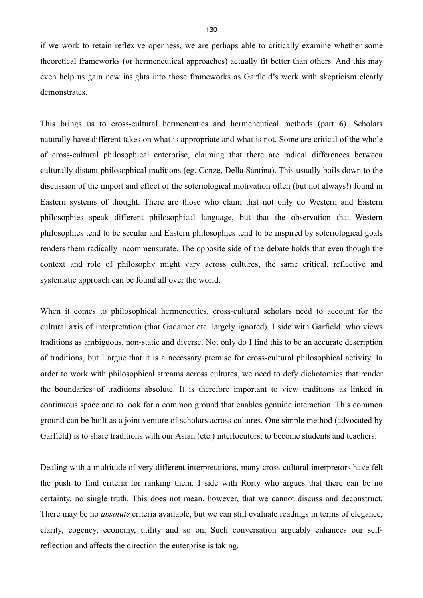if we work to retain reflexive openness, we are perhaps able to critically examine whether some theoretical frameworks (or hermeneutical approaches) actually fit better than others. And this may even help us gain new insights into those frameworks as Garfield's work with skepticism clearly demonstrates.

This brings us to cross-cultural hermeneutics and hermeneutical methods (part **6**). Scholars naturally have different takes on what is appropriate and what is not. Some are critical of the whole of cross-cultural philosophical enterprise, claiming that there are radical differences between culturally distant philosophical traditions (eg. Conze, Della Santina). This usually boils down to the discussion of the import and effect of the soteriological motivation often (but not always!) found in Eastern systems of thought. There are those who claim that not only do Western and Eastern philosophies speak different philosophical language, but that the observation that Western philosophies tend to be secular and Eastern philosophies tend to be inspired by soteriological goals renders them radically incommensurate. The opposite side of the debate holds that even though the context and role of philosophy might vary across cultures, the same critical, reflective and systematic approach can be found all over the world.

When it comes to philosophical hermeneutics, cross-cultural scholars need to account for the cultural axis of interpretation (that Gadamer etc. largely ignored). I side with Garfield, who views traditions as ambiguous, non-static and diverse. Not only do I find this to be an accurate description of traditions, but I argue that it is a necessary premise for cross-cultural philosophical activity. In order to work with philosophical streams across cultures, we need to defy dichotomies that render the boundaries of traditions absolute. It is therefore important to view traditions as linked in continuous space and to look for a common ground that enables genuine interaction. This common ground can be built as a joint venture of scholars across cultures. One simple method (advocated by Garfield) is to share traditions with our Asian (etc.) interlocutors: to become students and teachers.

Dealing with a multitude of very different interpretations, many cross-cultural interpretors have felt the push to find criteria for ranking them. I side with Rorty who argues that there can be no certainty, no single truth. This does not mean, however, that we cannot discuss and deconstruct. There may be no *absolute* criteria available, but we can still evaluate readings in terms of elegance, clarity, cogency, economy, utility and so on. Such conversation arguably enhances our selfreflection and affects the direction the enterprise is taking.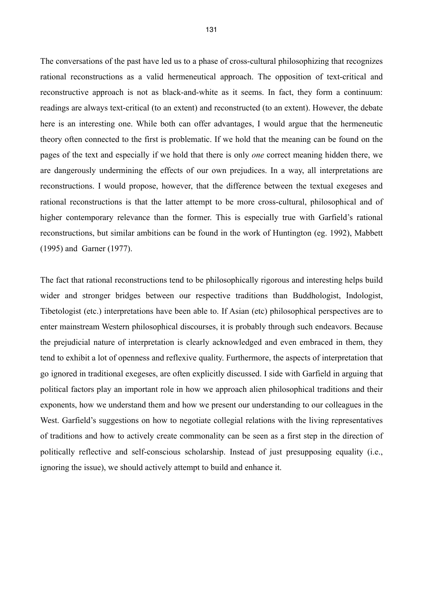The conversations of the past have led us to a phase of cross-cultural philosophizing that recognizes rational reconstructions as a valid hermeneutical approach. The opposition of text-critical and reconstructive approach is not as black-and-white as it seems. In fact, they form a continuum: readings are always text-critical (to an extent) and reconstructed (to an extent). However, the debate here is an interesting one. While both can offer advantages, I would argue that the hermeneutic theory often connected to the first is problematic. If we hold that the meaning can be found on the pages of the text and especially if we hold that there is only *one* correct meaning hidden there, we are dangerously undermining the effects of our own prejudices. In a way, all interpretations are reconstructions. I would propose, however, that the difference between the textual exegeses and rational reconstructions is that the latter attempt to be more cross-cultural, philosophical and of higher contemporary relevance than the former. This is especially true with Garfield's rational reconstructions, but similar ambitions can be found in the work of Huntington (eg. 1992), Mabbett (1995) and Garner (1977).

The fact that rational reconstructions tend to be philosophically rigorous and interesting helps build wider and stronger bridges between our respective traditions than Buddhologist, Indologist, Tibetologist (etc.) interpretations have been able to. If Asian (etc) philosophical perspectives are to enter mainstream Western philosophical discourses, it is probably through such endeavors. Because the prejudicial nature of interpretation is clearly acknowledged and even embraced in them, they tend to exhibit a lot of openness and reflexive quality. Furthermore, the aspects of interpretation that go ignored in traditional exegeses, are often explicitly discussed. I side with Garfield in arguing that political factors play an important role in how we approach alien philosophical traditions and their exponents, how we understand them and how we present our understanding to our colleagues in the West. Garfield's suggestions on how to negotiate collegial relations with the living representatives of traditions and how to actively create commonality can be seen as a first step in the direction of politically reflective and self-conscious scholarship. Instead of just presupposing equality (i.e., ignoring the issue), we should actively attempt to build and enhance it.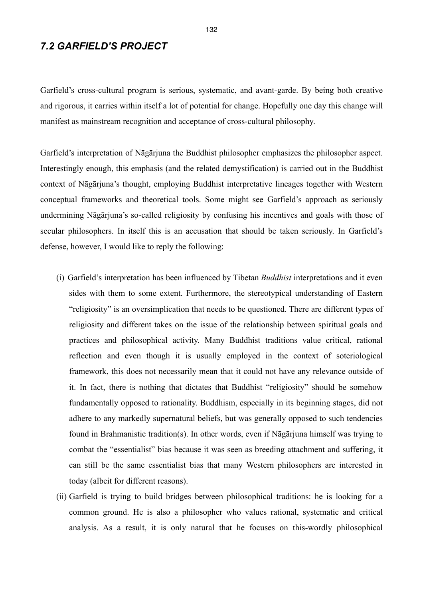## *7.2 GARFIELD'S PROJECT*

Garfield's cross-cultural program is serious, systematic, and avant-garde. By being both creative and rigorous, it carries within itself a lot of potential for change. Hopefully one day this change will manifest as mainstream recognition and acceptance of cross-cultural philosophy.

Garfield's interpretation of Nāgārjuna the Buddhist philosopher emphasizes the philosopher aspect. Interestingly enough, this emphasis (and the related demystification) is carried out in the Buddhist context of Nāgārjuna's thought, employing Buddhist interpretative lineages together with Western conceptual frameworks and theoretical tools. Some might see Garfield's approach as seriously undermining Nāgārjuna's so-called religiosity by confusing his incentives and goals with those of secular philosophers. In itself this is an accusation that should be taken seriously. In Garfield's defense, however, I would like to reply the following:

- (i) Garfield's interpretation has been influenced by Tibetan *Buddhist* interpretations and it even sides with them to some extent. Furthermore, the stereotypical understanding of Eastern "religiosity" is an oversimplication that needs to be questioned. There are different types of religiosity and different takes on the issue of the relationship between spiritual goals and practices and philosophical activity. Many Buddhist traditions value critical, rational reflection and even though it is usually employed in the context of soteriological framework, this does not necessarily mean that it could not have any relevance outside of it. In fact, there is nothing that dictates that Buddhist "religiosity" should be somehow fundamentally opposed to rationality. Buddhism, especially in its beginning stages, did not adhere to any markedly supernatural beliefs, but was generally opposed to such tendencies found in Brahmanistic tradition(s). In other words, even if Nāgārjuna himself was trying to combat the "essentialist" bias because it was seen as breeding attachment and suffering, it can still be the same essentialist bias that many Western philosophers are interested in today (albeit for different reasons).
- (ii) Garfield is trying to build bridges between philosophical traditions: he is looking for a common ground. He is also a philosopher who values rational, systematic and critical analysis. As a result, it is only natural that he focuses on this-wordly philosophical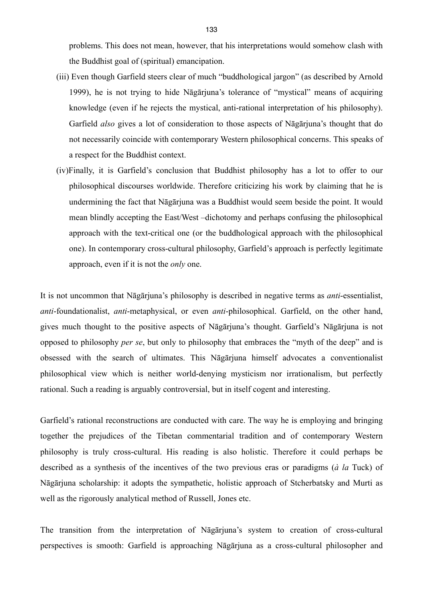problems. This does not mean, however, that his interpretations would somehow clash with the Buddhist goal of (spiritual) emancipation.

- (iii) Even though Garfield steers clear of much "buddhological jargon" (as described by Arnold 1999), he is not trying to hide Nāgārjuna's tolerance of "mystical" means of acquiring knowledge (even if he rejects the mystical, anti-rational interpretation of his philosophy). Garfield *also* gives a lot of consideration to those aspects of Nāgārjuna's thought that do not necessarily coincide with contemporary Western philosophical concerns. This speaks of a respect for the Buddhist context.
- (iv)Finally, it is Garfield's conclusion that Buddhist philosophy has a lot to offer to our philosophical discourses worldwide. Therefore criticizing his work by claiming that he is undermining the fact that Nāgārjuna was a Buddhist would seem beside the point. It would mean blindly accepting the East/West –dichotomy and perhaps confusing the philosophical approach with the text-critical one (or the buddhological approach with the philosophical one). In contemporary cross-cultural philosophy, Garfield's approach is perfectly legitimate approach, even if it is not the *only* one.

It is not uncommon that Nāgārjuna's philosophy is described in negative terms as *anti*-essentialist, *anti*-foundationalist, *anti*-metaphysical, or even *anti*-philosophical. Garfield, on the other hand, gives much thought to the positive aspects of Nāgārjuna's thought. Garfield's Nāgārjuna is not opposed to philosophy *per se*, but only to philosophy that embraces the "myth of the deep" and is obsessed with the search of ultimates. This Nāgārjuna himself advocates a conventionalist philosophical view which is neither world-denying mysticism nor irrationalism, but perfectly rational. Such a reading is arguably controversial, but in itself cogent and interesting.

Garfield's rational reconstructions are conducted with care. The way he is employing and bringing together the prejudices of the Tibetan commentarial tradition and of contemporary Western philosophy is truly cross-cultural. His reading is also holistic. Therefore it could perhaps be described as a synthesis of the incentives of the two previous eras or paradigms (*à la* Tuck) of Nāgārjuna scholarship: it adopts the sympathetic, holistic approach of Stcherbatsky and Murti as well as the rigorously analytical method of Russell, Jones etc.

The transition from the interpretation of Nāgārjuna's system to creation of cross-cultural perspectives is smooth: Garfield is approaching Nāgārjuna as a cross-cultural philosopher and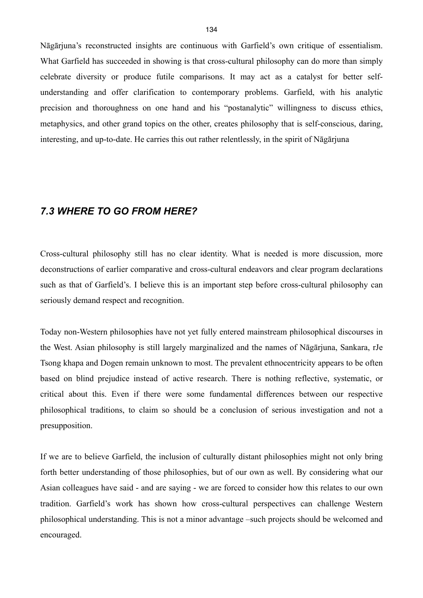Nāgārjuna's reconstructed insights are continuous with Garfield's own critique of essentialism. What Garfield has succeeded in showing is that cross-cultural philosophy can do more than simply celebrate diversity or produce futile comparisons. It may act as a catalyst for better selfunderstanding and offer clarification to contemporary problems. Garfield, with his analytic precision and thoroughness on one hand and his "postanalytic" willingness to discuss ethics, metaphysics, and other grand topics on the other, creates philosophy that is self-conscious, daring, interesting, and up-to-date. He carries this out rather relentlessly, in the spirit of Nāgārjuna

### *7.3 WHERE TO GO FROM HERE?*

Cross-cultural philosophy still has no clear identity. What is needed is more discussion, more deconstructions of earlier comparative and cross-cultural endeavors and clear program declarations such as that of Garfield's. I believe this is an important step before cross-cultural philosophy can seriously demand respect and recognition.

Today non-Western philosophies have not yet fully entered mainstream philosophical discourses in the West. Asian philosophy is still largely marginalized and the names of Nāgārjuna, Sankara, rJe Tsong khapa and Dogen remain unknown to most. The prevalent ethnocentricity appears to be often based on blind prejudice instead of active research. There is nothing reflective, systematic, or critical about this. Even if there were some fundamental differences between our respective philosophical traditions, to claim so should be a conclusion of serious investigation and not a presupposition.

If we are to believe Garfield, the inclusion of culturally distant philosophies might not only bring forth better understanding of those philosophies, but of our own as well. By considering what our Asian colleagues have said - and are saying - we are forced to consider how this relates to our own tradition. Garfield's work has shown how cross-cultural perspectives can challenge Western philosophical understanding. This is not a minor advantage –such projects should be welcomed and encouraged.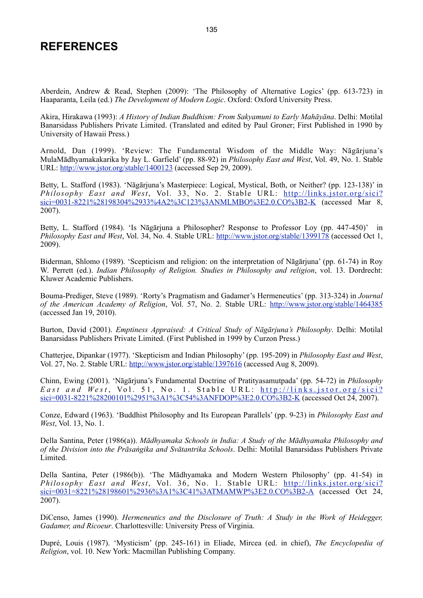# **REFERENCES**

Aberdein, Andrew & Read, Stephen (2009): 'The Philosophy of Alternative Logics' (pp. 613-723) in Haaparanta, Leila (ed.) *The Development of Modern Logic*. Oxford: Oxford University Press.

Akira, Hirakawa (1993): *A History of Indian Buddhism: From Sakyamuni to Early Mahāyāna*. Delhi: Motilal Banarsidass Publishers Private Limited. (Translated and edited by Paul Groner; First Published in 1990 by University of Hawaii Press.)

Arnold, Dan (1999). 'Review: The Fundamental Wisdom of the Middle Way: Nāgārjuna's MulaMādhyamakakarika by Jay L. Garfield' (pp. 88-92) in *Philosophy East and West*, Vol. 49, No. 1. Stable URL:<http://www.jstor.org/stable/1400123> (accessed Sep 29, 2009).

Betty, L. Stafford (1983). 'Nāgārjuna's Masterpiece: Logical, Mystical, Both, or Neither? (pp. 123-138)' in *Philosophy East and West*, Vol. 33, No. 2. Stable URL: [http://links.jstor.org/sici?](http://links.jstor.org/sici?sici=0031-8221%28198304%2933%4A2%3C123%3ANMLMBO%3E2.0.CO%3B2-K) [sici=0031-8221%28198304%2933%4A2%3C123%3ANMLMBO%3E2.0.CO%3B2-K](http://links.jstor.org/sici?sici=0031-8221%28198304%2933%4A2%3C123%3ANMLMBO%3E2.0.CO%3B2-K) (accessed Mar 8, 2007).

Betty, L. Stafford (1984). 'Is Nāgārjuna a Philosopher? Response to Professor Loy (pp. 447-450)' in *Philosophy East and West*, Vol. 34, No. 4. Stable URL: <http://www.jstor.org/stable/1399178>(accessed Oct 1, 2009).

Biderman, Shlomo (1989). 'Scepticism and religion: on the interpretation of Nāgārjuna' (pp. 61-74) in Roy W. Perrett (ed.). *Indian Philosophy of Religion. Studies in Philosophy and religion*, vol. 13. Dordrecht: Kluwer Academic Publishers.

Bouma-Prediger, Steve (1989). 'Rorty's Pragmatism and Gadamer's Hermeneutics' (pp. 313-324) in *Journal of the American Academy of Religion*, Vol. 57, No. 2. Stable URL: <http://www.jstor.org/stable/1464385> (accessed Jan 19, 2010).

Burton, David (2001). *Emptiness Appraised: A Critical Study of Nāgārjuna's Philosophy*. Delhi: Motilal Banarsidass Publishers Private Limited. (First Published in 1999 by Curzon Press.)

Chatterjee, Dipankar (1977). 'Skepticism and Indian Philosophy' (pp. 195-209) in *Philosophy East and West*, Vol. 27, No. 2. Stable URL: <http://www.jstor.org/stable/1397616> (accessed Aug 8, 2009).

Chinn, Ewing (2001). 'Nāgārjuna's Fundamental Doctrine of Pratityasamutpada' (pp. 54-72) in *Philosophy East and West*, Vol. 51, No. 1. Stable URL: http://links.jstor.org/sici? [sici=0031-8221%28200101%2951%3A1%3C54%3ANFDOP%3E2.0.CO%3B2-K](http://links.jstor.org/sici?sici=0031-8221%28200101%2951%3A1%3C54%3ANFDOP%3E2.0.CO%3B2-K) (accessed Oct 24, 2007).

Conze, Edward (1963). 'Buddhist Philosophy and Its European Parallels' (pp. 9-23) in *Philosophy East and West*, Vol. 13, No. 1.

Della Santina, Peter (1986(a)). *Mādhyamaka Schools in India: A Study of the Mādhyamaka Philosophy and of the Division into the Prāsaṅgika and Svātantrika Schools*. Delhi: Motilal Banarsidass Publishers Private Limited.

Della Santina, Peter (1986(b)). 'The Mādhyamaka and Modern Western Philosophy' (pp. 41-54) in *Philosophy East and West*, Vol. 36, No. 1. Stable URL: [http://links.jstor.org/sici?](http://links.jstor.org/sici?sici=0031=8221%28198601%2936%3A1%3C41%3ATMAMWP%3E2.0.CO%3B2-A)  $sici=0031=8221\%28198601\%2936\%3A1\%3C41\%3ATMAMWP\%3E2.0.CO\%3B2-A$  (accessed Oct 24, 2007).

DiCenso, James (1990). *Hermeneutics and the Disclosure of Truth: A Study in the Work of Heidegger, Gadamer, and Ricoeur*. Charlottesville: University Press of Virginia.

Dupré, Louis (1987). 'Mysticism' (pp. 245-161) in Eliade, Mircea (ed. in chief), *The Encyclopedia of Religion*, vol. 10. New York: Macmillan Publishing Company.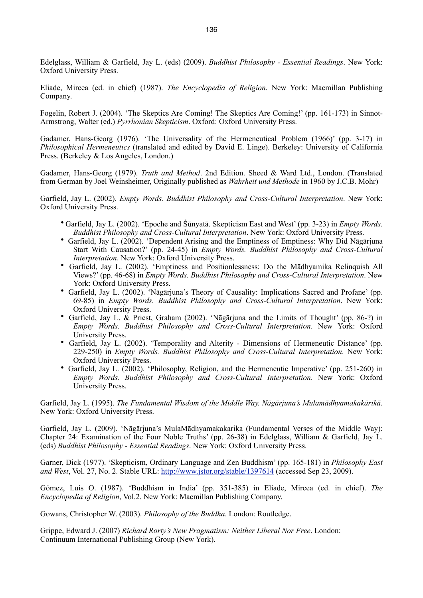Edelglass, William & Garfield, Jay L. (eds) (2009). *Buddhist Philosophy - Essential Readings*. New York: Oxford University Press.

Eliade, Mircea (ed. in chief) (1987). *The Encyclopedia of Religion*. New York: Macmillan Publishing Company.

Fogelin, Robert J. (2004). 'The Skeptics Are Coming! The Skeptics Are Coming!' (pp. 161-173) in Sinnot-Armstrong, Walter (ed.) *Pyrrhonian Skepticism*. Oxford: Oxford University Press.

Gadamer, Hans-Georg (1976). 'The Universality of the Hermeneutical Problem (1966)' (pp. 3-17) in *Philosophical Hermeneutics* (translated and edited by David E. Linge). Berkeley: University of California Press. (Berkeley & Los Angeles, London.)

Gadamer, Hans-Georg (1979). *Truth and Method*. 2nd Edition. Sheed & Ward Ltd., London. (Translated from German by Joel Weinsheimer, Originally published as *Wahrheit und Methode* in 1960 by J.C.B. Mohr)

Garfield, Jay L. (2002). *Empty Words. Buddhist Philosophy and Cross-Cultural Interpretation*. New York: Oxford University Press.

- Garfield, Jay L. (2002). 'Epoche and Śūnyatā. Skepticism East and West' (pp. 3-23) in *Empty Words. Buddhist Philosophy and Cross-Cultural Interpretation*. New York: Oxford University Press.
- Garfield, Jay L. (2002). 'Dependent Arising and the Emptiness of Emptiness: Why Did Nāgāriuna Start With Causation?' (pp. 24-45) in *Empty Words. Buddhist Philosophy and Cross-Cultural Interpretation*. New York: Oxford University Press.
- Garfield, Jay L. (2002). 'Emptiness and Positionlessness: Do the Mādhyamika Relinquish All Views?' (pp. 46-68) in *Empty Words. Buddhist Philosophy and Cross-Cultural Interpretation*. New York: Oxford University Press.
- Garfield, Jay L. (2002). 'Nāgārjuna's Theory of Causality: Implications Sacred and Profane' (pp. 69-85) in *Empty Words. Buddhist Philosophy and Cross-Cultural Interpretation*. New York: Oxford University Press.
- Garfield, Jay L. & Priest, Graham (2002). 'Nāgārjuna and the Limits of Thought' (pp. 86-?) in *Empty Words. Buddhist Philosophy and Cross-Cultural Interpretation*. New York: Oxford University Press.
- Garfield, Jay L. (2002). 'Temporality and Alterity Dimensions of Hermeneutic Distance' (pp. 229-250) in *Empty Words. Buddhist Philosophy and Cross-Cultural Interpretation*. New York: Oxford University Press.
- Garfield, Jay L. (2002). 'Philosophy, Religion, and the Hermeneutic Imperative' (pp. 251-260) in *Empty Words. Buddhist Philosophy and Cross-Cultural Interpretation*. New York: Oxford University Press.

Garfield, Jay L. (1995). *The Fundamental Wisdom of the Middle Way. Nāgārjuna's Mulamādhyamakakārikā*. New York: Oxford University Press.

Garfield, Jay L. (2009). 'Nāgārjuna's MulaMādhyamakakarika (Fundamental Verses of the Middle Way): Chapter 24: Examination of the Four Noble Truths' (pp. 26-38) in Edelglass, William & Garfield, Jay L. (eds) *Buddhist Philosophy - Essential Readings*. New York: Oxford University Press.

Garner, Dick (1977). 'Skepticism, Ordinary Language and Zen Buddhism' (pp. 165-181) in *Philosophy East and West*, Vol. 27, No. 2. Stable URL: <http://www.jstor.org/stable/1397614> (accessed Sep 23, 2009).

Gómez, Luis O. (1987). 'Buddhism in India' (pp. 351-385) in Eliade, Mircea (ed. in chief). *The Encyclopedia of Religion*, Vol.2. New York: Macmillan Publishing Company.

Gowans, Christopher W. (2003). *Philosophy of the Buddha*. London: Routledge.

Grippe, Edward J. (2007) *Richard Rorty's New Pragmatism: Neither Liberal Nor Free*. London: Continuum International Publishing Group (New York).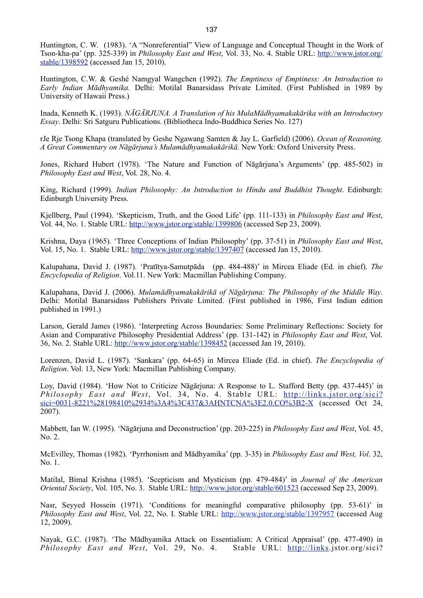Huntington, C. W. (1983). 'A "Nonreferential" View of Language and Conceptual Thought in the Work of Tson-kha-pa' (pp. 325-339) in *Philosophy East and West*, Vol. 33, No. 4. Stable URL: [http://www.jstor.org/](http://www.jstor.org/stable/1398592) [stable/1398592](http://www.jstor.org/stable/1398592) (accessed Jan 15, 2010).

Huntington, C.W. & Geshé Namgyal Wangchen (1992). *The Emptiness of Emptiness: An Introduction to Early Indian Mādhyamika.* Delhi: Motilal Banarsidass Private Limited. (First Published in 1989 by University of Hawaii Press.)

Inada, Kenneth K. (1993). *NĀGĀRJUNA. A Translation of his MulaMādhyamakakārika with an Introductory Essay*. Delhi: Sri Satguru Publications. (Bibliotheca Indo-Buddhica Series No. 127)

rJe Rje Tsong Khapa (translated by Geshe Ngawang Samten & Jay L. Garfield) (2006). *Ocean of Reasoning. A Great Commentary on Nāgārjuna's Mulamādhyamakakārikā.* New York: Oxford University Press.

Jones, Richard Hubert (1978). 'The Nature and Function of Nāgārjuna's Arguments' (pp. 485-502) in *Philosophy East and West*, Vol. 28, No. 4.

King, Richard (1999). *Indian Philosophy: An Introduction to Hindu and Buddhist Thought*. Edinburgh: Edinburgh University Press.

Kjellberg, Paul (1994). 'Skepticism, Truth, and the Good Life' (pp. 111-133) in *Philosophy East and West*, Vol. 44, No. 1. Stable URL: <http://www.jstor.org/stable/1399806> (accessed Sep 23, 2009).

Krishna, Daya (1965). 'Three Conceptions of Indian Philosophy' (pp. 37-51) in *Philosophy East and West*, Vol. 15, No. 1. Stable URL: <http://www.jstor.org/stable/1397407> (accessed Jan 15, 2010).

Kalupahana, David J. (1987). 'Pratītya-Samutpāda (pp. 484-488)' in Mircea Eliade (Ed. in chief). *The Encyclopedia of Religion*. Vol.11. New York: Macmillan Publishing Company.

Kalupahana, David J. (2006). *Mulamādhyamakakārikā of Nāgārjuna: The Philosophy of the Middle Way*. Delhi: Motilal Banarsidass Publishers Private Limited. (First published in 1986, First Indian edition published in 1991.)

Larson, Gerald James (1986). 'Interpreting Across Boundaries: Some Preliminary Reflections: Society for Asian and Comparative Philosophy Presidential Address' (pp. 131-142) in *Philosophy East and West*, Vol. 36, No. 2. Stable URL:<http://www.jstor.org/stable/1398452>(accessed Jan 19, 2010).

Lorenzen, David L. (1987). 'Sankara' (pp. 64-65) in Mircea Eliade (Ed. in chief). *The Encyclopedia of Religion*. Vol. 13, New York: Macmillan Publishing Company.

Loy, David (1984). 'How Not to Criticize Nāgārjuna: A Response to L. Stafford Betty (pp. 437-445)' in *Philosophy East and West*, Vol. 34, No. 4. Stable URL: [http://links.jstor.org/sici?](http://links.jstor.org/sici?sici=0031-8221%28198410%2934%3A4%3C437&3AHNTCNA%3E2.0.CO%3B2-X) [sici=0031-8221%28198410%2934%3A4%3C437&3AHNTCNA%3E2.0.CO%3B2-X](http://links.jstor.org/sici?sici=0031-8221%28198410%2934%3A4%3C437&3AHNTCNA%3E2.0.CO%3B2-X) (accessed Oct 24, 2007).

Mabbett, Ian W. (1995). 'Nāgārjuna and Deconstruction' (pp. 203-225) in *Philosophy East and West*, Vol. 45, No. 2.

McEvilley, Thomas (1982). 'Pyrrhonism and Mādhyamika' (pp. 3-35) in *Philosophy East and West, Vol*. 32, No. 1.

Matilal, Bimal Krishna (1985). 'Scepticism and Mysticism (pp. 479-484)' in *Journal of the American Oriental Society*, Vol. 105, No. 3. Stable URL:<http://www.jstor.org/stable/601523> (accessed Sep 23, 2009).

Nasr, Seyyed Hossein (1971). 'Conditions for meaningful comparative philosophy (pp. 53-61)' in *Philosophy East and West*, Vol. 22, No. I. Stable URL: <http://www.jstor.org/stable/1397957>(accessed Aug 12, 2009).

Nayak, G.C. (1987). 'The Mādhyamika Attack on Essentialism: A Critical Appraisal' (pp. 477-490) in *Philosophy East and West*, Vol. 29, No. 4. Stable URL: [http://links.](http://links)jstor.org/sici?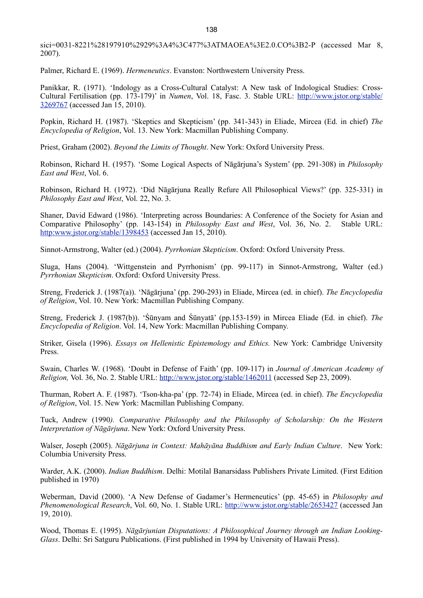sici=0031-8221%28197910%2929%3A4%3C477%3ATMAOEA%3E2.0.CO%3B2-P (accessed Mar 8, 2007).

Palmer, Richard E. (1969). *Hermeneutics*. Evanston: Northwestern University Press.

Panikkar, R. (1971). 'Indology as a Cross-Cultural Catalyst: A New task of Indological Studies: Cross-Cultural Fertilisation (pp. 173-179)' in *Numen*, Vol. 18, Fasc. 3. Stable URL: [http://www.jstor.org/stable/](http://www.jstor.org/stable/3269767) [3269767](http://www.jstor.org/stable/3269767) (accessed Jan 15, 2010).

Popkin, Richard H. (1987). 'Skeptics and Skepticism' (pp. 341-343) in Eliade, Mircea (Ed. in chief) *The Encyclopedia of Religion*, Vol. 13. New York: Macmillan Publishing Company.

Priest, Graham (2002). *Beyond the Limits of Thought*. New York: Oxford University Press.

Robinson, Richard H. (1957). 'Some Logical Aspects of Nāgārjuna's System' (pp. 291-308) in *Philosophy East and West*, Vol. 6.

Robinson, Richard H. (1972). 'Did Nāgārjuna Really Refure All Philosophical Views?' (pp. 325-331) in *Philosophy East and West*, Vol. 22, No. 3.

Shaner, David Edward (1986). 'Interpreting across Boundaries: A Conference of the Society for Asian and Comparative Philosophy' (pp. 143-154) in *Philosophy East and West*, Vol. 36, No. 2. Stable URL: <http:www.jstor.org/stable/1398453> (accessed Jan 15, 2010).

Sinnot-Armstrong, Walter (ed.) (2004). *Pyrrhonian Skepticism*. Oxford: Oxford University Press.

Sluga, Hans (2004). 'Wittgenstein and Pyrrhonism' (pp. 99-117) in Sinnot-Armstrong, Walter (ed.) *Pyrrhonian Skepticism*. Oxford: Oxford University Press.

Streng, Frederick J. (1987(a)). 'Nāgārjuna' (pp. 290-293) in Eliade, Mircea (ed. in chief). *The Encyclopedia of Religion*, Vol. 10. New York: Macmillan Publishing Company.

Streng, Frederick J. (1987(b)). 'Śūnyam and Śūnyatā' (pp.153-159) in Mircea Eliade (Ed. in chief). *The Encyclopedia of Religion*. Vol. 14, New York: Macmillan Publishing Company.

Striker, Gisela (1996). *Essays on Hellenistic Epistemology and Ethics.* New York: Cambridge University Press.

Swain, Charles W. (1968). 'Doubt in Defense of Faith' (pp. 109-117) in *Journal of American Academy of Religion,* Vol. 36, No. 2. Stable URL:<http://www.jstor.org/stable/1462011>(accessed Sep 23, 2009).

Thurman, Robert A. F. (1987). 'Tson-kha-pa' (pp. 72-74) in Eliade, Mircea (ed. in chief). *The Encyclopedia of Religion*, Vol. 15. New York: Macmillan Publishing Company.

Tuck, Andrew (1990*). Comparative Philosophy and the Philosophy of Scholarship: On the Western Interpretation of Nāgārjuna*. New York: Oxford University Press.

Walser, Joseph (2005). *Nāgārjuna in Context: Mahāyāna Buddhism and Early Indian Culture*. New York: Columbia University Press.

Warder, A.K. (2000). *Indian Buddhism*. Delhi: Motilal Banarsidass Publishers Private Limited. (First Edition published in 1970)

Weberman, David (2000). 'A New Defense of Gadamer's Hermeneutics' (pp. 45-65) in *Philosophy and Phenomenological Research*, Vol. 60, No. 1. Stable URL: <http://www.jstor.org/stable/2653427>(accessed Jan 19, 2010).

Wood, Thomas E. (1995). *Nāgārjunian Disputations: A Philosophical Journey through an Indian Looking-Glass*. Delhi: Sri Satguru Publications. (First published in 1994 by University of Hawaii Press).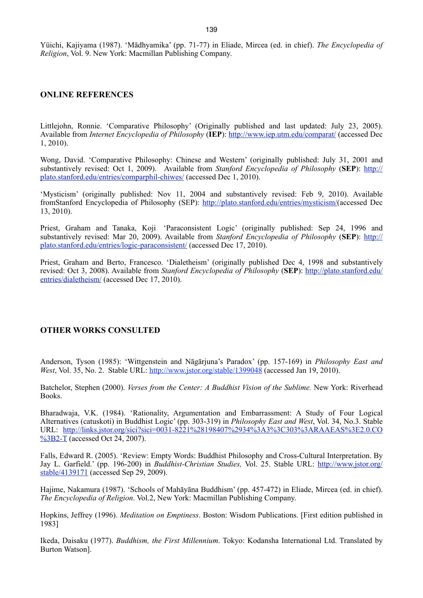Yüichi, Kajiyama (1987). 'Mādhyamika' (pp. 71-77) in Eliade, Mircea (ed. in chief). *The Encyclopedia of Religion*, Vol. 9. New York: Macmillan Publishing Company.

#### **ONLINE REFERENCES**

Littlejohn, Ronnie. 'Comparative Philosophy' (Originally published and last updated: July 23, 2005). Available from *Internet Encyclopedia of Philosophy* (**IEP**): <http://www.iep.utm.edu/comparat/>(accessed Dec 1, 2010).

Wong, David. 'Comparative Philosophy: Chinese and Western' (originally published: July 31, 2001 and substantively revised: Oct 1, 2009). Available from *Stanford Encyclopedia of Philosophy* (**SEP**): [http://](http://plato.stanford.edu/entries/comparphil-chiwes/) [plato.stanford.edu/entries/comparphil-chiwes/](http://plato.stanford.edu/entries/comparphil-chiwes/) (accessed Dec 1, 2010).

'Mysticism' (originally published: Nov 11, 2004 and substantively revised: Feb 9, 2010). Available fromStanford Encyclopedia of Philosophy (SEP): <http://plato.stanford.edu/entries/mysticism/>(accessed Dec 13, 2010).

Priest, Graham and Tanaka, Koji. 'Paraconsistent Logic' (originally published: Sep 24, 1996 and substantively revised: Mar 20, 2009). Available from *Stanford Encyclopedia of Philosophy* (**SEP**): [http://](http://plato.stanford.edu/entries/logic-paraconsistent/) [plato.stanford.edu/entries/logic-paraconsistent/](http://plato.stanford.edu/entries/logic-paraconsistent/) (accessed Dec 17, 2010).

Priest, Graham and Berto, Francesco. 'Dialetheism' (originally published Dec 4, 1998 and substantively revised: Oct 3, 2008). Available from *Stanford Encyclopedia of Philosophy* (**SEP**): [http://plato.stanford.edu/](http://plato.stanford.edu/entries/dialetheism/) [entries/dialetheism/](http://plato.stanford.edu/entries/dialetheism/) (accessed Dec 17, 2010).

#### **OTHER WORKS CONSULTED**

Anderson, Tyson (1985): 'Wittgenstein and Nāgārjuna's Paradox' (pp. 157-169) in *Philosophy East and West*, Vol. 35, No. 2. Stable URL:<http://www.jstor.org/stable/1399048>(accessed Jan 19, 2010).

Batchelor, Stephen (2000). *Verses from the Center: A Buddhist Vision of the Sublime.* New York: Riverhead Books.

Bharadwaja, V.K. (1984). 'Rationality, Argumentation and Embarrassment: A Study of Four Logical Alternatives (catuskoti) in Buddhist Logic' (pp. 303-319) in *Philosophy East and West*, Vol. 34, No.3. Stable URL: [http://links.jstor.org/sici?sici=0031-8221%28198407%2934%3A3%3C303%3ARAAEAS%3E2.0.CO](http://links.jstor.org/sici?sici=0031-8221%28198407%2934%3A3%3C303%3ARAAEAS%3E2.0.CO%3B2-T) [%3B2-T](http://links.jstor.org/sici?sici=0031-8221%28198407%2934%3A3%3C303%3ARAAEAS%3E2.0.CO%3B2-T) (accessed Oct 24, 2007).

Falls, Edward R. (2005). 'Review: Empty Words: Buddhist Philosophy and Cross-Cultural Interpretation. By Jay L. Garfield.' (pp. 196-200) in *Buddhist-Christian Studies,* Vol. 25. Stable URL: [http://www.jstor.org/](http://www.jstor.org/stable/4139171) [stable/4139171](http://www.jstor.org/stable/4139171) (accessed Sep 29, 2009).

Hajime, Nakamura (1987). 'Schools of Mahāyāna Buddhism' (pp. 457-472) in Eliade, Mircea (ed. in chief). *The Encyclopedia of Religion*. Vol.2, New York: Macmillan Publishing Company.

Hopkins, Jeffrey (1996). *Meditation on Emptiness*. Boston: Wisdom Publications. [First edition published in 1983]

Ikeda, Daisaku (1977). *Buddhism, the First Millennium*. Tokyo: Kodansha International Ltd. Translated by Burton Watson].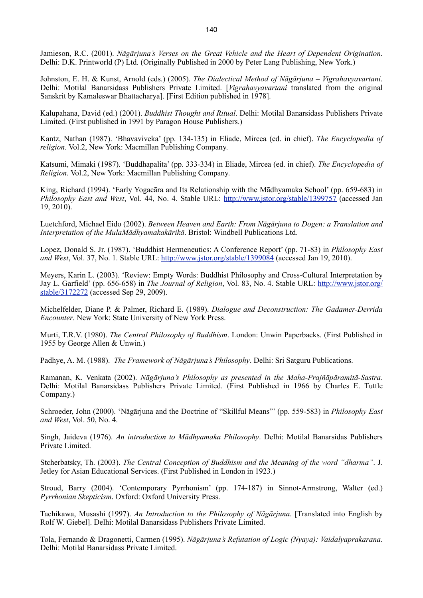Jamieson, R.C. (2001). *Nāgārjuna's Verses on the Great Vehicle and the Heart of Dependent Origination.*  Delhi: D.K. Printworld (P) Ltd. (Originally Published in 2000 by Peter Lang Publishing, New York.)

Johnston, E. H. & Kunst, Arnold (eds.) (2005). *The Dialectical Method of Nāgārjuna – Vigrahavyavartani*. Delhi: Motilal Banarsidass Publishers Private Limited. [*Vigrahavyavartani* translated from the original Sanskrit by Kamaleswar Bhattacharya]. [First Edition published in 1978].

Kalupahana, David (ed.) (2001). *Buddhist Thought and Ritual*. Delhi: Motilal Banarsidass Publishers Private Limited. (First published in 1991 by Paragon House Publishers.)

Kantz, Nathan (1987). 'Bhavaviveka' (pp. 134-135) in Eliade, Mircea (ed. in chief). *The Encyclopedia of religion*. Vol.2, New York: Macmillan Publishing Company.

Katsumi, Mimaki (1987). 'Buddhapalita' (pp. 333-334) in Eliade, Mircea (ed. in chief). *The Encyclopedia of Religion*. Vol.2, New York: Macmillan Publishing Company.

King, Richard (1994). 'Early Yogacāra and Its Relationship with the Mādhyamaka School' (pp. 659-683) in *Philosophy East and West*, Vol. 44, No. 4. Stable URL: <http://www.jstor.org/stable/1399757>(accessed Jan 19, 2010).

Luetchford, Michael Eido (2002). *Between Heaven and Earth: From Nāgārjuna to Dogen: a Translation and Interpretation of the MulaMādhyamakakārikā*. Bristol: Windbell Publications Ltd.

Lopez, Donald S. Jr. (1987). 'Buddhist Hermeneutics: A Conference Report' (pp. 71-83) in *Philosophy East and West*, Vol. 37, No. 1. Stable URL: <http://www.jstor.org/stable/1399084> (accessed Jan 19, 2010).

Meyers, Karin L. (2003). 'Review: Empty Words: Buddhist Philosophy and Cross-Cultural Interpretation by Jay L. Garfield' (pp. 656-658) in *The Journal of Religion*, Vol. 83, No. 4. Stable URL: [http://www.jstor.org/](http://www.jstor.org/stable/3172272) [stable/3172272](http://www.jstor.org/stable/3172272) (accessed Sep 29, 2009).

Michelfelder, Diane P. & Palmer, Richard E. (1989). *Dialogue and Deconstruction: The Gadamer-Derrida Encounter*. New York: State University of New York Press.

Murti, T.R.V. (1980). *The Central Philosophy of Buddhism*. London: Unwin Paperbacks. (First Published in 1955 by George Allen & Unwin.)

Padhye, A. M. (1988). *The Framework of Nāgārjuna's Philosophy*. Delhi: Sri Satguru Publications.

Ramanan, K. Venkata (2002). *Nāgārjuna's Philosophy as presented in the Maha-Prajñāpāramitā-Sastra.* Delhi: Motilal Banarsidass Publishers Private Limited. (First Published in 1966 by Charles E. Tuttle Company.)

Schroeder, John (2000). 'Nāgārjuna and the Doctrine of "Skillful Means"' (pp. 559-583) in *Philosophy East and West*, Vol. 50, No. 4.

Singh, Jaideva (1976). *An introduction to Mādhyamaka Philosophy*. Delhi: Motilal Banarsidas Publishers Private Limited.

Stcherbatsky, Th. (2003). *The Central Conception of Buddhism and the Meaning of the word "dharma"*. J. Jetley for Asian Educational Services. (First Published in London in 1923.)

Stroud, Barry (2004). 'Contemporary Pyrrhonism' (pp. 174-187) in Sinnot-Armstrong, Walter (ed.) *Pyrrhonian Skepticism*. Oxford: Oxford University Press.

Tachikawa, Musashi (1997). *An Introduction to the Philosophy of Nāgārjuna*. [Translated into English by Rolf W. Giebel]. Delhi: Motilal Banarsidass Publishers Private Limited.

Tola, Fernando & Dragonetti, Carmen (1995). *Nāgārjuna's Refutation of Logic (Nyaya): Vaidalyaprakarana*. Delhi: Motilal Banarsidass Private Limited.